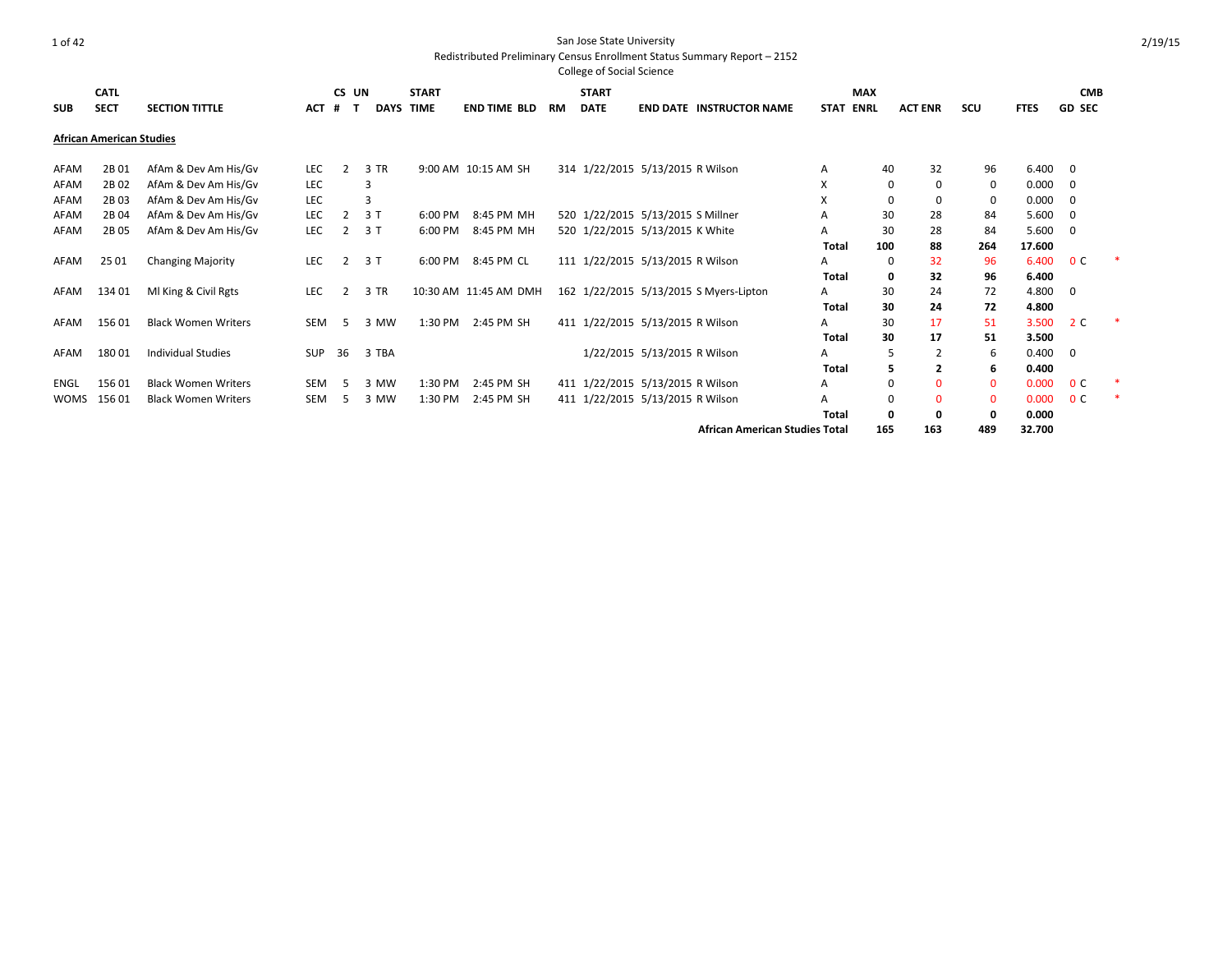|            | <b>CATL</b>                     |                            |            | CS UN |             | <b>START</b> |                       |    | <b>START</b> |                                   |                                        |             | <b>MAX</b>  |                |          |             | <b>CMB</b>               |  |
|------------|---------------------------------|----------------------------|------------|-------|-------------|--------------|-----------------------|----|--------------|-----------------------------------|----------------------------------------|-------------|-------------|----------------|----------|-------------|--------------------------|--|
| <b>SUB</b> | <b>SECT</b>                     | <b>SECTION TITTLE</b>      | <b>ACT</b> | #     | <b>DAYS</b> | <b>TIME</b>  | <b>END TIME BLD</b>   | RM | <b>DATE</b>  |                                   | <b>END DATE INSTRUCTOR NAME</b>        | <b>STAT</b> | ENRL        | <b>ACT ENR</b> | scu      | <b>FTES</b> | <b>GD SEC</b>            |  |
|            | <b>African American Studies</b> |                            |            |       |             |              |                       |    |              |                                   |                                        |             |             |                |          |             |                          |  |
| AFAM       | 2B01                            | AfAm & Dev Am His/Gv       | LEC        |       | 3 TR        |              | 9:00 AM 10:15 AM SH   |    |              | 314 1/22/2015 5/13/2015 R Wilson  |                                        | A           | 40          | 32             | 96       | $6.400$ 0   |                          |  |
| AFAM       | 2B02                            | AfAm & Dev Am His/Gv       | LEC        |       |             |              |                       |    |              |                                   |                                        | X           | $\mathbf 0$ | 0              | 0        | 0.000       | $\overline{\phantom{0}}$ |  |
| AFAM       | 2B03                            | AfAm & Dev Am His/Gv       | LEC        |       |             |              |                       |    |              |                                   |                                        | X           | 0           | 0              | 0        | 0.000       | - 0                      |  |
| AFAM       | 2B04                            | AfAm & Dev Am His/Gv       | LEC        |       | 3T          | 6:00 PM      | 8:45 PM MH            |    |              | 520 1/22/2015 5/13/2015 S Millner |                                        | A           | 30          | 28             | 84       | 5.600       | $\Omega$                 |  |
| AFAM       | 2B 05                           | AfAm & Dev Am His/Gv       | LEC        |       | 3T          | 6:00 PM      | 8:45 PM MH            |    |              | 520 1/22/2015 5/13/2015 K White   |                                        | A           | 30          | 28             | 84       | 5.600       | $\Omega$                 |  |
|            |                                 |                            |            |       |             |              |                       |    |              |                                   |                                        | Total       | 100         | 88             | 264      | 17.600      |                          |  |
| AFAM       | 25 01                           | <b>Changing Majority</b>   | <b>LEC</b> | 2     | 3T          | 6:00 PM      | 8:45 PM CL            |    |              | 111 1/22/2015 5/13/2015 R Wilson  |                                        | А           | 0           | 32             | 96       | 6.400       | 0 <sup>c</sup>           |  |
|            |                                 |                            |            |       |             |              |                       |    |              |                                   |                                        | Total       | 0           | 32             | 96       | 6.400       |                          |  |
| AFAM       | 134 01                          | MI King & Civil Rgts       | LEC        |       | 3 TR        |              | 10:30 AM 11:45 AM DMH |    |              |                                   | 162 1/22/2015 5/13/2015 S Myers-Lipton | A           | 30          | 24             | 72       | 4.800       | $\Omega$                 |  |
|            |                                 |                            |            |       |             |              |                       |    |              |                                   |                                        | Total       | 30          | 24             | 72       | 4.800       |                          |  |
| AFAM       | 15601                           | <b>Black Women Writers</b> | SEM        | 5.    | 3 MW        | 1:30 PM      | 2:45 PM SH            |    |              | 411 1/22/2015 5/13/2015 R Wilson  |                                        | A           | 30          | 17             | 51       | 3.500       | 2 C                      |  |
|            |                                 |                            |            |       |             |              |                       |    |              |                                   |                                        | Total       | 30          | 17             | 51       | 3.500       |                          |  |
| AFAM       | 18001                           | <b>Individual Studies</b>  | SUP        | 36    | 3 TBA       |              |                       |    |              | 1/22/2015 5/13/2015 R Wilson      |                                        | A           | 5           | 2              | 6        | 0.400       | - 0                      |  |
|            |                                 |                            |            |       |             |              |                       |    |              |                                   |                                        | Total       | 5           | 2              | 6        | 0.400       |                          |  |
| ENGL       | 156 01                          | <b>Black Women Writers</b> | SEM        | .5    | 3 MW        | 1:30 PM      | 2:45 PM SH            |    |              | 411 1/22/2015 5/13/2015 R Wilson  |                                        | Α           | 0           | $\Omega$       | $\Omega$ | 0.000       | 0 <sup>c</sup>           |  |
| WOMS       | 15601                           | <b>Black Women Writers</b> | <b>SEM</b> | 5     | 3 MW        | 1:30 PM      | 2:45 PM SH            |    |              | 411 1/22/2015 5/13/2015 R Wilson  |                                        | A           | 0           | O              | $\Omega$ | 0.000       | 0 <sup>c</sup>           |  |
|            |                                 |                            |            |       |             |              |                       |    |              |                                   |                                        | Total       | 0           | 0              | O        | 0.000       |                          |  |
|            |                                 |                            |            |       |             |              |                       |    |              |                                   | <b>African American Studies Total</b>  |             | 165         | 163            | 489      | 32.700      |                          |  |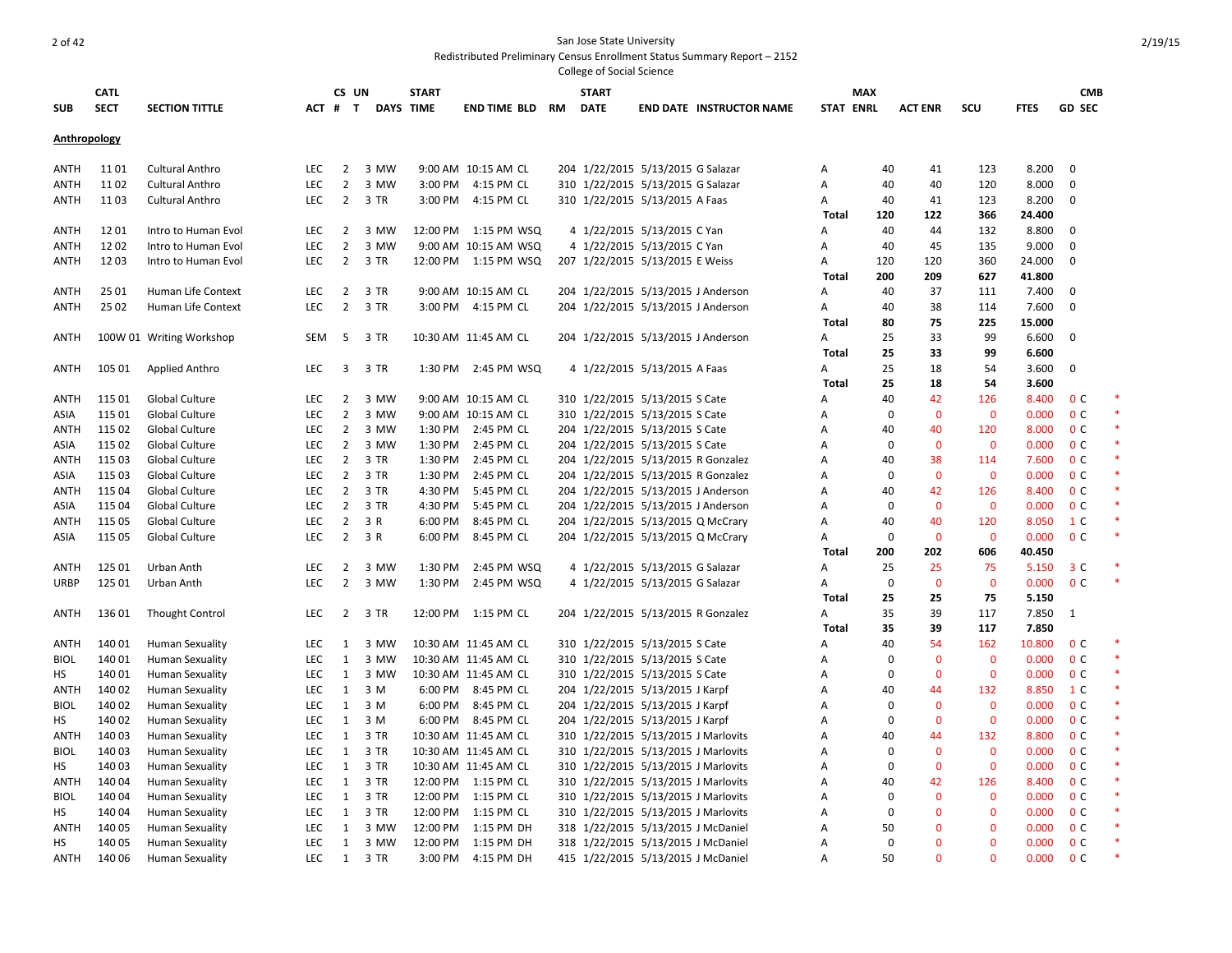| SUB                 | <b>CATL</b><br><b>SECT</b> | <b>SECTION TITTLE</b>                     |                   | CS UN<br>ACT # T | <b>DAYS TIME</b> | <b>START</b> | END TIME BLD                      | RM | <b>START</b><br><b>DATE</b> | <b>END DATE INSTRUCTOR NAME</b>                                           |              | <b>MAX</b><br><b>STAT ENRL</b> | <b>ACT ENR</b>       | SCU                         | <b>FTES</b>    | <b>CMB</b><br><b>GD SEC</b>      |        |
|---------------------|----------------------------|-------------------------------------------|-------------------|------------------|------------------|--------------|-----------------------------------|----|-----------------------------|---------------------------------------------------------------------------|--------------|--------------------------------|----------------------|-----------------------------|----------------|----------------------------------|--------|
|                     |                            |                                           |                   |                  |                  |              |                                   |    |                             |                                                                           |              |                                |                      |                             |                |                                  |        |
| <b>Anthropology</b> |                            |                                           |                   |                  |                  |              |                                   |    |                             |                                                                           |              |                                |                      |                             |                |                                  |        |
| ANTH                | 1101                       | <b>Cultural Anthro</b>                    | <b>LEC</b>        | $\overline{2}$   | 3 MW             |              | 9:00 AM 10:15 AM CL               |    |                             | 204 1/22/2015 5/13/2015 G Salazar                                         | Α            | 40                             | 41                   | 123                         | 8.200          | $\mathbf 0$                      |        |
| ANTH                | 1102                       | <b>Cultural Anthro</b>                    | <b>LEC</b>        | $\overline{2}$   | 3 MW             |              | 3:00 PM 4:15 PM CL                |    |                             | 310 1/22/2015 5/13/2015 G Salazar                                         | Α            | 40                             | 40                   | 120                         | 8.000          | $\mathbf 0$                      |        |
| ANTH                | 1103                       | <b>Cultural Anthro</b>                    | <b>LEC</b>        |                  | 2 3 TR           |              | 3:00 PM 4:15 PM CL                |    |                             | 310 1/22/2015 5/13/2015 A Faas                                            | Α            | 40                             | 41                   | 123                         | 8.200          | $\mathbf 0$                      |        |
|                     |                            |                                           |                   |                  |                  |              |                                   |    |                             |                                                                           | Total        | 120                            | 122                  | 366                         | 24.400         |                                  |        |
| <b>ANTH</b>         | 1201                       | Intro to Human Evol                       | LEC               | $\overline{2}$   | 3 MW             |              | 12:00 PM  1:15 PM  WSQ            |    |                             | 4 1/22/2015 5/13/2015 C Yan                                               | А            | 40                             | 44                   | 132                         | 8.800          | $\mathbf 0$                      |        |
| ANTH                | 1202                       | Intro to Human Evol                       | <b>LEC</b>        | $\overline{2}$   | 3 MW             |              | 9:00 AM 10:15 AM WSQ              |    |                             | 4 1/22/2015 5/13/2015 C Yan                                               | А            | 40                             | 45                   | 135                         | 9.000          | $\mathbf 0$                      |        |
| ANTH                | 1203                       | Intro to Human Evol                       | <b>LEC</b>        | $\overline{2}$   | 3 TR             |              | 12:00 PM   1:15 PM   WSQ          |    |                             | 207 1/22/2015 5/13/2015 E Weiss                                           | Α            | 120                            | 120                  | 360                         | 24.000         | $\Omega$                         |        |
|                     |                            |                                           |                   |                  |                  |              |                                   |    |                             |                                                                           | Total        | 200                            | 209                  | 627                         | 41.800         |                                  |        |
| ANTH                | 25 01                      | Human Life Context                        | LEC               | $\overline{2}$   | 3 TR             |              | 9:00 AM 10:15 AM CL               |    |                             | 204 1/22/2015 5/13/2015 J Anderson                                        | Α            | 40                             | 37                   | 111                         | 7.400          | 0                                |        |
| ANTH                | 25 02                      | Human Life Context                        | <b>LEC</b>        | $\overline{2}$   | 3 TR             |              | 3:00 PM 4:15 PM CL                |    |                             | 204 1/22/2015 5/13/2015 J Anderson                                        | Α            | 40                             | 38                   | 114                         | 7.600          | 0                                |        |
|                     |                            |                                           |                   |                  |                  |              |                                   |    |                             |                                                                           | Total        | 80                             | 75                   | 225                         | 15.000         |                                  |        |
| ANTH                |                            | 100W 01 Writing Workshop                  | SEM               | -5               | 3 TR             |              | 10:30 AM 11:45 AM CL              |    |                             | 204 1/22/2015 5/13/2015 J Anderson                                        | Α            | 25                             | 33                   | 99                          | 6.600          | 0                                |        |
|                     |                            |                                           |                   |                  |                  |              |                                   |    |                             |                                                                           | <b>Total</b> | 25                             | 33                   | 99                          | 6.600          |                                  |        |
| ANTH                | 105 01                     | Applied Anthro                            | <b>LEC</b>        | 3                | 3 TR             |              | 1:30 PM 2:45 PM WSQ               |    |                             | 4 1/22/2015 5/13/2015 A Faas                                              | Α            | 25                             | 18                   | 54                          | 3.600          | $\mathbf 0$                      |        |
|                     |                            |                                           |                   |                  |                  |              |                                   |    |                             |                                                                           | Total        | 25                             | 18                   | 54                          | 3.600          |                                  |        |
| <b>ANTH</b>         | 115 01                     | Global Culture                            | LEC               | $\overline{2}$   | 3 MW             |              | 9:00 AM 10:15 AM CL               |    |                             | 310 1/22/2015 5/13/2015 S Cate                                            | Α            | 40                             | 42                   | 126                         | 8.400          | 0 <sup>c</sup>                   |        |
| ASIA                | 115 01                     | <b>Global Culture</b>                     | LEC               | $\overline{2}$   | 3 MW             |              | 9:00 AM 10:15 AM CL               |    |                             | 310 1/22/2015 5/13/2015 S Cate                                            | Α            | $\mathbf 0$                    | $\mathbf{0}$         | $\mathbf{0}$                | 0.000          | 0 <sup>c</sup>                   | $\ast$ |
| <b>ANTH</b>         | 115 02                     | <b>Global Culture</b>                     | <b>LEC</b>        | $\overline{2}$   | 3 MW             |              | 1:30 PM 2:45 PM CL                |    |                             | 204 1/22/2015 5/13/2015 S Cate                                            | Α            | 40                             | 40                   | 120                         | 8.000          | 0 <sup>c</sup>                   | $\ast$ |
| ASIA                | 115 02                     | Global Culture                            | <b>LEC</b>        | $\overline{2}$   | 3 MW             |              | 1:30 PM 2:45 PM CL                |    |                             | 204 1/22/2015 5/13/2015 S Cate                                            | A            | $\Omega$                       | $\mathbf{0}$         | $\mathbf{0}$                | 0.000          | 0 <sup>c</sup>                   | $\ast$ |
| <b>ANTH</b>         | 115 03                     | Global Culture                            | <b>LEC</b>        | $\overline{2}$   | 3 TR             |              | 1:30 PM 2:45 PM CL                |    |                             | 204 1/22/2015 5/13/2015 R Gonzalez                                        | Α            | 40                             | 38                   | 114                         | 7.600          | 0 <sup>c</sup>                   |        |
| ASIA                | 115 03                     | Global Culture                            | LEC               | $\overline{2}$   | 3 TR             | 1:30 PM      | 2:45 PM CL                        |    |                             | 204 1/22/2015 5/13/2015 R Gonzalez                                        | Α            | $\Omega$                       | $\mathbf 0$          | $\mathbf 0$                 | 0.000          | 0 <sup>c</sup>                   | $\ast$ |
| <b>ANTH</b>         | 115 04                     | Global Culture                            | <b>LEC</b>        | $\overline{2}$   | 3 TR             | 4:30 PM      | 5:45 PM CL                        |    |                             | 204 1/22/2015 5/13/2015 J Anderson                                        | Α            | 40                             | 42                   | 126                         | 8.400          | 0 <sup>c</sup>                   | $\ast$ |
| ASIA                | 115 04                     | Global Culture                            | LEC               | $\overline{2}$   | 3 TR             | 4:30 PM      | 5:45 PM CL                        |    |                             | 204 1/22/2015 5/13/2015 J Anderson                                        | Α            | 0                              | $\mathbf 0$          | $\mathbf 0$                 | 0.000          | 0 <sup>c</sup>                   | $\ast$ |
| ANTH                | 115 05                     | Global Culture                            | <b>LEC</b>        | $\overline{2}$   | 3 R              | 6:00 PM      | 8:45 PM CL                        |    |                             | 204 1/22/2015 5/13/2015 Q McCrary                                         | Α            | 40                             | 40                   | 120                         | 8.050          | 1 C                              | $\ast$ |
| ASIA                | 115 05                     | <b>Global Culture</b>                     | <b>LEC</b>        | $\overline{2}$   | 3 R              | 6:00 PM      | 8:45 PM CL                        |    |                             | 204 1/22/2015 5/13/2015 Q McCrary                                         | Α            | $\mathbf 0$                    | $\mathbf 0$          | $\mathbf{0}$                | 0.000          | 0 <sup>c</sup>                   | $\ast$ |
|                     |                            |                                           |                   |                  |                  |              |                                   |    |                             |                                                                           | Total        | 200                            | 202                  | 606                         | 40.450         |                                  |        |
| ANTH                | 125 01                     | Urban Anth                                | <b>LEC</b>        | $\overline{2}$   | 3 MW             | 1:30 PM      | 2:45 PM WSQ                       |    |                             | 4 1/22/2015 5/13/2015 G Salazar                                           | А            | 25                             | 25                   | 75                          | 5.150          | 3 <sup>c</sup>                   | $\ast$ |
| <b>URBP</b>         | 125 01                     | Urban Anth                                | LEC               | $\overline{2}$   | 3 MW             | 1:30 PM      | 2:45 PM WSQ                       |    |                             | 4 1/22/2015 5/13/2015 G Salazar                                           | A            | 0                              | $\overline{0}$       | $\mathbf{0}$                | 0.000          | 0 <sup>c</sup>                   |        |
|                     |                            |                                           |                   |                  |                  |              |                                   |    |                             |                                                                           | Total        | 25                             | 25                   | 75                          | 5.150          |                                  |        |
| ANTH                | 13601                      | <b>Thought Control</b>                    | <b>LEC</b>        | $\overline{2}$   | 3 TR             |              | 12:00 PM 1:15 PM CL               |    |                             | 204 1/22/2015 5/13/2015 R Gonzalez                                        | Α            | 35                             | 39                   | 117                         | 7.850          | $\mathbf{1}$                     |        |
|                     |                            |                                           |                   |                  |                  |              |                                   |    |                             |                                                                           | <b>Total</b> | 35                             | 39                   | 117                         | 7.850          |                                  | $\ast$ |
| ANTH                | 140 01                     | <b>Human Sexuality</b>                    | LEC               | 1                | 3 MW             |              | 10:30 AM 11:45 AM CL              |    |                             | 310 1/22/2015 5/13/2015 S Cate                                            | А            | 40                             | 54                   | 162                         | 10.800         | 0 <sup>c</sup>                   |        |
| <b>BIOL</b>         | 140 01                     | <b>Human Sexuality</b>                    | LEC               | 1                | 3 MW             |              | 10:30 AM 11:45 AM CL              |    |                             | 310 1/22/2015 5/13/2015 S Cate                                            | Α            | $\Omega$                       | $\mathbf{0}$         | $\overline{0}$              | 0.000          | 0 <sup>c</sup>                   | $\ast$ |
| HS                  | 140 01                     | <b>Human Sexuality</b>                    | LEC               | 1                | 3 MW             |              | 10:30 AM 11:45 AM CL              |    |                             | 310 1/22/2015 5/13/2015 S Cate                                            | Α            | $\mathbf 0$                    | $\mathbf 0$          | $\mathbf 0$                 | 0.000          | 0 <sup>c</sup>                   | $\ast$ |
| ANTH                | 140 02                     | <b>Human Sexuality</b>                    | <b>LEC</b>        | 1                | 3 M              |              | 6:00 PM 8:45 PM CL                |    |                             | 204 1/22/2015 5/13/2015 J Karpf                                           | Α            | 40                             | 44                   | 132                         | 8.850          | 1 C                              | $\ast$ |
| <b>BIOL</b>         | 140 02                     | <b>Human Sexuality</b>                    | <b>LEC</b>        | $\mathbf{1}$     | 3 M              |              | 6:00 PM 8:45 PM CL                |    |                             | 204 1/22/2015 5/13/2015 J Karpf                                           | Α            | $\overline{0}$                 | $\mathbf 0$          | $\mathbf 0$                 | 0.000          | 0 <sup>c</sup>                   | $\ast$ |
| НS                  | 140 02                     | <b>Human Sexuality</b>                    | <b>LEC</b>        | 1                | 3 M              |              | 6:00 PM 8:45 PM CL                |    |                             | 204 1/22/2015 5/13/2015 J Karpf                                           | Α            | $\Omega$                       | $\mathbf 0$          | $\mathbf 0$                 | 0.000          | 0 <sup>c</sup>                   | $\ast$ |
| <b>ANTH</b>         | 140 03                     | <b>Human Sexuality</b>                    | LEC               | 1                | 3 TR             |              | 10:30 AM 11:45 AM CL              |    |                             | 310 1/22/2015 5/13/2015 J Marlovits                                       | Α            | 40                             | 44                   | 132                         | 8.800          | 0 <sup>c</sup>                   | $\ast$ |
| <b>BIOL</b>         | 140 03                     | <b>Human Sexuality</b>                    | <b>LEC</b>        | 1                | 3 TR             |              | 10:30 AM 11:45 AM CL              |    |                             | 310 1/22/2015 5/13/2015 J Marlovits                                       | A            | 0                              | $\Omega$             | $\mathbf{0}$                | 0.000          | 0 <sup>C</sup><br>0 <sup>C</sup> | $\ast$ |
| НS                  | 140 03                     | <b>Human Sexuality</b>                    | LEC<br><b>LEC</b> | 1                | 3 TR<br>3 TR     |              | 10:30 AM 11:45 AM CL              |    |                             | 310 1/22/2015 5/13/2015 J Marlovits                                       | Α            | 0                              | $\mathbf{0}$         | $\mathbf{0}$                | 0.000          | 0 <sup>c</sup>                   | $\ast$ |
| ANTH                | 140 04                     | <b>Human Sexuality</b>                    |                   | 1                |                  |              | 12:00 PM 1:15 PM CL               |    |                             | 310 1/22/2015 5/13/2015 J Marlovits                                       | A            | 40                             | 42                   | 126                         | 8.400          |                                  | $\ast$ |
| <b>BIOL</b>         | 140 04                     | <b>Human Sexuality</b>                    | <b>LEC</b>        | 1                | 3 TR             |              | 12:00 PM 1:15 PM CL               |    |                             | 310 1/22/2015 5/13/2015 J Marlovits                                       | Α            | 0<br>$\Omega$                  | $\Omega$<br>$\Omega$ | $\mathbf{0}$                | 0.000          | 0 <sup>C</sup><br>0 <sup>c</sup> | $\ast$ |
| HS                  | 140 04<br>140 05           | <b>Human Sexuality</b>                    | LEC<br>LEC        | 1<br>1           | 3 TR<br>3 MW     | 12:00 PM     | 12:00 PM 1:15 PM CL               |    |                             | 310 1/22/2015 5/13/2015 J Marlovits<br>318 1/22/2015 5/13/2015 J McDaniel | A            |                                | $\mathbf{0}$         | $\mathbf{0}$<br>$\mathbf 0$ | 0.000<br>0.000 | 0 <sup>c</sup>                   |        |
| ANTH<br>HS          | 140 05                     | Human Sexuality<br><b>Human Sexuality</b> | LEC               | $\mathbf{1}$     | 3 MW             |              | 1:15 PM DH<br>12:00 PM 1:15 PM DH |    |                             | 318 1/22/2015 5/13/2015 J McDaniel                                        | А<br>Α       | 50<br>$\mathbf 0$              | $\Omega$             | $\Omega$                    | 0.000          | 0 <sup>c</sup>                   | $\ast$ |
| ANTH                | 140 06                     |                                           | <b>LEC</b>        | 1                | 3 TR             |              | 3:00 PM 4:15 PM DH                |    |                             | 415 1/22/2015 5/13/2015 J McDaniel                                        | A            | 50                             | n                    | $\Omega$                    | 0.000          | 0 <sup>c</sup>                   |        |
|                     |                            | <b>Human Sexuality</b>                    |                   |                  |                  |              |                                   |    |                             |                                                                           |              |                                |                      |                             |                |                                  |        |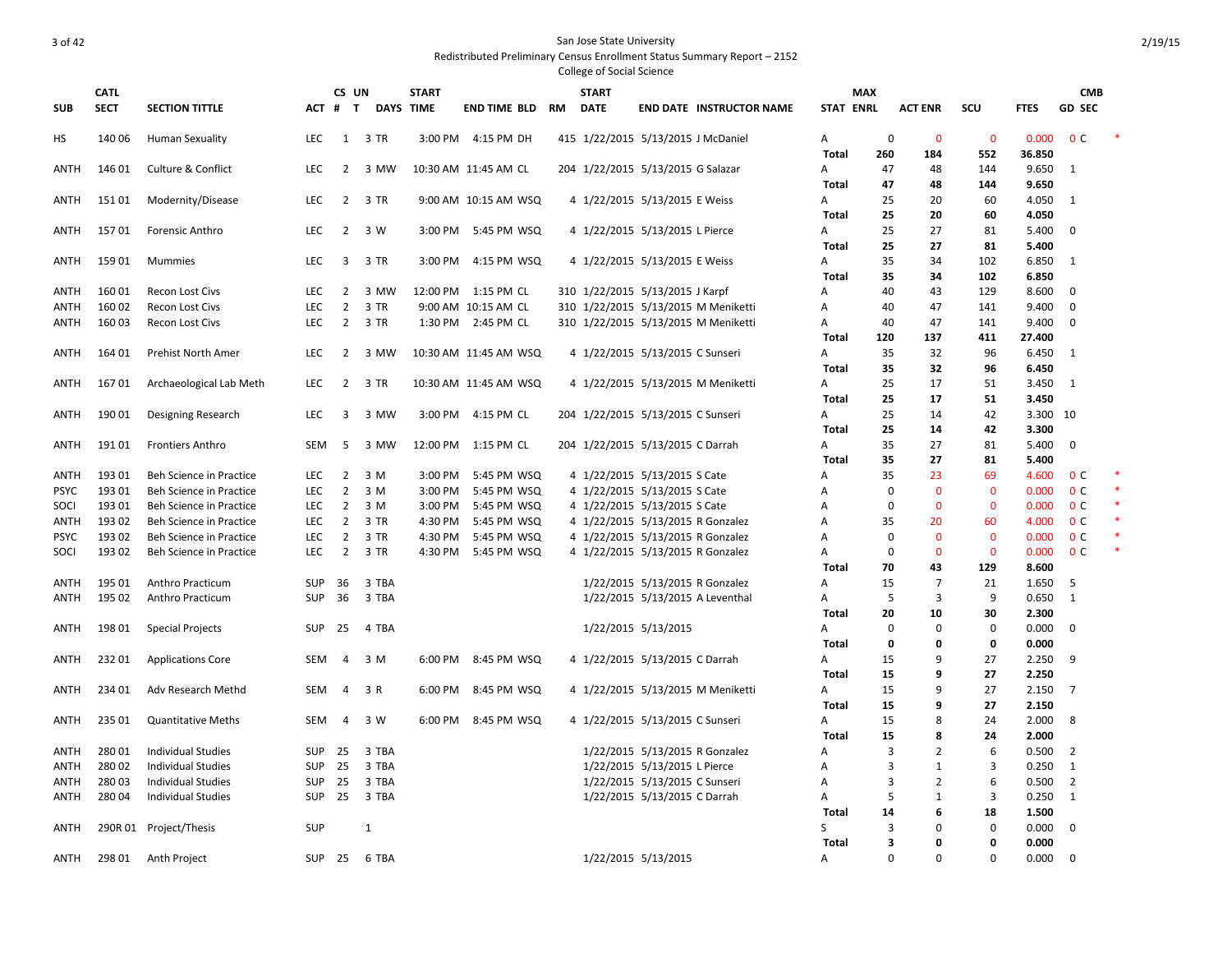|             | <b>CATL</b> |                                |               | CS UN          |                  | <b>START</b> |                       |           | <b>START</b>        |                                     |                | <b>MAX</b>       |                             |                |                 | <b>CMB</b>     |        |
|-------------|-------------|--------------------------------|---------------|----------------|------------------|--------------|-----------------------|-----------|---------------------|-------------------------------------|----------------|------------------|-----------------------------|----------------|-----------------|----------------|--------|
| <b>SUB</b>  | <b>SECT</b> | <b>SECTION TITTLE</b>          | ACT #         | $\mathbf{T}$   | <b>DAYS TIME</b> |              | <b>END TIME BLD</b>   | <b>RM</b> | <b>DATE</b>         | <b>END DATE INSTRUCTOR NAME</b>     |                | <b>STAT ENRL</b> | <b>ACT ENR</b>              | <b>SCU</b>     | <b>FTES</b>     | <b>GD SEC</b>  |        |
| нs          | 140 06      | Human Sexuality                | LEC           | 1              | 3 TR             | 3:00 PM      | 4:15 PM DH            |           |                     | 415 1/22/2015 5/13/2015 J McDaniel  | A              |                  | $\mathbf 0$<br>$\mathbf 0$  | $\mathbf{0}$   | 0.000           | 0 <sup>c</sup> |        |
|             |             |                                |               |                |                  |              |                       |           |                     |                                     | Total          | 260              | 184                         | 552            | 36.850          |                |        |
| ANTH        | 146 01      | <b>Culture &amp; Conflict</b>  | LEC           | $\overline{2}$ | 3 MW             |              | 10:30 AM 11:45 AM CL  |           |                     | 204 1/22/2015 5/13/2015 G Salazar   | Α              | 47               | 48                          | 144            | 9.650           | 1              |        |
|             |             |                                |               |                |                  |              |                       |           |                     |                                     | Total          | 47               | 48                          | 144            | 9.650           |                |        |
| ANTH        | 15101       | Modernity/Disease              | <b>LEC</b>    | 2              | 3 TR             |              | 9:00 AM 10:15 AM WSQ  |           |                     | 4 1/22/2015 5/13/2015 E Weiss       | A              | 25               | 20                          | 60             | 4.050           | 1              |        |
|             |             |                                |               |                |                  |              |                       |           |                     |                                     | Total          | 25               | 20                          | 60             | 4.050           |                |        |
| ANTH        | 15701       | Forensic Anthro                | <b>LEC</b>    | $\overline{2}$ | 3 W              | 3:00 PM      | 5:45 PM WSQ           |           |                     | 4 1/22/2015 5/13/2015 L Pierce      | A              | 25               | 27                          | 81             | 5.400           | $\mathbf 0$    |        |
|             |             |                                |               |                |                  |              |                       |           |                     |                                     | Total          | 25               | 27                          | 81             | 5.400           |                |        |
| <b>ANTH</b> | 15901       | Mummies                        | <b>LEC</b>    | $\overline{3}$ | 3 TR             | 3:00 PM      | 4:15 PM WSQ           |           |                     | 4 1/22/2015 5/13/2015 E Weiss       | A              | 35               | 34                          | 102            | 6.850           | 1              |        |
|             |             |                                |               |                |                  |              |                       |           |                     |                                     | <b>Total</b>   | 35               | 34                          | 102            | 6.850           |                |        |
| ANTH        | 16001       | <b>Recon Lost Civs</b>         | <b>LEC</b>    | $\overline{2}$ | 3 MW             |              | 12:00 PM 1:15 PM CL   |           |                     | 310 1/22/2015 5/13/2015 J Karpf     | A              | 40               | 43                          | 129            | 8.600           | 0              |        |
| ANTH        | 160 02      | <b>Recon Lost Civs</b>         | LEC           | $\overline{2}$ | 3 TR             |              | 9:00 AM 10:15 AM CL   |           |                     | 310 1/22/2015 5/13/2015 M Meniketti | A              | 40               | 47                          | 141            | 9.400           | 0              |        |
| ANTH        | 16003       | <b>Recon Lost Civs</b>         | LEC           | $\overline{2}$ | 3 TR             |              | 1:30 PM 2:45 PM CL    |           |                     | 310 1/22/2015 5/13/2015 M Meniketti | Α<br>Total     | 40               | 47<br>137                   | 141<br>411     | 9.400<br>27.400 | 0              |        |
|             |             |                                |               |                |                  |              |                       |           |                     |                                     |                | 120              |                             |                |                 | 1              |        |
| ANTH        | 164 01      | Prehist North Amer             | LEC           | $\overline{2}$ | 3 MW             |              | 10:30 AM 11:45 AM WSQ |           |                     | 4 1/22/2015 5/13/2015 C Sunseri     | A<br>Total     | 35<br>35         | 32<br>32                    | 96<br>96       | 6.450<br>6.450  |                |        |
| ANTH        | 16701       | Archaeological Lab Meth        | <b>LEC</b>    | 2              | 3 TR             |              | 10:30 AM 11:45 AM WSQ |           |                     | 4 1/22/2015 5/13/2015 M Meniketti   | Α              | 25               | 17                          | 51             | 3.450           | 1              |        |
|             |             |                                |               |                |                  |              |                       |           |                     |                                     | Total          | 25               | 17                          | 51             | 3.450           |                |        |
| ANTH        | 190 01      | Designing Research             | LEC           | 3              | 3 MW             | 3:00 PM      | 4:15 PM CL            |           |                     | 204 1/22/2015 5/13/2015 C Sunseri   | A              | 25               | 14                          | 42             | 3.300 10        |                |        |
|             |             |                                |               |                |                  |              |                       |           |                     |                                     | <b>Total</b>   | 25               | 14                          | 42             | 3.300           |                |        |
| ANTH        | 19101       | <b>Frontiers Anthro</b>        | <b>SEM</b>    | 5              | 3 MW             | 12:00 PM     | 1:15 PM CL            |           |                     | 204 1/22/2015 5/13/2015 C Darrah    | A              | 35               | 27                          | 81             | 5.400           | $\mathbf 0$    |        |
|             |             |                                |               |                |                  |              |                       |           |                     |                                     | Total          | 35               | 27                          | 81             | 5.400           |                |        |
| ANTH        | 19301       | <b>Beh Science in Practice</b> | <b>LEC</b>    | 2              | 3 M              | 3:00 PM      | 5:45 PM WSQ           |           |                     | 4 1/22/2015 5/13/2015 S Cate        | A              | 35               | 23                          | 69             | 4.600           | 0 <sup>c</sup> |        |
| <b>PSYC</b> | 193 01      | <b>Beh Science in Practice</b> | LEC           | $\overline{2}$ | 3 M              | 3:00 PM      | 5:45 PM WSQ           |           |                     | 4 1/22/2015 5/13/2015 S Cate        | A              |                  | $\mathbf 0$<br>$\mathbf{0}$ | $\mathbf{0}$   | 0.000           | 0 <sup>c</sup> |        |
| SOCI        | 193 01      | <b>Beh Science in Practice</b> | <b>LEC</b>    | $\overline{2}$ | 3 M              | 3:00 PM      | 5:45 PM WSQ           |           |                     | 4 1/22/2015 5/13/2015 S Cate        | A              |                  | $\mathbf 0$<br>$\mathbf 0$  | $\mathbf 0$    | 0.000           | 0 <sup>C</sup> |        |
| <b>ANTH</b> | 193 02      | <b>Beh Science in Practice</b> | LEC           | $\overline{2}$ | 3 TR             | 4:30 PM      | 5:45 PM WSQ           |           |                     | 4 1/22/2015 5/13/2015 R Gonzalez    | $\overline{A}$ | 35               | 20                          | 60             | 4.000           | 0 <sup>C</sup> |        |
| PSYC        | 19302       | Beh Science in Practice        | <b>LEC</b>    | $\overline{2}$ | 3 TR             | 4:30 PM      | 5:45 PM WSQ           |           |                     | 4 1/22/2015 5/13/2015 R Gonzalez    | A              |                  | $\mathbf 0$<br>$\mathbf 0$  | $\mathbf{0}$   | 0.000           | 0 <sup>c</sup> | $\ast$ |
| SOCI        | 19302       | Beh Science in Practice        | <b>LEC</b>    | $\overline{2}$ | 3 TR             | 4:30 PM      | 5:45 PM WSQ           |           |                     | 4 1/22/2015 5/13/2015 R Gonzalez    | A              |                  | $\mathbf 0$<br>$\mathbf 0$  | $\mathbf{0}$   | 0.000           | 0 <sup>c</sup> | $\ast$ |
|             |             |                                |               |                |                  |              |                       |           |                     |                                     | Total          | 70               | 43                          | 129            | 8.600           |                |        |
| ANTH        | 195 01      | Anthro Practicum               | <b>SUP</b>    | 36             | 3 TBA            |              |                       |           |                     | 1/22/2015 5/13/2015 R Gonzalez      | A              | 15               | $\overline{7}$              | 21             | 1.650           | 5              |        |
| ANTH        | 195 02      | Anthro Practicum               | SUP           | 36             | 3 TBA            |              |                       |           |                     | 1/22/2015 5/13/2015 A Leventhal     | Α              |                  | 3<br>5                      | 9              | 0.650           | $\mathbf{1}$   |        |
|             |             |                                |               |                |                  |              |                       |           |                     |                                     | Total          | 20               | 10                          | 30             | 2.300           |                |        |
| ANTH        | 198 01      | <b>Special Projects</b>        | <b>SUP</b>    | 25             | 4 TBA            |              |                       |           |                     | 1/22/2015 5/13/2015                 | A              |                  | $\mathbf 0$<br>$\mathbf 0$  | $\mathbf 0$    | 0.000           | 0              |        |
|             |             |                                |               |                |                  |              |                       |           |                     |                                     | Total          |                  | $\mathbf 0$<br>0            | 0              | 0.000           |                |        |
| ANTH        | 23201       | <b>Applications Core</b>       | SEM           | 4              | 3 M              | 6:00 PM      | 8:45 PM WSQ           |           |                     | 4 1/22/2015 5/13/2015 C Darrah      | Α              | 15               | 9                           | 27             | 2.250           | 9              |        |
|             |             |                                |               |                |                  |              |                       |           |                     |                                     | Total          | 15               | 9                           | 27             | 2.250           |                |        |
| ANTH        | 234 01      | Adv Research Methd             | SEM           | 4              | 3 R              | 6:00 PM      | 8:45 PM WSQ           |           |                     | 4 1/22/2015 5/13/2015 M Meniketti   | Α              | 15               | 9                           | 27             | 2.150           | $\overline{7}$ |        |
|             |             |                                |               |                |                  |              |                       |           |                     |                                     | <b>Total</b>   | 15               | 9                           | 27             | 2.150           |                |        |
| ANTH        | 235 01      | <b>Quantitative Meths</b>      | SEM           | 4              | 3 W              | 6:00 PM      | 8:45 PM WSQ           |           |                     | 4 1/22/2015 5/13/2015 C Sunseri     | A              | 15               | 8                           | 24             | 2.000           | 8              |        |
|             |             |                                |               |                |                  |              |                       |           |                     |                                     | Total          | 15               | 8                           | 24             | 2.000           |                |        |
| ANTH        | 28001       | Individual Studies             | <b>SUP</b>    | 25             | 3 TBA            |              |                       |           |                     | 1/22/2015 5/13/2015 R Gonzalez      | A              |                  | 3<br>$\overline{2}$         | 6              | 0.500           | $\overline{2}$ |        |
| ANTH        | 28002       | <b>Individual Studies</b>      | <b>SUP</b>    | 25             | 3 TBA            |              |                       |           |                     | 1/22/2015 5/13/2015 L Pierce        | A              |                  | 3<br>$\mathbf{1}$           | 3              | 0.250           | 1              |        |
| ANTH        | 28003       | Individual Studies             | SUP           | 25             | 3 TBA            |              |                       |           |                     | 1/22/2015 5/13/2015 C Sunseri       | A              |                  | 3<br>2                      | 6              | 0.500           | 2              |        |
| ANTH        | 28004       | <b>Individual Studies</b>      | <b>SUP</b>    | 25             | 3 TBA            |              |                       |           |                     | 1/22/2015 5/13/2015 C Darrah        | A              |                  | 5<br>$\mathbf{1}$           | $\overline{3}$ | 0.250           | 1              |        |
|             |             |                                |               |                |                  |              |                       |           |                     |                                     | Total          | 14               | 6                           | 18             | 1.500           |                |        |
| ANTH        |             | 290R 01 Project/Thesis         | SUP           |                | 1                |              |                       |           |                     |                                     | S              |                  | 3<br>$\Omega$               | $\mathbf 0$    | 0.000           | 0              |        |
|             |             |                                |               |                |                  |              |                       |           |                     |                                     | Total          |                  | 3<br>$\mathbf 0$            | $\mathbf 0$    | 0.000           |                |        |
| ANTH        | 298 01      | Anth Project                   | <b>SUP 25</b> |                | 6 TBA            |              |                       |           | 1/22/2015 5/13/2015 |                                     | A              |                  | $\Omega$<br>$\Omega$        | $\Omega$       | 0.000           | $\Omega$       |        |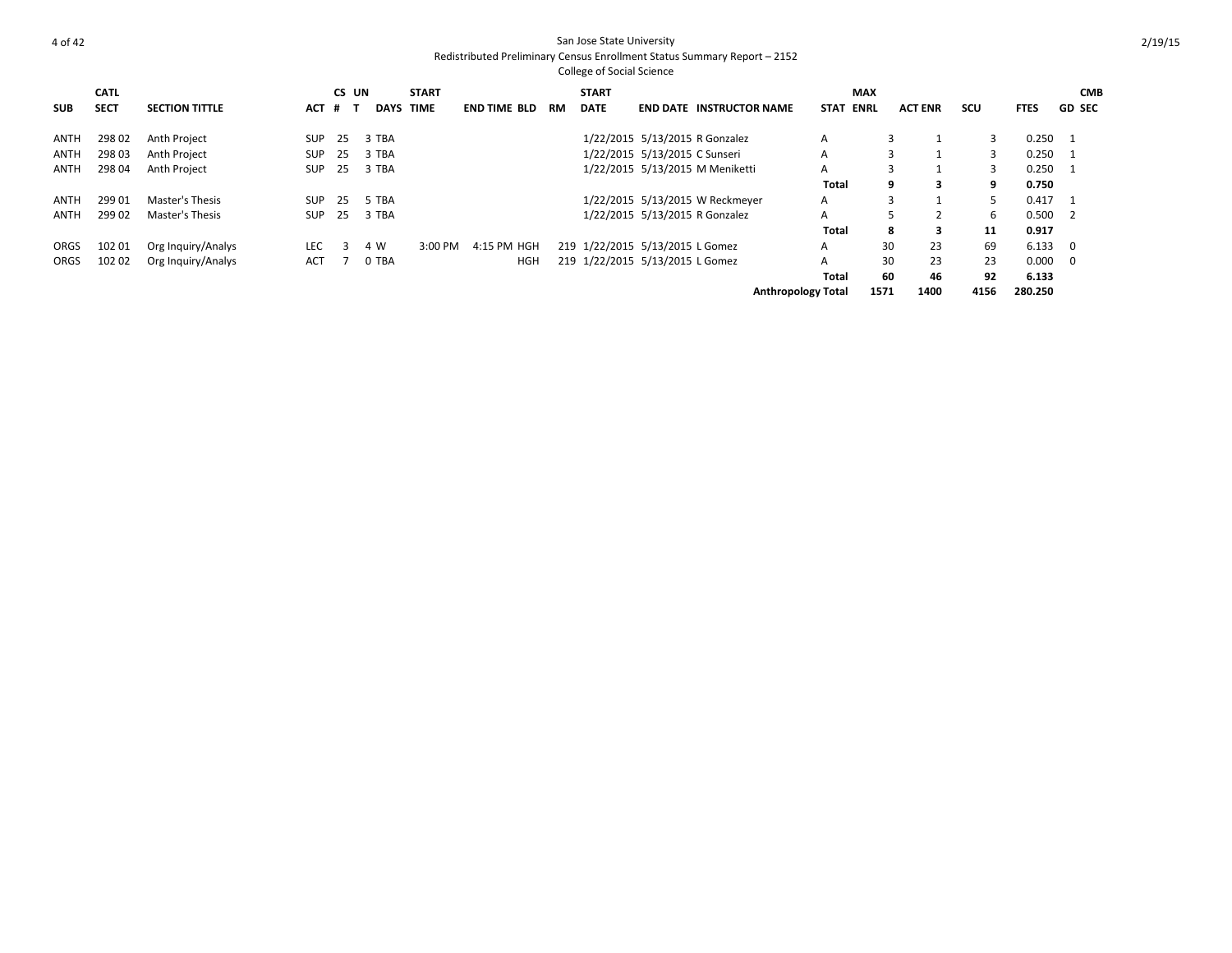College of Social Science **SUB CATL SECT SECTION TITTLE CS UN # T DAYS START TIME END TIME BLD RM START DATE END DATE INSTRUCTOR NAME STAT MAX ENRL ACT ENR SCU FTES GD CMB SEC** ANTH 298 02 Anth Project SUP 25 3 TBA 1/22/2015 5/13/2015 R Gonzalez A 3 1 3 0.250 1 ANTH 298 03 Anth Project SUP 25 3 TBA 1/22/2015 5/13/2015 C Sunseri A 3 1 3 0.250 1 ANTH 298 04 Anth Project SUP 25 3 TBA 1/22/2015 5/13/2015 M Meniketti A 3 1 3 0.250 1 **Total 9 3 9 0.750** ANTH 299 01 Master's Thesis SUP 25 5 TBA 1/22/2015 5/13/2015 W Reckmeyer A 3 1 5 0.417 1 ANTH 299 02 Master's Thesis SUP 25 3 TBA 1/22/2015 5/13/2015 R Gonzalez A 5 2 6 0.500 2 **Total 8 3 11 0.917** ORGS 102 01 Org Inquiry/Analys LEC 3 4 W 3:00 PM 4:15 PM HGH 219 1/22/2015 5/13/2015 L Gomez A 30 23 69 6.133 0 ORGS 102 02 Org Inquiry/Analys ACT 7 0 TBA HGH 219 1/22/2015 5/13/2015 L Gomez A 30 23 23 0.000 0 **Total 60 46 92 6.133 Anthropology Total 1571 1400 4156 280.250**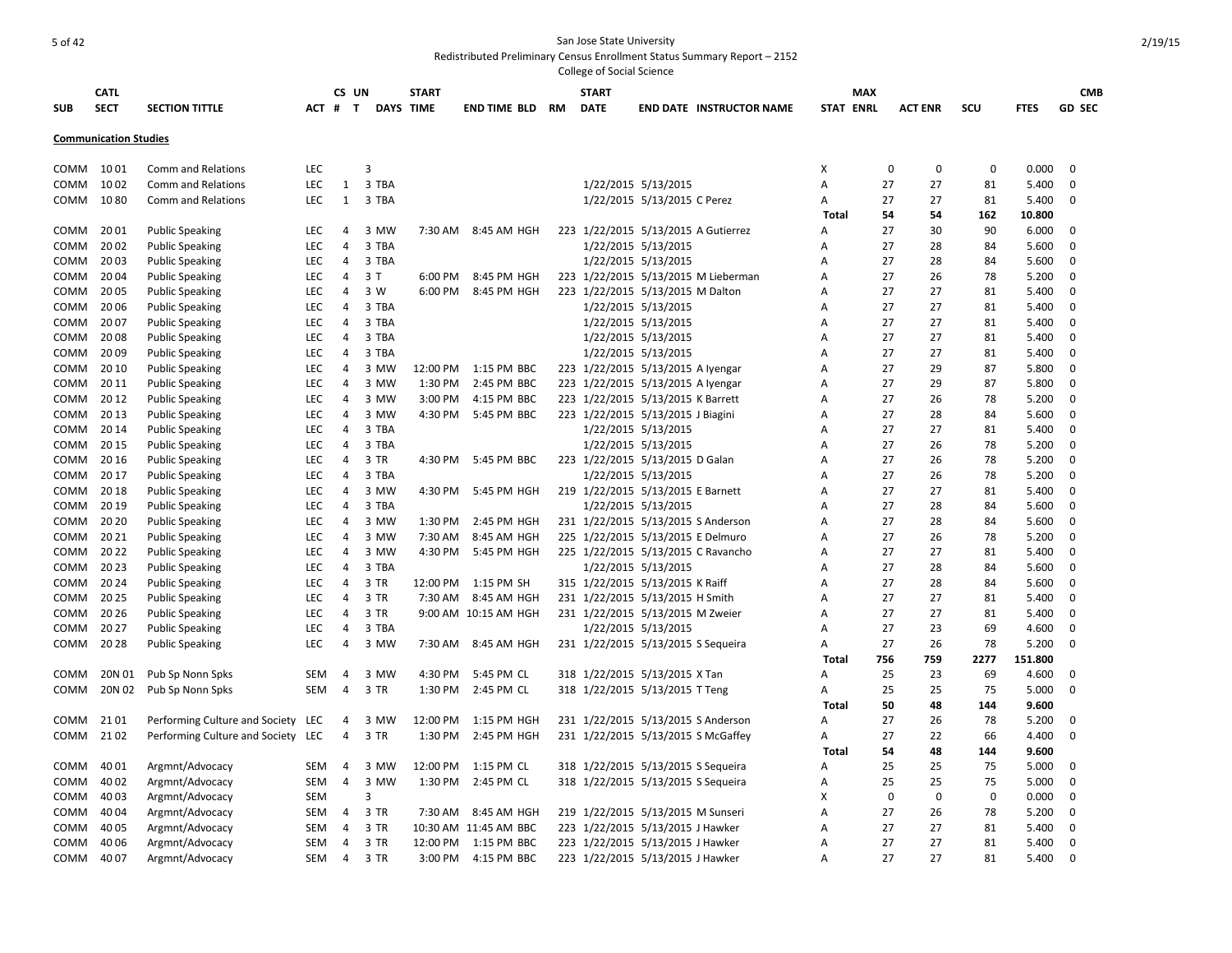|            | <b>CATL</b>                  |                                    |            | CS UN               |       | <b>START</b> |                       |    | <b>START</b> |                                     |                                     |                  | MAX         |                |      |             | <b>CMB</b>    |
|------------|------------------------------|------------------------------------|------------|---------------------|-------|--------------|-----------------------|----|--------------|-------------------------------------|-------------------------------------|------------------|-------------|----------------|------|-------------|---------------|
| <b>SUB</b> | <b>SECT</b>                  | <b>SECTION TITTLE</b>              | $ACT$ #    | T                   |       | DAYS TIME    | <b>END TIME BLD</b>   | RM | <b>DATE</b>  |                                     | <b>END DATE INSTRUCTOR NAME</b>     | <b>STAT ENRL</b> |             | <b>ACT ENR</b> | scu  | <b>FTES</b> | <b>GD SEC</b> |
|            |                              |                                    |            |                     |       |              |                       |    |              |                                     |                                     |                  |             |                |      |             |               |
|            | <b>Communication Studies</b> |                                    |            |                     |       |              |                       |    |              |                                     |                                     |                  |             |                |      |             |               |
| COMM       | 1001                         | Comm and Relations                 | LEC        |                     | 3     |              |                       |    |              |                                     |                                     | Χ                | 0           | 0              | 0    | 0.000       | $\Omega$      |
| COMM       | 1002                         | Comm and Relations                 | <b>LEC</b> | 1                   | 3 TBA |              |                       |    |              | 1/22/2015 5/13/2015                 |                                     | А                | 27          | 27             | 81   | 5.400       | 0             |
| COMM       | 1080                         | <b>Comm and Relations</b>          | LEC        | $\mathbf{1}$        | 3 TBA |              |                       |    |              | 1/22/2015 5/13/2015 C Perez         |                                     | А                | 27          | 27             | 81   | 5.400       | 0             |
|            |                              |                                    |            |                     |       |              |                       |    |              |                                     |                                     | Total            | 54          | 54             | 162  | 10.800      |               |
| COMM       | 2001                         | <b>Public Speaking</b>             | LEC        | 4                   | 3 MW  | 7:30 AM      | 8:45 AM HGH           |    |              | 223 1/22/2015 5/13/2015 A Gutierrez |                                     | A                | 27          | 30             | 90   | 6.000       | 0             |
| COMM       | 2002                         | <b>Public Speaking</b>             | LEC        | $\overline{4}$      | 3 TBA |              |                       |    |              | 1/22/2015 5/13/2015                 |                                     | А                | 27          | 28             | 84   | 5.600       | $\Omega$      |
| COMM       | 2003                         | <b>Public Speaking</b>             | <b>LEC</b> | $\overline{4}$      | 3 TBA |              |                       |    |              | 1/22/2015 5/13/2015                 |                                     | A                | 27          | 28             | 84   | 5.600       | $\Omega$      |
| COMM       | 2004                         | <b>Public Speaking</b>             | <b>LEC</b> | $\overline{4}$      | 3T    | 6:00 PM      | 8:45 PM HGH           |    |              |                                     | 223 1/22/2015 5/13/2015 M Lieberman | A                | 27          | 26             | 78   | 5.200       | 0             |
| COMM       | 20 05                        | <b>Public Speaking</b>             | LEC        | 4                   | 3 W   | 6:00 PM      | 8:45 PM HGH           |    |              | 223 1/22/2015 5/13/2015 M Dalton    |                                     | Α                | 27          | 27             | 81   | 5.400       | 0             |
| COMM       | 20 06                        | <b>Public Speaking</b>             | LEC        | 4                   | 3 TBA |              |                       |    |              | 1/22/2015 5/13/2015                 |                                     | А                | 27          | 27             | 81   | 5.400       | 0             |
| COMM       | 2007                         | <b>Public Speaking</b>             | <b>LEC</b> | 4                   | 3 TBA |              |                       |    |              | 1/22/2015 5/13/2015                 |                                     | Α                | 27          | 27             | 81   | 5.400       | $\Omega$      |
| COMM       | 2008                         | <b>Public Speaking</b>             | LEC        | 4                   | 3 TBA |              |                       |    |              | 1/22/2015 5/13/2015                 |                                     | A                | 27          | 27             | 81   | 5.400       | 0             |
| COMM       | 2009                         | <b>Public Speaking</b>             | <b>LEC</b> | 4                   | 3 TBA |              |                       |    |              | 1/22/2015 5/13/2015                 |                                     | Α                | 27          | 27             | 81   | 5.400       | 0             |
| COMM       | 20 10                        | <b>Public Speaking</b>             | LEC        | 4                   | 3 MW  | 12:00 PM     | 1:15 PM BBC           |    |              | 223 1/22/2015 5/13/2015 A Iyengar   |                                     | Α                | 27          | 29             | 87   | 5.800       | 0             |
| COMM       | 20 11                        | <b>Public Speaking</b>             | LEC        | 4                   | 3 MW  | 1:30 PM      | 2:45 PM BBC           |    |              | 223 1/22/2015 5/13/2015 A Iyengar   |                                     | А                | 27          | 29             | 87   | 5.800       | 0             |
| COMM       | 20 12                        | <b>Public Speaking</b>             | <b>LEC</b> | 4                   | 3 MW  | 3:00 PM      | 4:15 PM BBC           |    |              | 223 1/22/2015 5/13/2015 K Barrett   |                                     | А                | 27          | 26             | 78   | 5.200       | $\Omega$      |
| COMM       | 20 13                        | <b>Public Speaking</b>             | LEC        | $\overline{4}$      | 3 MW  | 4:30 PM      | 5:45 PM BBC           |    |              | 223 1/22/2015 5/13/2015 J Biagini   |                                     | A                | 27          | 28             | 84   | 5.600       | 0             |
| COMM       | 20 14                        | <b>Public Speaking</b>             | LEC        | $\overline{4}$      | 3 TBA |              |                       |    |              | 1/22/2015 5/13/2015                 |                                     | А                | 27          | 27             | 81   | 5.400       | 0             |
| COMM       | 20 15                        | <b>Public Speaking</b>             | LEC        | 4                   | 3 TBA |              |                       |    |              | 1/22/2015 5/13/2015                 |                                     | A                | 27          | 26             | 78   | 5.200       | 0             |
| COMM       | 20 16                        | <b>Public Speaking</b>             | <b>LEC</b> | 4                   | 3 TR  | 4:30 PM      | 5:45 PM BBC           |    |              | 223 1/22/2015 5/13/2015 D Galan     |                                     |                  | 27          | 26             | 78   | 5.200       | 0             |
|            | 20 17                        |                                    |            |                     |       |              |                       |    |              |                                     |                                     | Α                | 27          |                | 78   |             |               |
| COMM       |                              | <b>Public Speaking</b>             | LEC        | 4                   | 3 TBA |              |                       |    |              | 1/22/2015 5/13/2015                 |                                     | A                |             | 26             |      | 5.200       | 0<br>0        |
| COMM       | 20 18                        | <b>Public Speaking</b>             | <b>LEC</b> | 4<br>$\overline{4}$ | 3 MW  | 4:30 PM      | 5:45 PM HGH           |    |              | 219 1/22/2015 5/13/2015 E Barnett   |                                     | Α                | 27          | 27             | 81   | 5.400       |               |
| COMM       | 20 19                        | <b>Public Speaking</b>             | LEC        |                     | 3 TBA |              |                       |    |              | 1/22/2015 5/13/2015                 |                                     | Α                | 27          | 28             | 84   | 5.600       | 0             |
| COMM       | 20 20                        | <b>Public Speaking</b>             | LEC        | 4                   | 3 MW  | 1:30 PM      | 2:45 PM HGH           |    |              | 231 1/22/2015 5/13/2015 S Anderson  |                                     | Α                | 27          | 28             | 84   | 5.600       | 0             |
| COMM       | 20 21                        | <b>Public Speaking</b>             | LEC        | 4                   | 3 MW  | 7:30 AM      | 8:45 AM HGH           |    |              | 225 1/22/2015 5/13/2015 E Delmuro   |                                     | Α                | 27          | 26             | 78   | 5.200       | 0             |
| COMM       | 2022                         | <b>Public Speaking</b>             | LEC        | 4                   | 3 MW  | 4:30 PM      | 5:45 PM HGH           |    |              | 225 1/22/2015 5/13/2015 C Ravancho  |                                     | A                | 27          | 27             | 81   | 5.400       | 0             |
| COMM       | 2023                         | <b>Public Speaking</b>             | <b>LEC</b> | $\overline{4}$      | 3 TBA |              |                       |    |              | 1/22/2015 5/13/2015                 |                                     | A                | 27          | 28             | 84   | 5.600       | 0             |
| COMM       | 20 24                        | <b>Public Speaking</b>             | LEC        | $\overline{4}$      | 3 TR  | 12:00 PM     | 1:15 PM SH            |    |              | 315 1/22/2015 5/13/2015 K Raiff     |                                     | A                | 27          | 28             | 84   | 5.600       | $\Omega$      |
| COMM       | 20 25                        | <b>Public Speaking</b>             | <b>LEC</b> | $\overline{4}$      | 3 TR  | 7:30 AM      | 8:45 AM HGH           |    |              | 231 1/22/2015 5/13/2015 H Smith     |                                     | A                | 27          | 27             | 81   | 5.400       | 0             |
| COMM       | 20 26                        | <b>Public Speaking</b>             | LEC        | 4                   | 3 TR  |              | 9:00 AM 10:15 AM HGH  |    |              | 231 1/22/2015 5/13/2015 M Zweier    |                                     | A                | 27          | 27             | 81   | 5.400       | 0             |
| COMM       | 20 27                        | <b>Public Speaking</b>             | LEC        | 4                   | 3 TBA |              |                       |    |              | 1/22/2015 5/13/2015                 |                                     | A                | 27          | 23             | 69   | 4.600       | 0             |
| COMM       | 2028                         | <b>Public Speaking</b>             | LEC        | 4                   | 3 MW  | 7:30 AM      | 8:45 AM HGH           |    |              | 231 1/22/2015 5/13/2015 S Sequeira  |                                     | Α                | 27          | 26             | 78   | 5.200       | $\Omega$      |
|            |                              |                                    |            |                     |       |              |                       |    |              |                                     |                                     | <b>Total</b>     | 756         | 759            | 2277 | 151.800     |               |
| COMM       | 20N 01                       | Pub Sp Nonn Spks                   | SEM        | 4                   | 3 MW  | 4:30 PM      | 5:45 PM CL            |    |              | 318 1/22/2015 5/13/2015 X Tan       |                                     | A                | 25          | 23             | 69   | 4.600       | 0             |
| COMM       | 20N 02                       | Pub Sp Nonn Spks                   | SEM        | 4                   | 3 TR  | 1:30 PM      | 2:45 PM CL            |    |              | 318 1/22/2015 5/13/2015 T Teng      |                                     | Α                | 25          | 25             | 75   | 5.000       | 0             |
|            |                              |                                    |            |                     |       |              |                       |    |              |                                     |                                     | Total            | 50          | 48             | 144  | 9.600       |               |
| COMM       | 2101                         | Performing Culture and Society LEC |            | 4                   | 3 MW  | 12:00 PM     | 1:15 PM HGH           |    |              | 231 1/22/2015 5/13/2015 S Anderson  |                                     | Α                | 27          | 26             | 78   | 5.200       | 0             |
| COMM       | 2102                         | Performing Culture and Society LEC |            | 4                   | 3 TR  | 1:30 PM      | 2:45 PM HGH           |    |              | 231 1/22/2015 5/13/2015 S McGaffey  |                                     | А                | 27          | 22             | 66   | 4.400       | 0             |
|            |                              |                                    |            |                     |       |              |                       |    |              |                                     |                                     | <b>Total</b>     | 54          | 48             | 144  | 9.600       |               |
| COMM       | 40 01                        | Argmnt/Advocacy                    | SEM        | 4                   | 3 MW  | 12:00 PM     | 1:15 PM CL            |    |              | 318 1/22/2015 5/13/2015 S Sequeira  |                                     | Α                | 25          | 25             | 75   | 5.000       | 0             |
| COMM       | 40 02                        | Argmnt/Advocacy                    | <b>SEM</b> | $\overline{4}$      | 3 MW  | 1:30 PM      | 2:45 PM CL            |    |              | 318 1/22/2015 5/13/2015 S Sequeira  |                                     | Α                | 25          | 25             | 75   | 5.000       | 0             |
| COMM       | 40 03                        | Argmnt/Advocacy                    | <b>SEM</b> |                     | 3     |              |                       |    |              |                                     |                                     | X                | $\mathbf 0$ | 0              | 0    | 0.000       | 0             |
| COMM       | 40 04                        | Argmnt/Advocacy                    | SEM        | $\overline{4}$      | 3 TR  | 7:30 AM      | 8:45 AM HGH           |    |              | 219 1/22/2015 5/13/2015 M Sunseri   |                                     | A                | 27          | 26             | 78   | 5.200       | 0             |
| COMM       | 40 05                        | Argmnt/Advocacy                    | SEM        | $\overline{4}$      | 3 TR  |              | 10:30 AM 11:45 AM BBC |    |              | 223 1/22/2015 5/13/2015 J Hawker    |                                     | Α                | 27          | 27             | 81   | 5.400       | 0             |
| COMM       | 40 06                        | Argmnt/Advocacy                    | SEM        | 4                   | 3 TR  | 12:00 PM     | 1:15 PM BBC           |    |              | 223 1/22/2015 5/13/2015 J Hawker    |                                     | Α                | 27          | 27             | 81   | 5.400       | $\Omega$      |
| COMM       | 40 07                        | Argmnt/Advocacy                    | SEM        | $\overline{4}$      | 3 TR  | 3:00 PM      | 4:15 PM BBC           |    |              | 223 1/22/2015 5/13/2015 J Hawker    |                                     | A                | 27          | 27             | 81   | 5.400       | $\Omega$      |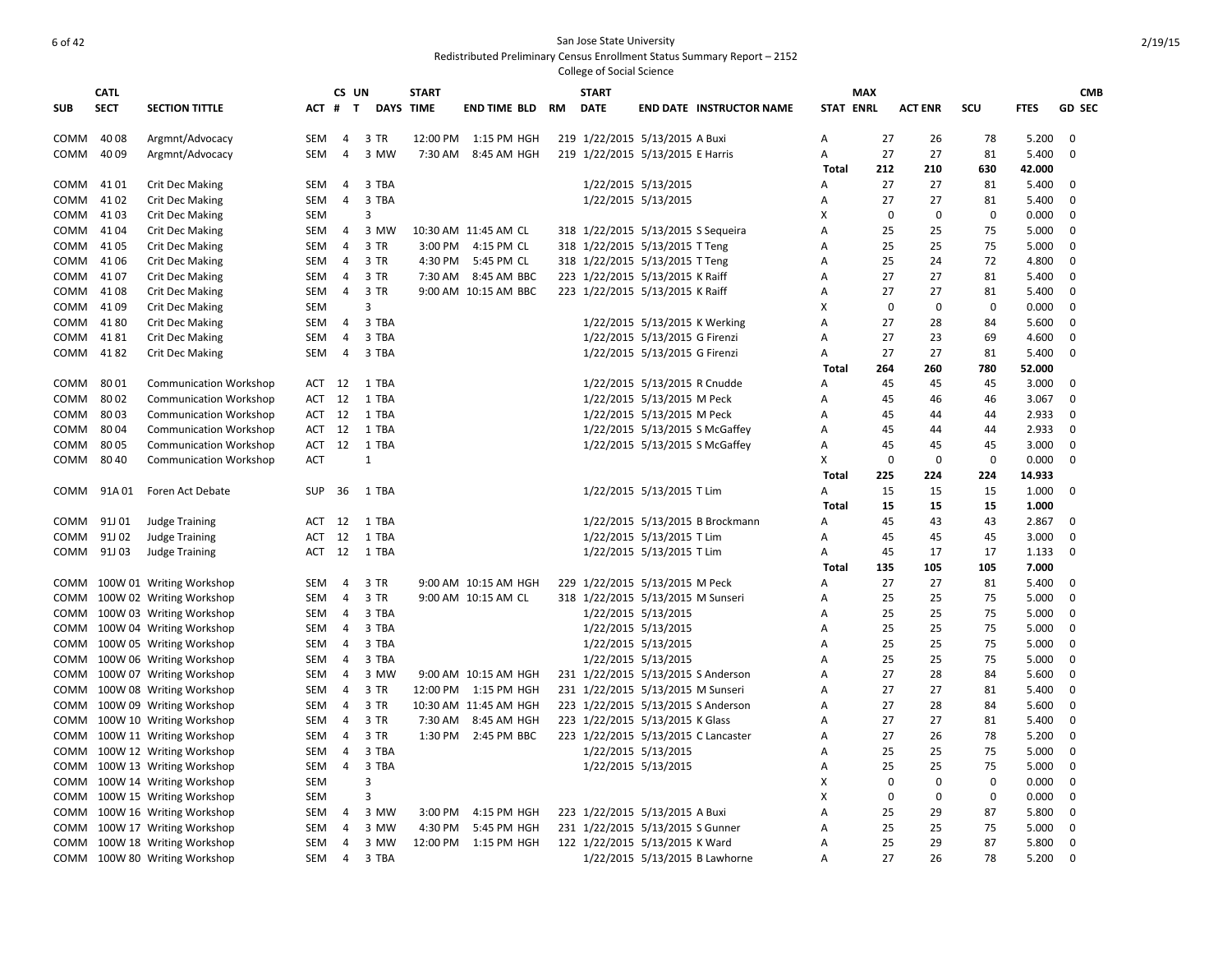|           | <b>CATL</b> |                               |            | CS UN          |                  | <b>START</b> |                        | <b>START</b> |                                     | <b>MAX</b>       |             |                |             |             | <b>CMB</b>    |
|-----------|-------------|-------------------------------|------------|----------------|------------------|--------------|------------------------|--------------|-------------------------------------|------------------|-------------|----------------|-------------|-------------|---------------|
| SUB       | <b>SECT</b> | <b>SECTION TITTLE</b>         | ACT #      | $\mathbf{T}$   | <b>DAYS TIME</b> |              | <b>END TIME BLD RM</b> | <b>DATE</b>  | <b>END DATE INSTRUCTOR NAME</b>     | <b>STAT ENRL</b> |             | <b>ACT ENR</b> | SCU         | <b>FTES</b> | <b>GD SEC</b> |
| COMM 4008 |             | Argmnt/Advocacy               | SEM        | 4              | 3 TR             |              | 12:00 PM 1:15 PM HGH   |              | 219 1/22/2015 5/13/2015 A Buxi      | A                | 27          | 26             | 78          | 5.200       | $\mathbf 0$   |
| СОММ      | 40 09       | Argmnt/Advocacy               | SEM        | $\overline{4}$ | 3 MW             |              | 7:30 AM 8:45 AM HGH    |              | 219 1/22/2015 5/13/2015 E Harris    | Α                | 27          | 27             | 81          | 5.400       | $\mathbf 0$   |
|           |             |                               |            |                |                  |              |                        |              |                                     | Total            | 212         | 210            | 630         | 42.000      |               |
| COMM 4101 |             | <b>Crit Dec Making</b>        | SEM        | $\overline{a}$ | 3 TBA            |              |                        |              | 1/22/2015 5/13/2015                 | A                | 27          | 27             | 81          | 5.400       | 0             |
| сомм      | 4102        | <b>Crit Dec Making</b>        | SEM        | $\overline{4}$ | 3 TBA            |              |                        |              | 1/22/2015 5/13/2015                 | Α                | 27          | 27             | 81          | 5.400       | 0             |
| СОММ      | 4103        | <b>Crit Dec Making</b>        | SEM        |                | 3                |              |                        |              |                                     | X                | $\mathbf 0$ | $\Omega$       | $\Omega$    | 0.000       | $\mathbf 0$   |
| COMM 4104 |             | <b>Crit Dec Making</b>        | SEM        | $\overline{4}$ | 3 MW             |              | 10:30 AM 11:45 AM CL   |              | 318 1/22/2015 5/13/2015 S Sequeira  | Α                | 25          | 25             | 75          | 5.000       | 0             |
| COMM      | 41 05       | <b>Crit Dec Making</b>        | SEM        | $\overline{a}$ | 3 TR             |              | 3:00 PM 4:15 PM CL     |              | 318 1/22/2015 5/13/2015 T Teng      | A                | 25          | 25             | 75          | 5.000       | 0             |
| COMM      | 41 06       | <b>Crit Dec Making</b>        | SEM        | -4             | 3 TR             | 4:30 PM      | 5:45 PM CL             |              | 318 1/22/2015 5/13/2015 T Teng      | A                | 25          | 24             | 72          | 4.800       | 0             |
| COMM      | 4107        | <b>Crit Dec Making</b>        | SEM        | 4              | 3 TR             | 7:30 AM      | 8:45 AM BBC            |              | 223 1/22/2015 5/13/2015 K Raiff     | A                | 27          | 27             | 81          | 5.400       | $\mathbf 0$   |
| COMM      | 4108        | <b>Crit Dec Making</b>        | SEM        | $\overline{4}$ | 3 TR             |              | 9:00 AM 10:15 AM BBC   |              | 223 1/22/2015 5/13/2015 K Raiff     | Α                | 27          | 27             | 81          | 5.400       | 0             |
| COMM 4109 |             | <b>Crit Dec Making</b>        | SEM        |                | 3                |              |                        |              |                                     | X                | $\mathbf 0$ | 0              | $\mathbf 0$ | 0.000       | 0             |
| COMM 4180 |             | <b>Crit Dec Making</b>        | SEM        | 4              | 3 TBA            |              |                        |              | 1/22/2015 5/13/2015 K Werking       | Α                | 27          | 28             | 84          | 5.600       | $\Omega$      |
| COMM 4181 |             | <b>Crit Dec Making</b>        | SEM        | 4              | 3 TBA            |              |                        |              | 1/22/2015 5/13/2015 G Firenzi       | A                | 27          | 23             | 69          | 4.600       | 0             |
| COMM      | 4182        | <b>Crit Dec Making</b>        | SEM        | 4              | 3 TBA            |              |                        |              | 1/22/2015 5/13/2015 G Firenzi       | A                | 27          | 27             | 81          | 5.400       | $\Omega$      |
|           |             |                               |            |                |                  |              |                        |              |                                     | Total            | 264         | 260            | 780         | 52.000      |               |
| COMM 8001 |             | <b>Communication Workshop</b> | ACT 12     |                | 1 TBA            |              |                        |              | 1/22/2015 5/13/2015 R Cnudde        | A                | 45          | 45             | 45          | 3.000       | 0             |
| СОММ      | 8002        | <b>Communication Workshop</b> | ACT 12     |                | 1 TBA            |              |                        |              | 1/22/2015 5/13/2015 M Peck          | A                | 45          | 46             | 46          | 3.067       | $\mathbf 0$   |
| СОММ      | 8003        | <b>Communication Workshop</b> | ACT 12     |                | 1 TBA            |              |                        |              | 1/22/2015 5/13/2015 M Peck          | A                | 45          | 44             | 44          | 2.933       | $\mathbf 0$   |
| COMM      | 8004        | <b>Communication Workshop</b> | ACT 12     |                | 1 TBA            |              |                        |              | 1/22/2015 5/13/2015 S McGaffey      | Α                | 45          | 44             | 44          | 2.933       | $\mathbf 0$   |
| COMM      | 8005        | <b>Communication Workshop</b> | ACT        | 12             | 1 TBA            |              |                        |              | 1/22/2015 5/13/2015 S McGaffey      | Α                | 45          | 45             | 45          | 3.000       | 0             |
| COMM      | 80 40       | <b>Communication Workshop</b> | ACT        |                | 1                |              |                        |              |                                     | Х                | 0           | 0              | 0           | 0.000       | 0             |
|           |             |                               |            |                |                  |              |                        |              |                                     | Total            | 225         | 224            | 224         | 14.933      |               |
|           |             | COMM 91A 01 Foren Act Debate  | SUP        | 36             | 1 TBA            |              |                        |              | 1/22/2015 5/13/2015 T Lim           | Α                | 15          | 15             | 15          | 1.000       | $\Omega$      |
|           |             |                               |            |                |                  |              |                        |              |                                     | Total            | 15          | 15             | 15          | 1.000       |               |
|           | COMM 91J 01 | <b>Judge Training</b>         | ACT        | 12             | 1 TBA            |              |                        |              | 1/22/2015 5/13/2015 B Brockmann     | A                | 45          | 43             | 43          | 2.867       | 0             |
|           | COMM 91J 02 | <b>Judge Training</b>         | ACT        | 12             | 1 TBA            |              |                        |              | 1/22/2015 5/13/2015 T Lim           | A                | 45          | 45             | 45          | 3.000       | 0             |
| сомм      | 91J 03      | <b>Judge Training</b>         | ACT        | 12             | 1 TBA            |              |                        |              | 1/22/2015 5/13/2015 T Lim           | A                | 45          | 17             | 17          | 1.133       | 0             |
|           |             |                               |            |                |                  |              |                        |              |                                     | <b>Total</b>     | 135         | 105            | 105         | 7.000       |               |
|           |             | COMM 100W 01 Writing Workshop | SEM        | $\overline{4}$ | 3 TR             |              | 9:00 AM 10:15 AM HGH   |              | 229 1/22/2015 5/13/2015 M Peck      | Α                | 27          | 27             | 81          | 5.400       | $\mathbf 0$   |
|           |             | COMM 100W 02 Writing Workshop | SEM        | $\overline{4}$ | 3 TR             |              | 9:00 AM 10:15 AM CL    |              | 318 1/22/2015 5/13/2015 M Sunseri   | Α                | 25          | 25             | 75          | 5.000       | 0             |
|           |             | COMM 100W 03 Writing Workshop | SEM        | $\overline{4}$ | 3 TBA            |              |                        |              | 1/22/2015 5/13/2015                 | Α                | 25          | 25             | 75          | 5.000       | $\mathbf 0$   |
|           |             | COMM 100W 04 Writing Workshop | SEM        | $\overline{4}$ | 3 TBA            |              |                        |              | 1/22/2015 5/13/2015                 | Α                | 25          | 25             | 75          | 5.000       | $\Omega$      |
|           |             | COMM 100W 05 Writing Workshop | SEM        | 4              | 3 TBA            |              |                        |              | 1/22/2015 5/13/2015                 | A                | 25          | 25             | 75          | 5.000       | 0             |
|           |             | COMM 100W 06 Writing Workshop | SEM        | $\overline{4}$ | 3 TBA            |              |                        |              | 1/22/2015 5/13/2015                 | A                | 25          | 25             | 75          | 5.000       | 0             |
|           |             | COMM 100W 07 Writing Workshop | SEM        | 4              | 3 MW             |              | 9:00 AM 10:15 AM HGH   |              | 231 1/22/2015 5/13/2015 S Anderson  | Α                | 27          | 28             | 84          | 5.600       | 0             |
|           |             | COMM 100W 08 Writing Workshop | SEM        | $\overline{4}$ | 3 TR             |              | 12:00 PM 1:15 PM HGH   |              | 231 1/22/2015 5/13/2015 M Sunseri   | Α                | 27          | 27             | 81          | 5.400       | 0             |
|           |             | COMM 100W 09 Writing Workshop | SEM        | 4              | 3 TR             |              | 10:30 AM 11:45 AM HGH  |              | 223 1/22/2015 5/13/2015 S Anderson  | A                | 27          | 28             | 84          | 5.600       | $\mathbf 0$   |
|           |             | COMM 100W 10 Writing Workshop | SEM        | 4              | 3 TR             |              | 7:30 AM 8:45 AM HGH    |              | 223 1/22/2015 5/13/2015 K Glass     | Α                | 27          | 27             | 81          | 5.400       | $\mathbf 0$   |
|           |             | COMM 100W 11 Writing Workshop | SEM        | 4              | 3 TR             |              | 1:30 PM 2:45 PM BBC    |              | 223 1/22/2015 5/13/2015 C Lancaster | A                | 27          | 26             | 78          | 5.200       | $\mathbf 0$   |
|           |             | COMM 100W 12 Writing Workshop | SEM        | $\overline{4}$ | 3 TBA            |              |                        |              | 1/22/2015 5/13/2015                 | Α                | 25          | 25             | 75          | 5.000       | 0             |
|           |             | COMM 100W 13 Writing Workshop | SEM        | 4              | 3 TBA            |              |                        |              | 1/22/2015 5/13/2015                 | A                | 25          | 25             | 75          | 5.000       | 0             |
|           |             | COMM 100W 14 Writing Workshop | <b>SEM</b> |                | 3                |              |                        |              |                                     | X                | 0           | $\Omega$       | $\mathbf 0$ | 0.000       | $\mathbf 0$   |
|           |             | COMM 100W 15 Writing Workshop | <b>SEM</b> |                | 3                |              |                        |              |                                     | X                | $\Omega$    | $\Omega$       | $\mathbf 0$ | 0.000       | $\Omega$      |
|           |             | COMM 100W 16 Writing Workshop | SEM        | $\overline{4}$ | 3 MW             | 3:00 PM      | 4:15 PM HGH            |              | 223 1/22/2015 5/13/2015 A Buxi      | A                | 25          | 29             | 87          | 5.800       | $\mathbf 0$   |
|           |             | COMM 100W 17 Writing Workshop | SEM        | 4              | 3 MW             | 4:30 PM      | 5:45 PM HGH            |              | 231 1/22/2015 5/13/2015 S Gunner    | A                | 25          | 25             | 75          | 5.000       | 0             |
|           |             | COMM 100W 18 Writing Workshop | SEM        | 4              | 3 MW             |              | 12:00 PM 1:15 PM HGH   |              | 122 1/22/2015 5/13/2015 K Ward      | Α                | 25          | 29             | 87          | 5.800       | 0             |
|           |             | COMM 100W 80 Writing Workshop | SEM        | $\overline{4}$ | 3 TBA            |              |                        |              | 1/22/2015 5/13/2015 B Lawhorne      | A                | 27          | 26             | 78          | 5.200       | $\Omega$      |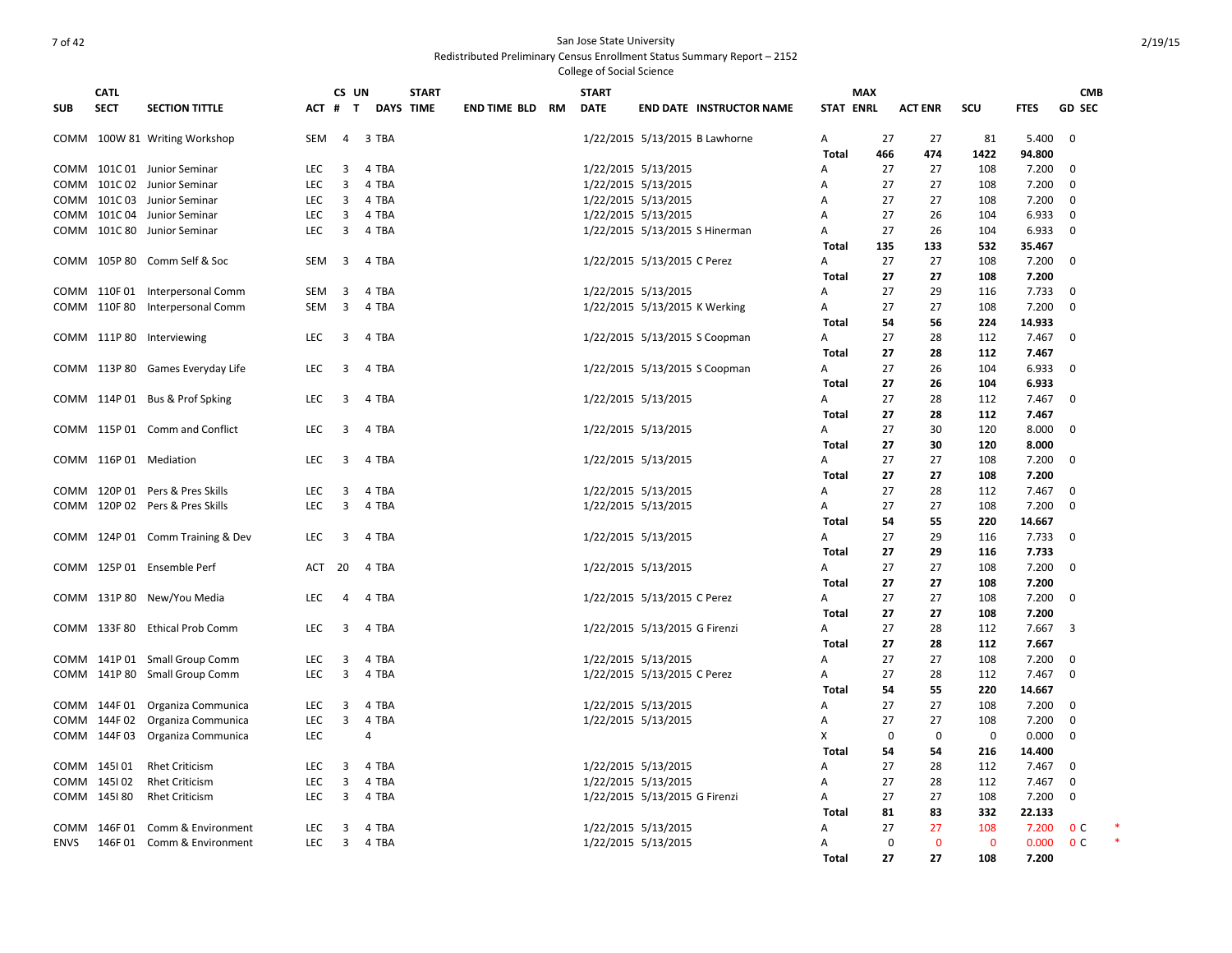|            |              |                                  |            |                                  |                  |              |                     |           | College of Social Science |                                |                                 |                  |             |                |              |                 |                |  |
|------------|--------------|----------------------------------|------------|----------------------------------|------------------|--------------|---------------------|-----------|---------------------------|--------------------------------|---------------------------------|------------------|-------------|----------------|--------------|-----------------|----------------|--|
|            | <b>CATL</b>  |                                  |            | CS UN                            |                  | <b>START</b> |                     |           | <b>START</b>              |                                |                                 |                  | <b>MAX</b>  |                |              |                 | <b>CMB</b>     |  |
| <b>SUB</b> | <b>SECT</b>  | <b>SECTION TITTLE</b>            | $ACT$ #    | T                                | <b>DAYS TIME</b> |              | <b>END TIME BLD</b> | <b>RM</b> | <b>DATE</b>               |                                | <b>END DATE INSTRUCTOR NAME</b> | <b>STAT ENRL</b> |             | <b>ACT ENR</b> | <b>SCU</b>   | <b>FTES</b>     | <b>GD SEC</b>  |  |
|            |              | COMM 100W 81 Writing Workshop    | SEM        | $\overline{4}$                   | 3 TBA            |              |                     |           |                           | 1/22/2015 5/13/2015 B Lawhorne |                                 | Α                | 27          | 27             | 81           | 5.400           | $\mathbf 0$    |  |
|            |              |                                  |            |                                  |                  |              |                     |           |                           |                                |                                 | Total            | 466         | 474            | 1422         | 94.800          |                |  |
| COMM       |              | 101C 01 Junior Seminar           | <b>LEC</b> | 3                                | 4 TBA            |              |                     |           | 1/22/2015 5/13/2015       |                                |                                 | Α                | 27          | 27             | 108          | 7.200           | 0              |  |
| COMM       |              | 101C 02 Junior Seminar           | <b>LEC</b> | 3                                | 4 TBA            |              |                     |           | 1/22/2015 5/13/2015       |                                |                                 | Α                | 27          | 27             | 108          | 7.200           | $\mathbf 0$    |  |
|            |              | COMM 101C 03 Junior Seminar      | <b>LEC</b> | 3                                | 4 TBA            |              |                     |           | 1/22/2015 5/13/2015       |                                |                                 | Α                | 27          | 27             | 108          | 7.200           | 0              |  |
|            |              | COMM 101C 04 Junior Seminar      | <b>LEC</b> | 3                                | 4 TBA            |              |                     |           | 1/22/2015 5/13/2015       |                                |                                 | A                | 27          | 26             | 104          | 6.933           | $\mathbf 0$    |  |
| COMM       |              | 101C 80 Junior Seminar           | <b>LEC</b> | 3                                | 4 TBA            |              |                     |           |                           | 1/22/2015 5/13/2015 S Hinerman |                                 | A                | 27          | 26             | 104          | 6.933           | $\mathbf 0$    |  |
|            |              |                                  |            |                                  |                  |              |                     |           |                           |                                |                                 | Total            | 135         | 133            | 532          | 35.467          |                |  |
|            |              | COMM 105P 80 Comm Self & Soc     | <b>SEM</b> | $\overline{3}$                   | 4 TBA            |              |                     |           |                           | 1/22/2015 5/13/2015 C Perez    |                                 | A                | 27          | 27             | 108          | 7.200           | $\mathbf 0$    |  |
|            |              |                                  |            |                                  |                  |              |                     |           |                           |                                |                                 | <b>Total</b>     | 27          | 27             | 108          | 7.200           |                |  |
|            |              | COMM 110F 01 Interpersonal Comm  | SEM        | $\overline{3}$<br>$\overline{3}$ | 4 TBA            |              |                     |           | 1/22/2015 5/13/2015       |                                |                                 | Α                | 27          | 29             | 116          | 7.733           | $\mathbf 0$    |  |
|            | COMM 110F80  | Interpersonal Comm               | <b>SEM</b> |                                  | 4 TBA            |              |                     |           |                           | 1/22/2015 5/13/2015 K Werking  |                                 | Α                | 27          | 27             | 108          | 7.200           | $\mathbf 0$    |  |
|            |              | COMM 111P 80 Interviewing        | <b>LEC</b> | 3                                | 4 TBA            |              |                     |           |                           |                                |                                 | Total            | 54<br>27    | 56<br>28       | 224<br>112   | 14.933<br>7.467 | $\mathbf 0$    |  |
|            |              |                                  |            |                                  |                  |              |                     |           |                           | 1/22/2015 5/13/2015 S Coopman  |                                 | Α                | 27          | 28             | 112          | 7.467           |                |  |
|            |              | COMM 113P 80 Games Everyday Life | <b>LEC</b> | 3                                | 4 TBA            |              |                     |           |                           | 1/22/2015 5/13/2015 S Coopman  |                                 | Total<br>Α       | 27          | 26             | 104          | 6.933           | $\mathbf 0$    |  |
|            |              |                                  |            |                                  |                  |              |                     |           |                           |                                |                                 | <b>Total</b>     | 27          | 26             | 104          | 6.933           |                |  |
|            |              | COMM 114P 01 Bus & Prof Spking   | <b>LEC</b> | $\overline{3}$                   | 4 TBA            |              |                     |           | 1/22/2015 5/13/2015       |                                |                                 | Α                | 27          | 28             | 112          | 7.467           | $\mathbf 0$    |  |
|            |              |                                  |            |                                  |                  |              |                     |           |                           |                                |                                 | Total            | 27          | 28             | 112          | 7.467           |                |  |
|            |              | COMM 115P 01 Comm and Conflict   | <b>LEC</b> | 3                                | 4 TBA            |              |                     |           | 1/22/2015 5/13/2015       |                                |                                 | Α                | 27          | 30             | 120          | 8.000           | $\mathbf 0$    |  |
|            |              |                                  |            |                                  |                  |              |                     |           |                           |                                |                                 | Total            | 27          | 30             | 120          | 8.000           |                |  |
|            |              | COMM 116P 01 Mediation           | <b>LEC</b> | 3                                | 4 TBA            |              |                     |           | 1/22/2015 5/13/2015       |                                |                                 | Α                | 27          | 27             | 108          | 7.200           | $\mathbf 0$    |  |
|            |              |                                  |            |                                  |                  |              |                     |           |                           |                                |                                 | Total            | 27          | 27             | 108          | 7.200           |                |  |
|            |              | COMM 120P 01 Pers & Pres Skills  | LEC        | $\overline{3}$                   | 4 TBA            |              |                     |           | 1/22/2015 5/13/2015       |                                |                                 | A                | 27          | 28             | 112          | 7.467           | 0              |  |
|            |              | COMM 120P 02 Pers & Pres Skills  | <b>LEC</b> | 3                                | 4 TBA            |              |                     |           | 1/22/2015 5/13/2015       |                                |                                 | Α                | 27          | 27             | 108          | 7.200           | $\mathbf 0$    |  |
|            |              |                                  |            |                                  |                  |              |                     |           |                           |                                |                                 | Total            | 54          | 55             | 220          | 14.667          |                |  |
|            |              | COMM 124P 01 Comm Training & Dev | <b>LEC</b> | $\overline{3}$                   | 4 TBA            |              |                     |           | 1/22/2015 5/13/2015       |                                |                                 | Α                | 27          | 29             | 116          | 7.733           | $\mathbf 0$    |  |
|            |              |                                  |            |                                  |                  |              |                     |           |                           |                                |                                 | Total            | 27          | 29             | 116          | 7.733           |                |  |
|            |              | COMM 125P 01 Ensemble Perf       | ACT        | 20                               | 4 TBA            |              |                     |           | 1/22/2015 5/13/2015       |                                |                                 | Α                | 27          | 27             | 108          | 7.200           | $\mathbf 0$    |  |
|            |              |                                  |            |                                  |                  |              |                     |           |                           |                                |                                 | Total            | 27          | 27             | 108          | 7.200           |                |  |
|            | COMM 131P80  | New/You Media                    | <b>LEC</b> | 4                                | 4 TBA            |              |                     |           |                           | 1/22/2015 5/13/2015 C Perez    |                                 | Α                | 27          | 27             | 108          | 7.200           | $\mathbf 0$    |  |
|            |              |                                  |            |                                  |                  |              |                     |           |                           |                                |                                 | <b>Total</b>     | 27          | 27             | 108          | 7.200           |                |  |
|            | COMM 133F80  | <b>Ethical Prob Comm</b>         | <b>LEC</b> | $\overline{3}$                   | 4 TBA            |              |                     |           |                           | 1/22/2015 5/13/2015 G Firenzi  |                                 | Α                | 27          | 28             | 112          | 7.667           | $\overline{3}$ |  |
|            |              |                                  |            |                                  |                  |              |                     |           |                           |                                |                                 | Total            | 27          | 28             | 112          | 7.667           |                |  |
|            |              | COMM 141P 01 Small Group Comm    | <b>LEC</b> | 3                                | 4 TBA            |              |                     |           | 1/22/2015 5/13/2015       |                                |                                 | Α                | 27          | 27             | 108          | 7.200           | 0              |  |
|            |              | COMM 141P 80 Small Group Comm    | <b>LEC</b> | $\overline{3}$                   | 4 TBA            |              |                     |           |                           | 1/22/2015 5/13/2015 C Perez    |                                 | A                | 27          | 28             | 112          | 7.467           | $\mathbf 0$    |  |
|            |              |                                  |            |                                  |                  |              |                     |           |                           |                                |                                 | Total            | 54          | 55             | 220          | 14.667          |                |  |
|            | COMM 144F 01 | Organiza Communica               | LEC        | 3                                | 4 TBA            |              |                     |           | 1/22/2015 5/13/2015       |                                |                                 | A                | 27          | 27             | 108          | 7.200           | $\mathbf 0$    |  |
|            | COMM 144F02  | Organiza Communica               | <b>LEC</b> | 3                                | 4 TBA            |              |                     |           | 1/22/2015 5/13/2015       |                                |                                 | A                | 27          | 27             | 108          | 7.200           | $\mathbf 0$    |  |
|            | COMM 144F03  | Organiza Communica               | <b>LEC</b> |                                  | $\overline{a}$   |              |                     |           |                           |                                |                                 | X                | $\mathbf 0$ | $\mathbf 0$    | 0            | 0.000           | 0              |  |
|            |              |                                  |            |                                  |                  |              |                     |           |                           |                                |                                 | Total            | 54          | 54             | 216          | 14.400          |                |  |
|            | COMM 145101  | <b>Rhet Criticism</b>            | <b>LEC</b> | 3                                | 4 TBA            |              |                     |           | 1/22/2015 5/13/2015       |                                |                                 | A                | 27          | 28             | 112          | 7.467           | $\mathbf 0$    |  |
|            | COMM 145102  | <b>Rhet Criticism</b>            | <b>LEC</b> | 3                                | 4 TBA            |              |                     |           | 1/22/2015 5/13/2015       |                                |                                 | A                | 27          | 28             | 112          | 7.467           | $\mathbf 0$    |  |
|            | COMM 145180  | <b>Rhet Criticism</b>            | <b>LEC</b> | 3                                | 4 TBA            |              |                     |           |                           | 1/22/2015 5/13/2015 G Firenzi  |                                 | Α                | 27          | 27             | 108          | 7.200           | 0              |  |
|            |              |                                  |            |                                  |                  |              |                     |           |                           |                                |                                 | Total            | 81          | 83             | 332          | 22.133          |                |  |
| COMM       | 146F 01      | Comm & Environment               | <b>LEC</b> | 3                                | 4 TBA            |              |                     |           | 1/22/2015 5/13/2015       |                                |                                 | A                | 27          | 27             | 108          | 7.200           | 0 <sup>c</sup> |  |
| ENVS       |              | 146F 01 Comm & Environment       | <b>LEC</b> | 3                                | 4 TBA            |              |                     |           | 1/22/2015 5/13/2015       |                                |                                 | Α                | $\mathbf 0$ | $\mathbf{0}$   | $\mathbf{0}$ | 0.000           | 0 <sup>c</sup> |  |
|            |              |                                  |            |                                  |                  |              |                     |           |                           |                                |                                 | Total            | 27          | 27             | 108          | 7.200           |                |  |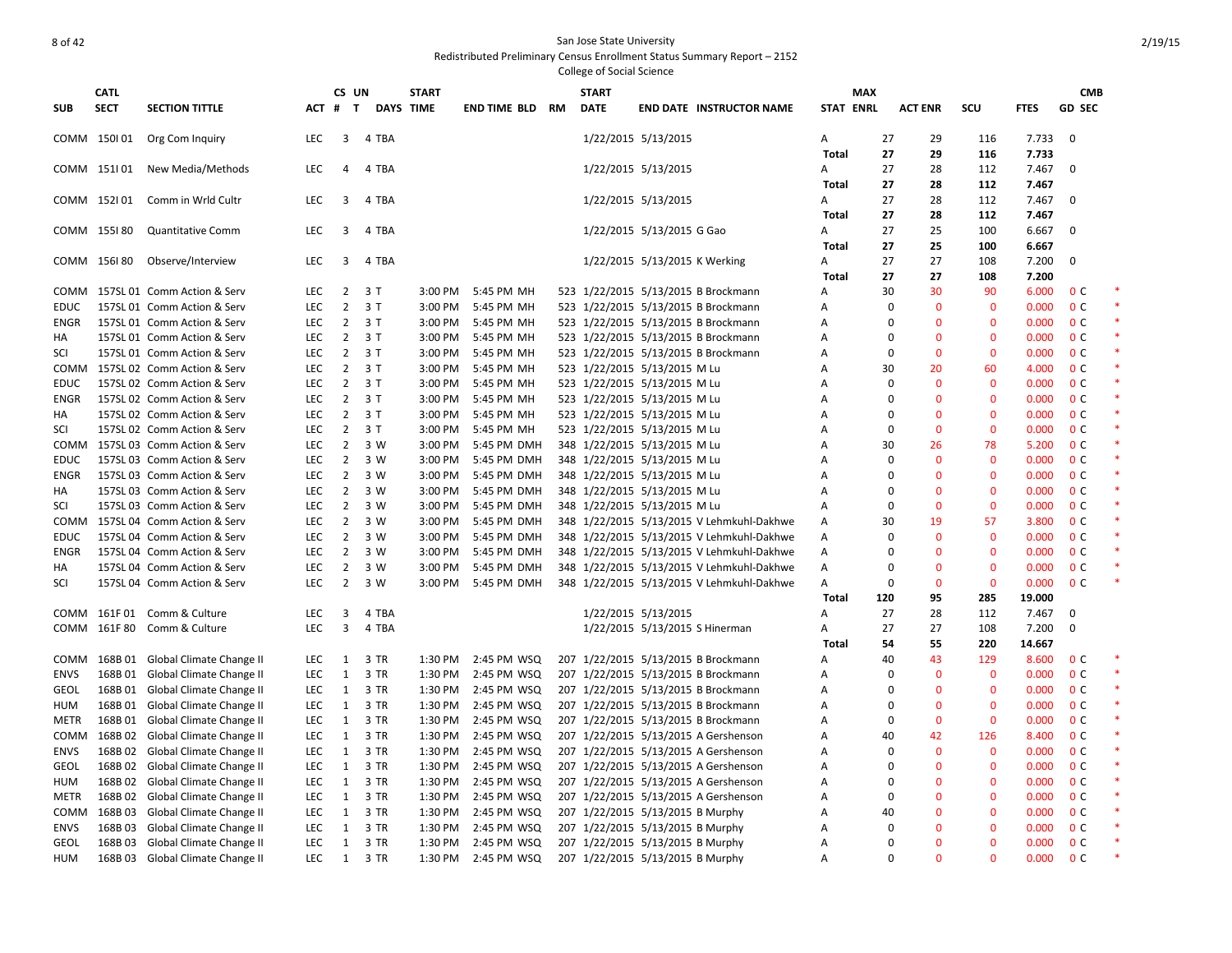|             | <b>CATL</b> |                                                            |                   | CS UN                            |                  | <b>START</b>       |                            |           | <b>START</b> |                                                                                        |                   | <b>MAX</b> |                                                            |                            |                | <b>CMB</b>                       |  |
|-------------|-------------|------------------------------------------------------------|-------------------|----------------------------------|------------------|--------------------|----------------------------|-----------|--------------|----------------------------------------------------------------------------------------|-------------------|------------|------------------------------------------------------------|----------------------------|----------------|----------------------------------|--|
| SUB         | <b>SECT</b> | <b>SECTION TITTLE</b>                                      |                   | ACT # T                          | <b>DAYS TIME</b> |                    | <b>END TIME BLD</b>        | <b>RM</b> | <b>DATE</b>  | <b>END DATE INSTRUCTOR NAME</b>                                                        | <b>STAT ENRL</b>  |            | <b>ACT ENR</b>                                             | SCU                        | <b>FTES</b>    | <b>GD SEC</b>                    |  |
|             | COMM 150101 | Org Com Inquiry                                            | <b>LEC</b>        | 3                                | 4 TBA            |                    |                            |           |              | 1/22/2015 5/13/2015                                                                    | Α                 | 27         | 29                                                         | 116                        | 7.733          | $\mathbf 0$                      |  |
|             |             |                                                            |                   |                                  |                  |                    |                            |           |              |                                                                                        | <b>Total</b>      | 27         | 29                                                         | 116                        | 7.733          |                                  |  |
|             | COMM 151101 | New Media/Methods                                          | LEC               | $\overline{4}$                   | 4 TBA            |                    |                            |           |              | 1/22/2015 5/13/2015                                                                    | Α                 | 27         | 28                                                         | 112                        | 7.467          | $\mathbf 0$                      |  |
|             | COMM 152101 | Comm in Wrld Cultr                                         | <b>LEC</b>        | 3                                | 4 TBA            |                    |                            |           |              |                                                                                        | <b>Total</b>      | 27<br>27   | 28<br>28                                                   | 112<br>112                 | 7.467          | $\Omega$                         |  |
|             |             |                                                            |                   |                                  |                  |                    |                            |           |              | 1/22/2015 5/13/2015                                                                    | Α<br><b>Total</b> | 27         | 28                                                         | 112                        | 7.467<br>7.467 |                                  |  |
|             | COMM 155180 | <b>Quantitative Comm</b>                                   | <b>LEC</b>        | 3                                | 4 TBA            |                    |                            |           |              | 1/22/2015 5/13/2015 G Gao                                                              | A                 | 27         | 25                                                         | 100                        | 6.667          | $\mathbf 0$                      |  |
|             |             |                                                            |                   |                                  |                  |                    |                            |           |              |                                                                                        | <b>Total</b>      | 27         | 25                                                         | 100                        | 6.667          |                                  |  |
|             | COMM 156180 | Observe/Interview                                          | <b>LEC</b>        | 3                                | 4 TBA            |                    |                            |           |              | 1/22/2015 5/13/2015 K Werking                                                          | Α                 | 27         | 27                                                         | 108                        | 7.200          | $\Omega$                         |  |
|             |             |                                                            |                   |                                  |                  |                    |                            |           |              |                                                                                        | <b>Total</b>      | 27         | 27                                                         | 108                        | 7.200          |                                  |  |
| сомм        |             | 157SL 01 Comm Action & Serv                                | <b>LEC</b>        | $\overline{2}$                   | 3T               | 3:00 PM            | 5:45 PM MH                 |           |              | 523 1/22/2015 5/13/2015 B Brockmann                                                    | Α                 | 30         | 30                                                         | 90                         | 6.000          | 0 <sup>c</sup>                   |  |
| EDUC        |             | 157SL 01 Comm Action & Serv                                | <b>LEC</b>        | $\overline{2}$                   | 3T               | $3:00$ PM          | 5:45 PM MH                 |           |              | 523 1/22/2015 5/13/2015 B Brockmann                                                    | Α                 |            | $\mathbf 0$<br>$\mathbf{0}$                                | $\overline{0}$             | 0.000          | 0 <sup>c</sup>                   |  |
| ENGR        |             | 157SL 01 Comm Action & Serv                                | LEC               | $\overline{2}$                   | 3T               | 3:00 PM            | 5:45 PM MH                 |           |              | 523 1/22/2015 5/13/2015 B Brockmann                                                    | Α                 |            | $\mathbf 0$<br>$\mathbf{0}$                                | $\mathbf 0$                | 0.000          | 0 <sup>c</sup>                   |  |
| НA          |             | 157SL 01 Comm Action & Serv                                | LEC               |                                  | $2 \t3 T$        | 3:00 PM            | 5:45 PM MH                 |           |              | 523 1/22/2015 5/13/2015 B Brockmann                                                    | Α                 |            | $\mathbf 0$<br>$\bf{0}$                                    | $\mathbf 0$                | 0.000          | 0 <sup>C</sup>                   |  |
| SCI         |             | 157SL 01 Comm Action & Serv                                | <b>LEC</b>        | $\overline{2}$                   | 3T               | 3:00 PM            | 5:45 PM MH                 |           |              | 523 1/22/2015 5/13/2015 B Brockmann                                                    | Α                 |            | $\mathbf 0$<br>$\bf{0}$                                    | $\mathbf{0}$               | 0.000          | 0 <sup>C</sup>                   |  |
| COMM        |             | 157SL 02 Comm Action & Serv                                | <b>LEC</b>        | $\overline{2}$                   | 3T               | 3:00 PM            | 5:45 PM MH                 |           |              | 523 1/22/2015 5/13/2015 M Lu                                                           | Α                 | 30         | 20                                                         | 60                         | 4.000          | 0 <sup>C</sup>                   |  |
| EDUC        |             | 157SL 02 Comm Action & Serv                                | LEC               | $\overline{2}$                   | 3T               | 3:00 PM            | 5:45 PM MH                 |           |              | 523 1/22/2015 5/13/2015 M Lu                                                           | Α                 |            | $\mathbf 0$<br>0                                           | $\mathbf 0$                | 0.000          | 0 <sup>C</sup>                   |  |
| ENGR        |             | 157SL 02 Comm Action & Serv                                | <b>LEC</b>        | $\overline{2}$                   | 3T               | 3:00 PM            | 5:45 PM MH                 |           |              | 523 1/22/2015 5/13/2015 M Lu                                                           | Α                 |            | $\mathbf 0$<br>$\bf{0}$                                    | $\mathbf 0$                | 0.000          | 0 <sup>C</sup>                   |  |
| НA          |             | 157SL 02 Comm Action & Serv                                | LEC               | $\overline{2}$                   | 3T               | 3:00 PM            | 5:45 PM MH                 |           |              | 523 1/22/2015 5/13/2015 M Lu                                                           | Α                 |            | $\mathbf 0$<br>$\mathbf{0}$                                | $\Omega$                   | 0.000          | 0 <sup>C</sup>                   |  |
| SCI         |             | 157SL 02 Comm Action & Serv                                | <b>LEC</b>        | $\overline{2}$                   | 3T               | 3:00 PM            | 5:45 PM MH                 |           |              | 523 1/22/2015 5/13/2015 M Lu                                                           | Α                 |            | $\mathbf 0$<br>$\bf{0}$                                    | $\mathbf 0$                | 0.000          | 0 <sup>C</sup>                   |  |
| COMM        |             | 157SL 03 Comm Action & Serv                                | LEC               | $\overline{2}$                   | 3 W              | 3:00 PM            | 5:45 PM DMH                |           |              | 348 1/22/2015 5/13/2015 M Lu                                                           | Α                 | 30         | 26                                                         | 78                         | 5.200          | 0 <sup>c</sup>                   |  |
| EDUC        |             | 157SL 03 Comm Action & Serv                                | <b>LEC</b>        | $\overline{2}$                   | 3 W              | 3:00 PM            | 5:45 PM DMH                |           |              | 348 1/22/2015 5/13/2015 M Lu                                                           | Α                 |            | $\mathbf 0$<br>$\mathbf{0}$                                | $\mathbf 0$                | 0.000          | 0 <sup>C</sup>                   |  |
| ENGR        |             | 157SL 03 Comm Action & Serv                                | <b>LEC</b>        | $\overline{2}$                   | 3 W              | 3:00 PM            | 5:45 PM DMH                |           |              | 348 1/22/2015 5/13/2015 M Lu                                                           | A                 |            | $\mathbf 0$<br>$\mathbf{0}$                                | $\Omega$                   | 0.000          | 0 <sup>c</sup>                   |  |
| НA          |             | 157SL 03 Comm Action & Serv                                | <b>LEC</b>        | $\overline{2}$                   | 3 W              | $3:00$ PM          | 5:45 PM DMH                |           |              | 348 1/22/2015 5/13/2015 M Lu                                                           | A                 |            | $\mathbf{0}$<br>$\mathbf 0$                                | $\mathbf 0$                | 0.000          | 0 <sup>C</sup>                   |  |
| SCI         |             | 157SL 03 Comm Action & Serv                                | LEC               | $\overline{2}$                   | 3 W              | 3:00 PM            | 5:45 PM DMH                |           |              | 348 1/22/2015 5/13/2015 M Lu                                                           | Α                 |            | $\mathbf{0}$<br>$\mathbf 0$                                | $\mathbf 0$                | 0.000          | 0 <sup>c</sup>                   |  |
| сомм        |             | 157SL 04 Comm Action & Serv                                | LEC               | $\overline{2}$                   | 3 W              | 3:00 PM            | 5:45 PM DMH                |           |              | 348 1/22/2015 5/13/2015 V Lehmkuhl-Dakhwe                                              | Α                 | 30         | 19                                                         | 57                         | 3.800          | 0 <sup>C</sup>                   |  |
| EDUC        |             | 157SL 04 Comm Action & Serv                                | LEC<br><b>LEC</b> | $\overline{2}$                   | 3 W<br>3 W       | 3:00 PM<br>3:00 PM | 5:45 PM DMH<br>5:45 PM DMH |           |              | 348 1/22/2015 5/13/2015 V Lehmkuhl-Dakhwe                                              | Α                 |            | $\mathbf 0$<br>$\mathbf{0}$<br>$\mathbf 0$<br>$\mathbf{0}$ | $\mathbf{0}$               | 0.000          | 0 <sup>c</sup><br>0 <sup>c</sup> |  |
| ENGR<br>ΗA  |             | 157SL 04 Comm Action & Serv<br>157SL 04 Comm Action & Serv | LEC               | $\overline{2}$<br>$\overline{2}$ | 3 W              | 3:00 PM            | 5:45 PM DMH                |           |              | 348 1/22/2015 5/13/2015 V Lehmkuhl-Dakhwe<br>348 1/22/2015 5/13/2015 V Lehmkuhl-Dakhwe | Α<br>Α            |            | $\mathbf{0}$<br>$\mathbf 0$                                | $\mathbf 0$<br>$\mathbf 0$ | 0.000<br>0.000 | 0 <sup>C</sup>                   |  |
| SCI         |             | 157SL 04 Comm Action & Serv                                | LEC               | $\overline{2}$                   | 3 W              | 3:00 PM            | 5:45 PM DMH                |           |              | 348 1/22/2015 5/13/2015 V Lehmkuhl-Dakhwe                                              | Α                 |            | $\mathbf 0$<br>$\mathbf 0$                                 | $\mathbf{0}$               | 0.000          | 0 <sup>C</sup>                   |  |
|             |             |                                                            |                   |                                  |                  |                    |                            |           |              |                                                                                        | <b>Total</b>      | 120        | 95                                                         | 285                        | 19.000         |                                  |  |
| сомм        |             | 161F 01 Comm & Culture                                     | <b>LEC</b>        | 3                                | 4 TBA            |                    |                            |           |              | 1/22/2015 5/13/2015                                                                    | Α                 | 27         | 28                                                         | 112                        | 7.467          | 0                                |  |
| COMM        | 161F80      | Comm & Culture                                             | LEC               | 3                                | 4 TBA            |                    |                            |           |              | 1/22/2015 5/13/2015 S Hinerman                                                         | Α                 | 27         | 27                                                         | 108                        | 7.200          | $\mathbf 0$                      |  |
|             |             |                                                            |                   |                                  |                  |                    |                            |           |              |                                                                                        | Total             | 54         | 55                                                         | 220                        | 14.667         |                                  |  |
| сомм        |             | 168B 01 Global Climate Change II                           | <b>LEC</b>        | 1                                | 3 TR             | 1:30 PM            | 2:45 PM WSQ                |           |              | 207 1/22/2015 5/13/2015 B Brockmann                                                    | Α                 | 40         | 43                                                         | 129                        | 8.600          | 0 <sup>c</sup>                   |  |
| ENVS        | 168B01      | Global Climate Change II                                   | LEC               | 1                                | 3 TR             | 1:30 PM            | 2:45 PM WSQ                |           |              | 207 1/22/2015 5/13/2015 B Brockmann                                                    | Α                 |            | $\mathbf 0$<br>$\bf{0}$                                    | $\Omega$                   | 0.000          | 0 <sup>C</sup>                   |  |
| GEOL        | 168B 01     | Global Climate Change II                                   | <b>LEC</b>        | $\mathbf{1}$                     | 3 TR             | 1:30 PM            | 2:45 PM WSQ                |           |              | 207 1/22/2015 5/13/2015 B Brockmann                                                    | Α                 |            | $\mathbf{0}$<br>$\mathbf 0$                                | $\mathbf 0$                | 0.000          | 0 <sup>C</sup>                   |  |
| HUM         | 168B01      | Global Climate Change II                                   | <b>LEC</b>        | $\mathbf{1}$                     | 3 TR             | 1:30 PM            | 2:45 PM WSQ                |           |              | 207 1/22/2015 5/13/2015 B Brockmann                                                    | Α                 |            | $\mathbf 0$<br>$\mathbf{0}$                                | $\mathbf 0$                | 0.000          | 0 <sup>C</sup>                   |  |
| METR        | 168B01      | Global Climate Change II                                   | <b>LEC</b>        | 1                                | 3 TR             | 1:30 PM            | 2:45 PM WSQ                |           |              | 207 1/22/2015 5/13/2015 B Brockmann                                                    | A                 |            | $\mathbf 0$<br>$\mathbf{0}$                                | $\mathbf 0$                | 0.000          | 0 <sup>c</sup>                   |  |
| сомм        |             | 168B 02 Global Climate Change II                           | <b>LEC</b>        | $\mathbf{1}$                     | 3 TR             | 1:30 PM            | 2:45 PM WSQ                |           |              | 207 1/22/2015 5/13/2015 A Gershenson                                                   | A                 | 40         | 42                                                         | 126                        | 8.400          | 0 <sup>C</sup>                   |  |
| ENVS        | 168B02      | Global Climate Change II                                   | <b>LEC</b>        | 1                                | 3 TR             | 1:30 PM            | 2:45 PM WSQ                |           |              | 207 1/22/2015 5/13/2015 A Gershenson                                                   | Α                 |            | $\mathbf 0$<br>$\mathbf{0}$                                | $\mathbf{0}$               | 0.000          | 0 <sup>c</sup>                   |  |
| GEOL        | 168B02      | Global Climate Change II                                   | LEC               | $\mathbf{1}$                     | 3 TR             | 1:30 PM            | 2:45 PM WSQ                |           |              | 207 1/22/2015 5/13/2015 A Gershenson                                                   | Α                 |            | $\mathbf{0}$<br>$\mathbf 0$                                | $\mathbf 0$                | 0.000          | 0 <sup>C</sup>                   |  |
| HUM         | 168B02      | Global Climate Change II                                   | LEC               | $\mathbf{1}$                     | 3 TR             | 1:30 PM            | 2:45 PM WSQ                |           |              | 207 1/22/2015 5/13/2015 A Gershenson                                                   | Α                 |            | $\mathbf 0$<br>$\bf{0}$                                    | $\mathbf 0$                | 0.000          | 0 <sup>C</sup>                   |  |
| METR        | 168B02      | Global Climate Change II                                   | LEC               | $\mathbf{1}$                     | 3 TR             | 1:30 PM            | 2:45 PM WSQ                |           |              | 207 1/22/2015 5/13/2015 A Gershenson                                                   | Α                 |            | $\mathbf 0$<br>$\bf{0}$                                    | $\mathbf{0}$               | 0.000          | 0 <sup>C</sup>                   |  |
| COMM        | 168B03      | Global Climate Change II                                   | <b>LEC</b>        | $\mathbf{1}$                     | 3 TR             | 1:30 PM            | 2:45 PM WSQ                |           |              | 207 1/22/2015 5/13/2015 B Murphy                                                       | Α                 | 40         | $\mathbf{0}$                                               | $\mathbf 0$                | 0.000          | 0 <sup>C</sup>                   |  |
| <b>ENVS</b> | 168B03      | Global Climate Change II                                   | LEC               | $\mathbf{1}$                     | 3 TR             | 1:30 PM            | 2:45 PM WSQ                |           |              | 207 1/22/2015 5/13/2015 B Murphy                                                       | Α                 |            | 0<br>0                                                     | $\mathbf 0$                | 0.000          | 0 <sup>C</sup>                   |  |
| GEOL        |             | 168B 03 Global Climate Change II                           | LEC               | $\mathbf{1}$                     | 3 TR             | 1:30 PM            | 2:45 PM WSQ                |           |              | 207 1/22/2015 5/13/2015 B Murphy                                                       | Α                 |            | $\mathbf 0$<br>$\mathbf{0}$                                | $\mathbf 0$                | 0.000          | 0 <sup>C</sup>                   |  |
| HUM         |             | 168B 03 Global Climate Change II                           | LEC               | 1                                | 3 TR             | 1:30 PM            | 2:45 PM WSQ                |           |              | 207 1/22/2015 5/13/2015 B Murphy                                                       | Α                 |            | $\mathbf 0$<br>$\mathbf{0}$                                | $\Omega$                   | 0.000          | 0 <sup>c</sup>                   |  |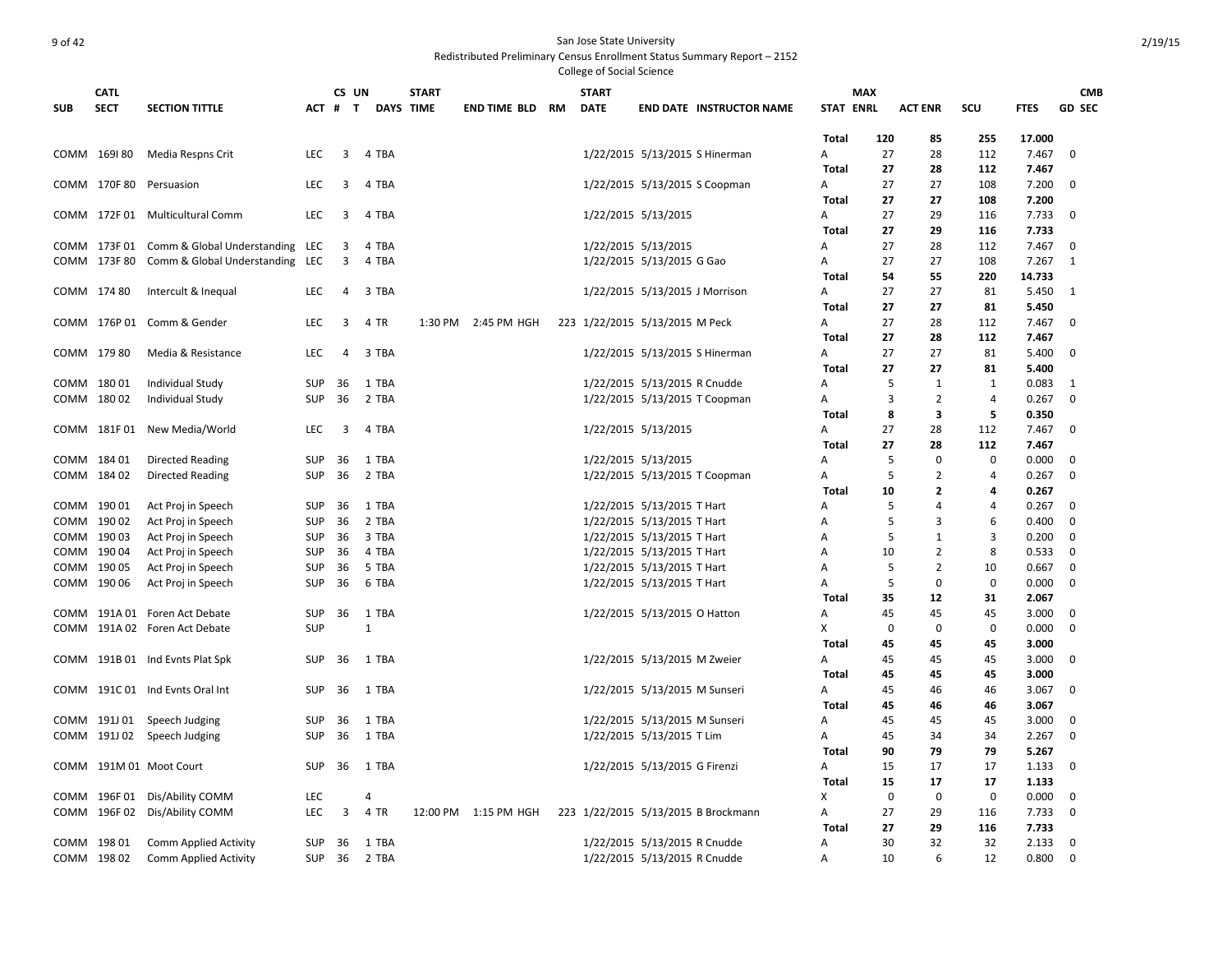|            | <b>CATL</b>  |                                              |                          | CS UN                   |                  | <b>START</b> |                     |    | <b>START</b> |                                     |                                 |                   | <b>MAX</b>  |                |                |                | <b>CMB</b>    |
|------------|--------------|----------------------------------------------|--------------------------|-------------------------|------------------|--------------|---------------------|----|--------------|-------------------------------------|---------------------------------|-------------------|-------------|----------------|----------------|----------------|---------------|
| <b>SUB</b> | <b>SECT</b>  | <b>SECTION TITTLE</b>                        |                          | ACT # T                 | <b>DAYS TIME</b> |              | <b>END TIME BLD</b> | RM | <b>DATE</b>  |                                     | <b>END DATE INSTRUCTOR NAME</b> | <b>STAT ENRL</b>  |             | <b>ACT ENR</b> | scu            | <b>FTES</b>    | <b>GD SEC</b> |
|            |              |                                              |                          |                         |                  |              |                     |    |              |                                     |                                 | <b>Total</b>      | 120         | 85             | 255            | 17.000         |               |
|            | COMM 169180  | Media Respns Crit                            | <b>LEC</b>               | $\overline{3}$          | 4 TBA            |              |                     |    |              | 1/22/2015 5/13/2015 S Hinerman      |                                 | A                 | 27          | 28             | 112            | 7.467          | 0             |
|            |              |                                              |                          |                         |                  |              |                     |    |              |                                     |                                 | <b>Total</b>      | 27          | 28             | 112            | 7.467          |               |
|            | COMM 170F 80 | Persuasion                                   | <b>LEC</b>               | 3                       | 4 TBA            |              |                     |    |              | 1/22/2015 5/13/2015 S Coopman       |                                 | A                 | 27          | 27             | 108            | 7.200          | 0             |
|            |              |                                              |                          |                         |                  |              |                     |    |              |                                     |                                 | Total             | 27          | 27             | 108            | 7.200          |               |
|            |              | COMM 172F 01 Multicultural Comm              | <b>LEC</b>               | 3                       | 4 TBA            |              |                     |    |              | 1/22/2015 5/13/2015                 |                                 | Α                 | 27          | 29             | 116            | 7.733          | 0             |
|            |              |                                              |                          |                         |                  |              |                     |    |              |                                     |                                 | <b>Total</b>      | 27          | 29             | 116            | 7.733          |               |
|            |              | COMM 173F 01 Comm & Global Understanding LEC |                          | 3                       | 4 TBA            |              |                     |    |              | 1/22/2015 5/13/2015                 |                                 | A                 | 27          | 28             | 112            | 7.467          | 0             |
|            |              | COMM 173F 80 Comm & Global Understanding LEC |                          | 3                       | 4 TBA            |              |                     |    |              | 1/22/2015 5/13/2015 G Gao           |                                 | A                 | 27          | 27             | 108            | 7.267          | 1             |
|            |              |                                              |                          |                         |                  |              |                     |    |              |                                     |                                 | Total             | 54          | 55             | 220            | 14.733         |               |
|            | COMM 174 80  | Intercult & Inequal                          | <b>LEC</b>               | 4                       | 3 TBA            |              |                     |    |              | 1/22/2015 5/13/2015 J Morrison      |                                 | A                 | 27          | 27             | 81             | 5.450          | -1            |
|            |              |                                              |                          |                         |                  |              |                     |    |              |                                     |                                 | Total             | 27          | 27             | 81             | 5.450          |               |
|            |              | COMM 176P 01 Comm & Gender                   | <b>LEC</b>               | 3                       | 4 TR             |              | 1:30 PM 2:45 PM HGH |    |              | 223 1/22/2015 5/13/2015 M Peck      |                                 | A                 | 27          | 28             | 112            | 7.467          | 0             |
|            |              |                                              |                          |                         |                  |              |                     |    |              |                                     |                                 | <b>Total</b>      | 27          | 28             | 112            | 7.467          |               |
|            | COMM 179 80  | Media & Resistance                           | <b>LEC</b>               | 4                       | 3 TBA            |              |                     |    |              | 1/22/2015 5/13/2015 S Hinerman      |                                 | A                 | 27          | 27             | 81             | 5.400          | $\Omega$      |
|            |              |                                              |                          |                         |                  |              |                     |    |              |                                     |                                 | <b>Total</b>      | 27          | 27             | 81             | 5.400          |               |
|            | COMM 18001   | Individual Study                             | <b>SUP</b>               | 36                      | 1 TBA            |              |                     |    |              | 1/22/2015 5/13/2015 R Cnudde        |                                 | А                 | 5           | 1              | 1              | 0.083          | 1             |
|            | COMM 18002   | Individual Study                             | <b>SUP</b>               | 36                      | 2 TBA            |              |                     |    |              | 1/22/2015 5/13/2015 T Coopman       |                                 | Α                 | 3           | $\overline{2}$ | 4              | 0.267          | 0             |
|            |              |                                              |                          |                         |                  |              |                     |    |              |                                     |                                 | Total             | 8           | 3              | 5              | 0.350          |               |
|            |              | COMM 181F 01 New Media/World                 | <b>LEC</b>               | $\overline{\mathbf{3}}$ | 4 TBA            |              |                     |    |              | 1/22/2015 5/13/2015                 |                                 | A                 | 27          | 28             | 112            | 7.467          | 0             |
|            |              |                                              |                          |                         |                  |              |                     |    |              |                                     |                                 | Total             | 27          | 28             | 112            | 7.467          |               |
|            | COMM 184 01  | Directed Reading                             | <b>SUP</b>               | 36                      | 1 TBA            |              |                     |    |              | 1/22/2015 5/13/2015                 |                                 | А                 | 5           | $\mathbf 0$    | $\mathbf 0$    | 0.000          | 0             |
| COMM       | 18402        | Directed Reading                             | <b>SUP</b>               | 36                      | 2 TBA            |              |                     |    |              | 1/22/2015 5/13/2015 T Coopman       |                                 | A                 | 5           | $\overline{2}$ | 4              | 0.267          | 0             |
|            |              |                                              |                          |                         |                  |              |                     |    |              |                                     |                                 | Total             | 10          | $\overline{2}$ | 4              | 0.267          |               |
|            | COMM 19001   | Act Proj in Speech                           | <b>SUP</b>               | 36                      | 1 TBA            |              |                     |    |              | 1/22/2015 5/13/2015 T Hart          |                                 | A                 | 5           | $\overline{4}$ | $\overline{4}$ | 0.267          | $\mathbf 0$   |
| COMM       | 19002        | Act Proj in Speech                           | <b>SUP</b>               | 36                      | 2 TBA            |              |                     |    |              | 1/22/2015 5/13/2015 T Hart          |                                 | A                 | 5           | 3              | 6              | 0.400          | 0             |
|            | COMM 19003   | Act Proj in Speech                           | <b>SUP</b>               | 36                      | 3 TBA            |              |                     |    |              | 1/22/2015 5/13/2015 T Hart          |                                 | A                 | 5           | $\mathbf{1}$   | 3              | 0.200          | $\mathbf 0$   |
| COMM       | 19004        | Act Proj in Speech                           | <b>SUP</b>               | 36                      | 4 TBA            |              |                     |    |              | 1/22/2015 5/13/2015 T Hart          |                                 | Α                 | 10          | $\overline{2}$ | 8              | 0.533          | 0             |
| COMM       | 190 05       | Act Proj in Speech                           | <b>SUP</b>               | 36                      | 5 TBA            |              |                     |    |              | 1/22/2015 5/13/2015 T Hart          |                                 | А                 | 5           | $\overline{2}$ | 10             | 0.667          | 0             |
| COMM       | 190 06       | Act Proj in Speech                           | SUP                      | 36                      | 6 TBA            |              |                     |    |              | 1/22/2015 5/13/2015 T Hart          |                                 | А                 | 5           | $\Omega$       | 0              | 0.000          | 0             |
|            |              |                                              |                          |                         |                  |              |                     |    |              |                                     |                                 | <b>Total</b>      | 35          | 12             | 31             | 2.067          |               |
|            |              | COMM 191A 01 Foren Act Debate                | <b>SUP</b>               | 36                      | 1 TBA            |              |                     |    |              | 1/22/2015 5/13/2015 O Hatton        |                                 | A                 | 45          | 45             | 45             | 3.000          | 0             |
| COMM       |              | 191A 02 Foren Act Debate                     | <b>SUP</b>               |                         | $\mathbf{1}$     |              |                     |    |              |                                     |                                 | X                 | $\mathbf 0$ | $\mathbf 0$    | $\mathbf 0$    | 0.000          | 0             |
|            |              |                                              |                          |                         |                  |              |                     |    |              |                                     |                                 | Total             | 45          | 45             | 45             | 3.000          |               |
| COMM       |              | 191B 01 Ind Evnts Plat Spk                   | SUP                      | - 36                    | 1 TBA            |              |                     |    |              | 1/22/2015 5/13/2015 M Zweier        |                                 | A                 | 45          | 45             | 45             | 3.000          | 0             |
|            |              | COMM 191C 01 Ind Evnts Oral Int              |                          | 36                      |                  |              |                     |    |              |                                     |                                 | Total             | 45<br>45    | 45             | 45             | 3.000          | 0             |
|            |              |                                              | <b>SUP</b>               |                         | 1 TBA            |              |                     |    |              | 1/22/2015 5/13/2015 M Sunseri       |                                 | A<br><b>Total</b> | 45          | 46<br>46       | 46<br>46       | 3.067<br>3.067 |               |
|            |              |                                              |                          |                         | 1 TBA            |              |                     |    |              |                                     |                                 |                   |             |                | 45             | 3.000          | 0             |
|            | COMM 191J 01 | Speech Judging                               | SUP                      | 36                      |                  |              |                     |    |              | 1/22/2015 5/13/2015 M Sunseri       |                                 | А                 | 45          | 45             |                |                | 0             |
|            |              | COMM 191J 02 Speech Judging                  | <b>SUP</b>               | 36                      | 1 TBA            |              |                     |    |              | 1/22/2015 5/13/2015 T Lim           |                                 | Α                 | 45<br>90    | 34<br>79       | 34<br>79       | 2.267<br>5.267 |               |
|            |              | COMM 191M 01 Moot Court                      | <b>SUP</b>               | 36                      | 1 TBA            |              |                     |    |              | 1/22/2015 5/13/2015 G Firenzi       |                                 | Total<br>Α        | 15          | 17             | 17             | 1.133          | 0             |
|            |              |                                              |                          |                         |                  |              |                     |    |              |                                     |                                 | Total             | 15          | 17             | 17             | 1.133          |               |
|            |              |                                              |                          |                         | $\overline{4}$   |              |                     |    |              |                                     |                                 |                   | $\mathbf 0$ | $\mathbf 0$    | $\mathbf 0$    |                |               |
| COMM       |              | COMM 196F 01 Dis/Ability COMM                | <b>LEC</b><br><b>LEC</b> | 3                       | 4 TR             | 12:00 PM     | 1:15 PM HGH         |    |              | 223 1/22/2015 5/13/2015 B Brockmann |                                 | x<br>A            | 27          | 29             | 116            | 0.000<br>7.733 | 0<br>0        |
|            |              | 196F 02 Dis/Ability COMM                     |                          |                         |                  |              |                     |    |              |                                     |                                 | Total             | 27          | 29             | 116            | 7.733          |               |
|            | COMM 198 01  | <b>Comm Applied Activity</b>                 | SUP                      | 36                      | 1 TBA            |              |                     |    |              | 1/22/2015 5/13/2015 R Cnudde        |                                 | Α                 | 30          | 32             | 32             | 2.133          | 0             |
|            | COMM 198 02  | Comm Applied Activity                        | <b>SUP</b>               | 36                      | 2 TBA            |              |                     |    |              | 1/22/2015 5/13/2015 R Cnudde        |                                 | Α                 | 10          | 6              | 12             | 0.800          | $\Omega$      |
|            |              |                                              |                          |                         |                  |              |                     |    |              |                                     |                                 |                   |             |                |                |                |               |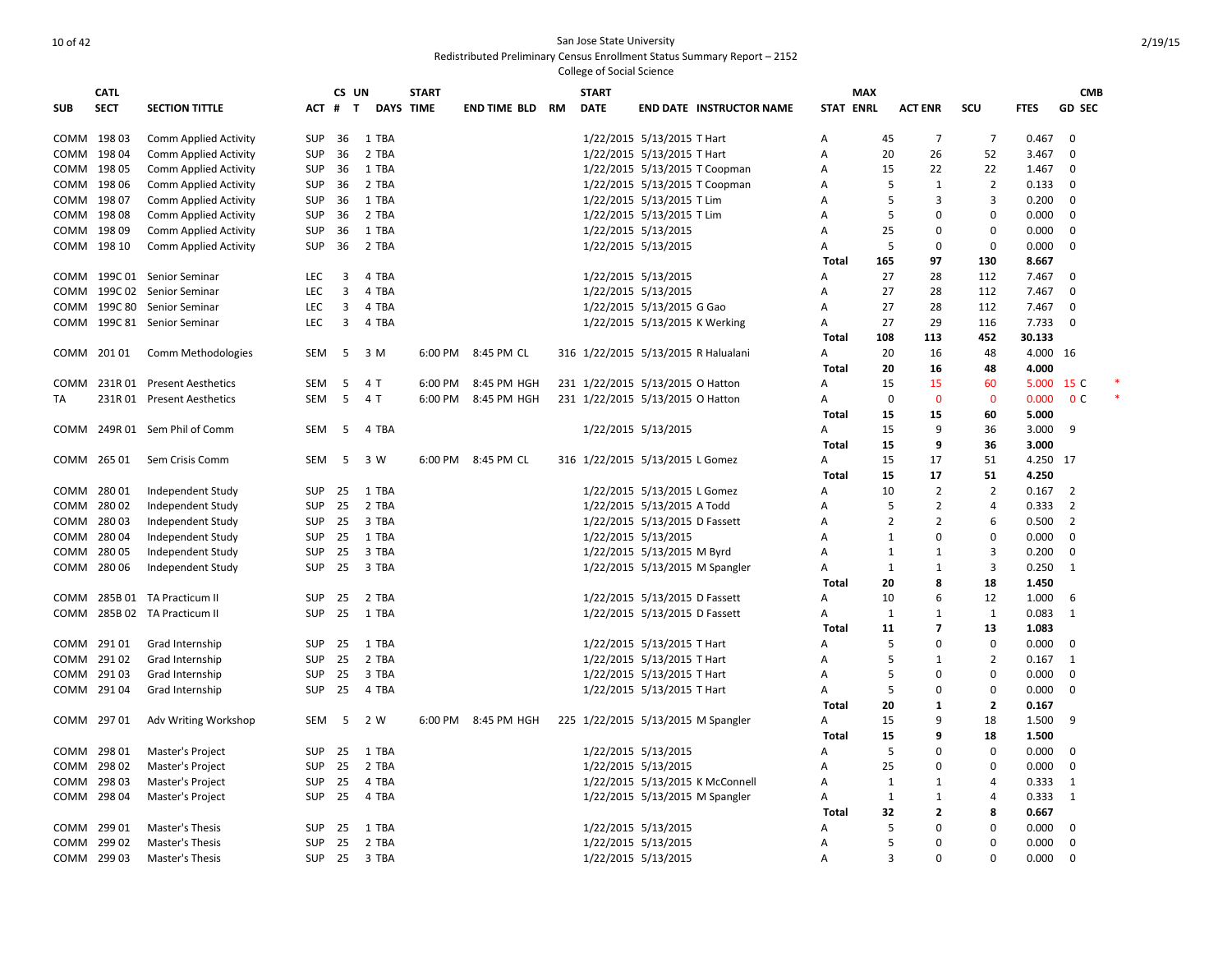|             | <b>CATL</b> |                                 |               | CS UN          |                  | <b>START</b> |                     |    | <b>START</b> |                                     |                | <b>MAX</b>       |                |                |             | <b>CMB</b>     |  |
|-------------|-------------|---------------------------------|---------------|----------------|------------------|--------------|---------------------|----|--------------|-------------------------------------|----------------|------------------|----------------|----------------|-------------|----------------|--|
| <b>SUB</b>  | <b>SECT</b> | <b>SECTION TITTLE</b>           | ACT #         | T              | <b>DAYS TIME</b> |              | <b>END TIME BLD</b> | RM | <b>DATE</b>  | <b>END DATE INSTRUCTOR NAME</b>     |                | <b>STAT ENRL</b> | <b>ACT ENR</b> | SCU            | <b>FTES</b> | <b>GD SEC</b>  |  |
| COMM 19803  |             | Comm Applied Activity           | <b>SUP</b>    | 36             | 1 TBA            |              |                     |    |              | 1/22/2015 5/13/2015 T Hart          | Α              | 45               | 7              | $\overline{7}$ | 0.467       | $\mathbf 0$    |  |
| COMM 198 04 |             | <b>Comm Applied Activity</b>    | <b>SUP</b>    | 36             | 2 TBA            |              |                     |    |              | 1/22/2015 5/13/2015 T Hart          | A              | 20               | 26             | 52             | 3.467       | $\mathbf 0$    |  |
| COMM 198 05 |             | <b>Comm Applied Activity</b>    | <b>SUP</b>    | 36             | 1 TBA            |              |                     |    |              | 1/22/2015 5/13/2015 T Coopman       | $\overline{A}$ | 15               | 22             | 22             | 1.467       | $\mathbf 0$    |  |
| COMM        | 198 06      | <b>Comm Applied Activity</b>    | <b>SUP</b>    | 36             | 2 TBA            |              |                     |    |              | 1/22/2015 5/13/2015 T Coopman       | A              | 5                | $\mathbf{1}$   | $\overline{2}$ | 0.133       | 0              |  |
| COMM        | 19807       | Comm Applied Activity           | <b>SUP</b>    | 36             | 1 TBA            |              |                     |    |              | 1/22/2015 5/13/2015 T Lim           | Α              | 5                | 3              | 3              | 0.200       | 0              |  |
| COMM        | 19808       | <b>Comm Applied Activity</b>    | <b>SUP</b>    | 36             | 2 TBA            |              |                     |    |              | 1/22/2015 5/13/2015 T Lim           | Α              | 5                | $\Omega$       | 0              | 0.000       | 0              |  |
| COMM        | 198 09      | Comm Applied Activity           | <b>SUP</b>    | 36             | 1 TBA            |              |                     |    |              | 1/22/2015 5/13/2015                 | A              | 25               | $\mathbf 0$    | $\mathbf 0$    | 0.000       | $\mathbf 0$    |  |
| COMM        | 198 10      | Comm Applied Activity           | <b>SUP</b>    | 36             | 2 TBA            |              |                     |    |              | 1/22/2015 5/13/2015                 | A              | 5                | $\mathbf 0$    | $\mathbf 0$    | 0.000       | 0              |  |
|             |             |                                 |               |                |                  |              |                     |    |              |                                     | <b>Total</b>   | 165              | 97             | 130            | 8.667       |                |  |
| COMM        |             | 199C 01 Senior Seminar          | <b>LEC</b>    | 3              | 4 TBA            |              |                     |    |              | 1/22/2015 5/13/2015                 | A              | 27               | 28             | 112            | 7.467       | 0              |  |
| COMM        | 199C 02     | Senior Seminar                  | <b>LEC</b>    | 3              | 4 TBA            |              |                     |    |              | 1/22/2015 5/13/2015                 | $\overline{A}$ | 27               | 28             | 112            | 7.467       | $\mathbf 0$    |  |
| COMM        | 199C 80     | Senior Seminar                  | LEC           | 3              | 4 TBA            |              |                     |    |              | 1/22/2015 5/13/2015 G Gao           | Α              | 27               | 28             | 112            | 7.467       | 0              |  |
| COMM        |             | 199C 81 Senior Seminar          | <b>LEC</b>    | $\overline{3}$ | 4 TBA            |              |                     |    |              | 1/22/2015 5/13/2015 K Werking       | A              | 27               | 29             | 116            | 7.733       | $\mathbf 0$    |  |
|             |             |                                 |               |                |                  |              |                     |    |              |                                     | Total          | 108              | 113            | 452            | 30.133      |                |  |
|             | COMM 20101  | Comm Methodologies              | SEM           | 5              | 3 M              | 6:00 PM      | 8:45 PM CL          |    |              | 316 1/22/2015 5/13/2015 R Halualani | Α              | 20               | 16             | 48             | 4.000 16    |                |  |
|             |             |                                 |               |                |                  |              |                     |    |              |                                     | <b>Total</b>   | 20               | 16             | 48             | 4.000       |                |  |
|             |             | COMM 231R 01 Present Aesthetics | SEM           | 5              | 4 T              | 6:00 PM      | 8:45 PM HGH         |    |              | 231 1/22/2015 5/13/2015 O Hatton    | A              | 15               | 15             | 60             | 5.000 15 C  |                |  |
| TA          |             | 231R 01 Present Aesthetics      | SEM           | 5              | 4 T              | 6:00 PM      | 8:45 PM HGH         |    |              | 231 1/22/2015 5/13/2015 O Hatton    | Α              | 0                | $\Omega$       | $\mathbf 0$    | 0.000       | 0 <sup>c</sup> |  |
|             |             |                                 |               |                |                  |              |                     |    |              |                                     | Total          | 15               | 15             | 60             | 5.000       |                |  |
| COMM        |             | 249R 01 Sem Phil of Comm        | <b>SEM</b>    | - 5            | 4 TBA            |              |                     |    |              | 1/22/2015 5/13/2015                 | A              | 15               | 9              | 36             | 3.000       | 9              |  |
|             |             |                                 |               |                |                  |              |                     |    |              |                                     | Total          | 15               | 9              | 36             | 3.000       |                |  |
|             | COMM 265 01 | Sem Crisis Comm                 | SEM           | 5              | 3 W              | 6:00 PM      | 8:45 PM CL          |    |              | 316 1/22/2015 5/13/2015 L Gomez     | Α              | 15               | 17             | 51             | 4.250 17    |                |  |
|             |             |                                 |               |                |                  |              |                     |    |              |                                     | <b>Total</b>   | 15               | 17             | 51             | 4.250       |                |  |
| COMM 28001  |             | Independent Study               | <b>SUP</b>    | 25             | 1 TBA            |              |                     |    |              | 1/22/2015 5/13/2015 L Gomez         | A              | 10               | $\overline{2}$ | $\overline{2}$ | 0.167       | $\overline{2}$ |  |
| COMM        | 28002       | Independent Study               | <b>SUP</b>    | 25             | 2 TBA            |              |                     |    |              | 1/22/2015 5/13/2015 A Todd          | Α              | 5                | $\overline{2}$ | $\overline{a}$ | 0.333       | $\overline{2}$ |  |
| сомм        | 28003       | Independent Study               | <b>SUP</b>    | 25             | 3 TBA            |              |                     |    |              | 1/22/2015 5/13/2015 D Fassett       | A              | $\overline{2}$   | $\overline{2}$ | 6              | 0.500       | $\overline{2}$ |  |
|             | 28004       | Independent Study               | <b>SUP</b>    | 25             | 1 TBA            |              |                     |    |              | 1/22/2015 5/13/2015                 | A              | 1                | $\mathbf 0$    | $\mathbf 0$    | 0.000       | $\mathbf 0$    |  |
| сомм        | 28005       |                                 | SUP           | 25             | 3 TBA            |              |                     |    |              | 1/22/2015 5/13/2015 M Byrd          | A              |                  | 1              | 3              | 0.200       | $\mathbf 0$    |  |
| COMM        |             | Independent Study               |               | 25             | 3 TBA            |              |                     |    |              |                                     | $\overline{A}$ | 1                | $\mathbf{1}$   |                |             | 1              |  |
| COMM        | 28006       | Independent Study               | <b>SUP</b>    |                |                  |              |                     |    |              | 1/22/2015 5/13/2015 M Spangler      |                | 1<br>20          | 8              | 3              | 0.250       |                |  |
|             |             |                                 |               |                |                  |              |                     |    |              |                                     | Total          |                  | 6              | 18             | 1.450       |                |  |
| COMM        |             | 285B 01 TA Practicum II         | <b>SUP</b>    | 25             | 2 TBA            |              |                     |    |              | 1/22/2015 5/13/2015 D Fassett       | A              | 10               |                | 12             | 1.000       | 6              |  |
| COMM        |             | 285B 02 TA Practicum II         | <b>SUP</b>    | 25             | 1 TBA            |              |                     |    |              | 1/22/2015 5/13/2015 D Fassett       | Α              | $\mathbf{1}$     | 1              | 1              | 0.083       | $\mathbf{1}$   |  |
|             |             |                                 |               |                |                  |              |                     |    |              |                                     | Total          | 11               | $\overline{7}$ | 13             | 1.083       |                |  |
| COMM        | 29101       | Grad Internship                 | SUP           | 25             | 1 TBA            |              |                     |    |              | 1/22/2015 5/13/2015 T Hart          | A              | 5                | $\mathbf 0$    | $\mathbf 0$    | 0.000       | 0              |  |
| COMM        | 29102       | Grad Internship                 | SUP           | 25             | 2 TBA            |              |                     |    |              | 1/22/2015 5/13/2015 T Hart          | Α              | 5                | 1              | $\overline{2}$ | 0.167       | 1              |  |
| COMM        | 29103       | Grad Internship                 | <b>SUP</b>    | 25             | 3 TBA            |              |                     |    |              | 1/22/2015 5/13/2015 T Hart          | Α              | 5                | $\mathbf 0$    | 0              | 0.000       | 0              |  |
| COMM 29104  |             | Grad Internship                 | <b>SUP</b>    | 25             | 4 TBA            |              |                     |    |              | 1/22/2015 5/13/2015 T Hart          | $\overline{A}$ | 5                | $\mathbf 0$    | 0              | 0.000       | $\mathbf 0$    |  |
|             |             |                                 |               |                |                  |              |                     |    |              |                                     | Total          | 20               | 1              | $\overline{2}$ | 0.167       |                |  |
| COMM 297 01 |             | Adv Writing Workshop            | SEM           | - 5            | 2 W              | 6:00 PM      | 8:45 PM HGH         |    |              | 225 1/22/2015 5/13/2015 M Spangler  | A              | 15               | 9              | 18             | 1.500       | 9              |  |
|             |             |                                 |               |                |                  |              |                     |    |              |                                     | Total          | 15               | 9              | 18             | 1.500       |                |  |
| COMM 298 01 |             | Master's Project                | SUP           | 25             | 1 TBA            |              |                     |    |              | 1/22/2015 5/13/2015                 | A              | 5                | $\Omega$       | $\mathbf 0$    | 0.000       | $\mathbf 0$    |  |
|             | COMM 298 02 | Master's Project                | <b>SUP</b>    | 25             | 2 TBA            |              |                     |    |              | 1/22/2015 5/13/2015                 | A              | 25               | $\mathbf 0$    | $\mathbf 0$    | 0.000       | $\mathbf 0$    |  |
| COMM        | 298 03      | Master's Project                | <b>SUP</b>    | 25             | 4 TBA            |              |                     |    |              | 1/22/2015 5/13/2015 K McConnell     | A              | 1                | $\mathbf{1}$   | 4              | 0.333       | 1              |  |
| COMM 298 04 |             | Master's Project                | <b>SUP</b>    | 25             | 4 TBA            |              |                     |    |              | 1/22/2015 5/13/2015 M Spangler      | $\overline{A}$ | 1                | $\mathbf{1}$   | 4              | 0.333       | 1              |  |
|             |             |                                 |               |                |                  |              |                     |    |              |                                     | Total          | 32               | $\overline{2}$ | 8              | 0.667       |                |  |
| COMM        | 29901       | Master's Thesis                 | <b>SUP</b>    | 25             | 1 TBA            |              |                     |    |              | 1/22/2015 5/13/2015                 | A              | 5                | $\mathbf 0$    | 0              | 0.000       | $\mathbf 0$    |  |
| COMM        | 299 02      | Master's Thesis                 | <b>SUP</b>    | 25             | 2 TBA            |              |                     |    |              | 1/22/2015 5/13/2015                 | A              | .5               | $\mathbf 0$    | 0              | 0.000       | 0              |  |
| COMM 299 03 |             | Master's Thesis                 | <b>SUP 25</b> |                | 3 TBA            |              |                     |    |              | 1/22/2015 5/13/2015                 | A              | $\mathbf{3}$     | $\Omega$       | $\Omega$       | 0.000       | $\Omega$       |  |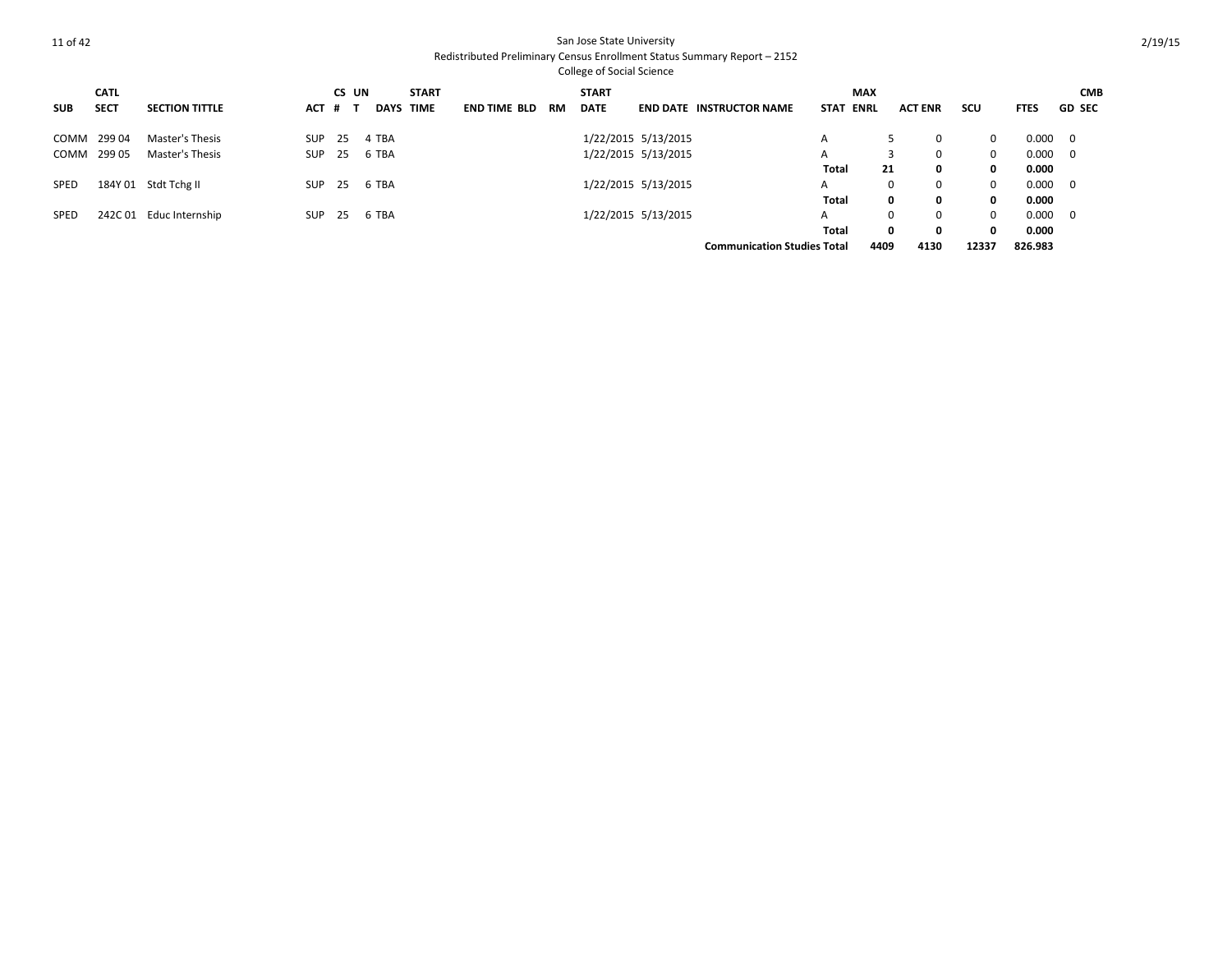|            | <b>CATL</b> |                       |            | CS UN |       |             | <b>START</b> |                     |    | <b>START</b> |                     |                                    | <b>MAX</b>                 |      |                |            |             | <b>CMB</b>               |
|------------|-------------|-----------------------|------------|-------|-------|-------------|--------------|---------------------|----|--------------|---------------------|------------------------------------|----------------------------|------|----------------|------------|-------------|--------------------------|
| <b>SUB</b> | <b>SECT</b> | <b>SECTION TITTLE</b> | ACT # 1    |       |       | <b>DAYS</b> | <b>TIME</b>  | <b>END TIME BLD</b> | RM | <b>DATE</b>  |                     | <b>END DATE INSTRUCTOR NAME</b>    | <b>STAT</b><br><b>ENRL</b> |      | <b>ACT ENR</b> | <b>SCU</b> | <b>FTES</b> | <b>GD SEC</b>            |
|            | COMM 299 04 | Master's Thesis       | SUP        | 25    | 4 TBA |             |              |                     |    |              | 1/22/2015 5/13/2015 |                                    | A                          |      | 0              | $\Omega$   | 0.000       | $\overline{\mathbf{0}}$  |
| COMM       | 299 05      | Master's Thesis       | <b>SUP</b> | 25    | 6 TBA |             |              |                     |    |              | 1/22/2015 5/13/2015 |                                    | A                          |      | 0              | 0          | 0.000       | $\overline{\phantom{0}}$ |
|            |             |                       |            |       |       |             |              |                     |    |              |                     |                                    | <b>Total</b>               | 21   | 0              | 0          | 0.000       |                          |
| SPED       |             | 184Y 01 Stdt Tchg II  | SUP        | - 25  | 6 TBA |             |              |                     |    |              | 1/22/2015 5/13/2015 |                                    | A                          | 0    | 0              | $\Omega$   | 0.000       | $\overline{\phantom{0}}$ |
|            |             |                       |            |       |       |             |              |                     |    |              |                     |                                    | Total                      | 0    | 0              | 0          | 0.000       |                          |
| SPED       | 242C 01     | Educ Internship       | SUP        | 25    | 6 TBA |             |              |                     |    |              | 1/22/2015 5/13/2015 |                                    | A                          | 0    | 0              | $\Omega$   | 0.000       | $\overline{\phantom{0}}$ |
|            |             |                       |            |       |       |             |              |                     |    |              |                     |                                    | <b>Total</b>               | 0    | 0              | 0          | 0.000       |                          |
|            |             |                       |            |       |       |             |              |                     |    |              |                     | <b>Communication Studies Total</b> |                            | 4409 | 4130           | 12337      | 826.983     |                          |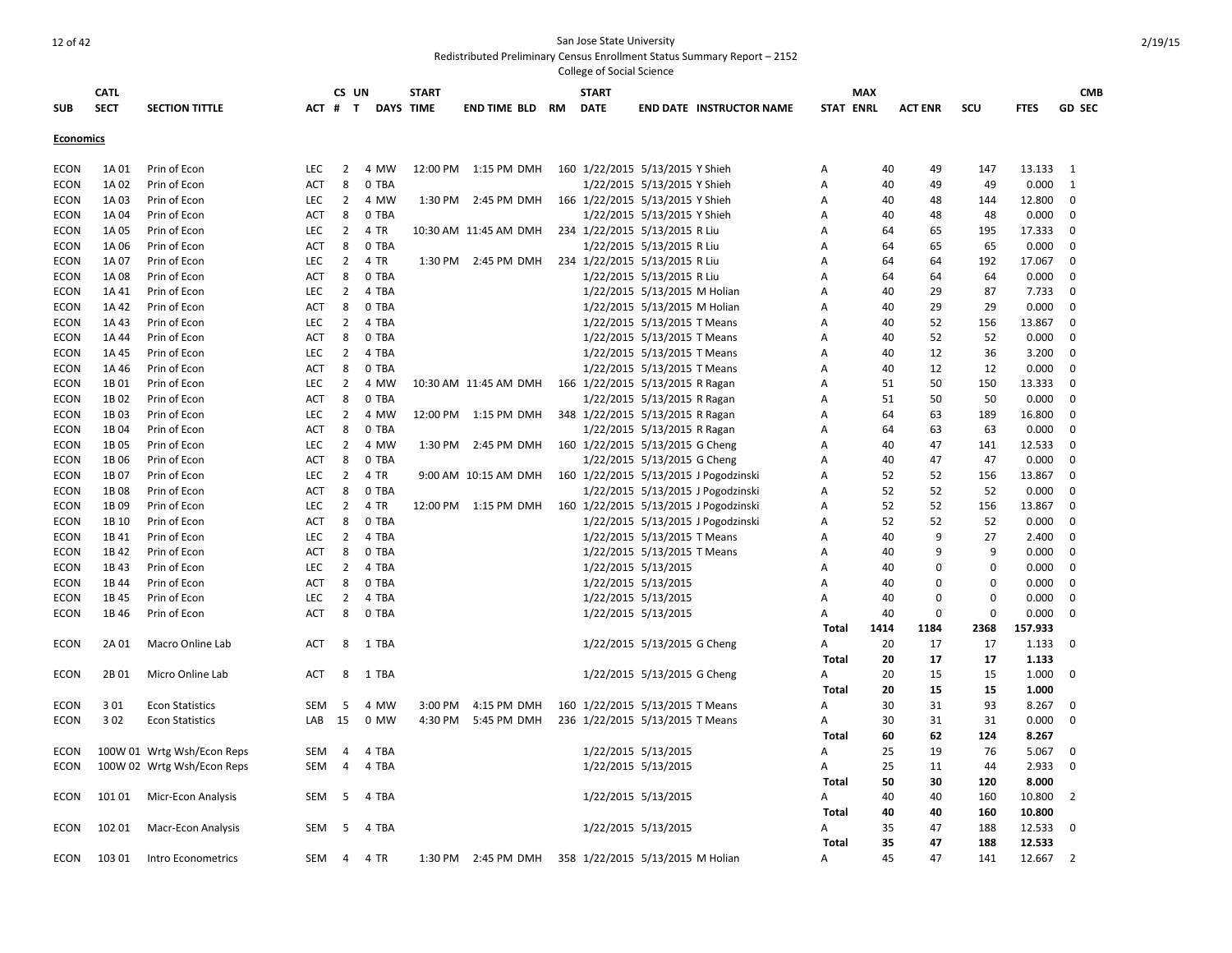|                  | <b>CATL</b> |                            |            | CS UN          |                  | <b>START</b> |                       |    | <b>START</b>                     |                              |                                       |              | MAX              |                |          |             | <b>CMB</b>     |
|------------------|-------------|----------------------------|------------|----------------|------------------|--------------|-----------------------|----|----------------------------------|------------------------------|---------------------------------------|--------------|------------------|----------------|----------|-------------|----------------|
| <b>SUB</b>       | <b>SECT</b> | <b>SECTION TITTLE</b>      | ACT #      | T              | <b>DAYS TIME</b> |              | <b>END TIME BLD</b>   | RM | <b>DATE</b>                      |                              | <b>END DATE INSTRUCTOR NAME</b>       |              | <b>STAT ENRL</b> | <b>ACT ENR</b> | SCU      | <b>FTES</b> | <b>GD SEC</b>  |
| <b>Economics</b> |             |                            |            |                |                  |              |                       |    |                                  |                              |                                       |              |                  |                |          |             |                |
| <b>ECON</b>      | 1A 01       | Prin of Econ               | <b>LEC</b> | $\overline{2}$ | 4 MW             | 12:00 PM     | 1:15 PM DMH           |    | 160 1/22/2015 5/13/2015 Y Shieh  |                              |                                       | Α            | 40               | 49             | 147      | 13.133      | 1              |
| <b>ECON</b>      | 1A 02       | Prin of Econ               | <b>ACT</b> | 8              | 0 TBA            |              |                       |    |                                  | 1/22/2015 5/13/2015 Y Shieh  |                                       | Α            | 40               | 49             | 49       | 0.000       | 1              |
| <b>ECON</b>      | 1A03        | Prin of Econ               | LEC        | $\overline{2}$ | 4 MW             | 1:30 PM      | 2:45 PM DMH           |    | 166 1/22/2015 5/13/2015 Y Shieh  |                              |                                       | Α            | 40               | 48             | 144      | 12.800      | $\mathbf 0$    |
| <b>ECON</b>      | 1A 04       | Prin of Econ               | <b>ACT</b> | 8              | 0 TBA            |              |                       |    |                                  | 1/22/2015 5/13/2015 Y Shieh  |                                       | Α            | 40               | 48             | 48       | 0.000       | $\mathbf 0$    |
| <b>ECON</b>      | 1A05        | Prin of Econ               | LEC        | $\overline{2}$ | 4 TR             |              | 10:30 AM 11:45 AM DMH |    | 234 1/22/2015 5/13/2015 R Liu    |                              |                                       | Α            | 64               | 65             | 195      | 17.333      | $\mathbf 0$    |
| <b>ECON</b>      | 1A06        | Prin of Econ               | <b>ACT</b> | 8              | 0 TBA            |              |                       |    |                                  | 1/22/2015 5/13/2015 R Liu    |                                       | Α            | 64               | 65             | 65       | 0.000       | $\Omega$       |
| ECON             | 1A 07       | Prin of Econ               | <b>LEC</b> | $\overline{2}$ | 4 TR             |              | 1:30 PM 2:45 PM DMH   |    | 234 1/22/2015 5/13/2015 R Liu    |                              |                                       | A            | 64               | 64             | 192      | 17.067      | 0              |
| ECON             | 1A08        | Prin of Econ               | ACT        | 8              | 0 TBA            |              |                       |    |                                  | 1/22/2015 5/13/2015 R Liu    |                                       | Α            | 64               | 64             | 64       | 0.000       | 0              |
| <b>ECON</b>      | 1A41        | Prin of Econ               | <b>LEC</b> | $\overline{2}$ | 4 TBA            |              |                       |    |                                  | 1/22/2015 5/13/2015 M Holian |                                       | A            | 40               | 29             | 87       | 7.733       | 0              |
| <b>ECON</b>      | 1A 42       | Prin of Econ               | <b>ACT</b> | 8              | 0 TBA            |              |                       |    |                                  | 1/22/2015 5/13/2015 M Holian |                                       | Α            | 40               | 29             | 29       | 0.000       | $\mathbf 0$    |
| ECON             | 1A 43       | Prin of Econ               | <b>LEC</b> | $\overline{2}$ | 4 TBA            |              |                       |    |                                  | 1/22/2015 5/13/2015 T Means  |                                       | Α            | 40               | 52             | 156      | 13.867      | 0              |
| ECON             | 1A 44       | Prin of Econ               | ACT        | 8              | 0 TBA            |              |                       |    |                                  | 1/22/2015 5/13/2015 T Means  |                                       | A            | 40               | 52             | 52       | 0.000       | 0              |
| ECON             | 1A 45       | Prin of Econ               | <b>LEC</b> | $\overline{2}$ | 4 TBA            |              |                       |    |                                  | 1/22/2015 5/13/2015 T Means  |                                       | A            | 40               | 12             | 36       | 3.200       | 0              |
| <b>ECON</b>      | 1A 46       | Prin of Econ               | <b>ACT</b> | 8              | 0 TBA            |              |                       |    |                                  | 1/22/2015 5/13/2015 T Means  |                                       | Α            | 40               | 12             | 12       | 0.000       | $\mathbf 0$    |
| <b>ECON</b>      | 1B01        | Prin of Econ               | LEC        | $\overline{2}$ | 4 MW             |              | 10:30 AM 11:45 AM DMH |    | 166 1/22/2015 5/13/2015 R Ragan  |                              |                                       | Α            | 51               | 50             | 150      | 13.333      | $\mathbf 0$    |
| <b>ECON</b>      | 1B02        | Prin of Econ               | <b>ACT</b> | 8              | 0 TBA            |              |                       |    |                                  | 1/22/2015 5/13/2015 R Ragan  |                                       | Α            | 51               | 50             | 50       | 0.000       | 0              |
| <b>ECON</b>      | 1B03        | Prin of Econ               | <b>LEC</b> | $\overline{2}$ | 4 MW             | 12:00 PM     | 1:15 PM DMH           |    | 348 1/22/2015 5/13/2015 R Ragan  |                              |                                       | Α            | 64               | 63             | 189      | 16.800      | $\mathbf 0$    |
| <b>ECON</b>      | 1B04        | Prin of Econ               | <b>ACT</b> | 8              | 0 TBA            |              |                       |    |                                  | 1/22/2015 5/13/2015 R Ragan  |                                       | Α            | 64               | 63             | 63       | 0.000       | $\mathbf 0$    |
| <b>ECON</b>      | 1B05        | Prin of Econ               | <b>LEC</b> | $\overline{2}$ | 4 MW             | 1:30 PM      | 2:45 PM DMH           |    | 160 1/22/2015 5/13/2015 G Cheng  |                              |                                       | Α            | 40               | 47             | 141      | 12.533      | 0              |
| <b>ECON</b>      | 1B06        | Prin of Econ               | <b>ACT</b> | 8              | 0 TBA            |              |                       |    |                                  | 1/22/2015 5/13/2015 G Cheng  |                                       | Α            | 40               | 47             | 47       | 0.000       | 0              |
| <b>ECON</b>      | 1B07        | Prin of Econ               | LEC        | $\overline{2}$ | 4 TR             |              | 9:00 AM 10:15 AM DMH  |    |                                  |                              | 160 1/22/2015 5/13/2015 J Pogodzinski | Α            | 52               | 52             | 156      | 13.867      | 0              |
| <b>ECON</b>      | 1B08        | Prin of Econ               | ACT        | 8              | 0 TBA            |              |                       |    |                                  |                              | 1/22/2015 5/13/2015 J Pogodzinski     | Α            | 52               | 52             | 52       | 0.000       | 0              |
| <b>ECON</b>      | 1B09        | Prin of Econ               | <b>LEC</b> | $\overline{2}$ | 4 TR             |              | 12:00 PM 1:15 PM DMH  |    |                                  |                              | 160 1/22/2015 5/13/2015 J Pogodzinski | Α            | 52               | 52             | 156      | 13.867      | 0              |
| ECON             | 1B 10       | Prin of Econ               | <b>ACT</b> | 8              | 0 TBA            |              |                       |    |                                  |                              | 1/22/2015 5/13/2015 J Pogodzinski     | A            | 52               | 52             | 52       | 0.000       | 0              |
| ECON             | 1B41        | Prin of Econ               | <b>LEC</b> | $\overline{2}$ | 4 TBA            |              |                       |    |                                  | 1/22/2015 5/13/2015 T Means  |                                       | A            | 40               | 9              | 27       | 2.400       | $\mathbf 0$    |
| ECON             | 1B42        | Prin of Econ               | <b>ACT</b> | 8              | 0 TBA            |              |                       |    |                                  | 1/22/2015 5/13/2015 T Means  |                                       | Α            | 40               | 9              | 9        | 0.000       | $\mathbf 0$    |
| <b>ECON</b>      | 1B43        | Prin of Econ               | LEC        | $\overline{2}$ | 4 TBA            |              |                       |    |                                  | 1/22/2015 5/13/2015          |                                       | Α            | 40               | $\Omega$       | 0        | 0.000       | 0              |
| ECON             | 1B44        | Prin of Econ               | ACT        | 8              | 0 TBA            |              |                       |    |                                  | 1/22/2015 5/13/2015          |                                       | A            | 40               | 0              | $\Omega$ | 0.000       | 0              |
| <b>ECON</b>      | 1B 45       | Prin of Econ               | <b>LEC</b> | $\overline{2}$ | 4 TBA            |              |                       |    |                                  | 1/22/2015 5/13/2015          |                                       | A            | 40               | $\Omega$       | $\Omega$ | 0.000       | 0              |
| <b>ECON</b>      | 1B46        | Prin of Econ               | <b>ACT</b> | 8              | 0 TBA            |              |                       |    |                                  | 1/22/2015 5/13/2015          |                                       | A            | 40               | $\mathbf 0$    | $\Omega$ | 0.000       | $\mathbf 0$    |
|                  |             |                            |            |                |                  |              |                       |    |                                  |                              |                                       | Total        | 1414             | 1184           | 2368     | 157.933     |                |
| <b>ECON</b>      | 2A 01       | Macro Online Lab           | <b>ACT</b> | 8              | 1 TBA            |              |                       |    |                                  | 1/22/2015 5/13/2015 G Cheng  |                                       | А            | 20               | 17             | 17       | 1.133       | 0              |
|                  |             |                            |            |                |                  |              |                       |    |                                  |                              |                                       | <b>Total</b> | 20               | 17             | 17       | 1.133       |                |
| <b>ECON</b>      | 2B01        | Micro Online Lab           | <b>ACT</b> | 8              | 1 TBA            |              |                       |    |                                  | 1/22/2015 5/13/2015 G Cheng  |                                       | Α            | 20               | 15             | 15       | 1.000       | 0              |
|                  |             |                            |            |                |                  |              |                       |    |                                  |                              |                                       | <b>Total</b> | 20               | 15             | 15       | 1.000       |                |
| <b>ECON</b>      | 3 0 1       | <b>Econ Statistics</b>     | SEM        | 5              | 4 MW             | 3:00 PM      | 4:15 PM DMH           |    | 160 1/22/2015 5/13/2015 T Means  |                              |                                       | А            | 30               | 31             | 93       | 8.267       | 0              |
| ECON             | 302         | <b>Econ Statistics</b>     | LAB        | 15             | 0 MW             | 4:30 PM      | 5:45 PM DMH           |    | 236 1/22/2015 5/13/2015 T Means  |                              |                                       | Α            | 30               | 31             | 31       | 0.000       | $\mathbf 0$    |
|                  |             |                            |            |                |                  |              |                       |    |                                  |                              |                                       | Total        | 60               | 62             | 124      | 8.267       |                |
| <b>ECON</b>      |             | 100W 01 Wrtg Wsh/Econ Reps | <b>SEM</b> | 4              | 4 TBA            |              |                       |    |                                  | 1/22/2015 5/13/2015          |                                       | A            | 25               | 19             | 76       | 5.067       | 0              |
| ECON             |             | 100W 02 Wrtg Wsh/Econ Reps | SEM        | $\overline{4}$ | 4 TBA            |              |                       |    |                                  | 1/22/2015 5/13/2015          |                                       | A            | 25               | 11             | 44       | 2.933       | $\mathbf 0$    |
|                  |             |                            |            |                |                  |              |                       |    |                                  |                              |                                       | Total        | 50               | 30             | 120      | 8.000       |                |
| ECON             | 101 01      | Micr-Econ Analysis         | <b>SEM</b> | -5             | 4 TBA            |              |                       |    |                                  | 1/22/2015 5/13/2015          |                                       | A            | 40               | 40             | 160      | 10.800      | 2              |
|                  |             |                            |            |                |                  |              |                       |    |                                  |                              |                                       | Total        | 40               | 40             | 160      | 10.800      |                |
| <b>ECON</b>      | 102 01      | Macr-Econ Analysis         | SEM        | - 5            | 4 TBA            |              |                       |    |                                  | 1/22/2015 5/13/2015          |                                       | A            | 35               | 47             | 188      | 12.533      | $\Omega$       |
|                  |             |                            |            |                |                  |              |                       |    |                                  |                              |                                       | Total        | 35               | 47             | 188      | 12.533      |                |
| ECON             | 103 01      | Intro Econometrics         | SEM        | $\overline{4}$ | 4 TR             | 1:30 PM      | 2:45 PM DMH           |    | 358 1/22/2015 5/13/2015 M Holian |                              |                                       | A            | 45               | 47             | 141      | 12.667      | $\overline{2}$ |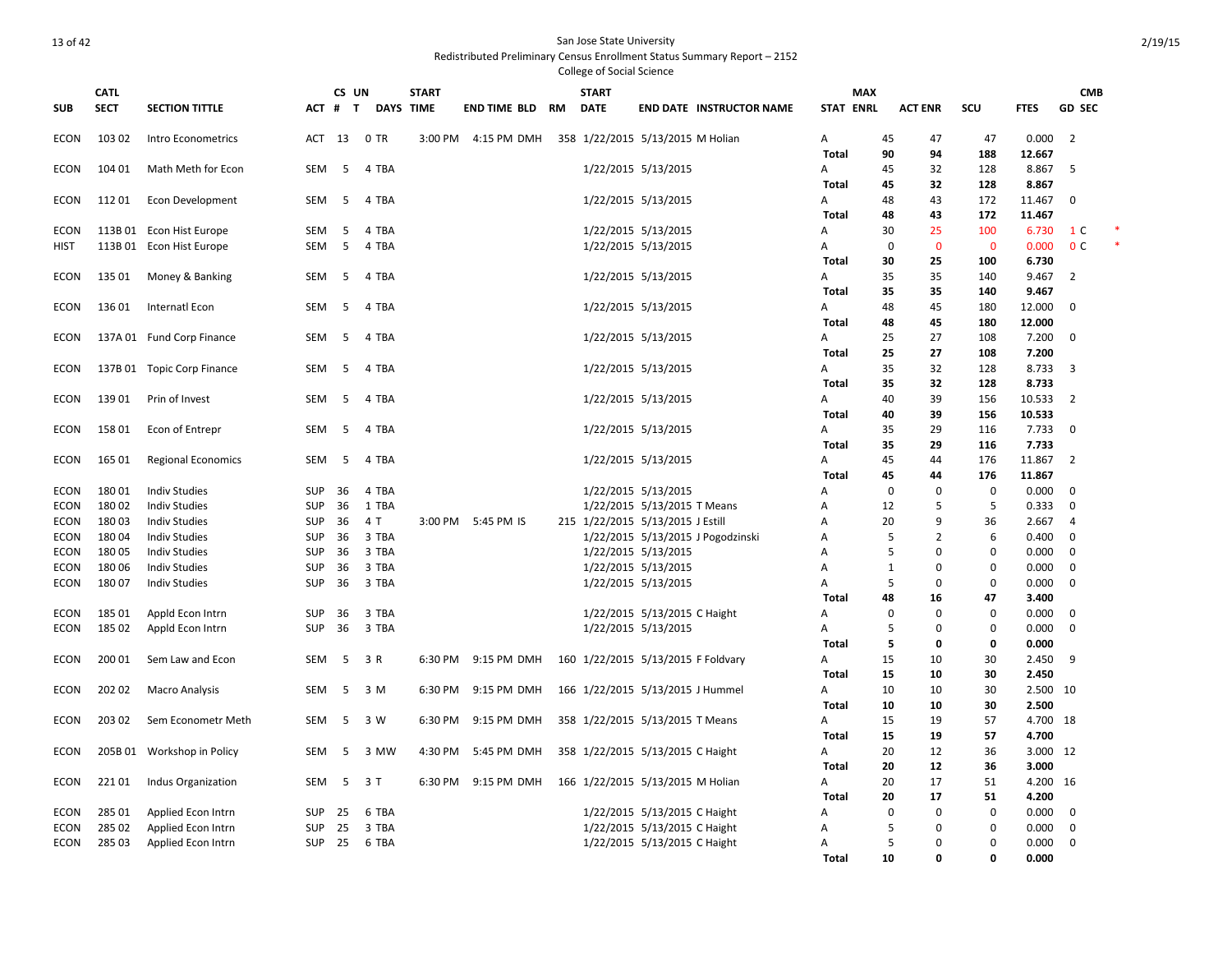|             |             |                            |            |                   |                  |              |                     |    | College of Social Science          |                              |                                   |                  |              |                |              |             |                |        |
|-------------|-------------|----------------------------|------------|-------------------|------------------|--------------|---------------------|----|------------------------------------|------------------------------|-----------------------------------|------------------|--------------|----------------|--------------|-------------|----------------|--------|
|             | <b>CATL</b> |                            |            | CS UN             |                  | <b>START</b> |                     |    | <b>START</b>                       |                              |                                   |                  | <b>MAX</b>   |                |              |             | <b>CMB</b>     |        |
| <b>SUB</b>  | <b>SECT</b> | <b>SECTION TITTLE</b>      | ACT        | $\mathbf{T}$<br># | <b>DAYS TIME</b> |              | <b>END TIME BLD</b> | RM | <b>DATE</b>                        |                              | <b>END DATE INSTRUCTOR NAME</b>   | <b>STAT ENRL</b> |              | <b>ACT ENR</b> | <b>SCU</b>   | <b>FTES</b> | <b>GD SEC</b>  |        |
| ECON        | 103 02      | Intro Econometrics         | ACT        | 13                | 0 TR             | 3:00 PM      | 4:15 PM DMH         |    | 358 1/22/2015 5/13/2015 M Holian   |                              |                                   | А                | 45           | 47             | 47           | 0.000       | $\overline{2}$ |        |
|             |             |                            |            |                   |                  |              |                     |    |                                    |                              |                                   | <b>Total</b>     | 90           | 94             | 188          | 12.667      |                |        |
| ECON        | 104 01      | Math Meth for Econ         | SEM        | 5                 | 4 TBA            |              |                     |    |                                    | 1/22/2015 5/13/2015          |                                   | А                | 45           | 32             | 128          | 8.867       | 5              |        |
|             |             |                            |            |                   |                  |              |                     |    |                                    |                              |                                   | Total            | 45           | 32             | 128          | 8.867       |                |        |
| <b>ECON</b> | 11201       | <b>Econ Development</b>    | SEM        | 5                 | 4 TBA            |              |                     |    |                                    | 1/22/2015 5/13/2015          |                                   | А                | 48           | 43             | 172          | 11.467      | $\mathbf 0$    |        |
|             |             |                            |            |                   |                  |              |                     |    |                                    |                              |                                   | Total            | 48           | 43             | 172          | 11.467      |                |        |
| ECON        |             | 113B 01 Econ Hist Europe   | SEM        | 5                 | 4 TBA            |              |                     |    |                                    | 1/22/2015 5/13/2015          |                                   | А                | 30           | 25             | 100          | 6.730       | 1 C            |        |
| <b>HIST</b> |             | 113B 01 Econ Hist Europe   | SEM        | 5                 | 4 TBA            |              |                     |    |                                    | 1/22/2015 5/13/2015          |                                   | Α                | $\mathbf 0$  | $\mathbf 0$    | $\mathbf{0}$ | 0.000       | 0 <sup>c</sup> | $\ast$ |
|             |             |                            |            |                   |                  |              |                     |    |                                    |                              |                                   | Total            | 30           | 25             | 100          | 6.730       |                |        |
| ECON        | 135 01      | Money & Banking            | SEM        | 5                 | 4 TBA            |              |                     |    |                                    | 1/22/2015 5/13/2015          |                                   | А                | 35           | 35             | 140          | 9.467       | $\overline{2}$ |        |
|             |             |                            |            |                   |                  |              |                     |    |                                    |                              |                                   | Total            | 35           | 35             | 140          | 9.467       |                |        |
| ECON        | 13601       | Internatl Econ             | SEM        | 5                 | 4 TBA            |              |                     |    |                                    | 1/22/2015 5/13/2015          |                                   | Α                | 48           | 45             | 180          | 12.000      | $\mathbf 0$    |        |
|             |             |                            |            |                   |                  |              |                     |    |                                    |                              |                                   | <b>Total</b>     | 48           | 45             | 180          | 12.000      |                |        |
| <b>ECON</b> |             | 137A 01 Fund Corp Finance  | SEM        | 5                 | 4 TBA            |              |                     |    |                                    | 1/22/2015 5/13/2015          |                                   | А                | 25           | 27             | 108          | 7.200       | $\mathbf 0$    |        |
|             |             |                            |            |                   |                  |              |                     |    |                                    |                              |                                   | Total            | 25           | 27             | 108          | 7.200       |                |        |
| <b>ECON</b> |             | 137B 01 Topic Corp Finance | SEM        | -5                | 4 TBA            |              |                     |    |                                    | 1/22/2015 5/13/2015          |                                   | Α                | 35           | 32             | 128          | 8.733       | 3              |        |
|             |             |                            |            |                   |                  |              |                     |    |                                    |                              |                                   | <b>Total</b>     | 35           | 32             | 128          | 8.733       |                |        |
| ECON        | 13901       | Prin of Invest             | SEM        | 5                 | 4 TBA            |              |                     |    |                                    | 1/22/2015 5/13/2015          |                                   | А                | 40           | 39             | 156          | 10.533      | $\overline{2}$ |        |
|             |             |                            |            |                   |                  |              |                     |    |                                    |                              |                                   | Total            | 40           | 39             | 156          | 10.533      |                |        |
| <b>ECON</b> | 15801       | Econ of Entrepr            | SEM        | 5                 | 4 TBA            |              |                     |    |                                    | 1/22/2015 5/13/2015          |                                   | Α                | 35           | 29             | 116          | 7.733       | $\mathbf 0$    |        |
|             |             |                            |            |                   |                  |              |                     |    |                                    |                              |                                   | Total            | 35           | 29             | 116          | 7.733       |                |        |
| ECON        | 165 01      | <b>Regional Economics</b>  | SEM        | 5                 | 4 TBA            |              |                     |    |                                    | 1/22/2015 5/13/2015          |                                   | А                | 45           | 44             | 176          | 11.867      | $\overline{2}$ |        |
|             |             |                            |            |                   |                  |              |                     |    |                                    |                              |                                   | <b>Total</b>     | 45           | 44             | 176          | 11.867      |                |        |
| <b>ECON</b> | 18001       | <b>Indiv Studies</b>       | SUP        | 36                | 4 TBA            |              |                     |    |                                    | 1/22/2015 5/13/2015          |                                   | Α                | $\mathbf 0$  | $\Omega$       | $\Omega$     | 0.000       | $\Omega$       |        |
| ECON        | 18002       | <b>Indiv Studies</b>       | <b>SUP</b> | 36                | 1 TBA            |              |                     |    |                                    | 1/22/2015 5/13/2015 T Means  |                                   | Α                | 12           | 5              | 5            | 0.333       | 0              |        |
| ECON        | 18003       | <b>Indiv Studies</b>       | <b>SUP</b> | 36                | 4 T              | 3:00 PM      | 5:45 PM IS          |    | 215 1/22/2015 5/13/2015 J Estill   |                              |                                   | A                | 20           | 9              | 36           | 2.667       | $\overline{4}$ |        |
| ECON        | 18004       | <b>Indiv Studies</b>       | SUP        | 36                | 3 TBA            |              |                     |    |                                    |                              | 1/22/2015 5/13/2015 J Pogodzinski | Α                | 5            | $\overline{2}$ | 6            | 0.400       | $\mathbf 0$    |        |
| <b>ECON</b> | 18005       | <b>Indiv Studies</b>       | SUP        | 36                | 3 TBA            |              |                     |    |                                    | 1/22/2015 5/13/2015          |                                   | Α                | 5            | $\mathbf 0$    | $\Omega$     | 0.000       | 0              |        |
| ECON        | 18006       | <b>Indiv Studies</b>       | <b>SUP</b> | 36                | 3 TBA            |              |                     |    |                                    | 1/22/2015 5/13/2015          |                                   | Α                | $\mathbf{1}$ | $\Omega$       | 0            | 0.000       | 0              |        |
| ECON        | 18007       | <b>Indiv Studies</b>       | SUP        | 36                | 3 TBA            |              |                     |    |                                    | 1/22/2015 5/13/2015          |                                   | Α                | 5            | $\Omega$       | $\mathbf 0$  | 0.000       | $\mathbf 0$    |        |
|             |             |                            |            |                   |                  |              |                     |    |                                    |                              |                                   | Total            | 48           | 16             | 47           | 3.400       |                |        |
| <b>ECON</b> | 185 01      | Appld Econ Intrn           | <b>SUP</b> | 36                | 3 TBA            |              |                     |    |                                    | 1/22/2015 5/13/2015 C Haight |                                   | А                | $\mathbf 0$  | $\Omega$       | $\Omega$     | 0.000       | $\mathbf 0$    |        |
| ECON        | 185 02      | Appld Econ Intrn           | <b>SUP</b> | 36                | 3 TBA            |              |                     |    |                                    | 1/22/2015 5/13/2015          |                                   | Α                | 5            | $\Omega$       | $\mathbf 0$  | 0.000       | $\mathbf 0$    |        |
|             |             |                            |            |                   |                  |              |                     |    |                                    |                              |                                   | Total            | 5            | 0              | 0            | 0.000       |                |        |
| <b>ECON</b> | 200 01      | Sem Law and Econ           | SEM        | 5                 | 3 R              | 6:30 PM      | 9:15 PM DMH         |    | 160 1/22/2015 5/13/2015 F Foldvary |                              |                                   | Α                | 15           | 10             | 30           | 2.450       | 9              |        |
|             |             |                            |            |                   |                  |              |                     |    |                                    |                              |                                   | <b>Total</b>     | 15           | 10             | 30           | 2.450       |                |        |
| ECON        | 202 02      | Macro Analysis             | SEM        | 5                 | 3 M              | 6:30 PM      | 9:15 PM DMH         |    | 166 1/22/2015 5/13/2015 J Hummel   |                              |                                   | Α                | 10           | 10             | 30           | 2.500 10    |                |        |
|             |             |                            |            |                   |                  |              |                     |    |                                    |                              |                                   | <b>Total</b>     | 10           | 10             | 30           | 2.500       |                |        |
| <b>ECON</b> | 203 02      | Sem Econometr Meth         | SEM        | - 5               | 3 W              | 6:30 PM      | 9:15 PM DMH         |    | 358 1/22/2015 5/13/2015 T Means    |                              |                                   | А                | 15           | 19             | 57           | 4.700 18    |                |        |
|             |             |                            |            |                   |                  |              |                     |    |                                    |                              |                                   | Total            | 15           | 19             | 57           | 4.700       |                |        |
| <b>ECON</b> |             | 205B 01 Workshop in Policy | SEM        | 5                 | 3 MW             | 4:30 PM      | 5:45 PM DMH         |    | 358 1/22/2015 5/13/2015 C Haight   |                              |                                   | А                | 20           | 12             | 36           | 3.000 12    |                |        |
|             |             |                            |            |                   |                  |              |                     |    |                                    |                              |                                   | <b>Total</b>     | 20           | 12             | 36           | 3.000       |                |        |
| ECON        | 22101       | Indus Organization         | SEM        | -5                | 3 T              | 6:30 PM      | 9:15 PM DMH         |    | 166 1/22/2015 5/13/2015 M Holian   |                              |                                   | А                | 20           | 17             | 51           | 4.200 16    |                |        |
|             |             |                            |            |                   |                  |              |                     |    |                                    |                              |                                   | Total            | 20           | 17             | 51           | 4.200       |                |        |
| <b>ECON</b> | 285 01      | Applied Econ Intrn         | SUP        | 25                | 6 TBA            |              |                     |    |                                    | 1/22/2015 5/13/2015 C Haight |                                   | Α                | $\mathbf 0$  | $\Omega$       | 0            | 0.000       | $\mathbf 0$    |        |
| <b>ECON</b> | 285 02      | Applied Econ Intrn         | <b>SUP</b> | 25                | 3 TBA            |              |                     |    |                                    | 1/22/2015 5/13/2015 C Haight |                                   | A                | 5            | $\Omega$       | $\Omega$     | 0.000       | $\mathbf 0$    |        |
| ECON        | 28503       | Applied Econ Intrn         | <b>SUP</b> | 25                | 6 TBA            |              |                     |    |                                    | 1/22/2015 5/13/2015 C Haight |                                   | Α                | 5            | $\Omega$       | $\Omega$     | 0.000       | $\mathbf 0$    |        |
|             |             |                            |            |                   |                  |              |                     |    |                                    |                              |                                   | Total            | 10           | $\Omega$       | $\mathbf{0}$ | 0.000       |                |        |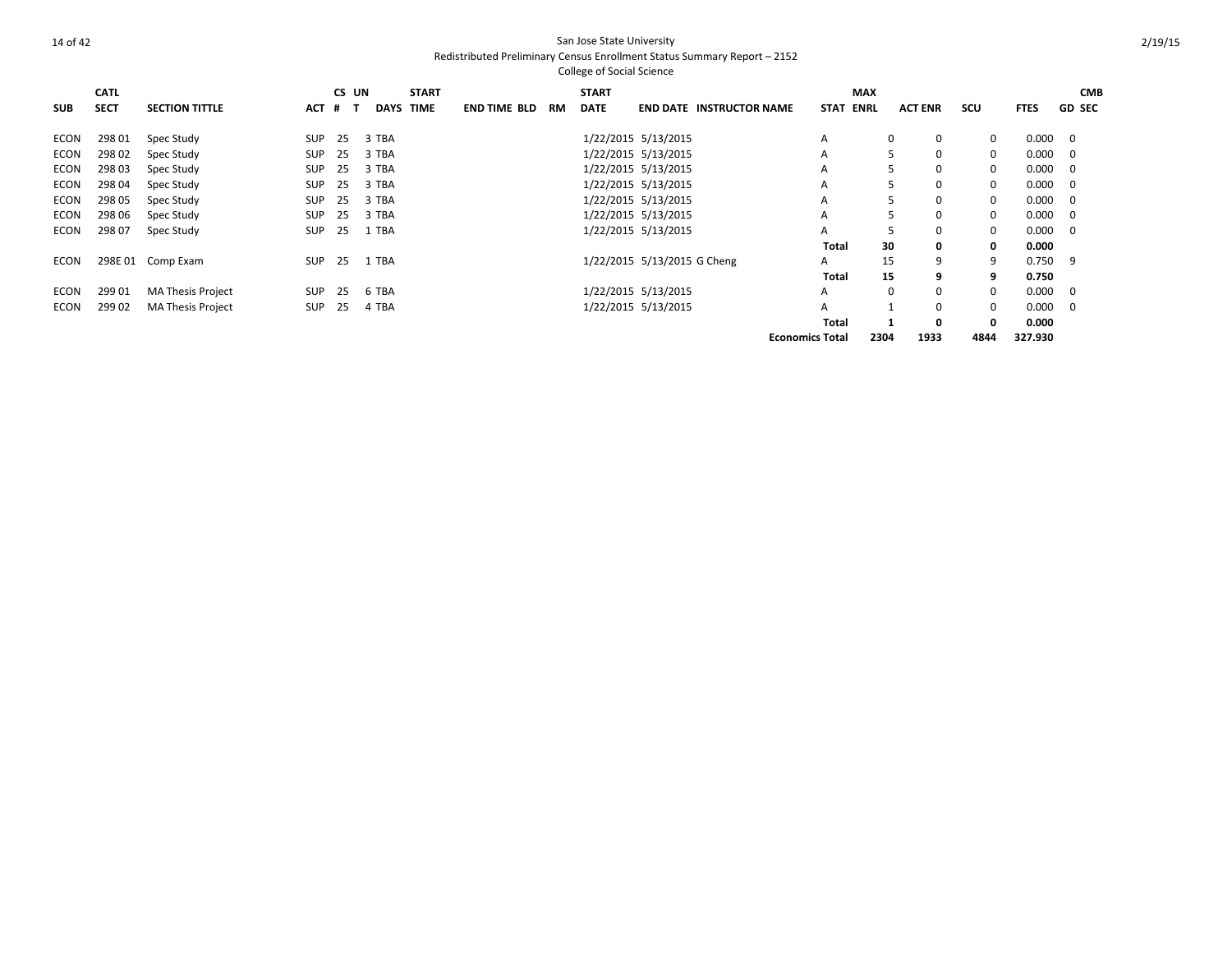|             | <b>CATL</b> |                          |            | CS UN |             | <b>START</b> |                     |    | <b>START</b> |                             |                                 |                        | <b>MAX</b>  |                |              |             | <b>CMB</b>    |
|-------------|-------------|--------------------------|------------|-------|-------------|--------------|---------------------|----|--------------|-----------------------------|---------------------------------|------------------------|-------------|----------------|--------------|-------------|---------------|
| <b>SUB</b>  | <b>SECT</b> | <b>SECTION TITTLE</b>    | <b>ACT</b> | #     | <b>DAYS</b> | <b>TIME</b>  | <b>END TIME BLD</b> | RM | <b>DATE</b>  |                             | <b>END DATE INSTRUCTOR NAME</b> | <b>STAT</b>            | <b>ENRL</b> | <b>ACT ENR</b> | <b>SCU</b>   | <b>FTES</b> | <b>GD SEC</b> |
| <b>ECON</b> | 298 01      | Spec Study               | SUP        | 25    | 3 TBA       |              |                     |    |              | 1/22/2015 5/13/2015         |                                 | A                      | 0           | 0              | $\mathbf{0}$ | 0.000       | 0             |
| <b>ECON</b> | 298 02      | Spec Study               | SUP        | 25    | 3 TBA       |              |                     |    |              | 1/22/2015 5/13/2015         |                                 | A                      | 5           | 0              | $\mathbf{0}$ | 0.000       | - 0           |
| <b>ECON</b> | 298 03      | Spec Study               | <b>SUP</b> | -25   | 3 TBA       |              |                     |    |              | 1/22/2015 5/13/2015         |                                 | A                      | 5           | 0              | $\mathbf{0}$ | 0.000       | 0             |
| <b>ECON</b> | 298 04      | Spec Study               | <b>SUP</b> | 25    | 3 TBA       |              |                     |    |              | 1/22/2015 5/13/2015         |                                 | A                      | 5           | $\Omega$       | $\mathbf{0}$ | 0.000       | 0             |
| <b>ECON</b> | 298 05      | Spec Study               | <b>SUP</b> | 25    | 3 TBA       |              |                     |    |              | 1/22/2015 5/13/2015         |                                 | A                      |             | 0              | $\mathbf{0}$ | 0.000       | - 0           |
| <b>ECON</b> | 298 06      | Spec Study               | SUP        | 25    | 3 TBA       |              |                     |    |              | 1/22/2015 5/13/2015         |                                 | A                      |             | 0              | $\mathbf{0}$ | 0.000       | 0             |
| <b>ECON</b> | 298 07      | Spec Study               | <b>SUP</b> | 25    | 1 TBA       |              |                     |    |              | 1/22/2015 5/13/2015         |                                 | A                      |             | 0              | $\mathbf{0}$ | 0.000       | 0             |
|             |             |                          |            |       |             |              |                     |    |              |                             |                                 | Total                  | 30          | 0              | 0            | 0.000       |               |
| <b>ECON</b> |             | 298E 01 Comp Exam        | SUP        | 25    | 1 TBA       |              |                     |    |              | 1/22/2015 5/13/2015 G Cheng |                                 | A                      | 15          | 9              | 9            | 0.750       | -9            |
|             |             |                          |            |       |             |              |                     |    |              |                             |                                 | Total                  | 15          | 9              | 9            | 0.750       |               |
| <b>ECON</b> | 299 01      | <b>MA Thesis Project</b> | <b>SUP</b> | 25    | 6 TBA       |              |                     |    |              | 1/22/2015 5/13/2015         |                                 | A                      | $\Omega$    | $\Omega$       | $\Omega$     | 0.000       | 0             |
| <b>ECON</b> | 299 02      | <b>MA Thesis Project</b> | <b>SUP</b> | 25    | 4 TBA       |              |                     |    |              | 1/22/2015 5/13/2015         |                                 | A                      |             | $\Omega$       | $\Omega$     | 0.000       | 0             |
|             |             |                          |            |       |             |              |                     |    |              |                             |                                 | <b>Total</b>           |             | $\mathbf{o}$   | 0            | 0.000       |               |
|             |             |                          |            |       |             |              |                     |    |              |                             |                                 | <b>Economics Total</b> | 2304        | 1933           | 4844         | 327.930     |               |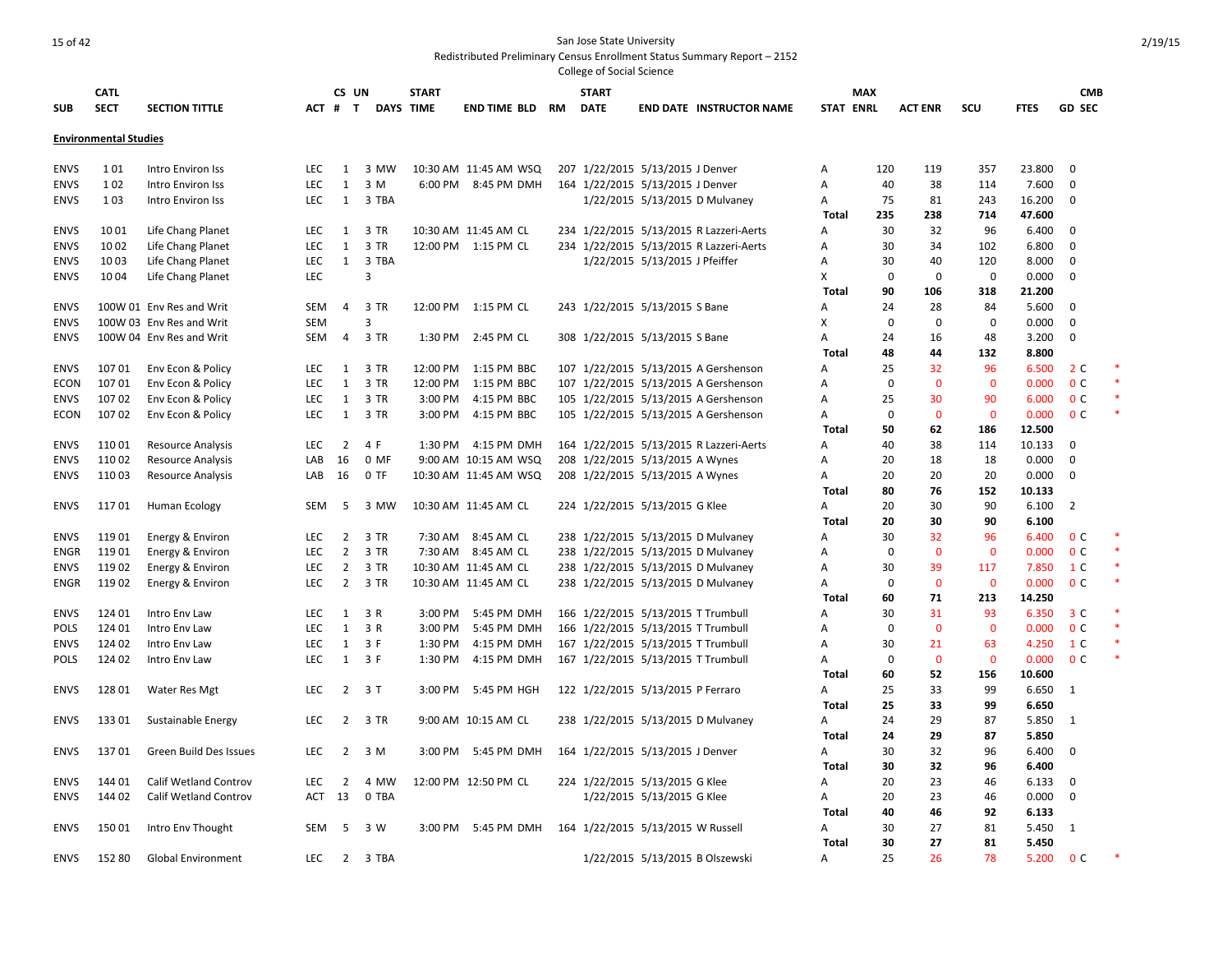|             | <b>CATL</b>                  |                           |            | CS UN          |                         | <b>START</b>     |                       |    | <b>START</b>                       |                                |                                         |                   | <b>MAX</b>  |                             |              |                | <b>CMB</b>     |        |
|-------------|------------------------------|---------------------------|------------|----------------|-------------------------|------------------|-----------------------|----|------------------------------------|--------------------------------|-----------------------------------------|-------------------|-------------|-----------------------------|--------------|----------------|----------------|--------|
| <b>SUB</b>  | <b>SECT</b>                  | <b>SECTION TITTLE</b>     |            | ACT # T        |                         | <b>DAYS TIME</b> | <b>END TIME BLD</b>   | RM | <b>DATE</b>                        |                                | <b>END DATE INSTRUCTOR NAME</b>         | <b>STAT ENRL</b>  |             | <b>ACT ENR</b>              | SCU          | <b>FTES</b>    | <b>GD SEC</b>  |        |
|             | <b>Environmental Studies</b> |                           |            |                |                         |                  |                       |    |                                    |                                |                                         |                   |             |                             |              |                |                |        |
|             |                              |                           |            |                |                         |                  |                       |    |                                    |                                |                                         |                   |             |                             |              |                |                |        |
| <b>ENVS</b> | 101                          | Intro Environ Iss         | <b>LEC</b> | 1              | 3 MW                    |                  | 10:30 AM 11:45 AM WSQ |    | 207 1/22/2015 5/13/2015 J Denver   |                                |                                         | A                 | 120         | 119                         | 357          | 23.800         | $\mathbf 0$    |        |
| <b>ENVS</b> | 102                          | Intro Environ Iss         | LEC        | $\mathbf{1}$   | 3 M                     |                  | 6:00 PM 8:45 PM DMH   |    | 164 1/22/2015 5/13/2015 J Denver   |                                |                                         | Α                 | 40          | 38                          | 114          | 7.600          | $\Omega$       |        |
| <b>ENVS</b> | 103                          | Intro Environ Iss         | LEC        | $\mathbf{1}$   | 3 TBA                   |                  |                       |    |                                    |                                | 1/22/2015 5/13/2015 D Mulvaney          | Α                 | 75          | 81                          | 243          | 16.200         | $\mathbf 0$    |        |
|             |                              |                           |            |                |                         |                  |                       |    |                                    |                                |                                         | Total             | 235         | 238                         | 714          | 47.600         |                |        |
| <b>ENVS</b> | 1001                         | Life Chang Planet         | <b>LEC</b> | 1              | 3 TR                    |                  | 10:30 AM 11:45 AM CL  |    |                                    |                                | 234 1/22/2015 5/13/2015 R Lazzeri-Aerts | А                 | 30          | 32                          | 96           | 6.400          | $\mathbf 0$    |        |
| <b>ENVS</b> | 1002                         | Life Chang Planet         | <b>LEC</b> | $\mathbf{1}$   | 3 TR                    |                  | 12:00 PM 1:15 PM CL   |    |                                    |                                | 234 1/22/2015 5/13/2015 R Lazzeri-Aerts | А                 | 30          | 34                          | 102          | 6.800          | $\mathbf 0$    |        |
| <b>ENVS</b> | 1003                         | Life Chang Planet         | LEC        | $\mathbf{1}$   | 3 TBA                   |                  |                       |    |                                    | 1/22/2015 5/13/2015 J Pfeiffer |                                         | А                 | 30          | 40                          | 120          | 8.000          | $\mathbf 0$    |        |
| <b>ENVS</b> | 1004                         | Life Chang Planet         | LEC        |                | $\overline{3}$          |                  |                       |    |                                    |                                |                                         | X                 |             | $\mathbf 0$<br>$\mathbf 0$  | $\mathbf 0$  | 0.000          | $\mathbf 0$    |        |
|             |                              |                           |            |                |                         |                  |                       |    |                                    |                                |                                         | Total             | 90          | 106                         | 318          | 21.200         |                |        |
| <b>ENVS</b> |                              | 100W 01 Env Res and Writ  | <b>SEM</b> | $\overline{4}$ | 3 TR                    |                  | 12:00 PM 1:15 PM CL   |    | 243 1/22/2015 5/13/2015 S Bane     |                                |                                         | А                 | 24          | 28                          | 84           | 5.600          | $\mathbf 0$    |        |
| <b>ENVS</b> |                              | 100W 03 Env Res and Writ  | <b>SEM</b> |                | $\overline{\mathbf{3}}$ |                  |                       |    |                                    |                                |                                         | X                 |             | $\mathbf 0$<br>$\mathbf 0$  | $\mathbf 0$  | 0.000          | $\mathbf 0$    |        |
| <b>ENVS</b> |                              | 100W 04 Env Res and Writ  | SEM        | $\overline{4}$ | 3 TR                    | 1:30 PM          | 2:45 PM CL            |    | 308 1/22/2015 5/13/2015 S Bane     |                                |                                         | А                 | 24          | 16                          | 48           | 3.200          | $\mathbf 0$    |        |
|             |                              |                           |            |                |                         |                  |                       |    |                                    |                                |                                         | Total             | 48          | 44                          | 132          | 8.800          |                |        |
| <b>ENVS</b> | 10701                        | Env Econ & Policy         | <b>LEC</b> | 1              | 3 TR                    | 12:00 PM         | 1:15 PM BBC           |    |                                    |                                | 107 1/22/2015 5/13/2015 A Gershenson    | А                 | 25          | 32                          | 96           | 6.500          | 2 C            |        |
| ECON        | 10701                        | Env Econ & Policy         | <b>LEC</b> | $\mathbf{1}$   | 3 TR                    | 12:00 PM         | 1:15 PM BBC           |    |                                    |                                | 107 1/22/2015 5/13/2015 A Gershenson    | A                 | $\mathbf 0$ | $\mathbf{0}$                | $\mathbf{0}$ | 0.000          | 0 <sup>c</sup> |        |
| <b>ENVS</b> | 10702                        | Env Econ & Policy         | <b>LEC</b> | $\mathbf{1}$   | 3 TR                    | 3:00 PM          | 4:15 PM BBC           |    |                                    |                                | 105 1/22/2015 5/13/2015 A Gershenson    | A                 | 25          | 30                          | 90           | 6.000          | 0 <sup>c</sup> |        |
| <b>ECON</b> | 10702                        | Env Econ & Policy         | <b>LEC</b> | $\mathbf{1}$   | 3 TR                    | 3:00 PM          | 4:15 PM BBC           |    |                                    |                                | 105 1/22/2015 5/13/2015 A Gershenson    | A                 |             | $\mathbf 0$<br>$\mathbf{0}$ | $\mathbf{0}$ | 0.000          | 0 <sup>c</sup> |        |
|             |                              |                           |            |                |                         |                  |                       |    |                                    |                                |                                         | Total             | 50          | 62                          | 186          | 12.500         |                |        |
| <b>ENVS</b> | 11001                        | Resource Analysis         | <b>LEC</b> | $\overline{2}$ | 4 F                     |                  | 1:30 PM 4:15 PM DMH   |    |                                    |                                | 164 1/22/2015 5/13/2015 R Lazzeri-Aerts | Α                 | 40          | 38                          | 114          | 10.133         | $\mathbf 0$    |        |
| <b>ENVS</b> | 11002                        | Resource Analysis         | LAB        | 16             | 0 MF                    |                  | 9:00 AM 10:15 AM WSQ  |    | 208 1/22/2015 5/13/2015 A Wynes    |                                |                                         | A                 | 20          | 18                          | 18           | 0.000          | $\mathbf 0$    |        |
| <b>ENVS</b> | 11003                        | <b>Resource Analysis</b>  | LAB        | 16             | $0$ TF                  |                  | 10:30 AM 11:45 AM WSQ |    | 208 1/22/2015 5/13/2015 A Wynes    |                                |                                         | A                 | 20          | 20                          | 20           | 0.000          | $\Omega$       |        |
|             |                              |                           |            |                |                         |                  |                       |    |                                    |                                |                                         | Total             | 80          | 76                          | 152          | 10.133         |                |        |
| <b>ENVS</b> | 11701                        | Human Ecology             | SEM        | 5              | 3 MW                    |                  | 10:30 AM 11:45 AM CL  |    | 224 1/22/2015 5/13/2015 G Klee     |                                |                                         | Α                 | 20          | 30                          | 90           | 6.100          | $\overline{2}$ |        |
|             |                              |                           |            |                |                         |                  |                       |    |                                    |                                |                                         | <b>Total</b>      | 20          | 30                          | 90           | 6.100          |                |        |
| <b>ENVS</b> | 11901                        | Energy & Environ          | <b>LEC</b> | $\overline{2}$ | 3 TR                    |                  | 7:30 AM 8:45 AM CL    |    |                                    |                                | 238 1/22/2015 5/13/2015 D Mulvaney      | Α                 | 30          | 32                          | 96           | 6.400          | 0 <sup>c</sup> |        |
| ENGR        | 11901                        | Energy & Environ          | <b>LEC</b> | $\overline{2}$ | 3 TR                    |                  | 7:30 AM 8:45 AM CL    |    |                                    |                                | 238 1/22/2015 5/13/2015 D Mulvaney      | А                 | 0           | 0                           | $\mathbf 0$  | 0.000          | 0 <sup>c</sup> |        |
| <b>ENVS</b> | 11902                        | Energy & Environ          | <b>LEC</b> | $\overline{2}$ | 3 TR                    |                  | 10:30 AM 11:45 AM CL  |    |                                    |                                | 238 1/22/2015 5/13/2015 D Mulvaney      | А                 | 30          | 39                          | 117          | 7.850          | 1 C            | *      |
| ENGR        | 11902                        | Energy & Environ          | <b>LEC</b> | $\overline{2}$ | 3 TR                    |                  | 10:30 AM 11:45 AM CL  |    |                                    |                                | 238 1/22/2015 5/13/2015 D Mulvaney      | А                 |             | $\mathbf 0$<br>$\bf{0}$     | $\mathbf 0$  | 0.000          | 0 <sup>C</sup> | $\ast$ |
|             |                              |                           |            |                |                         |                  |                       |    |                                    |                                |                                         | Total             | 60          | 71                          | 213          | 14.250         |                |        |
| <b>ENVS</b> | 124 01                       | Intro Env Law             | LEC        | $\mathbf{1}$   | 3 R                     | 3:00 PM          | 5:45 PM DMH           |    | 166 1/22/2015 5/13/2015 T Trumbull |                                |                                         | А                 | 30          | 31                          | 93           | 6.350          | 3 <sup>c</sup> |        |
| <b>POLS</b> | 124 01                       | Intro Env Law             | LEC        | $\mathbf{1}$   | 3 R                     | 3:00 PM          | 5:45 PM DMH           |    | 166 1/22/2015 5/13/2015 T Trumbull |                                |                                         | А                 |             | $\mathbf 0$<br>$\bf{0}$     | $\mathbf 0$  | 0.000          | 0 <sup>C</sup> |        |
| <b>ENVS</b> | 124 02                       | Intro Env Law             | LEC        | $\mathbf{1}$   | 3 F                     | 1:30 PM          | 4:15 PM DMH           |    | 167 1/22/2015 5/13/2015 T Trumbull |                                |                                         | А                 | 30          | 21                          | 63           | 4.250          | 1 C            |        |
| <b>POLS</b> | 124 02                       | Intro Env Law             | LEC        |                | $1 \quad 3 \ F$         | 1:30 PM          | 4:15 PM DMH           |    | 167 1/22/2015 5/13/2015 T Trumbull |                                |                                         | Α                 |             | $\mathbf 0$<br>$\mathbf 0$  | $\mathbf 0$  | 0.000          | 0 <sup>C</sup> |        |
|             |                              |                           |            |                |                         |                  |                       |    |                                    |                                |                                         | Total             | 60          | 52                          | 156          | 10.600         |                |        |
| <b>ENVS</b> | 128 01                       | Water Res Mgt             | <b>LEC</b> | $\overline{2}$ | 3T                      |                  | 3:00 PM 5:45 PM HGH   |    | 122 1/22/2015 5/13/2015 P Ferraro  |                                |                                         | Α                 | 25          | 33                          | 99           | 6.650          | 1              |        |
|             |                              |                           |            |                |                         |                  |                       |    |                                    |                                |                                         | <b>Total</b>      | 25          | 33                          | 99           | 6.650          |                |        |
| <b>ENVS</b> | 13301                        | Sustainable Energy        | LEC        | $\overline{2}$ | 3 TR                    |                  | 9:00 AM 10:15 AM CL   |    |                                    |                                | 238 1/22/2015 5/13/2015 D Mulvaney      | Α                 | 24          | 29                          | 87           | 5.850          | $\mathbf{1}$   |        |
|             |                              |                           |            |                |                         |                  |                       |    |                                    |                                |                                         | Total             | 24          | 29                          | 87           | 5.850          |                |        |
| <b>ENVS</b> | 13701                        | Green Build Des Issues    | <b>LEC</b> | $\overline{2}$ | 3 M                     | 3:00 PM          | 5:45 PM DMH           |    | 164 1/22/2015 5/13/2015 J Denver   |                                |                                         | Α                 | 30          | 32                          | 96           | 6.400          | 0              |        |
|             |                              |                           |            |                |                         |                  |                       |    |                                    |                                |                                         | <b>Total</b>      | 30          | 32                          | 96           | 6.400          |                |        |
| <b>ENVS</b> | 14401                        | Calif Wetland Controv     | <b>LEC</b> | $\overline{2}$ | 4 MW                    |                  | 12:00 PM 12:50 PM CL  |    | 224 1/22/2015 5/13/2015 G Klee     |                                |                                         | Α                 | 20          | 23                          | 46           | 6.133          | 0              |        |
| <b>ENVS</b> | 144 02                       | Calif Wetland Controv     | ACT        | 13             | 0 TBA                   |                  |                       |    |                                    | 1/22/2015 5/13/2015 G Klee     |                                         | Α                 | 20          | 23                          | 46           | 0.000          | $\mathbf 0$    |        |
|             |                              |                           |            |                |                         |                  |                       |    |                                    |                                |                                         | Total             | 40          | 46                          | 92           | 6.133          |                |        |
| <b>ENVS</b> | 15001                        | Intro Env Thought         | SEM        | -5             | 3 W                     |                  | 3:00 PM 5:45 PM DMH   |    | 164 1/22/2015 5/13/2015 W Russell  |                                |                                         | Α<br><b>Total</b> | 30<br>30    | 27<br>27                    | 81<br>81     | 5.450<br>5.450 | 1              |        |
| <b>ENVS</b> | 152 80                       | <b>Global Environment</b> | <b>LEC</b> | $2^{\circ}$    | 3 TBA                   |                  |                       |    |                                    |                                | 1/22/2015 5/13/2015 B Olszewski         | A                 | 25          | 26                          | 78           | 5.200          | 0 <sup>c</sup> |        |
|             |                              |                           |            |                |                         |                  |                       |    |                                    |                                |                                         |                   |             |                             |              |                |                |        |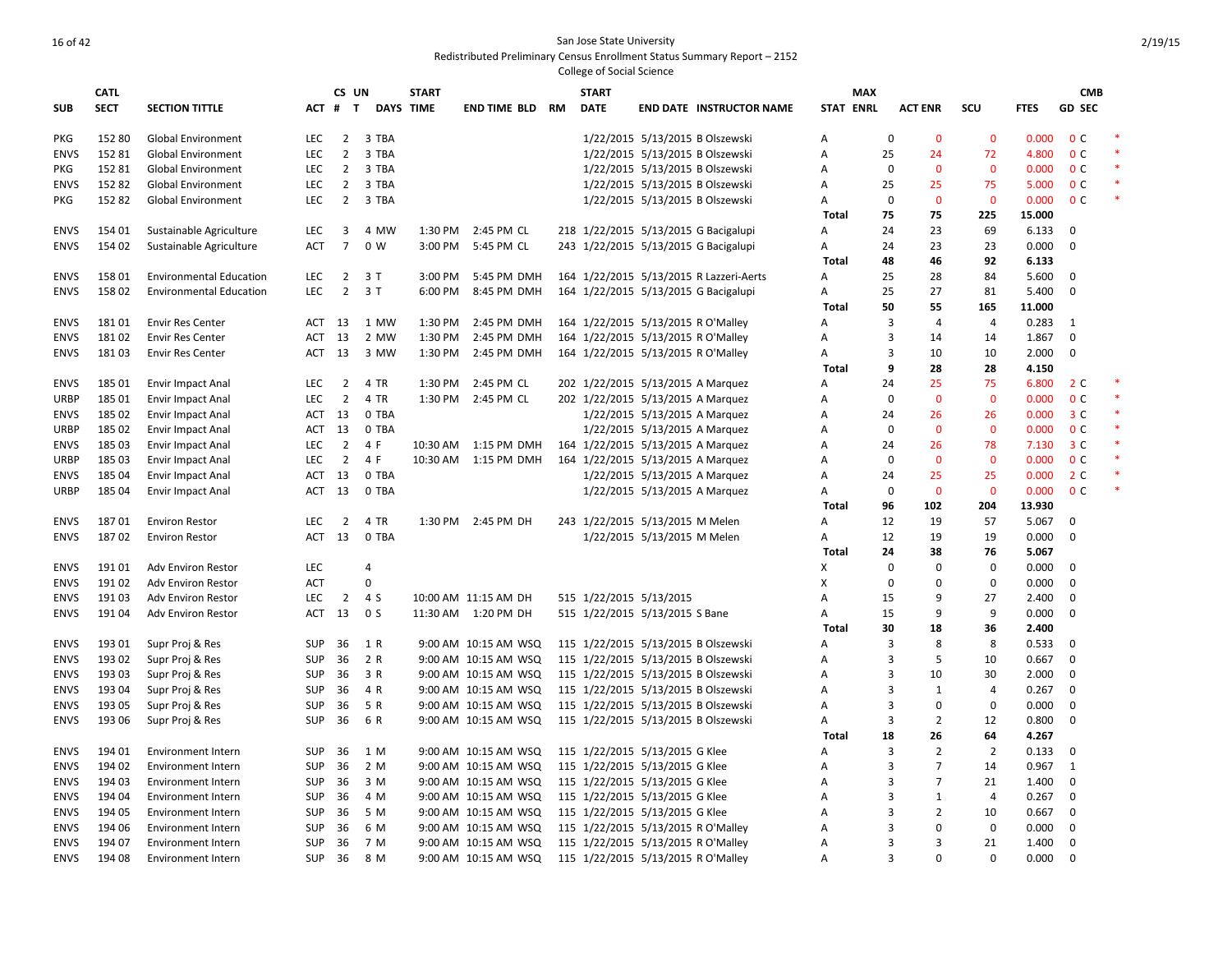|                            | <b>CATL</b>    |                                                 |            | CS UN          |                | <b>START</b> |                                              | <b>START</b>                                              |                             |                                         |                  | <b>MAX</b>     |                |                            |                | <b>CMB</b>       |        |
|----------------------------|----------------|-------------------------------------------------|------------|----------------|----------------|--------------|----------------------------------------------|-----------------------------------------------------------|-----------------------------|-----------------------------------------|------------------|----------------|----------------|----------------------------|----------------|------------------|--------|
| <b>SUB</b>                 | <b>SECT</b>    | <b>SECTION TITTLE</b>                           | ACT #      | $\mathbf{T}$   |                | DAYS TIME    | <b>END TIME BLD RM</b>                       | <b>DATE</b>                                               |                             | <b>END DATE INSTRUCTOR NAME</b>         | <b>STAT ENRL</b> |                | <b>ACT ENR</b> | scu                        | <b>FTES</b>    | <b>GD SEC</b>    |        |
| <b>PKG</b>                 | 152 80         | Global Environment                              | LEC        | $\overline{2}$ | 3 TBA          |              |                                              |                                                           |                             | 1/22/2015 5/13/2015 B Olszewski         | А                | $\mathbf 0$    | $\mathbf 0$    | $\mathbf 0$                | 0.000          | 0 <sup>C</sup>   |        |
| <b>ENVS</b>                | 152 81         | <b>Global Environment</b>                       | LEC        | $\overline{2}$ | 3 TBA          |              |                                              |                                                           |                             | 1/22/2015 5/13/2015 B Olszewski         | Α                | 25             | 24             | 72                         | 4.800          | 0 <sup>c</sup>   | $\ast$ |
| <b>PKG</b>                 | 15281          | <b>Global Environment</b>                       | LEC        | $\overline{2}$ | 3 TBA          |              |                                              |                                                           |                             | 1/22/2015 5/13/2015 B Olszewski         | Α                | 0              | $\mathbf{0}$   | $\mathbf 0$                | 0.000          | 0 <sup>C</sup>   |        |
| <b>ENVS</b>                | 15282          | <b>Global Environment</b>                       | <b>LEC</b> | $\overline{2}$ | 3 TBA          |              |                                              |                                                           |                             | 1/22/2015 5/13/2015 B Olszewski         | А                | 25             | 25             | 75                         | 5.000          | 0 <sup>c</sup>   | $\ast$ |
| <b>PKG</b>                 | 15282          | <b>Global Environment</b>                       | <b>LEC</b> | $\overline{2}$ | 3 TBA          |              |                                              |                                                           |                             | 1/22/2015 5/13/2015 B Olszewski         | Α                | $\mathbf 0$    | $\mathbf 0$    | $\mathbf{0}$               | 0.000          | 0 <sup>c</sup>   |        |
|                            |                |                                                 |            |                |                |              |                                              |                                                           |                             |                                         | <b>Total</b>     | 75             | 75             | 225                        | 15.000         |                  |        |
| <b>ENVS</b>                | 154 01         | Sustainable Agriculture                         | LEC        | 3              | 4 MW           |              | 1:30 PM 2:45 PM CL                           |                                                           |                             | 218 1/22/2015 5/13/2015 G Bacigalupi    | А                | 24             | 23             | 69                         | 6.133          | 0                |        |
| <b>ENVS</b>                | 154 02         | Sustainable Agriculture                         | <b>ACT</b> | $\overline{7}$ | 0 W            |              | 3:00 PM 5:45 PM CL                           |                                                           |                             | 243 1/22/2015 5/13/2015 G Bacigalupi    | A                | 24             | 23             | 23                         | 0.000          | $\mathbf 0$      |        |
|                            |                |                                                 |            |                |                |              |                                              |                                                           |                             |                                         | Total            | 48             | 46             | 92                         | 6.133          |                  |        |
| <b>ENVS</b>                | 158 01         | <b>Environmental Education</b>                  | <b>LEC</b> | $\overline{2}$ | 3T             | 3:00 PM      | 5:45 PM DMH                                  |                                                           |                             | 164 1/22/2015 5/13/2015 R Lazzeri-Aerts | А                | 25             | 28             | 84                         | 5.600          | $\mathbf 0$      |        |
| <b>ENVS</b>                | 158 02         | <b>Environmental Education</b>                  | LEC        | $\overline{2}$ | 3T             | 6:00 PM      | 8:45 PM DMH                                  |                                                           |                             | 164 1/22/2015 5/13/2015 G Bacigalupi    | А                | 25             | 27             | 81                         | 5.400          | $\mathbf 0$      |        |
|                            |                |                                                 |            |                |                |              |                                              |                                                           |                             |                                         | <b>Total</b>     | 50             | 55             | 165                        | 11.000         |                  |        |
| <b>ENVS</b>                | 18101          | <b>Envir Res Center</b>                         | ACT        | 13             | 1 MW           | 1:30 PM      | 2:45 PM DMH                                  | 164 1/22/2015 5/13/2015 R O'Malley                        |                             |                                         | А                | 3              | $\overline{4}$ | $\overline{4}$             | 0.283          | 1                |        |
| <b>ENVS</b>                | 18102          | <b>Envir Res Center</b>                         | <b>ACT</b> | 13             | 2 MW           | 1:30 PM      | 2:45 PM DMH                                  | 164 1/22/2015 5/13/2015 R O'Malley                        |                             |                                         | А                | $\overline{3}$ | 14             | 14                         | 1.867          | 0                |        |
| <b>ENVS</b>                | 18103          | <b>Envir Res Center</b>                         | ACT        | 13             | 3 MW           | 1:30 PM      | 2:45 PM DMH                                  | 164 1/22/2015 5/13/2015 R O'Malley                        |                             |                                         | А                | $\overline{3}$ | 10             | 10                         | 2.000          | $\mathbf 0$      |        |
|                            |                |                                                 |            |                |                |              |                                              |                                                           |                             |                                         | <b>Total</b>     | 9              | 28             | 28                         | 4.150          |                  |        |
| <b>ENVS</b>                | 185 01         | <b>Envir Impact Anal</b>                        | LEC        | $\overline{2}$ | 4 TR           | 1:30 PM      | 2:45 PM CL                                   | 202 1/22/2015 5/13/2015 A Marquez                         |                             |                                         | А                | 24             | 25             | 75                         | 6.800          | 2 <sub>c</sub>   |        |
| <b>URBP</b>                | 185 01         | <b>Envir Impact Anal</b>                        | <b>LEC</b> | $\overline{2}$ | 4 TR           |              | 1:30 PM 2:45 PM CL                           | 202 1/22/2015 5/13/2015 A Marquez                         |                             |                                         | A                | 0              | $\mathbf{0}$   | $\mathbf 0$                | 0.000          | 0 <sup>c</sup>   | $*$    |
| <b>ENVS</b>                | 185 02         | <b>Envir Impact Anal</b>                        | ACT        | 13             | 0 TBA          |              |                                              |                                                           |                             | 1/22/2015 5/13/2015 A Marquez           | A                | 24             | 26             | 26                         | 0.000          | 3 <sup>c</sup>   |        |
| <b>URBP</b>                | 185 02         | <b>Envir Impact Anal</b>                        | ACT        | 13             | 0 TBA          |              |                                              |                                                           |                             | 1/22/2015 5/13/2015 A Marquez           | A                | 0              | $\mathbf{0}$   | $\mathbf 0$                | 0.000          | 0 <sup>C</sup>   |        |
| <b>ENVS</b>                | 185 03         | <b>Envir Impact Anal</b>                        | LEC        | $\overline{2}$ | 4 F            | 10:30 AM     | 1:15 PM DMH                                  | 164 1/22/2015 5/13/2015 A Marquez                         |                             |                                         | Α                | 24             | 26             | 78                         | 7.130          | 3 <sup>c</sup>   |        |
| <b>URBP</b>                | 185 03         | <b>Envir Impact Anal</b>                        | LEC        | $\overline{2}$ | 4 F            |              | 10:30 AM  1:15 PM DMH                        | 164 1/22/2015 5/13/2015 A Marquez                         |                             |                                         | А                | $\mathbf 0$    | $\mathbf 0$    | $\mathbf 0$                | 0.000          | 0 <sup>C</sup>   | $\ast$ |
| <b>ENVS</b>                | 185 04         | <b>Envir Impact Anal</b>                        | ACT        | 13             | 0 TBA          |              |                                              |                                                           |                             | 1/22/2015 5/13/2015 A Marquez           | А                | 24             | 25             | 25                         | 0.000          | 2 C              | $\ast$ |
| <b>URBP</b>                | 185 04         | <b>Envir Impact Anal</b>                        | ACT        | 13             | 0 TBA          |              |                                              |                                                           |                             | 1/22/2015 5/13/2015 A Marquez           | А                | 0              | $\mathbf{0}$   | $\mathbf{0}$               | 0.000          | 0 <sup>c</sup>   |        |
|                            |                |                                                 |            |                |                |              |                                              |                                                           |                             |                                         | Total            | 96             | 102            | 204                        | 13.930         |                  |        |
| <b>ENVS</b>                | 18701          | <b>Environ Restor</b>                           | LEC        | $\overline{2}$ | 4 TR           |              | 1:30 PM 2:45 PM DH                           | 243 1/22/2015 5/13/2015 M Melen                           |                             |                                         | A                | 12             | 19             | 57                         | 5.067          | $\mathbf 0$      |        |
| <b>ENVS</b>                | 18702          | <b>Environ Restor</b>                           | ACT        | 13             | 0 TBA          |              |                                              |                                                           | 1/22/2015 5/13/2015 M Melen |                                         | Α                | 12             | 19             | 19                         | 0.000          | $\mathbf 0$      |        |
|                            |                |                                                 |            |                |                |              |                                              |                                                           |                             |                                         | Total            | 24<br>$\Omega$ | 38<br>$\Omega$ | 76                         | 5.067          |                  |        |
| <b>ENVS</b><br><b>ENVS</b> | 19101<br>19102 | Adv Environ Restor                              | LEC<br>ACT |                | 4<br>$\Omega$  |              |                                              |                                                           |                             |                                         | X<br>x           | 0              | 0              | $\mathbf 0$<br>$\mathbf 0$ | 0.000<br>0.000 | $\mathbf 0$<br>0 |        |
| <b>ENVS</b>                | 19103          | <b>Adv Environ Restor</b>                       | LEC        | $\overline{2}$ | 4 S            |              |                                              |                                                           |                             |                                         |                  | 15             | 9              | 27                         | 2.400          | $\mathbf 0$      |        |
| <b>ENVS</b>                | 19104          | <b>Adv Environ Restor</b><br>Adv Environ Restor | ACT        | 13             | 0 <sub>S</sub> |              | 10:00 AM 11:15 AM DH<br>11:30 AM  1:20 PM DH | 515 1/22/2015 5/13/2015<br>515 1/22/2015 5/13/2015 S Bane |                             |                                         | А<br>Α           | 15             | 9              | 9                          | 0.000          | $\mathbf 0$      |        |
|                            |                |                                                 |            |                |                |              |                                              |                                                           |                             |                                         | <b>Total</b>     | 30             | 18             | 36                         | 2.400          |                  |        |
| <b>ENVS</b>                | 19301          | Supr Proj & Res                                 | <b>SUP</b> | 36             | 1 R            |              | 9:00 AM 10:15 AM WSQ                         |                                                           |                             | 115 1/22/2015 5/13/2015 B Olszewski     | A                | 3              | 8              | 8                          | 0.533          | $\mathbf 0$      |        |
| <b>ENVS</b>                | 193 02         | Supr Proj & Res                                 | <b>SUP</b> | 36             | 2 R            |              | 9:00 AM 10:15 AM WSQ                         |                                                           |                             | 115 1/22/2015 5/13/2015 B Olszewski     | A                | 3              | 5              | 10                         | 0.667          | $\mathbf 0$      |        |
| <b>ENVS</b>                | 193 03         | Supr Proj & Res                                 | <b>SUP</b> | 36             | 3 R            |              | 9:00 AM 10:15 AM WSQ                         |                                                           |                             | 115 1/22/2015 5/13/2015 B Olszewski     | А                | $\overline{3}$ | 10             | 30                         | 2.000          | 0                |        |
| <b>ENVS</b>                | 193 04         | Supr Proj & Res                                 | SUP        | 36             | 4 R            |              | 9:00 AM 10:15 AM WSQ                         |                                                           |                             | 115 1/22/2015 5/13/2015 B Olszewski     | Α                | 3              | $\mathbf{1}$   | $\overline{4}$             | 0.267          | $\mathbf 0$      |        |
| <b>ENVS</b>                | 193 05         | Supr Proj & Res                                 | <b>SUP</b> | 36             | 5 R            |              | 9:00 AM 10:15 AM WSQ                         |                                                           |                             | 115 1/22/2015 5/13/2015 B Olszewski     | Α                | 3              | $\Omega$       | $\mathbf 0$                | 0.000          | 0                |        |
| <b>ENVS</b>                | 193 06         | Supr Proj & Res                                 | <b>SUP</b> | 36             | 6 R            |              | 9:00 AM 10:15 AM WSQ                         |                                                           |                             | 115 1/22/2015 5/13/2015 B Olszewski     | A                | 3              | $\overline{2}$ | 12                         | 0.800          | $\mathbf 0$      |        |
|                            |                |                                                 |            |                |                |              |                                              |                                                           |                             |                                         | Total            | 18             | 26             | 64                         | 4.267          |                  |        |
| <b>ENVS</b>                | 194 01         | Environment Intern                              | SUP        | 36             | 1 M            |              | 9:00 AM 10:15 AM WSQ                         | 115 1/22/2015 5/13/2015 G Klee                            |                             |                                         | A                | $\overline{3}$ | $\overline{2}$ | $\overline{2}$             | 0.133          | $\mathbf 0$      |        |
| <b>ENVS</b>                | 194 02         | Environment Intern                              | <b>SUP</b> | 36             | 2 M            |              | 9:00 AM 10:15 AM WSQ                         | 115 1/22/2015 5/13/2015 G Klee                            |                             |                                         | Α                | 3              | $\overline{7}$ | 14                         | 0.967          | 1                |        |
| <b>ENVS</b>                | 194 03         | <b>Environment Intern</b>                       | SUP        | 36             | 3 M            |              | 9:00 AM 10:15 AM WSQ                         | 115 1/22/2015 5/13/2015 G Klee                            |                             |                                         | Α                | 3              | $\overline{7}$ | 21                         | 1.400          | 0                |        |
| <b>ENVS</b>                | 194 04         | <b>Environment Intern</b>                       | SUP        | 36             | 4 M            |              | 9:00 AM 10:15 AM WSQ                         | 115 1/22/2015 5/13/2015 G Klee                            |                             |                                         | Α                | 3              | $\mathbf{1}$   | $\overline{4}$             | 0.267          | $\mathbf 0$      |        |
| <b>ENVS</b>                | 194 05         | <b>Environment Intern</b>                       | SUP        | 36             | 5 M            |              | 9:00 AM 10:15 AM WSQ                         | 115 1/22/2015 5/13/2015 G Klee                            |                             |                                         | Α                | 3              | $\overline{2}$ | 10                         | 0.667          | 0                |        |
| <b>ENVS</b>                | 194 06         | Environment Intern                              | <b>SUP</b> | -36            | 6 M            |              | 9:00 AM 10:15 AM WSQ                         | 115 1/22/2015 5/13/2015 R O'Malley                        |                             |                                         | A                | 3              | $\Omega$       | $\mathbf 0$                | 0.000          | 0                |        |
| <b>ENVS</b>                | 194 07         | Environment Intern                              | <b>SUP</b> | 36             | 7 M            |              | 9:00 AM 10:15 AM WSQ                         | 115 1/22/2015 5/13/2015 R O'Malley                        |                             |                                         | A                | 3              | 3              | 21                         | 1.400          | $\mathbf 0$      |        |
| <b>ENVS</b>                | 194 08         | <b>Environment Intern</b>                       | <b>SUP</b> | 36             | 8 M            |              | 9:00 AM 10:15 AM WSQ                         | 115 1/22/2015 5/13/2015 R O'Malley                        |                             |                                         | A                | $\overline{3}$ | $\Omega$       | $\Omega$                   | 0.000          | $\mathbf 0$      |        |
|                            |                |                                                 |            |                |                |              |                                              |                                                           |                             |                                         |                  |                |                |                            |                |                  |        |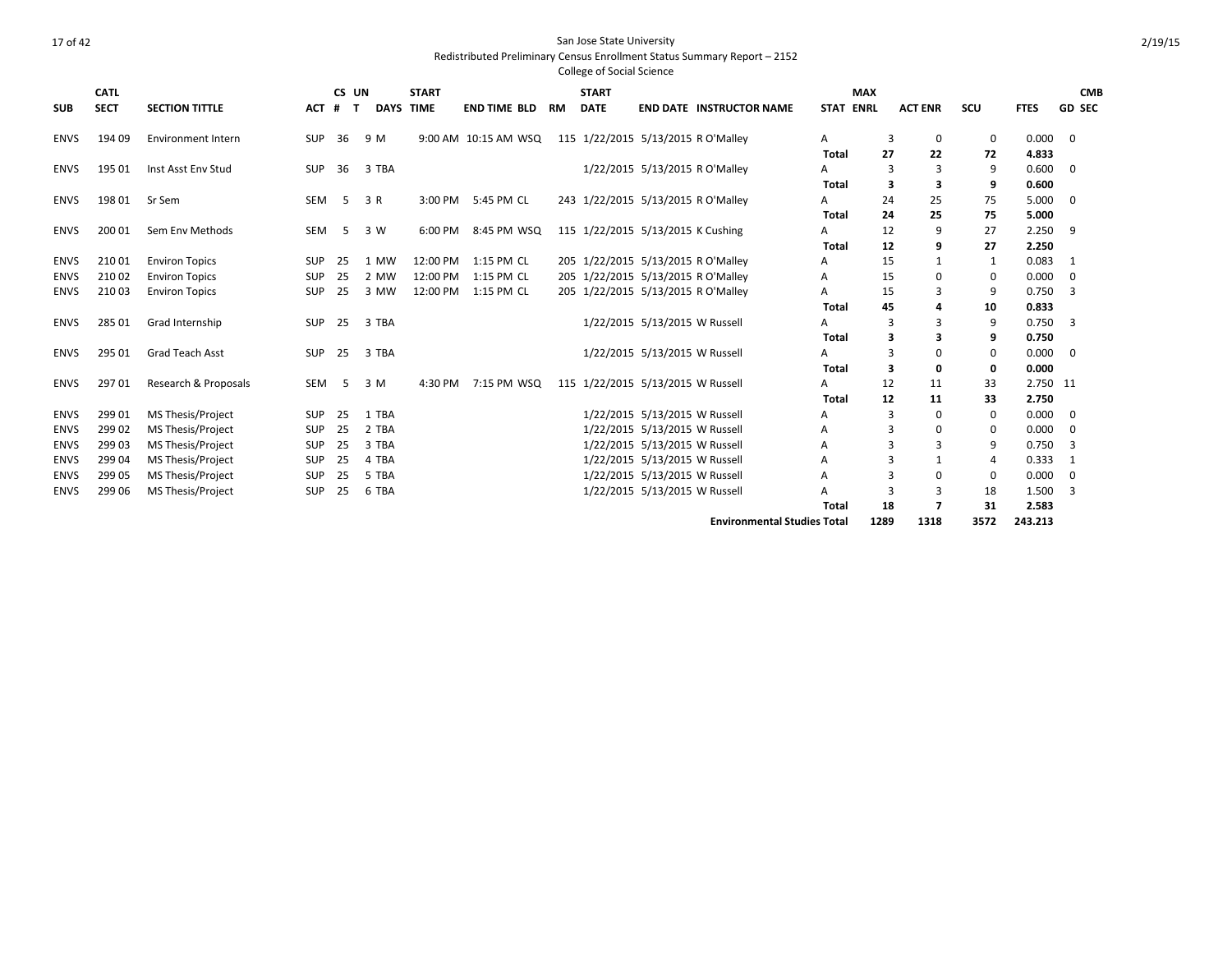|             |             |                           |            |        |                  |              |                      |           | <b>College of Social Science</b> |                                    |                                    |                  |            |                          |             |             |                |
|-------------|-------------|---------------------------|------------|--------|------------------|--------------|----------------------|-----------|----------------------------------|------------------------------------|------------------------------------|------------------|------------|--------------------------|-------------|-------------|----------------|
|             | <b>CATL</b> |                           |            | CS UN  |                  | <b>START</b> |                      |           | <b>START</b>                     |                                    |                                    |                  | <b>MAX</b> |                          |             |             | <b>CMB</b>     |
| <b>SUB</b>  | <b>SECT</b> | <b>SECTION TITTLE</b>     | <b>ACT</b> | #<br>т | <b>DAYS TIME</b> |              | <b>END TIME BLD</b>  | <b>RM</b> | <b>DATE</b>                      |                                    | <b>END DATE INSTRUCTOR NAME</b>    | <b>STAT ENRL</b> |            | <b>ACT ENR</b>           | SCU         | <b>FTES</b> | <b>GD SEC</b>  |
| <b>ENVS</b> | 194 09      | <b>Environment Intern</b> | <b>SUP</b> | 36     | 9 M              |              | 9:00 AM 10:15 AM WSQ |           |                                  | 115 1/22/2015 5/13/2015 R O'Malley |                                    | A                | 3          | 0                        | 0           | 0.000       | $\overline{0}$ |
|             |             |                           |            |        |                  |              |                      |           |                                  |                                    |                                    | Total            | 27         | 22                       | 72          | 4.833       |                |
| <b>ENVS</b> | 195 01      | Inst Asst Env Stud        | <b>SUP</b> | 36     | 3 TBA            |              |                      |           |                                  | 1/22/2015 5/13/2015 R O'Malley     |                                    | A                | 3          | 3                        | 9           | 0.600       | 0              |
|             |             |                           |            |        |                  |              |                      |           |                                  |                                    |                                    | <b>Total</b>     | 3          | 3                        | 9           | 0.600       |                |
| <b>ENVS</b> | 19801       | Sr Sem                    | SEM        | - 5    | 3 R              | 3:00 PM      | 5:45 PM CL           |           |                                  | 243 1/22/2015 5/13/2015 R O'Malley |                                    | A                | 24         | 25                       | 75          | 5.000       | $\overline{0}$ |
|             |             |                           |            |        |                  |              |                      |           |                                  |                                    |                                    | Total            | 24         | 25                       | 75          | 5.000       |                |
| <b>ENVS</b> | 200 01      | Sem Env Methods           | SEM        | -5     | 3 W              | 6:00 PM      | 8:45 PM WSQ          |           |                                  | 115 1/22/2015 5/13/2015 K Cushing  |                                    | А                | 12         | 9                        | 27          | 2.250       | 9              |
|             |             |                           |            |        |                  |              |                      |           |                                  |                                    |                                    | <b>Total</b>     | 12         | 9                        | 27          | 2.250       |                |
| <b>ENVS</b> | 21001       | <b>Environ Topics</b>     | <b>SUP</b> | 25     | 1 MW             | 12:00 PM     | 1:15 PM CL           |           |                                  | 205 1/22/2015 5/13/2015 R O'Malley |                                    | Α                | 15         |                          | 1           | 0.083       | 1              |
| <b>ENVS</b> | 21002       | <b>Environ Topics</b>     | SUP        | 25     | 2 MW             | 12:00 PM     | 1:15 PM CL           |           |                                  | 205 1/22/2015 5/13/2015 R O'Malley |                                    | A                | 15         | $\Omega$                 | 0           | 0.000       | $\mathbf 0$    |
| <b>ENVS</b> | 21003       | <b>Environ Topics</b>     | <b>SUP</b> | 25     | 3 MW             | 12:00 PM     | 1:15 PM CL           |           |                                  | 205 1/22/2015 5/13/2015 R O'Malley |                                    | Α                | 15         |                          | 9           | 0.750       | 3              |
|             |             |                           |            |        |                  |              |                      |           |                                  |                                    |                                    | <b>Total</b>     | 45         | 4                        | 10          | 0.833       |                |
| <b>ENVS</b> | 285 01      | Grad Internship           | <b>SUP</b> | 25     | 3 TBA            |              |                      |           |                                  | 1/22/2015 5/13/2015 W Russell      |                                    | A                | 3          | 3                        | 9           | 0.750       | 3              |
|             |             |                           |            |        |                  |              |                      |           |                                  |                                    |                                    | <b>Total</b>     | 3          | 3                        | 9           | 0.750       |                |
| <b>ENVS</b> | 295 01      | Grad Teach Asst           | SUP        | 25     | 3 TBA            |              |                      |           |                                  | 1/22/2015 5/13/2015 W Russell      |                                    | A                | 3          | 0                        | $\mathbf 0$ | 0.000       | $\overline{0}$ |
|             |             |                           |            |        |                  |              |                      |           |                                  |                                    |                                    | <b>Total</b>     | 3          | 0                        | 0           | 0.000       |                |
| <b>ENVS</b> | 29701       | Research & Proposals      | SEM        | -5     | 3 M              | 4:30 PM      | 7:15 PM WSQ          |           |                                  | 115 1/22/2015 5/13/2015 W Russell  |                                    | A                | 12         | 11                       | 33          | 2.750 11    |                |
|             |             |                           |            |        |                  |              |                      |           |                                  |                                    |                                    | Total            | 12         | 11                       | 33          | 2.750       |                |
| <b>ENVS</b> | 299 01      | MS Thesis/Project         | <b>SUP</b> | 25     | 1 TBA            |              |                      |           |                                  | 1/22/2015 5/13/2015 W Russell      |                                    | Α                | 3          | 0                        | 0           | 0.000       | 0              |
| <b>ENVS</b> | 299 02      | <b>MS Thesis/Project</b>  | SUP        | 25     | 2 TBA            |              |                      |           |                                  | 1/22/2015 5/13/2015 W Russell      |                                    | A                | 3          | $\Omega$                 | 0           | 0.000       | $\Omega$       |
| <b>ENVS</b> | 299 03      | <b>MS Thesis/Project</b>  | SUP        | 25     | 3 TBA            |              |                      |           |                                  | 1/22/2015 5/13/2015 W Russell      |                                    | Α                | R          | 3                        | 9           | 0.750       | 3              |
| <b>ENVS</b> | 299 04      | MS Thesis/Project         | <b>SUP</b> | 25     | 4 TBA            |              |                      |           |                                  | 1/22/2015 5/13/2015 W Russell      |                                    | A                |            |                          | 4           | 0.333       | $\mathbf{1}$   |
| <b>ENVS</b> | 299 05      | <b>MS Thesis/Project</b>  | <b>SUP</b> | 25     | 5 TBA            |              |                      |           |                                  | 1/22/2015 5/13/2015 W Russell      |                                    | Α                | ς          | $\Omega$                 | $\mathbf 0$ | 0.000       | $\mathbf 0$    |
| <b>ENVS</b> | 299 06      | MS Thesis/Project         | SUP        | 25     | 6 TBA            |              |                      |           |                                  | 1/22/2015 5/13/2015 W Russell      |                                    | А                |            | 3                        | 18          | 1.500       | 3              |
|             |             |                           |            |        |                  |              |                      |           |                                  |                                    |                                    | <b>Total</b>     | 18         | $\overline{\phantom{a}}$ | 31          | 2.583       |                |
|             |             |                           |            |        |                  |              |                      |           |                                  |                                    | <b>Environmental Studies Total</b> |                  | 1289       | 1318                     | 3572        | 243.213     |                |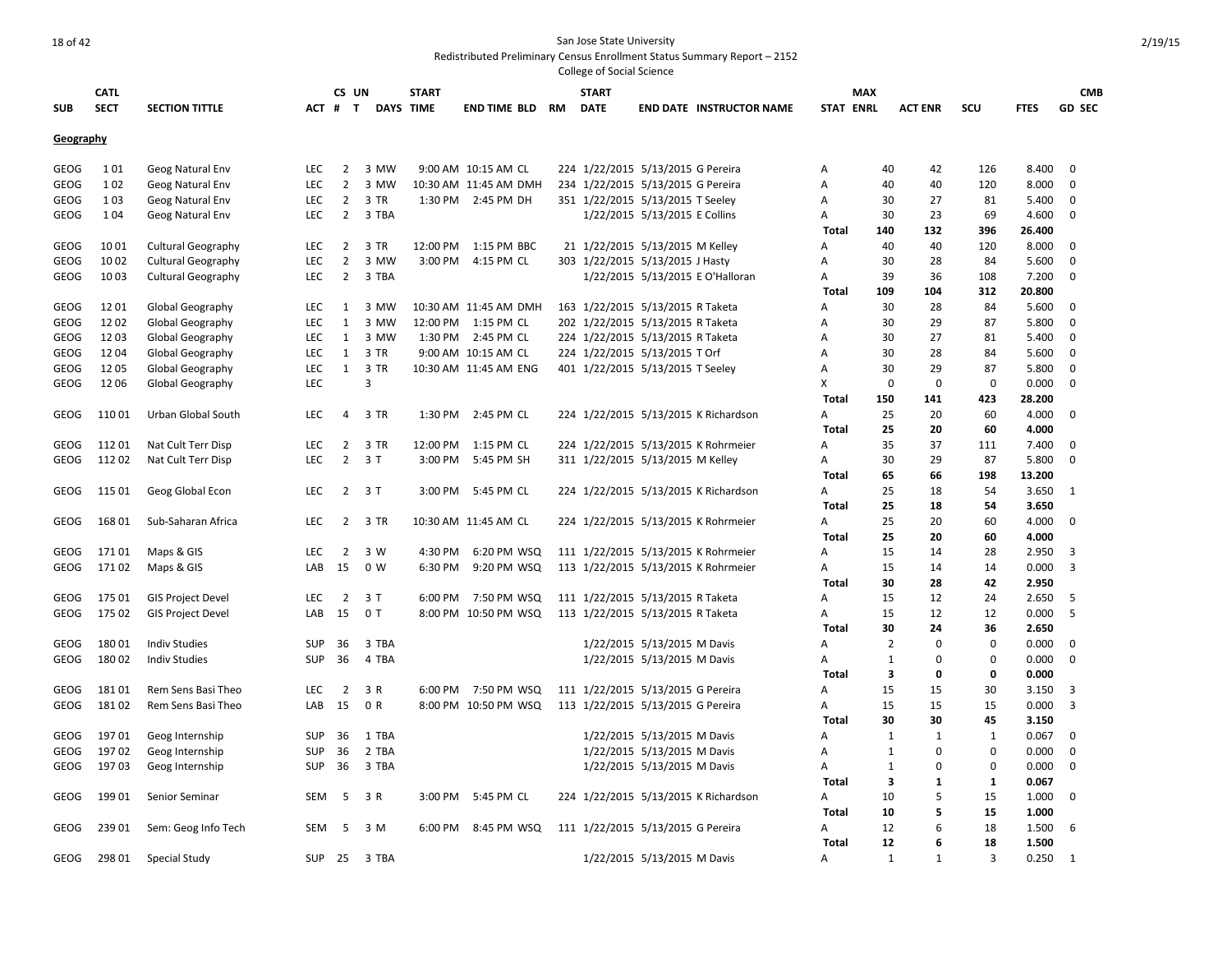|             | <b>CATL</b> |                           |            | CS UN          |       | <b>START</b> |                       |    | <b>START</b>                      |                               |                                      |                   | <b>MAX</b>       |                |             |                | <b>CMB</b>    |
|-------------|-------------|---------------------------|------------|----------------|-------|--------------|-----------------------|----|-----------------------------------|-------------------------------|--------------------------------------|-------------------|------------------|----------------|-------------|----------------|---------------|
| <b>SUB</b>  | <b>SECT</b> | <b>SECTION TITTLE</b>     | ACT #      | $\mathbf{T}$   |       | DAYS TIME    | END TIME BLD          | RM | <b>DATE</b>                       |                               | <b>END DATE INSTRUCTOR NAME</b>      |                   | <b>STAT ENRL</b> | <b>ACT ENR</b> | SCU         | <b>FTES</b>    | <b>GD SEC</b> |
| Geography   |             |                           |            |                |       |              |                       |    |                                   |                               |                                      |                   |                  |                |             |                |               |
|             |             |                           |            |                |       |              |                       |    |                                   |                               |                                      |                   |                  |                |             |                |               |
| <b>GEOG</b> | 101         | Geog Natural Env          | <b>LEC</b> | $\overline{2}$ | 3 MW  |              | 9:00 AM 10:15 AM CL   |    | 224 1/22/2015 5/13/2015 G Pereira |                               |                                      | A                 | 40               | 42             | 126         | 8.400          | $\mathbf 0$   |
| GEOG        | 1 0 2       | Geog Natural Env          | LEC        | $\overline{2}$ | 3 MW  |              | 10:30 AM 11:45 AM DMH |    | 234 1/22/2015 5/13/2015 G Pereira |                               |                                      | Α                 | 40               | 40             | 120         | 8.000          | $\mathbf 0$   |
| GEOG        | 103         | Geog Natural Env          | <b>LEC</b> | $\overline{2}$ | 3 TR  |              | 1:30 PM 2:45 PM DH    |    | 351 1/22/2015 5/13/2015 T Seeley  |                               |                                      | Α                 | 30               | 27             | 81          | 5.400          | 0             |
| GEOG        | 104         | Geog Natural Env          | LEC        | $\overline{2}$ | 3 TBA |              |                       |    |                                   | 1/22/2015 5/13/2015 E Collins |                                      | Α                 | 30               | 23             | 69          | 4.600          | $\mathbf 0$   |
|             |             |                           |            |                |       |              |                       |    |                                   |                               |                                      | <b>Total</b>      | 140              | 132            | 396         | 26.400         |               |
| GEOG        | 1001        | <b>Cultural Geography</b> | <b>LEC</b> | 2              | 3 TR  | 12:00 PM     | 1:15 PM BBC           |    | 21 1/22/2015 5/13/2015 M Kelley   |                               |                                      | Α                 | 40               | 40             | 120         | 8.000          | $\mathbf 0$   |
| <b>GEOG</b> | 1002        | <b>Cultural Geography</b> | LEC        | $\overline{2}$ | 3 MW  |              | 3:00 PM 4:15 PM CL    |    | 303 1/22/2015 5/13/2015 J Hasty   |                               |                                      | Α                 | 30               | 28             | 84          | 5.600          | $\mathbf 0$   |
| <b>GEOG</b> | 1003        | <b>Cultural Geography</b> | LEC        | $\overline{2}$ | 3 TBA |              |                       |    |                                   |                               | 1/22/2015 5/13/2015 E O'Halloran     | Α                 | 39               | 36             | 108         | 7.200          | $\mathbf 0$   |
|             |             |                           |            |                |       |              |                       |    |                                   |                               |                                      | <b>Total</b>      | 109              | 104            | 312         | 20.800         |               |
| <b>GEOG</b> | 1201        | Global Geography          | <b>LEC</b> | 1              | 3 MW  |              | 10:30 AM 11:45 AM DMH |    | 163 1/22/2015 5/13/2015 R Taketa  |                               |                                      | A                 | 30               | 28             | 84          | 5.600          | $\mathbf 0$   |
| <b>GEOG</b> | 1202        | Global Geography          | <b>LEC</b> | $\mathbf{1}$   | 3 MW  |              | 12:00 PM 1:15 PM CL   |    | 202 1/22/2015 5/13/2015 R Taketa  |                               |                                      | A                 | 30               | 29             | 87          | 5.800          | $\mathbf 0$   |
| GEOG        | 1203        | Global Geography          | LEC        | $\mathbf{1}$   | 3 MW  | 1:30 PM      | 2:45 PM CL            |    | 224 1/22/2015 5/13/2015 R Taketa  |                               |                                      | Α                 | 30               | 27             | 81          | 5.400          | 0             |
| GEOG        | 1204        | Global Geography          | LEC        | 1              | 3 TR  |              | 9:00 AM 10:15 AM CL   |    | 224 1/22/2015 5/13/2015 T Orf     |                               |                                      | Α                 | 30               | 28             | 84          | 5.600          | 0             |
| <b>GEOG</b> | 1205        | Global Geography          | LEC        | $\mathbf{1}$   | 3 TR  |              | 10:30 AM 11:45 AM ENG |    | 401 1/22/2015 5/13/2015 T Seeley  |                               |                                      | Α                 | 30               | 29             | 87          | 5.800          | 0             |
| <b>GEOG</b> | 1206        | Global Geography          | LEC        |                | 3     |              |                       |    |                                   |                               |                                      | X                 | $\mathbf 0$      | 0              | 0           | 0.000          | $\mathbf 0$   |
|             |             |                           |            |                |       |              |                       |    |                                   |                               |                                      | <b>Total</b>      | 150              | 141            | 423         | 28.200         |               |
| <b>GEOG</b> | 11001       | Urban Global South        | <b>LEC</b> | 4              | 3 TR  | 1:30 PM      | 2:45 PM CL            |    |                                   |                               | 224 1/22/2015 5/13/2015 K Richardson | Α                 | 25               | 20             | 60          | 4.000          | $\mathbf 0$   |
|             |             |                           |            |                |       |              |                       |    |                                   |                               |                                      | <b>Total</b>      | 25               | 20             | 60          | 4.000          |               |
| GEOG        | 11201       | Nat Cult Terr Disp        | <b>LEC</b> | 2              | 3 TR  | 12:00 PM     | 1:15 PM CL            |    |                                   |                               | 224 1/22/2015 5/13/2015 K Rohrmeier  | Α                 | 35               | 37             | 111         | 7.400          | $\mathbf 0$   |
| <b>GEOG</b> | 11202       | Nat Cult Terr Disp        | <b>LEC</b> | $\overline{2}$ | 3T    | 3:00 PM      | 5:45 PM SH            |    | 311 1/22/2015 5/13/2015 M Kelley  |                               |                                      | Α                 | 30               | 29             | 87          | 5.800          | $\mathbf 0$   |
|             |             |                           |            |                |       |              |                       |    |                                   |                               |                                      | <b>Total</b>      | 65               | 66             | 198         | 13.200         |               |
| <b>GEOG</b> | 115 01      | Geog Global Econ          | <b>LEC</b> | $2^{\circ}$    | 3T    |              | 3:00 PM 5:45 PM CL    |    |                                   |                               | 224 1/22/2015 5/13/2015 K Richardson | A                 | 25<br>25         | 18             | 54          | 3.650<br>3.650 | 1             |
| <b>GEOG</b> | 168 01      | Sub-Saharan Africa        | LEC        | $\overline{2}$ | 3 TR  |              | 10:30 AM 11:45 AM CL  |    |                                   |                               | 224 1/22/2015 5/13/2015 K Rohrmeier  | <b>Total</b><br>Α | 25               | 18<br>20       | 54<br>60    | 4.000          | $\mathbf 0$   |
|             |             |                           |            |                |       |              |                       |    |                                   |                               |                                      | <b>Total</b>      | 25               | 20             | 60          | 4.000          |               |
| GEOG        | 17101       | Maps & GIS                | <b>LEC</b> | $\overline{2}$ | 3 W   | 4:30 PM      | 6:20 PM WSQ           |    |                                   |                               | 111 1/22/2015 5/13/2015 K Rohrmeier  | A                 | 15               | 14             | 28          | 2.950          | 3             |
| <b>GEOG</b> | 17102       | Maps & GIS                | LAB        | 15             | 0 W   | 6:30 PM      | 9:20 PM WSQ           |    |                                   |                               | 113 1/22/2015 5/13/2015 K Rohrmeier  | Α                 | 15               | 14             | 14          | 0.000          | 3             |
|             |             |                           |            |                |       |              |                       |    |                                   |                               |                                      | Total             | 30               | 28             | 42          | 2.950          |               |
| <b>GEOG</b> | 175 01      | <b>GIS Project Devel</b>  | LEC        | $\overline{2}$ | 3T    | 6:00 PM      | 7:50 PM WSQ           |    | 111 1/22/2015 5/13/2015 R Taketa  |                               |                                      | Α                 | 15               | 12             | 24          | 2.650          | 5             |
| <b>GEOG</b> | 175 02      | <b>GIS Project Devel</b>  | LAB        | 15             | 0T    |              | 8:00 PM 10:50 PM WSQ  |    | 113 1/22/2015 5/13/2015 R Taketa  |                               |                                      | Α                 | 15               | 12             | 12          | 0.000          | 5             |
|             |             |                           |            |                |       |              |                       |    |                                   |                               |                                      | <b>Total</b>      | 30               | 24             | 36          | 2.650          |               |
| <b>GEOG</b> | 18001       | <b>Indiv Studies</b>      | <b>SUP</b> | 36             | 3 TBA |              |                       |    |                                   | 1/22/2015 5/13/2015 M Davis   |                                      | A                 | $\overline{2}$   | $\Omega$       | $\Omega$    | 0.000          | $\mathbf 0$   |
| <b>GEOG</b> | 18002       | <b>Indiv Studies</b>      | <b>SUP</b> | 36             | 4 TBA |              |                       |    |                                   | 1/22/2015 5/13/2015 M Davis   |                                      | A                 | $\mathbf{1}$     | $\Omega$       | $\Omega$    | 0.000          | $\mathbf 0$   |
|             |             |                           |            |                |       |              |                       |    |                                   |                               |                                      | <b>Total</b>      | 3                | 0              | 0           | 0.000          |               |
| <b>GEOG</b> | 18101       | Rem Sens Basi Theo        | <b>LEC</b> | $\overline{2}$ | 3 R   | 6:00 PM      | 7:50 PM WSQ           |    | 111 1/22/2015 5/13/2015 G Pereira |                               |                                      | Α                 | 15               | 15             | 30          | 3.150          | 3             |
| <b>GEOG</b> | 18102       | Rem Sens Basi Theo        | LAB        | 15             | 0 R   |              | 8:00 PM 10:50 PM WSQ  |    | 113 1/22/2015 5/13/2015 G Pereira |                               |                                      | Α                 | 15               | 15             | 15          | 0.000          | 3             |
|             |             |                           |            |                |       |              |                       |    |                                   |                               |                                      | <b>Total</b>      | 30               | 30             | 45          | 3.150          |               |
| GEOG        | 19701       | Geog Internship           | <b>SUP</b> | 36             | 1 TBA |              |                       |    |                                   | 1/22/2015 5/13/2015 M Davis   |                                      | A                 | $\mathbf{1}$     | 1              | 1           | 0.067          | $\mathbf 0$   |
| <b>GEOG</b> | 19702       | Geog Internship           | <b>SUP</b> | 36             | 2 TBA |              |                       |    |                                   | 1/22/2015 5/13/2015 M Davis   |                                      | Α                 | $\mathbf{1}$     | $\Omega$       | $\Omega$    | 0.000          | $\mathbf 0$   |
| GEOG        | 19703       | Geog Internship           | <b>SUP</b> | 36             | 3 TBA |              |                       |    |                                   | 1/22/2015 5/13/2015 M Davis   |                                      | Α                 | $\mathbf{1}$     | 0              | $\mathbf 0$ | 0.000          | $\mathbf 0$   |
|             |             |                           |            |                |       |              |                       |    |                                   |                               |                                      | <b>Total</b>      | 3                | 1              | 1           | 0.067          |               |
| GEOG        | 19901       | Senior Seminar            | SEM        | 5              | 3 R   |              | 3:00 PM 5:45 PM CL    |    |                                   |                               | 224 1/22/2015 5/13/2015 K Richardson | A                 | 10               | 5              | 15          | 1.000          | $\mathbf 0$   |
|             |             |                           |            |                |       |              |                       |    |                                   |                               |                                      | <b>Total</b>      | 10               | 5              | 15          | 1.000          |               |
| <b>GEOG</b> | 239 01      | Sem: Geog Info Tech       | SEM        | -5             | 3 M   | 6:00 PM      | 8:45 PM WSQ           |    | 111 1/22/2015 5/13/2015 G Pereira |                               |                                      | A                 | 12               | 6              | 18          | 1.500          | 6             |
|             |             |                           |            |                |       |              |                       |    |                                   |                               |                                      | <b>Total</b>      | 12               | 6              | 18          | 1.500          |               |
| GEOG        | 298 01      | Special Study             | <b>SUP</b> | 25             | 3 TBA |              |                       |    |                                   | 1/22/2015 5/13/2015 M Davis   |                                      | A                 | $\mathbf{1}$     | 1              | 3           | 0.250          | 1             |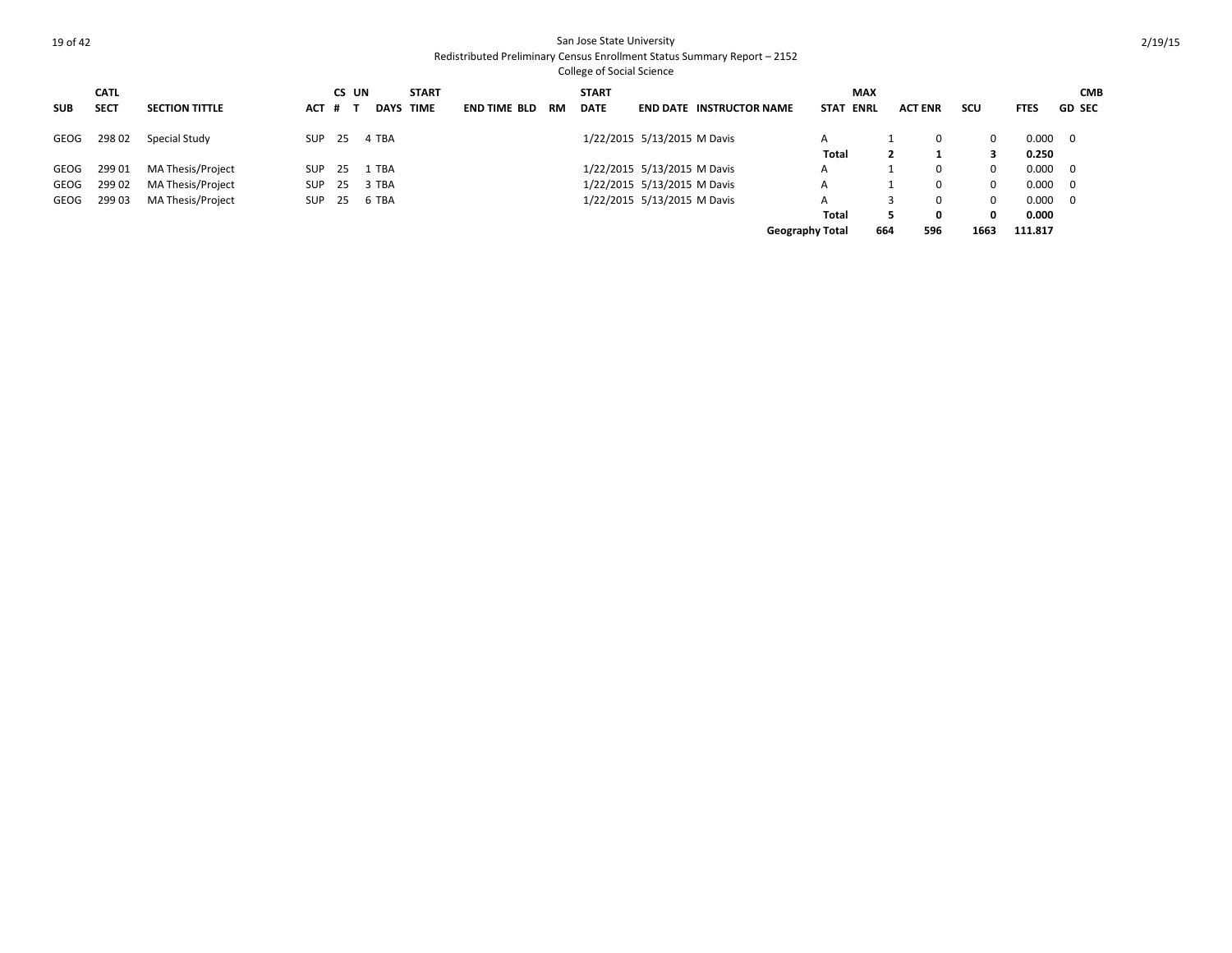|            | <b>CATL</b> |                       |            | CS UN |             | <b>START</b> |                     |     | <b>START</b> |                             |                                 | <b>MAX</b>                 |     |                |              |             | <b>CMB</b>               |
|------------|-------------|-----------------------|------------|-------|-------------|--------------|---------------------|-----|--------------|-----------------------------|---------------------------------|----------------------------|-----|----------------|--------------|-------------|--------------------------|
| <b>SUB</b> | <b>SECT</b> | <b>SECTION TITTLE</b> | <b>ACT</b> | # 1   | <b>DAYS</b> | <b>TIME</b>  | <b>END TIME BLD</b> | RM. | <b>DATE</b>  |                             | <b>END DATE INSTRUCTOR NAME</b> | <b>STAT</b><br><b>ENRL</b> |     | <b>ACT ENR</b> | scu          | <b>FTES</b> | <b>GD SEC</b>            |
| GEOG       | 29802       | Special Study         | SUP 25     |       | 4 TBA       |              |                     |     |              | 1/22/2015 5/13/2015 M Davis |                                 |                            |     |                | 0            | 0.000       | $\overline{\phantom{0}}$ |
|            |             |                       |            |       |             |              |                     |     |              |                             |                                 | Total                      |     |                |              | 0.250       |                          |
| GEOG       | 29901       | MA Thesis/Project     | SUP        | - 25  | 1 TBA       |              |                     |     |              | 1/22/2015 5/13/2015 M Davis |                                 | A                          |     |                | <sup>0</sup> | 0.000       | $\overline{\phantom{0}}$ |
| GEOG       | 29902       | MA Thesis/Project     | <b>SUP</b> | - 25  | 3 TBA       |              |                     |     |              | 1/22/2015 5/13/2015 M Davis |                                 | A                          |     |                | 0            | 0.000       | $\overline{\phantom{0}}$ |
| GEOG       | 29903       | MA Thesis/Project     | <b>SUP</b> | - 25  | 6 TBA       |              |                     |     |              | 1/22/2015 5/13/2015 M Davis |                                 | A                          |     |                | 0            | 0.000       | $\overline{\phantom{0}}$ |
|            |             |                       |            |       |             |              |                     |     |              |                             |                                 | Total                      |     | Ω              | 0            | 0.000       |                          |
|            |             |                       |            |       |             |              |                     |     |              |                             |                                 | <b>Geography Total</b>     | 664 | 596            | 1663         | 111.817     |                          |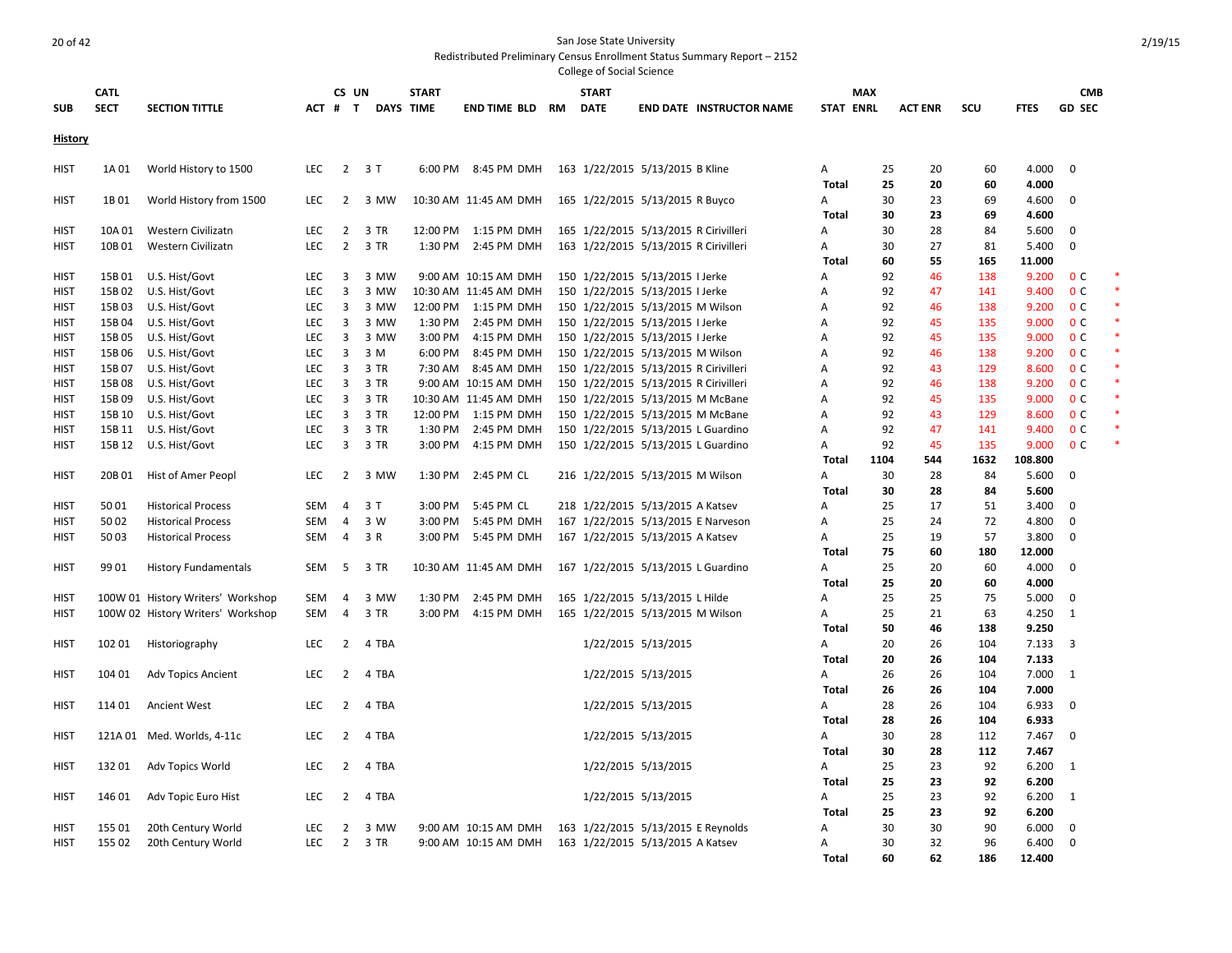|                |                            |                                   |            |                |                         |                                  |                        | CONCRE OF JOCIUL JUICHICE   |                                       |                                    |                   |            |                |             |                  |                             |  |
|----------------|----------------------------|-----------------------------------|------------|----------------|-------------------------|----------------------------------|------------------------|-----------------------------|---------------------------------------|------------------------------------|-------------------|------------|----------------|-------------|------------------|-----------------------------|--|
| <b>SUB</b>     | <b>CATL</b><br><b>SECT</b> | <b>SECTION TITTLE</b>             |            |                | CS UN<br>ACT # T        | <b>START</b><br><b>DAYS TIME</b> | <b>END TIME BLD RM</b> | <b>START</b><br><b>DATE</b> |                                       | <b>END DATE INSTRUCTOR NAME</b>    | <b>STAT ENRL</b>  | <b>MAX</b> | <b>ACT ENR</b> | scu         | <b>FTES</b>      | <b>CMB</b><br><b>GD SEC</b> |  |
|                |                            |                                   |            |                |                         |                                  |                        |                             |                                       |                                    |                   |            |                |             |                  |                             |  |
| <b>History</b> |                            |                                   |            |                |                         |                                  |                        |                             |                                       |                                    |                   |            |                |             |                  |                             |  |
| HIST           | 1A01                       | World History to 1500             | LEC        |                | $\overline{2}$<br>3T    | 6:00 PM                          | 8:45 PM DMH            |                             | 163 1/22/2015 5/13/2015 B Kline       |                                    | Α                 | 25         | 20             | 60          | 4.000            | $\mathbf 0$                 |  |
|                |                            |                                   |            |                |                         |                                  |                        |                             |                                       |                                    | <b>Total</b>      | 25         | 20             | 60          | 4.000            |                             |  |
| HIST           | 1B01                       | World History from 1500           | <b>LEC</b> | $\overline{2}$ | 3 MW                    |                                  | 10:30 AM 11:45 AM DMH  |                             | 165 1/22/2015 5/13/2015 R Buyco       |                                    | Α                 | 30         | 23             | 69          | 4.600            | $\mathbf 0$                 |  |
| <b>HIST</b>    | 10A 01                     | Western Civilizatn                | LEC        | $\overline{2}$ | 3 TR                    | 12:00 PM                         | 1:15 PM DMH            |                             | 165 1/22/2015 5/13/2015 R Cirivilleri |                                    | <b>Total</b><br>Α | 30<br>30   | 23<br>28       | 69<br>84    | 4.600<br>5.600   | 0                           |  |
| <b>HIST</b>    | 10B01                      | Western Civilizatn                | LEC        |                | $2^{\circ}$<br>3 TR     | 1:30 PM                          | 2:45 PM DMH            |                             | 163 1/22/2015 5/13/2015 R Cirivilleri |                                    | Α                 | 30         | 27             | 81          | 5.400            | $\mathbf 0$                 |  |
|                |                            |                                   |            |                |                         |                                  |                        |                             |                                       |                                    | <b>Total</b>      | 60         | 55             | 165         | 11.000           |                             |  |
| <b>HIST</b>    | 15B 01                     | U.S. Hist/Govt                    | <b>LEC</b> | 3              | 3 MW                    |                                  | 9:00 AM 10:15 AM DMH   |                             | 150 1/22/2015 5/13/2015 I Jerke       |                                    | A                 | 92         | 46             | 138         | 9.200            | 0 <sup>c</sup>              |  |
| HIST           | 15B 02                     | U.S. Hist/Govt                    | LEC        | 3              | 3 MW                    |                                  | 10:30 AM 11:45 AM DMH  |                             | 150 1/22/2015 5/13/2015 I Jerke       |                                    | $\overline{A}$    | 92         | 47             | 141         | 9.400            | 0 <sup>C</sup>              |  |
| <b>HIST</b>    | 15B03                      | U.S. Hist/Govt                    | <b>LEC</b> | 3              | 3 MW                    | 12:00 PM                         | 1:15 PM DMH            |                             | 150 1/22/2015 5/13/2015 M Wilson      |                                    | A                 | 92         | 46             | 138         | 9.200            | 0 <sup>c</sup>              |  |
| <b>HIST</b>    | 15B 04                     | U.S. Hist/Govt                    | <b>LEC</b> | 3              | 3 MW                    | 1:30 PM                          | 2:45 PM DMH            |                             | 150 1/22/2015 5/13/2015 I Jerke       |                                    | A                 | 92         | 45             | 135         | 9.000            | 0 <sup>c</sup>              |  |
| <b>HIST</b>    | 15B 05                     | U.S. Hist/Govt                    | <b>LEC</b> | 3              | 3 MW                    | 3:00 PM                          | 4:15 PM DMH            |                             | 150 1/22/2015 5/13/2015 I Jerke       |                                    | A                 | 92         | 45             | 135         | 9.000            | 0 <sup>c</sup>              |  |
| <b>HIST</b>    | 15B06                      | U.S. Hist/Govt                    | <b>LEC</b> | 3              | 3 M                     | 6:00 PM                          | 8:45 PM DMH            |                             | 150 1/22/2015 5/13/2015 M Wilson      |                                    | $\overline{A}$    | 92         | 46             | 138         | 9.200            | 0 <sup>c</sup>              |  |
| <b>HIST</b>    | 15B 07                     | U.S. Hist/Govt                    | LEC        | 3              | 3 TR                    | 7:30 AM                          | 8:45 AM DMH            |                             | 150 1/22/2015 5/13/2015 R Cirivilleri |                                    | $\overline{A}$    | 92         | 43             | 129         | 8.600            | 0 <sup>c</sup>              |  |
| <b>HIST</b>    | 15B08                      | U.S. Hist/Govt                    | LEC        | $\overline{3}$ | 3 TR                    |                                  | 9:00 AM 10:15 AM DMH   |                             | 150 1/22/2015 5/13/2015 R Cirivilleri |                                    | A                 | 92         | 46             | 138         | 9.200            | 0 <sup>C</sup>              |  |
| <b>HIST</b>    | 15B09                      | U.S. Hist/Govt                    | LEC        | 3              | 3 TR                    |                                  | 10:30 AM 11:45 AM DMH  |                             | 150 1/22/2015 5/13/2015 M McBane      |                                    | A                 | 92         | 45             | 135         | 9.000            | 0 <sup>c</sup>              |  |
| <b>HIST</b>    | 15B 10                     | U.S. Hist/Govt                    | <b>LEC</b> | 3              | 3 TR                    |                                  | 12:00 PM 1:15 PM DMH   |                             | 150 1/22/2015 5/13/2015 M McBane      |                                    | A                 | 92         | 43             | 129         | 8.600            | 0 <sup>c</sup>              |  |
| <b>HIST</b>    | 15B 11                     | U.S. Hist/Govt                    | <b>LEC</b> | 3              | 3 TR                    | 1:30 PM                          | 2:45 PM DMH            |                             | 150 1/22/2015 5/13/2015 L Guardino    |                                    | A                 | 92         | 47             | 141         | 9.400            | 0 <sup>c</sup>              |  |
| HIST           | 15B 12                     | U.S. Hist/Govt                    | <b>LEC</b> | 3              | 3 TR                    | 3:00 PM                          | 4:15 PM DMH            |                             | 150 1/22/2015 5/13/2015 L Guardino    |                                    | A                 | 92<br>1104 | 45<br>544      | 135<br>1632 | 9.000<br>108.800 | 0 <sup>c</sup>              |  |
|                | 20B 01                     | Hist of Amer Peopl                |            | $\overline{2}$ | 3 MW                    | 1:30 PM                          | 2:45 PM CL             |                             | 216 1/22/2015 5/13/2015 M Wilson      |                                    | Total             | 30         | 28             | 84          | 5.600            | $\mathbf 0$                 |  |
| HIST           |                            |                                   | <b>LEC</b> |                |                         |                                  |                        |                             |                                       |                                    | Α<br><b>Total</b> | 30         | 28             | 84          | 5.600            |                             |  |
| HIST           | 5001                       | <b>Historical Process</b>         | <b>SEM</b> | $\overline{4}$ | 3T                      | 3:00 PM                          | 5:45 PM CL             |                             | 218 1/22/2015 5/13/2015 A Katsev      |                                    | A                 | 25         | 17             | 51          | 3.400            | $\mathbf 0$                 |  |
| HIST           | 5002                       | <b>Historical Process</b>         | <b>SEM</b> | $\overline{4}$ | 3 W                     | 3:00 PM                          | 5:45 PM DMH            |                             |                                       | 167 1/22/2015 5/13/2015 E Narveson | A                 | 25         | 24             | 72          | 4.800            | $\mathbf 0$                 |  |
| HIST           | 5003                       | <b>Historical Process</b>         | <b>SEM</b> | $\overline{4}$ | 3 R                     | 3:00 PM                          | 5:45 PM DMH            |                             | 167 1/22/2015 5/13/2015 A Katsev      |                                    | A                 | 25         | 19             | 57          | 3.800            | $\mathbf 0$                 |  |
|                |                            |                                   |            |                |                         |                                  |                        |                             |                                       |                                    | Total             | 75         | 60             | 180         | 12.000           |                             |  |
| <b>HIST</b>    | 99 01                      | <b>History Fundamentals</b>       | SEM        | 5              | 3 TR                    |                                  | 10:30 AM 11:45 AM DMH  |                             | 167 1/22/2015 5/13/2015 L Guardino    |                                    | Α                 | 25         | 20             | 60          | 4.000            | $\mathbf{0}$                |  |
|                |                            |                                   |            |                |                         |                                  |                        |                             |                                       |                                    | <b>Total</b>      | 25         | 20             | 60          | 4.000            |                             |  |
| HIST           |                            | 100W 01 History Writers' Workshop | <b>SEM</b> | 4              | 3 MW                    | 1:30 PM                          | 2:45 PM DMH            |                             | 165 1/22/2015 5/13/2015 L Hilde       |                                    | A                 | 25         | 25             | 75          | 5.000            | 0                           |  |
| <b>HIST</b>    |                            | 100W 02 History Writers' Workshop | <b>SEM</b> | 4              | 3 TR                    | 3:00 PM                          | 4:15 PM DMH            |                             | 165 1/22/2015 5/13/2015 M Wilson      |                                    | Α                 | 25         | 21             | 63          | 4.250            | 1                           |  |
|                |                            |                                   |            |                |                         |                                  |                        |                             |                                       |                                    | Total             | 50         | 46             | 138         | 9.250            |                             |  |
| <b>HIST</b>    | 102 01                     | Historiography                    | <b>LEC</b> | $\overline{2}$ | 4 TBA                   |                                  |                        |                             | 1/22/2015 5/13/2015                   |                                    | Α                 | 20         | 26             | 104         | 7.133            | $\overline{\mathbf{3}}$     |  |
|                |                            |                                   |            |                |                         |                                  |                        |                             |                                       |                                    | <b>Total</b>      | 20         | 26             | 104         | 7.133            |                             |  |
| HIST           | 104 01                     | <b>Adv Topics Ancient</b>         | <b>LEC</b> | $\overline{2}$ | 4 TBA                   |                                  |                        |                             | 1/22/2015 5/13/2015                   |                                    | Α                 | 26         | 26             | 104         | 7.000            | $\overline{1}$              |  |
|                |                            |                                   |            |                |                         |                                  |                        |                             |                                       |                                    | <b>Total</b>      | 26         | 26             | 104         | 7.000            |                             |  |
| <b>HIST</b>    | 114 01                     | <b>Ancient West</b>               | LEC        | $\overline{2}$ | 4 TBA                   |                                  |                        |                             | 1/22/2015 5/13/2015                   |                                    | Α                 | 28         | 26             | 104         | 6.933            | $\mathbf 0$                 |  |
|                |                            |                                   |            |                |                         |                                  |                        |                             |                                       |                                    | <b>Total</b>      | 28         | 26             | 104         | 6.933            |                             |  |
| <b>HIST</b>    | 121A01                     | Med. Worlds, 4-11c                | <b>LEC</b> | $\overline{2}$ | 4 TBA                   |                                  |                        |                             | 1/22/2015 5/13/2015                   |                                    | Α<br><b>Total</b> | 30<br>30   | 28<br>28       | 112<br>112  | 7.467<br>7.467   | $\mathbf 0$                 |  |
| <b>HIST</b>    | 13201                      | Adv Topics World                  | <b>LEC</b> | $\overline{2}$ | 4 TBA                   |                                  |                        |                             | 1/22/2015 5/13/2015                   |                                    | Α                 | 25         | 23             | 92          | 6.200            | $\overline{1}$              |  |
|                |                            |                                   |            |                |                         |                                  |                        |                             |                                       |                                    | <b>Total</b>      | 25         | 23             | 92          | 6.200            |                             |  |
| <b>HIST</b>    | 146 01                     | Adv Topic Euro Hist               | <b>LEC</b> |                | $\overline{2}$<br>4 TBA |                                  |                        |                             | 1/22/2015 5/13/2015                   |                                    | Α                 | 25         | 23             | 92          | 6.200            | $\overline{1}$              |  |
|                |                            |                                   |            |                |                         |                                  |                        |                             |                                       |                                    | <b>Total</b>      | 25         | 23             | 92          | 6.200            |                             |  |
| HIST           | 155 01                     | 20th Century World                | <b>LEC</b> | $\overline{2}$ | 3 MW                    |                                  | 9:00 AM 10:15 AM DMH   |                             | 163 1/22/2015 5/13/2015 E Reynolds    |                                    | $\overline{A}$    | 30         | 30             | 90          | 6.000            | $\mathbf 0$                 |  |
| HIST           | 155 02                     | 20th Century World                | <b>LEC</b> |                | $2^{\circ}$<br>3 TR     |                                  | 9:00 AM 10:15 AM DMH   |                             | 163 1/22/2015 5/13/2015 A Katsev      |                                    | Α                 | 30         | 32             | 96          | 6.400            | $\mathbf 0$                 |  |
|                |                            |                                   |            |                |                         |                                  |                        |                             |                                       |                                    | Total             | 60         | 62             | 186         | 12.400           |                             |  |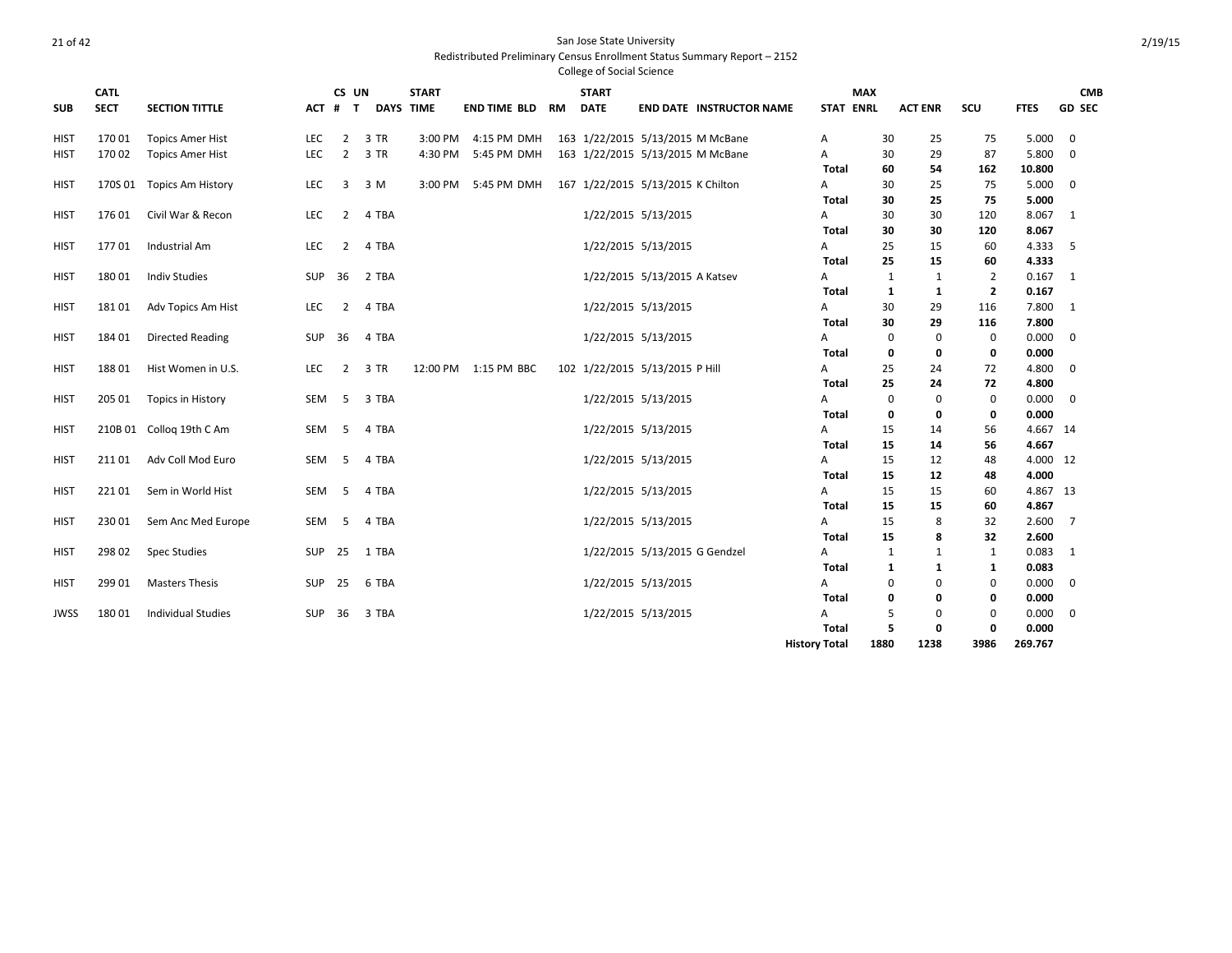|             | <b>CATL</b> |                           |            | CS UN          |                  | <b>START</b> |                      |    | <b>START</b> |                                   |                      | <b>MAX</b>       |              |                |                |             | <b>CMB</b>     |
|-------------|-------------|---------------------------|------------|----------------|------------------|--------------|----------------------|----|--------------|-----------------------------------|----------------------|------------------|--------------|----------------|----------------|-------------|----------------|
| <b>SUB</b>  | <b>SECT</b> | <b>SECTION TITTLE</b>     |            | ACT # T        | <b>DAYS TIME</b> |              | <b>END TIME BLD</b>  | RM | <b>DATE</b>  | <b>END DATE INSTRUCTOR NAME</b>   |                      | <b>STAT ENRL</b> |              | <b>ACT ENR</b> | SCU            | <b>FTES</b> | <b>GD SEC</b>  |
| <b>HIST</b> | 17001       | <b>Topics Amer Hist</b>   | LEC        | $\overline{2}$ | 3 TR             | 3:00 PM      | 4:15 PM DMH          |    |              | 163 1/22/2015 5/13/2015 M McBane  | Α                    |                  | 30           | 25             | 75             | 5.000       | 0              |
| <b>HIST</b> | 17002       | <b>Topics Amer Hist</b>   | <b>LEC</b> | $\overline{2}$ | 3 TR             | 4:30 PM      | 5:45 PM DMH          |    |              | 163 1/22/2015 5/13/2015 M McBane  | A                    |                  | 30           | 29             | 87             | 5.800       | $\mathbf 0$    |
|             |             |                           |            |                |                  |              |                      |    |              |                                   |                      | Total            | 60           | 54             | 162            | 10.800      |                |
| HIST        |             | 170S 01 Topics Am History | LEC        | 3              | 3 M              | 3:00 PM      | 5:45 PM DMH          |    |              | 167 1/22/2015 5/13/2015 K Chilton | A                    |                  | 30           | 25             | 75             | 5.000       | 0              |
|             |             |                           |            |                |                  |              |                      |    |              |                                   |                      | Total            | 30           | 25             | 75             | 5.000       |                |
| <b>HIST</b> | 17601       | Civil War & Recon         | <b>LEC</b> | $\overline{2}$ | 4 TBA            |              |                      |    |              | 1/22/2015 5/13/2015               | Α                    |                  | 30           | 30             | 120            | 8.067       | 1              |
|             |             |                           |            |                |                  |              |                      |    |              |                                   |                      | Total            | 30           | 30             | 120            | 8.067       |                |
| HIST        | 17701       | Industrial Am             | <b>LEC</b> | $\overline{2}$ | 4 TBA            |              |                      |    |              | 1/22/2015 5/13/2015               | Α                    |                  | 25           | 15             | 60             | 4.333       | -5             |
|             |             |                           |            |                |                  |              |                      |    |              |                                   |                      | Total            | 25           | 15             | 60             | 4.333       |                |
| <b>HIST</b> | 18001       | <b>Indiv Studies</b>      | SUP        | 36             | 2 TBA            |              |                      |    |              | 1/22/2015 5/13/2015 A Katsev      | Α                    |                  | $\mathbf{1}$ | $\mathbf{1}$   | 2              | 0.167       | 1              |
|             |             |                           |            |                |                  |              |                      |    |              |                                   |                      | Total            | 1            | $\mathbf{1}$   | $\overline{2}$ | 0.167       |                |
| HIST        | 18101       | Adv Topics Am Hist        | LEC.       | 2              | 4 TBA            |              |                      |    |              | 1/22/2015 5/13/2015               | A                    |                  | 30           | 29             | 116            | 7.800       | 1              |
|             |             |                           |            |                |                  |              |                      |    |              |                                   |                      | Total            | 30           | 29             | 116            | 7.800       |                |
| HIST        | 18401       | <b>Directed Reading</b>   | SUP        | 36             | 4 TBA            |              |                      |    |              | 1/22/2015 5/13/2015               | Α                    |                  | $\mathbf 0$  | 0              | 0              | 0.000       | 0              |
|             |             |                           |            |                |                  |              |                      |    |              |                                   |                      | Total            | 0            | 0              | 0              | 0.000       |                |
| <b>HIST</b> | 18801       | Hist Women in U.S.        | LEC        | $\overline{2}$ | 3 TR             |              | 12:00 PM 1:15 PM BBC |    |              | 102 1/22/2015 5/13/2015 P Hill    | Α                    |                  | 25           | 24             | 72             | 4.800       | 0              |
|             |             |                           |            |                |                  |              |                      |    |              |                                   |                      | Total            | 25           | 24             | 72             | 4.800       |                |
| <b>HIST</b> | 205 01      | Topics in History         | SEM        | - 5            | 3 TBA            |              |                      |    |              | 1/22/2015 5/13/2015               | A                    |                  | $\mathbf 0$  | $\mathbf 0$    | $\mathbf 0$    | 0.000       | 0              |
|             |             |                           |            |                |                  |              |                      |    |              |                                   |                      | Total            | 0            | 0              | 0              | 0.000       |                |
| <b>HIST</b> |             | 210B 01 Colloq 19th C Am  | SEM        | - 5            | 4 TBA            |              |                      |    |              | 1/22/2015 5/13/2015               | A                    |                  | 15           | 14             | 56             | 4.667 14    |                |
|             |             |                           |            |                |                  |              |                      |    |              |                                   |                      | Total            | 15           | 14             | 56             | 4.667       |                |
| HIST        | 211 01      | Adv Coll Mod Euro         | SEM        | - 5            | 4 TBA            |              |                      |    |              | 1/22/2015 5/13/2015               | Α                    |                  | 15           | 12             | 48             | 4.000 12    |                |
|             |             |                           |            |                |                  |              |                      |    |              |                                   |                      | Total            | 15           | 12             | 48             | 4.000       |                |
| HIST        | 22101       | Sem in World Hist         | SEM        | - 5            | 4 TBA            |              |                      |    |              | 1/22/2015 5/13/2015               | Α                    |                  | 15           | 15             | 60             | 4.867 13    |                |
|             |             |                           |            |                |                  |              |                      |    |              |                                   |                      | Total            | 15           | 15             | 60             | 4.867       |                |
| <b>HIST</b> | 23001       | Sem Anc Med Europe        | SEM        | - 5            | 4 TBA            |              |                      |    |              | 1/22/2015 5/13/2015               | A                    |                  | 15           | 8              | 32             | 2.600       | $\overline{7}$ |
|             |             |                           |            |                |                  |              |                      |    |              |                                   |                      | Total            | 15           | 8              | 32             | 2.600       |                |
| HIST        | 298 02      | <b>Spec Studies</b>       | SUP        | 25             | 1 TBA            |              |                      |    |              | 1/22/2015 5/13/2015 G Gendzel     | Α                    |                  | $\mathbf{1}$ | $\mathbf{1}$   | 1              | 0.083       | 1              |
|             |             |                           |            |                |                  |              |                      |    |              |                                   |                      | Total            | 1            | 1              | 1              | 0.083       |                |
| <b>HIST</b> | 299 01      | <b>Masters Thesis</b>     | <b>SUP</b> | 25             | 6 TBA            |              |                      |    |              | 1/22/2015 5/13/2015               | A                    |                  | $\Omega$     | 0              | 0              | 0.000       | 0              |
|             |             |                           |            |                |                  |              |                      |    |              |                                   |                      | Total            | 0            | 0              | 0              | 0.000       |                |
| JWSS        | 18001       | <b>Individual Studies</b> | SUP        | 36             | 3 TBA            |              |                      |    |              | 1/22/2015 5/13/2015               | Α                    |                  | 5            | 0              | 0              | 0.000       | 0              |
|             |             |                           |            |                |                  |              |                      |    |              |                                   |                      | <b>Total</b>     | 5            | 0              | 0              | 0.000       |                |
|             |             |                           |            |                |                  |              |                      |    |              |                                   | <b>History Total</b> |                  | 1880         | 1238           | 3986           | 269.767     |                |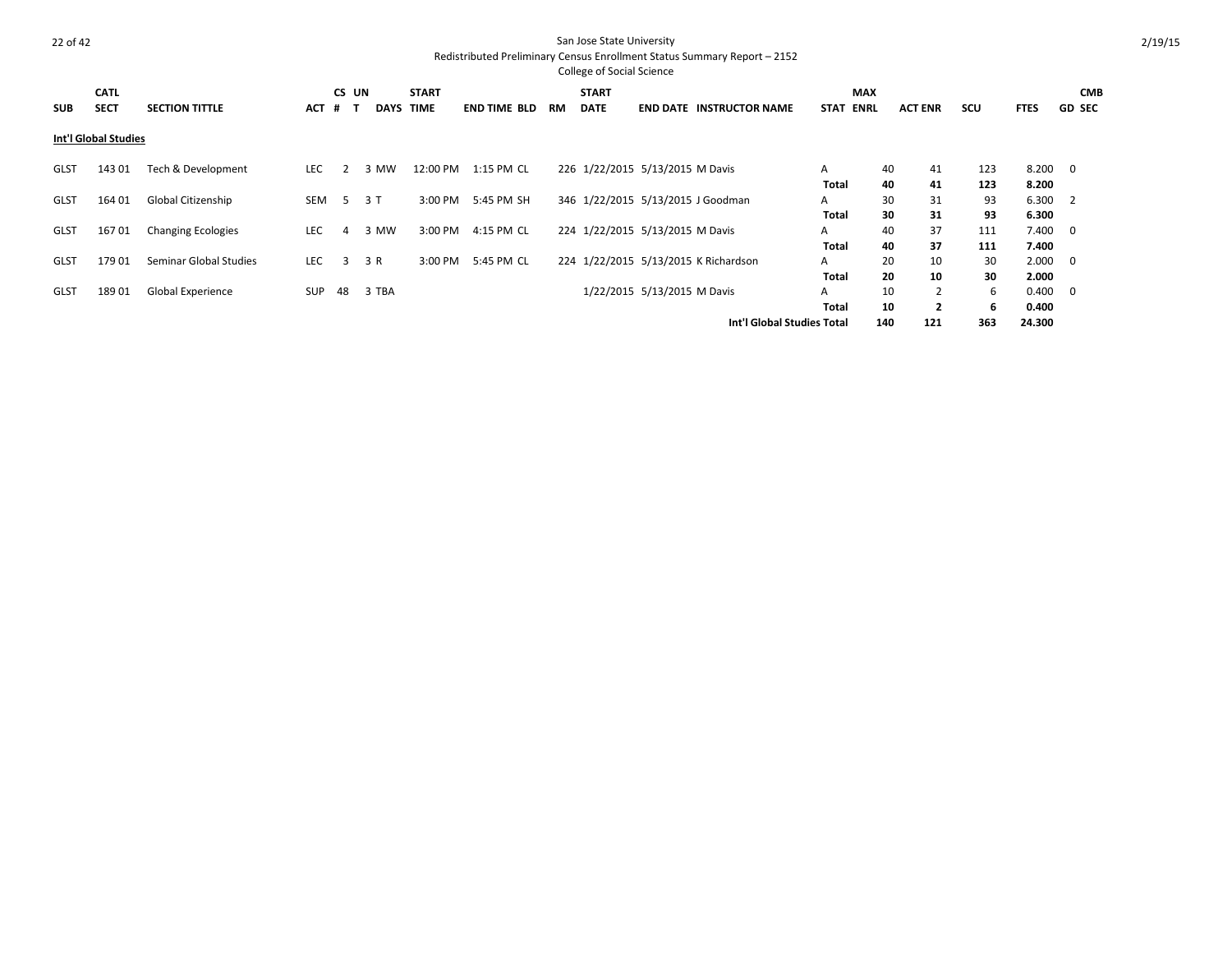|             |                      |                           |            |                |             |              |                     |    | <b>College of Social Science</b> |                                   |                                      |                            |     |                |            |             |                         |
|-------------|----------------------|---------------------------|------------|----------------|-------------|--------------|---------------------|----|----------------------------------|-----------------------------------|--------------------------------------|----------------------------|-----|----------------|------------|-------------|-------------------------|
|             | <b>CATL</b>          |                           |            | CS UN          |             | <b>START</b> |                     |    | <b>START</b>                     |                                   |                                      | <b>MAX</b>                 |     |                |            |             | <b>CMB</b>              |
| <b>SUB</b>  | <b>SECT</b>          | <b>SECTION TITTLE</b>     | <b>ACT</b> | #              | <b>DAYS</b> | <b>TIME</b>  | <b>END TIME BLD</b> | RM | <b>DATE</b>                      |                                   | <b>END DATE INSTRUCTOR NAME</b>      | <b>ENRL</b><br><b>STAT</b> |     | <b>ACT ENR</b> | <b>SCU</b> | <b>FTES</b> | <b>GD SEC</b>           |
|             | Int'l Global Studies |                           |            |                |             |              |                     |    |                                  |                                   |                                      |                            |     |                |            |             |                         |
| <b>GLST</b> | 143 01               | Tech & Development        | <b>LEC</b> |                | 3 MW        | 12:00 PM     | 1:15 PM CL          |    |                                  | 226 1/22/2015 5/13/2015 M Davis   |                                      | A                          | 40  | 41             | 123        | 8.200       | $\overline{\mathbf{0}}$ |
|             |                      |                           |            |                |             |              |                     |    |                                  |                                   |                                      | Total                      | 40  | 41             | 123        | 8.200       |                         |
| <b>GLST</b> | 164 01               | Global Citizenship        | SEM        | .5.            | 3T          | 3:00 PM      | 5:45 PM SH          |    |                                  | 346 1/22/2015 5/13/2015 J Goodman |                                      | A                          | 30  | 31             | 93         | 6.300       | $\overline{2}$          |
|             |                      |                           |            |                |             |              |                     |    |                                  |                                   |                                      | Total                      | 30  | 31             | 93         | 6.300       |                         |
| <b>GLST</b> | 16701                | <b>Changing Ecologies</b> | <b>LEC</b> | $\overline{a}$ | 3 MW        | 3:00 PM      | 4:15 PM CL          |    |                                  | 224 1/22/2015 5/13/2015 M Davis   |                                      | A                          | 40  | 37             | 111        | 7.400       | $\overline{\mathbf{0}}$ |
|             |                      |                           |            |                |             |              |                     |    |                                  |                                   |                                      | Total                      | 40  | 37             | 111        | 7.400       |                         |
| <b>GLST</b> | 17901                | Seminar Global Studies    | <b>LEC</b> | 3              | 3 R         | 3:00 PM      | 5:45 PM CL          |    |                                  |                                   | 224 1/22/2015 5/13/2015 K Richardson | A                          | 20  | 10             | 30         | 2.000       | $\overline{\mathbf{0}}$ |
|             |                      |                           |            |                |             |              |                     |    |                                  |                                   |                                      | <b>Total</b>               | 20  | 10             | 30         | 2.000       |                         |
| <b>GLST</b> | 18901                | Global Experience         | <b>SUP</b> | 48             | 3 TBA       |              |                     |    |                                  | 1/22/2015 5/13/2015 M Davis       |                                      | A                          | 10  |                | 6          | 0.400       | $\overline{\mathbf{0}}$ |
|             |                      |                           |            |                |             |              |                     |    |                                  |                                   |                                      | Total                      | 10  | $\overline{2}$ | 6          | 0.400       |                         |
|             |                      |                           |            |                |             |              |                     |    |                                  |                                   | Int'l Global Studies Total           |                            | 140 | 121            | 363        | 24.300      |                         |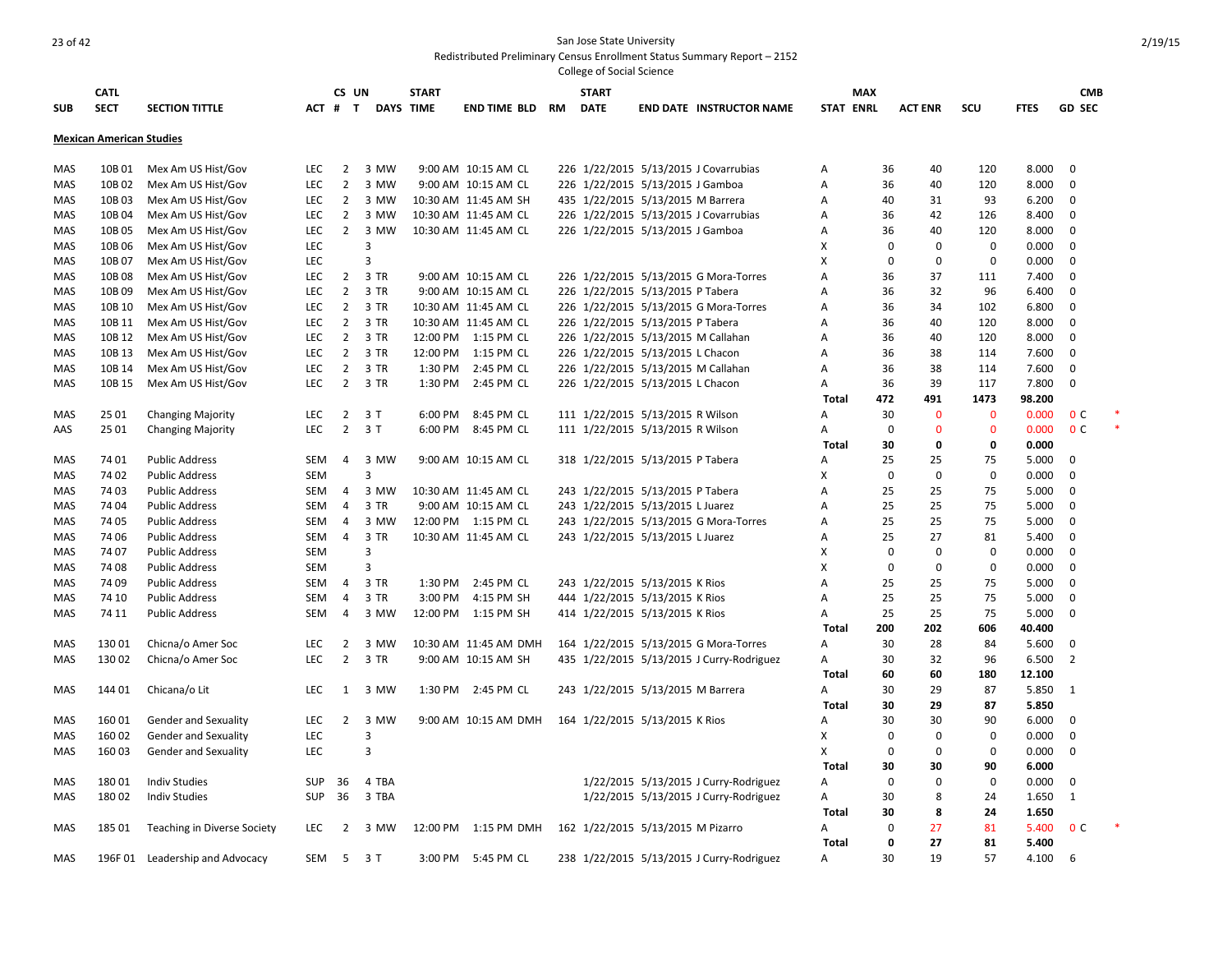|     |                                 |                                 |            |                |        |                  |                       |    | College of Social Science |                                    |                                           |              |                  |                |              |             |                |        |
|-----|---------------------------------|---------------------------------|------------|----------------|--------|------------------|-----------------------|----|---------------------------|------------------------------------|-------------------------------------------|--------------|------------------|----------------|--------------|-------------|----------------|--------|
|     | <b>CATL</b>                     |                                 |            | CS UN          |        | <b>START</b>     |                       |    | <b>START</b>              |                                    |                                           |              | <b>MAX</b>       |                |              |             | <b>CMB</b>     |        |
| SUB | <b>SECT</b>                     | <b>SECTION TITTLE</b>           | ACT #      | $\mathbf{T}$   |        | <b>DAYS TIME</b> | <b>END TIME BLD</b>   | RM | <b>DATE</b>               |                                    | <b>END DATE INSTRUCTOR NAME</b>           |              | <b>STAT ENRL</b> | <b>ACT ENR</b> | SCU          | <b>FTES</b> | <b>GD SEC</b>  |        |
|     | <b>Mexican American Studies</b> |                                 |            |                |        |                  |                       |    |                           |                                    |                                           |              |                  |                |              |             |                |        |
| MAS | 10B 01                          | Mex Am US Hist/Gov              | <b>LEC</b> | $\overline{2}$ | 3 MW   |                  | 9:00 AM 10:15 AM CL   |    |                           |                                    | 226 1/22/2015 5/13/2015 J Covarrubias     | Α            | 36               | 40             | 120          | 8.000       | $\mathbf 0$    |        |
| MAS | 10B02                           | Mex Am US Hist/Gov              | LEC        | $\overline{2}$ | 3 MW   |                  | 9:00 AM 10:15 AM CL   |    |                           | 226 1/22/2015 5/13/2015 J Gamboa   |                                           | Α            | 36               | 40             | 120          | 8.000       | $\mathbf 0$    |        |
| MAS | 10B03                           | Mex Am US Hist/Gov              | <b>LEC</b> | $\overline{2}$ | 3 MW   |                  | 10:30 AM 11:45 AM SH  |    |                           | 435 1/22/2015 5/13/2015 M Barrera  |                                           | Α            | 40               | 31             | 93           | 6.200       | $\mathbf 0$    |        |
| MAS | 10B 04                          | Mex Am US Hist/Gov              | <b>LEC</b> | $\overline{2}$ | 3 MW   |                  | 10:30 AM 11:45 AM CL  |    |                           |                                    | 226 1/22/2015 5/13/2015 J Covarrubias     | Α            | 36               | 42             | 126          | 8.400       | $\Omega$       |        |
| MAS | 10B05                           | Mex Am US Hist/Gov              | LEC        | $\overline{2}$ | 3 MW   |                  | 10:30 AM 11:45 AM CL  |    |                           | 226 1/22/2015 5/13/2015 J Gamboa   |                                           | Α            | 36               | 40             | 120          | 8.000       | $\mathbf 0$    |        |
| MAS | 10B 06                          | Mex Am US Hist/Gov              | LEC        |                | 3      |                  |                       |    |                           |                                    |                                           | х            | $\mathbf 0$      | $\mathbf 0$    | $\mathbf 0$  | 0.000       | $\Omega$       |        |
| MAS | 10B 07                          | Mex Am US Hist/Gov              | LEC        |                | 3      |                  |                       |    |                           |                                    |                                           | X            | 0                | $\mathbf 0$    | $\mathbf 0$  | 0.000       | $\Omega$       |        |
| MAS | 10B08                           | Mex Am US Hist/Gov              | LEC        | $\overline{2}$ | 3 TR   |                  | 9:00 AM 10:15 AM CL   |    |                           |                                    | 226 1/22/2015 5/13/2015 G Mora-Torres     | A            | 36               | 37             | 111          | 7.400       | $\Omega$       |        |
| MAS | 10B09                           | Mex Am US Hist/Gov              | <b>LEC</b> | $\overline{2}$ | 3 TR   |                  | 9:00 AM 10:15 AM CL   |    |                           | 226 1/22/2015 5/13/2015 P Tabera   |                                           | Α            | 36               | 32             | 96           | 6.400       | $\mathbf 0$    |        |
| MAS | 10B 10                          | Mex Am US Hist/Gov              | <b>LEC</b> | $\overline{2}$ | 3 TR   |                  | 10:30 AM 11:45 AM CL  |    |                           |                                    | 226 1/22/2015 5/13/2015 G Mora-Torres     | A            | 36               | 34             | 102          | 6.800       | $\Omega$       |        |
| MAS | 10B 11                          | Mex Am US Hist/Gov              | LEC        | $\overline{2}$ | 3 TR   |                  | 10:30 AM 11:45 AM CL  |    |                           | 226 1/22/2015 5/13/2015 P Tabera   |                                           | A            | 36               | 40             | 120          | 8.000       | $\Omega$       |        |
| MAS | 10B 12                          | Mex Am US Hist/Gov              | LEC        |                | 2 3 TR |                  | 12:00 PM 1:15 PM CL   |    |                           | 226 1/22/2015 5/13/2015 M Callahan |                                           | Α            | 36               | 40             | 120          | 8.000       | $\Omega$       |        |
| MAS | 10B 13                          | Mex Am US Hist/Gov              | LEC        | $\overline{2}$ | 3 TR   | 12:00 PM         | 1:15 PM CL            |    |                           | 226 1/22/2015 5/13/2015 L Chacon   |                                           | A            | 36               | 38             | 114          | 7.600       | $\Omega$       |        |
| MAS | 10B 14                          | Mex Am US Hist/Gov              | LEC        | $\overline{2}$ | 3 TR   | 1:30 PM          | 2:45 PM CL            |    |                           | 226 1/22/2015 5/13/2015 M Callahan |                                           | Α            | 36               | 38             | 114          | 7.600       | $\Omega$       |        |
| MAS | 10B 15                          | Mex Am US Hist/Gov              | LEC        | $\overline{2}$ | 3 TR   | 1:30 PM          | 2:45 PM CL            |    |                           | 226 1/22/2015 5/13/2015 L Chacon   |                                           | Α            | 36               | 39             | 117          | 7.800       | $\mathbf 0$    |        |
|     |                                 |                                 |            |                |        |                  |                       |    |                           |                                    |                                           | Total        | 472              | 491            | 1473         | 98.200      |                |        |
| MAS | 25 01                           | <b>Changing Majority</b>        | LEC        | $\overline{2}$ | 3T     | 6:00 PM          | 8:45 PM CL            |    |                           | 111 1/22/2015 5/13/2015 R Wilson   |                                           | Α            | 30               | $\mathbf{0}$   | $\mathbf{0}$ | 0.000       | 0 <sup>C</sup> |        |
| AAS | 25 01                           | <b>Changing Majority</b>        | <b>LEC</b> | $\overline{2}$ | 3T     | 6:00 PM          | 8:45 PM CL            |    |                           | 111 1/22/2015 5/13/2015 R Wilson   |                                           | A            | $\mathbf 0$      | $\mathbf{0}$   | $\mathbf{0}$ | 0.000       | 0 <sup>C</sup> | $\ast$ |
|     |                                 |                                 |            |                |        |                  |                       |    |                           |                                    |                                           | <b>Total</b> | 30               | 0              | 0            | 0.000       |                |        |
| MAS | 74 01                           | <b>Public Address</b>           | SEM        | 4              | 3 MW   |                  | 9:00 AM 10:15 AM CL   |    |                           | 318 1/22/2015 5/13/2015 P Tabera   |                                           | A            | 25               | 25             | 75           | 5.000       | $\Omega$       |        |
| MAS | 74 02                           | <b>Public Address</b>           | <b>SEM</b> |                | 3      |                  |                       |    |                           |                                    |                                           | X            | $\mathbf 0$      | $\mathbf 0$    | $\mathbf 0$  | 0.000       | $\Omega$       |        |
| MAS | 74 03                           | <b>Public Address</b>           | SEM        | 4              | 3 MW   |                  | 10:30 AM 11:45 AM CL  |    |                           | 243 1/22/2015 5/13/2015 P Tabera   |                                           | Α            | 25               | 25             | 75           | 5.000       | $\Omega$       |        |
| MAS | 74 04                           | <b>Public Address</b>           | SEM        | 4              | 3 TR   |                  | 9:00 AM 10:15 AM CL   |    |                           | 243 1/22/2015 5/13/2015 L Juarez   |                                           | Α            | 25               | 25             | 75           | 5.000       | $\Omega$       |        |
| MAS | 74 05                           | <b>Public Address</b>           | SEM        | 4              | 3 MW   |                  | 12:00 PM 1:15 PM CL   |    |                           |                                    | 243 1/22/2015 5/13/2015 G Mora-Torres     | Α            | 25               | 25             | 75           | 5.000       | $\Omega$       |        |
| MAS | 74 06                           | <b>Public Address</b>           | <b>SEM</b> | $\overline{4}$ | 3 TR   |                  | 10:30 AM 11:45 AM CL  |    |                           | 243 1/22/2015 5/13/2015 L Juarez   |                                           | Α            | 25               | 27             | 81           | 5.400       | $\Omega$       |        |
| MAS | 74 07                           | <b>Public Address</b>           | <b>SEM</b> |                | 3      |                  |                       |    |                           |                                    |                                           | X            | 0                | $\mathbf 0$    | 0            | 0.000       | 0              |        |
| MAS | 7408                            | <b>Public Address</b>           | <b>SEM</b> |                | 3      |                  |                       |    |                           |                                    |                                           | X            | $\mathbf 0$      | 0              | $\Omega$     | 0.000       | $\Omega$       |        |
| MAS | 74 09                           | <b>Public Address</b>           | SEM        | 4              | 3 TR   | 1:30 PM          | 2:45 PM CL            |    |                           | 243 1/22/2015 5/13/2015 K Rios     |                                           | Α            | 25               | 25             | 75           | 5.000       | $\Omega$       |        |
| MAS | 74 10                           | <b>Public Address</b>           | SEM        | 4              | 3 TR   | 3:00 PM          | 4:15 PM SH            |    |                           | 444 1/22/2015 5/13/2015 K Rios     |                                           | Α            | 25               | 25             | 75           | 5.000       | $\Omega$       |        |
| MAS | 74 11                           | <b>Public Address</b>           | SEM        | 4              | 3 MW   |                  | 12:00 PM 1:15 PM SH   |    |                           | 414 1/22/2015 5/13/2015 K Rios     |                                           | Α            | 25               | 25             | 75           | 5.000       | $\Omega$       |        |
|     |                                 |                                 |            |                |        |                  |                       |    |                           |                                    |                                           | Total        | 200              | 202            | 606          | 40.400      |                |        |
| MAS | 13001                           | Chicna/o Amer Soc               | LEC        | $\overline{2}$ | 3 MW   |                  | 10:30 AM 11:45 AM DMH |    |                           |                                    | 164 1/22/2015 5/13/2015 G Mora-Torres     | А            | 30               | 28             | 84           | 5.600       | $\Omega$       |        |
| MAS | 13002                           | Chicna/o Amer Soc               | LEC        | $\overline{2}$ | 3 TR   |                  | 9:00 AM 10:15 AM SH   |    |                           |                                    | 435 1/22/2015 5/13/2015 J Curry-Rodriguez | Α            | 30               | 32             | 96           | 6.500       | 2              |        |
|     |                                 |                                 |            |                |        |                  |                       |    |                           |                                    |                                           | <b>Total</b> | 60               | 60             | 180          | 12.100      |                |        |
| MAS | 144 01                          | Chicana/o Lit                   | LEC        | $\mathbf{1}$   | 3 MW   |                  | 1:30 PM 2:45 PM CL    |    |                           | 243 1/22/2015 5/13/2015 M Barrera  |                                           | Α            | 30               | 29             | 87           | 5.850       | 1              |        |
|     |                                 |                                 |            |                |        |                  |                       |    |                           |                                    |                                           | <b>Total</b> | 30               | 29             | 87           | 5.850       |                |        |
| MAS | 16001                           | Gender and Sexuality            | LEC        | $\overline{2}$ | 3 MW   |                  | 9:00 AM 10:15 AM DMH  |    |                           | 164 1/22/2015 5/13/2015 K Rios     |                                           | A            | 30               | 30             | 90           | 6.000       | $\Omega$       |        |
| MAS | 160 02                          | <b>Gender and Sexuality</b>     | LEC        |                | 3      |                  |                       |    |                           |                                    |                                           | X            | 0                | $\mathbf 0$    | $\mathbf 0$  | 0.000       | $\Omega$       |        |
| MAS | 160 03                          | Gender and Sexuality            | LEC        |                | 3      |                  |                       |    |                           |                                    |                                           | X            | $\mathbf 0$      | $\mathbf 0$    | $\Omega$     | 0.000       | $\mathbf 0$    |        |
|     |                                 |                                 |            |                |        |                  |                       |    |                           |                                    |                                           | <b>Total</b> | 30               | 30             | 90           | 6.000       |                |        |
| MAS | 18001                           | <b>Indiv Studies</b>            | <b>SUP</b> | 36             | 4 TBA  |                  |                       |    |                           |                                    | 1/22/2015 5/13/2015 J Curry-Rodriguez     | Α            | $\mathbf 0$      | $\mathbf 0$    | $\mathbf 0$  | 0.000       | $\Omega$       |        |
| MAS | 18002                           | <b>Indiv Studies</b>            | <b>SUP</b> | 36             | 3 TBA  |                  |                       |    |                           |                                    | 1/22/2015 5/13/2015 J Curry-Rodriguez     | Α            | 30               | 8              | 24           | 1.650       | $\mathbf{1}$   |        |
|     |                                 |                                 |            |                |        |                  |                       |    |                           |                                    |                                           | <b>Total</b> | 30               | 8              | 24           | 1.650       |                |        |
| MAS | 185 01                          | Teaching in Diverse Society     | <b>LEC</b> | 2              | 3 MW   |                  | 12:00 PM 1:15 PM DMH  |    |                           | 162 1/22/2015 5/13/2015 M Pizarro  |                                           | А            | $\mathbf 0$      | 27             | 81           | 5.400       | 0 <sup>c</sup> |        |
|     |                                 |                                 |            |                |        |                  |                       |    |                           |                                    |                                           | Total        | 0                | 27             | 81           | 5.400       |                |        |
| MAS |                                 | 196F 01 Leadership and Advocacy | SEM        | 5              | 3T     |                  | 3:00 PM 5:45 PM CL    |    |                           |                                    | 238 1/22/2015 5/13/2015 J Curry-Rodriguez | Α            | 30               | 19             | 57           | 4.100       | -6             |        |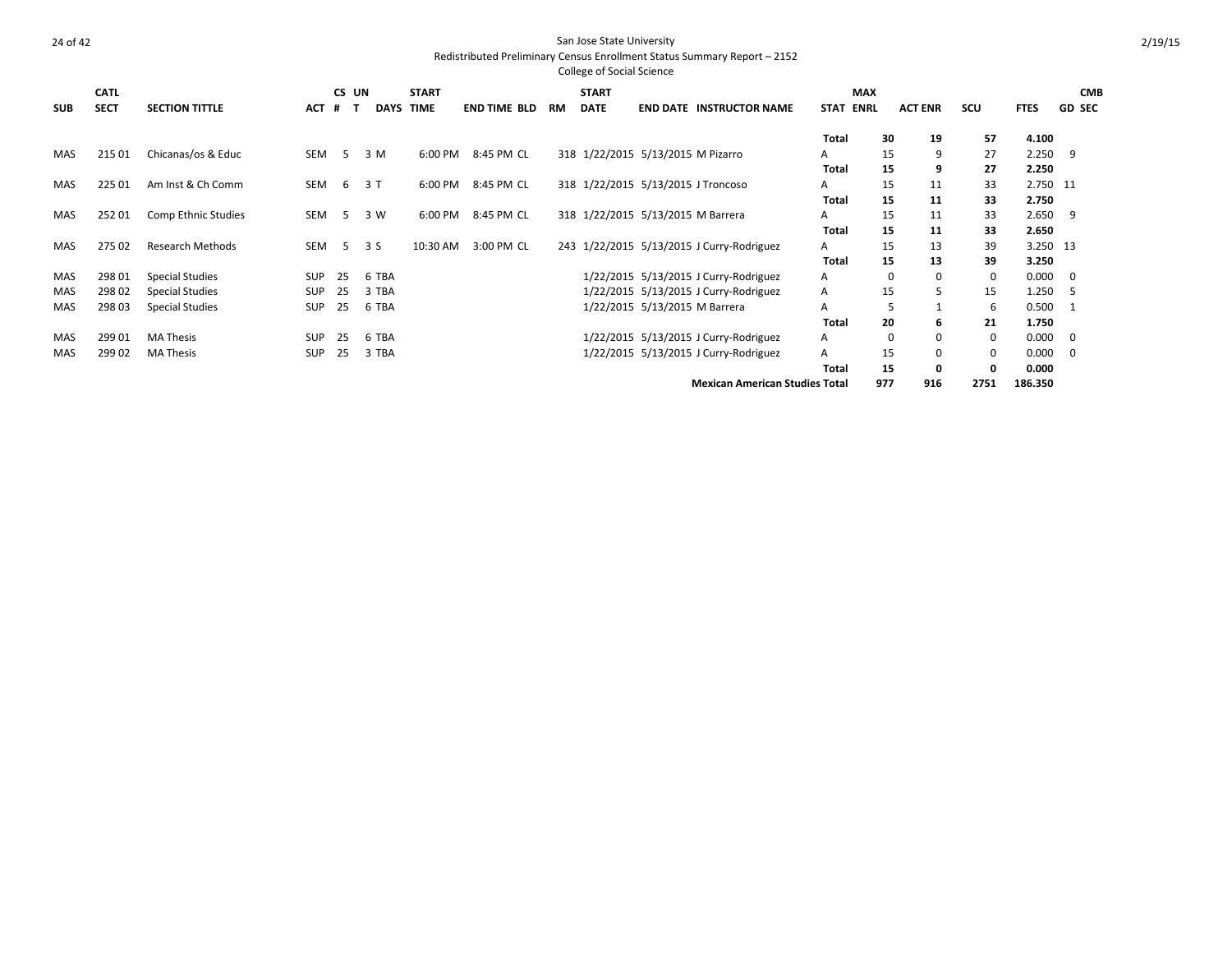|            |             |                         |            |       |                  |              |                     |           | <b>College of Social Science</b>   |                               |                                           |                            |          |                |             |             |                |
|------------|-------------|-------------------------|------------|-------|------------------|--------------|---------------------|-----------|------------------------------------|-------------------------------|-------------------------------------------|----------------------------|----------|----------------|-------------|-------------|----------------|
|            | <b>CATL</b> |                         |            | CS UN |                  | <b>START</b> |                     |           | <b>START</b>                       |                               |                                           | <b>MAX</b>                 |          |                |             |             | <b>CMB</b>     |
| <b>SUB</b> | <b>SECT</b> | <b>SECTION TITTLE</b>   | <b>ACT</b> | #     | <b>DAYS TIME</b> |              | <b>END TIME BLD</b> | <b>RM</b> | <b>DATE</b>                        |                               | <b>END DATE INSTRUCTOR NAME</b>           | <b>ENRL</b><br><b>STAT</b> |          | <b>ACT ENR</b> | <b>SCU</b>  | <b>FTES</b> | <b>GD SEC</b>  |
|            |             |                         |            |       |                  |              |                     |           |                                    |                               |                                           | <b>Total</b>               | 30       | 19             | 57          | 4.100       |                |
| <b>MAS</b> | 215 01      | Chicanas/os & Educ      | SEM        | 5     | 3 M              | 6:00 PM      | 8:45 PM CL          |           | 318 1/22/2015 5/13/2015 M Pizarro  |                               |                                           | A                          | 15       | 9              | 27          | 2.250       | -9             |
|            |             |                         |            |       |                  |              |                     |           |                                    |                               |                                           | Total                      | 15       | 9              | 27          | 2.250       |                |
| MAS        | 225 01      | Am Inst & Ch Comm       | SEM        | 6     | 3T               | 6:00 PM      | 8:45 PM CL          |           | 318 1/22/2015 5/13/2015 J Troncoso |                               |                                           | Α                          | 15       | 11             | 33          | 2.750 11    |                |
|            |             |                         |            |       |                  |              |                     |           |                                    |                               |                                           | Total                      | 15       | 11             | 33          | 2.750       |                |
| <b>MAS</b> | 252 01      | Comp Ethnic Studies     | SEM        | -5    | 3 W              | 6:00 PM      | 8:45 PM CL          |           | 318 1/22/2015 5/13/2015 M Barrera  |                               |                                           | A                          | 15       | 11             | 33          | 2.650       | -9             |
|            |             |                         |            |       |                  |              |                     |           |                                    |                               |                                           | <b>Total</b>               | 15       | 11             | 33          | 2.650       |                |
| MAS        | 275 02      | <b>Research Methods</b> | SEM        | -5    | 3 S              | 10:30 AM     | 3:00 PM CL          |           |                                    |                               | 243 1/22/2015 5/13/2015 J Curry-Rodriguez | Α                          | 15       | 13             | 39          | 3.250 13    |                |
|            |             |                         |            |       |                  |              |                     |           |                                    |                               |                                           | <b>Total</b>               | 15       | 13             | 39          | 3.250       |                |
| MAS        | 298 01      | <b>Special Studies</b>  | <b>SUP</b> | 25    | 6 TBA            |              |                     |           |                                    |                               | 1/22/2015 5/13/2015 J Curry-Rodriguez     | Α                          | 0        | $\mathbf 0$    | $\mathbf 0$ | 0.000       | - 0            |
| <b>MAS</b> | 298 02      | <b>Special Studies</b>  | <b>SUP</b> | 25    | 3 TBA            |              |                     |           |                                    |                               | 1/22/2015 5/13/2015 J Curry-Rodriguez     | Α                          | 15       | 5              | 15          | 1.250       | -5             |
| MAS        | 298 03      | <b>Special Studies</b>  | <b>SUP</b> | 25    | 6 TBA            |              |                     |           |                                    | 1/22/2015 5/13/2015 M Barrera |                                           | А                          | 5        |                | 6           | 0.500       | -1             |
|            |             |                         |            |       |                  |              |                     |           |                                    |                               |                                           | <b>Total</b>               | 20       | 6              | 21          | 1.750       |                |
| <b>MAS</b> | 299 01      | <b>MA Thesis</b>        | <b>SUP</b> | 25    | 6 TBA            |              |                     |           |                                    |                               | 1/22/2015 5/13/2015 J Curry-Rodriguez     | A                          | $\Omega$ | 0              | $\mathbf 0$ | 0.000       | - 0            |
| MAS        | 299 02      | <b>MA Thesis</b>        | <b>SUP</b> | 25    | 3 TBA            |              |                     |           |                                    |                               | 1/22/2015 5/13/2015 J Curry-Rodriguez     | A                          | 15       | 0              | 0           | 0.000       | $\overline{0}$ |
|            |             |                         |            |       |                  |              |                     |           |                                    |                               |                                           | Total                      | 15       | 0              | 0           | 0.000       |                |
|            |             |                         |            |       |                  |              |                     |           |                                    |                               | <b>Mexican American Studies Total</b>     |                            | 977      | 916            | 2751        | 186.350     |                |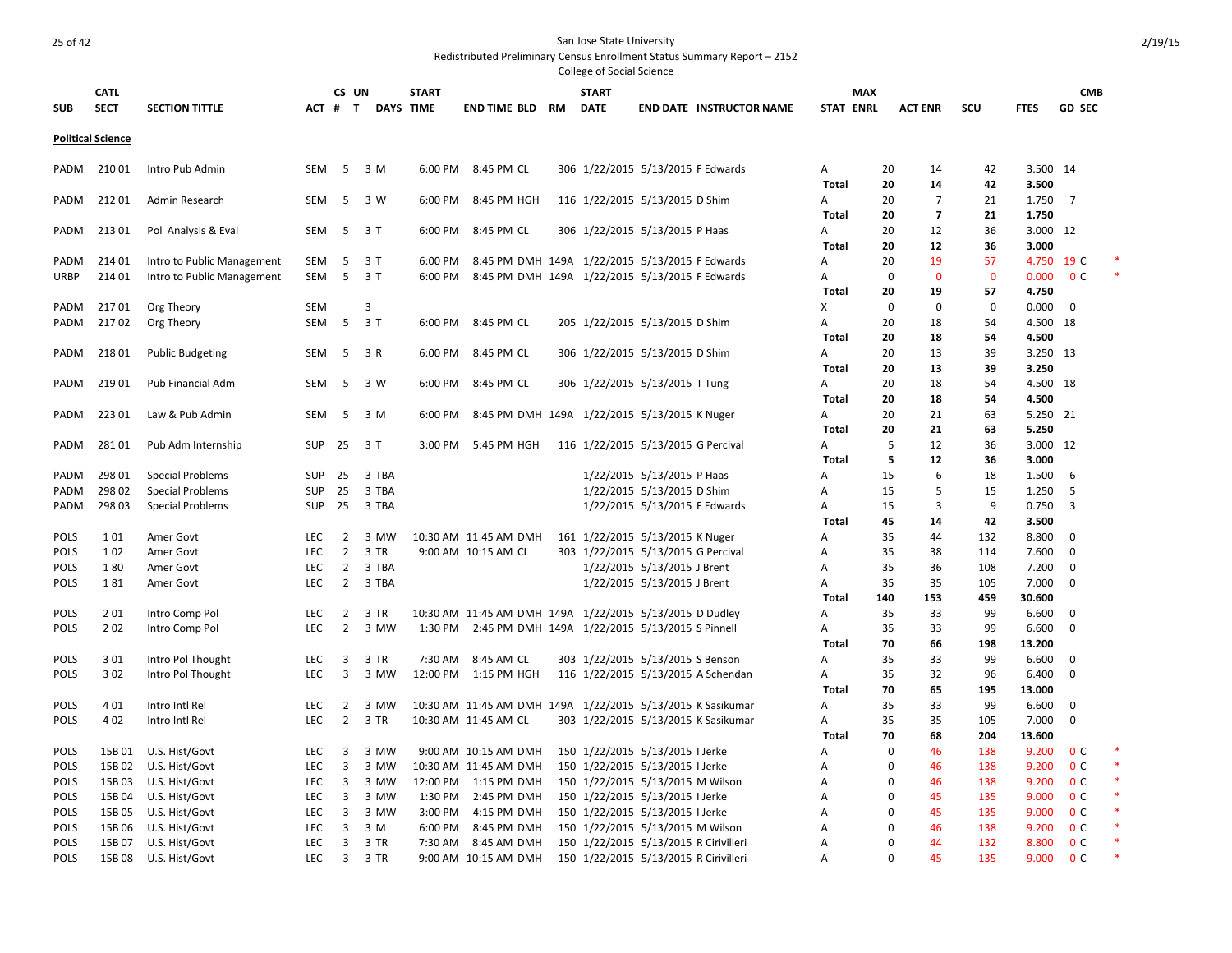|                            | <b>CATL</b>              |                            |                   | CS UN                            |                   | <b>START</b> |                                                            |           | <b>START</b> |                                                                       |                                     | <b>MAX</b>       |             |                |              |                | <b>CMB</b>     |  |
|----------------------------|--------------------------|----------------------------|-------------------|----------------------------------|-------------------|--------------|------------------------------------------------------------|-----------|--------------|-----------------------------------------------------------------------|-------------------------------------|------------------|-------------|----------------|--------------|----------------|----------------|--|
| <b>SUB</b>                 | <b>SECT</b>              | <b>SECTION TITTLE</b>      |                   |                                  | ACT # T DAYS TIME |              | END TIME BLD                                               | <b>RM</b> | <b>DATE</b>  |                                                                       | <b>END DATE INSTRUCTOR NAME</b>     | <b>STAT ENRL</b> |             | <b>ACT ENR</b> | scu          | <b>FTES</b>    | <b>GD SEC</b>  |  |
|                            |                          |                            |                   |                                  |                   |              |                                                            |           |              |                                                                       |                                     |                  |             |                |              |                |                |  |
|                            | <b>Political Science</b> |                            |                   |                                  |                   |              |                                                            |           |              |                                                                       |                                     |                  |             |                |              |                |                |  |
| PADM                       | 21001                    | Intro Pub Admin            | <b>SEM</b>        | -5                               | 3 M               | 6:00 PM      | 8:45 PM CL                                                 |           |              | 306 1/22/2015 5/13/2015 F Edwards                                     |                                     | Α                | 20          | 14             | 42           | 3.500 14       |                |  |
|                            |                          |                            |                   |                                  |                   |              |                                                            |           |              |                                                                       |                                     | <b>Total</b>     | 20          | 14             | 42           | 3.500          |                |  |
| PADM                       | 21201                    | Admin Research             | <b>SEM</b>        | -5                               | 3 W               | 6:00 PM      | 8:45 PM HGH                                                |           |              | 116 1/22/2015 5/13/2015 D Shim                                        |                                     | A                | 20          | $\overline{7}$ | 21           | 1.750          | $\overline{7}$ |  |
|                            |                          |                            |                   |                                  |                   |              |                                                            |           |              |                                                                       |                                     | Total            | 20          | $\overline{7}$ | 21           | 1.750          |                |  |
| PADM                       | 21301                    | Pol Analysis & Eval        | <b>SEM</b>        | 5                                | 3 T               | 6:00 PM      | 8:45 PM CL                                                 |           |              | 306 1/22/2015 5/13/2015 P Haas                                        |                                     | A                | 20          | 12             | 36           | 3.000 12       |                |  |
|                            |                          |                            |                   |                                  |                   |              |                                                            |           |              |                                                                       |                                     | Total            | 20          | 12             | 36           | 3.000          |                |  |
| PADM                       | 214 01                   | Intro to Public Management | SEM               | 5                                | 3T                | 6:00 PM      | 8:45 PM DMH 149A 1/22/2015 5/13/2015 F Edwards             |           |              |                                                                       |                                     | A                | 20          | 19             | 57           |                | 4.750 19 C     |  |
| <b>URBP</b>                | 214 01                   | Intro to Public Management | SEM               | - 5                              | 3T                | 6:00 PM      | 8:45 PM DMH 149A 1/22/2015 5/13/2015 F Edwards             |           |              |                                                                       |                                     | Α                | 0           | $\mathbf{0}$   | $\mathbf{0}$ | 0.000          | 0 <sup>C</sup> |  |
|                            |                          |                            |                   |                                  |                   |              |                                                            |           |              |                                                                       |                                     | Total            | 20          | 19             | 57           | 4.750          |                |  |
| PADM                       | 21701                    | Org Theory                 | <b>SEM</b>        |                                  | 3                 |              |                                                            |           |              |                                                                       |                                     | X                | $\mathbf 0$ | $\mathbf 0$    | $\mathbf 0$  | 0.000          | $\mathbf 0$    |  |
| PADM                       | 21702                    | Org Theory                 | SEM               | 5                                | 3T                | 6:00 PM      | 8:45 PM CL                                                 |           |              | 205 1/22/2015 5/13/2015 D Shim                                        |                                     | Α                | 20          | 18             | 54           | 4.500 18       |                |  |
|                            |                          |                            |                   |                                  |                   |              |                                                            |           |              |                                                                       |                                     | <b>Total</b>     | 20          | 18             | 54           | 4.500          |                |  |
| PADM                       | 21801                    | <b>Public Budgeting</b>    | SEM               | 5                                | 3 R               | 6:00 PM      | 8:45 PM CL                                                 |           |              | 306 1/22/2015 5/13/2015 D Shim                                        |                                     | A                | 20          | 13             | 39           | 3.250 13       |                |  |
|                            |                          |                            |                   |                                  |                   |              |                                                            |           |              |                                                                       |                                     | <b>Total</b>     | 20          | 13             | 39           | 3.250          |                |  |
| PADM                       | 21901                    | Pub Financial Adm          | <b>SEM</b>        | - 5                              | 3 W               | 6:00 PM      | 8:45 PM CL                                                 |           |              | 306 1/22/2015 5/13/2015 T Tung                                        |                                     | A                | 20          | 18             | 54           | 4.500 18       |                |  |
|                            |                          |                            |                   |                                  |                   |              |                                                            |           |              |                                                                       |                                     | Total            | 20          | 18             | 54           | 4.500          |                |  |
| PADM                       | 22301                    | Law & Pub Admin            | SEM               | 5                                | 3 M               | 6:00 PM      | 8:45 PM DMH 149A 1/22/2015 5/13/2015 K Nuger               |           |              |                                                                       |                                     | Α                | 20          | 21             | 63           | 5.250 21       |                |  |
|                            |                          |                            |                   |                                  |                   |              |                                                            |           |              |                                                                       |                                     | <b>Total</b>     | 20          | 21             | 63           | 5.250          |                |  |
| PADM                       | 28101                    | Pub Adm Internship         | <b>SUP</b>        | 25                               | 3T                | 3:00 PM      | 5:45 PM HGH                                                |           |              | 116 1/22/2015 5/13/2015 G Percival                                    |                                     | Α                | 5           | 12             | 36           | 3.000 12       |                |  |
|                            |                          |                            |                   |                                  |                   |              |                                                            |           |              |                                                                       |                                     | <b>Total</b>     | 5           | 12             | 36           | 3.000          |                |  |
| PADM                       | 298 01                   | <b>Special Problems</b>    | <b>SUP</b>        | 25                               | 3 TBA             |              |                                                            |           |              | 1/22/2015 5/13/2015 P Haas                                            |                                     | A                | 15          | 6              | 18           | 1.500          | 6              |  |
| PADM                       | 298 02                   | <b>Special Problems</b>    | <b>SUP</b>        | 25                               | 3 TBA             |              |                                                            |           |              | 1/22/2015 5/13/2015 D Shim                                            |                                     | Α                | 15          | 5              | 15           | 1.250          | 5              |  |
| PADM                       | 298 03                   | <b>Special Problems</b>    | SUP               | 25                               | 3 TBA             |              |                                                            |           |              | 1/22/2015 5/13/2015 F Edwards                                         |                                     | Α                | 15          | 3              | 9            | 0.750          | $\overline{3}$ |  |
|                            |                          |                            |                   |                                  |                   |              |                                                            |           |              |                                                                       |                                     | <b>Total</b>     | 45<br>35    | 14             | 42           | 3.500          |                |  |
| <b>POLS</b><br><b>POLS</b> | 101<br>102               | Amer Govt<br>Amer Govt     | LEC<br><b>LEC</b> | $\overline{2}$<br>$\overline{2}$ | 3 MW<br>3 TR      |              | 10:30 AM 11:45 AM DMH<br>9:00 AM 10:15 AM CL               |           |              | 161 1/22/2015 5/13/2015 K Nuger<br>303 1/22/2015 5/13/2015 G Percival |                                     | Α<br>Α           | 35          | 44<br>38       | 132<br>114   | 8.800<br>7.600 | 0<br>0         |  |
| <b>POLS</b>                | 180                      | Amer Govt                  | <b>LEC</b>        | $\overline{2}$                   | 3 TBA             |              |                                                            |           |              | 1/22/2015 5/13/2015 J Brent                                           |                                     | Α                | 35          | 36             | 108          | 7.200          | 0              |  |
| <b>POLS</b>                | 181                      | Amer Govt                  | <b>LEC</b>        | $\overline{2}$                   | 3 TBA             |              |                                                            |           |              | 1/22/2015 5/13/2015 J Brent                                           |                                     | Α                | 35          | 35             | 105          | 7.000          | $\mathbf 0$    |  |
|                            |                          |                            |                   |                                  |                   |              |                                                            |           |              |                                                                       |                                     | Total            | 140         | 153            | 459          | 30.600         |                |  |
| <b>POLS</b>                | 201                      | Intro Comp Pol             | <b>LEC</b>        | $\overline{2}$                   | 3 TR              |              | 10:30 AM 11:45 AM DMH 149A 1/22/2015 5/13/2015 D Dudley    |           |              |                                                                       |                                     | Α                | 35          | 33             | 99           | 6.600          | 0              |  |
| <b>POLS</b>                | 202                      | Intro Comp Pol             | <b>LEC</b>        | $\overline{2}$                   | 3 MW              |              | 1:30 PM 2:45 PM DMH 149A 1/22/2015 5/13/2015 S Pinnell     |           |              |                                                                       |                                     | A                | 35          | 33             | 99           | 6.600          | $\mathbf 0$    |  |
|                            |                          |                            |                   |                                  |                   |              |                                                            |           |              |                                                                       |                                     | Total            | 70          | 66             | 198          | 13.200         |                |  |
| <b>POLS</b>                | 301                      | Intro Pol Thought          | LEC               | 3                                | 3 TR              | 7:30 AM      | 8:45 AM CL                                                 |           |              | 303 1/22/2015 5/13/2015 S Benson                                      |                                     | A                | 35          | 33             | 99           | 6.600          | $\mathbf 0$    |  |
| <b>POLS</b>                | 302                      | Intro Pol Thought          | <b>LEC</b>        | $\overline{3}$                   | 3 MW              | 12:00 PM     | 1:15 PM HGH                                                |           |              |                                                                       | 116 1/22/2015 5/13/2015 A Schendan  | A                | 35          | 32             | 96           | 6.400          | $\mathbf 0$    |  |
|                            |                          |                            |                   |                                  |                   |              |                                                            |           |              |                                                                       |                                     | <b>Total</b>     | 70          | 65             | 195          | 13.000         |                |  |
| <b>POLS</b>                | 401                      | Intro Intl Rel             | <b>LEC</b>        | $\overline{2}$                   | 3 MW              |              | 10:30 AM 11:45 AM DMH 149A 1/22/2015 5/13/2015 K Sasikumar |           |              |                                                                       |                                     | Α                | 35          | 33             | 99           | 6.600          | 0              |  |
| <b>POLS</b>                | 402                      | Intro Intl Rel             | <b>LEC</b>        | $\overline{2}$                   | 3 TR              |              | 10:30 AM 11:45 AM CL                                       |           |              |                                                                       | 303 1/22/2015 5/13/2015 K Sasikumar | A                | 35          | 35             | 105          | 7.000          | $\mathbf 0$    |  |
|                            |                          |                            |                   |                                  |                   |              |                                                            |           |              |                                                                       |                                     | Total            | 70          | 68             | 204          | 13.600         |                |  |
| <b>POLS</b>                | 15B01                    | U.S. Hist/Govt             | <b>LEC</b>        | 3                                | 3 MW              |              | 9:00 AM 10:15 AM DMH                                       |           |              | 150 1/22/2015 5/13/2015 I Jerke                                       |                                     | A                | $\mathbf 0$ | 46             | 138          | 9.200          | 0 <sup>C</sup> |  |
| POLS                       | 15B02                    | U.S. Hist/Govt             | LEC               | 3                                | 3 MW              |              | 10:30 AM 11:45 AM DMH                                      |           |              | 150 1/22/2015 5/13/2015 I Jerke                                       |                                     | Α                | $\Omega$    | 46             | 138          | 9.200          | 0 <sup>c</sup> |  |
| POLS                       | 15B03                    | U.S. Hist/Govt             | <b>LEC</b>        | $\overline{3}$                   | 3 MW              |              | 12:00 PM 1:15 PM DMH                                       |           |              | 150 1/22/2015 5/13/2015 M Wilson                                      |                                     | A                | $\Omega$    | 46             | 138          | 9.200          | 0 <sup>c</sup> |  |
| POLS                       | 15B04                    | U.S. Hist/Govt             | <b>LEC</b>        | $\overline{3}$                   | 3 MW              | 1:30 PM      | 2:45 PM DMH                                                |           |              | 150 1/22/2015 5/13/2015 I Jerke                                       |                                     | A                | $\Omega$    | 45             | 135          | 9.000          | 0 <sup>c</sup> |  |
| <b>POLS</b>                | 15B 05                   | U.S. Hist/Govt             | <b>LEC</b>        | 3                                | 3 MW              | 3:00 PM      | 4:15 PM DMH                                                |           |              | 150 1/22/2015 5/13/2015 I Jerke                                       |                                     | A                | $\Omega$    | 45             | 135          | 9.000          | 0 <sup>c</sup> |  |
| POLS                       | 15B 06                   | U.S. Hist/Govt             | <b>LEC</b>        | 3                                | 3 M               | 6:00 PM      | 8:45 PM DMH                                                |           |              | 150 1/22/2015 5/13/2015 M Wilson                                      |                                     | Α                | $\Omega$    | 46             | 138          | 9.200          | 0 <sup>c</sup> |  |
| POLS                       | 15B 07                   | U.S. Hist/Govt             | LEC               | 3                                | 3 TR              | 7:30 AM      | 8:45 AM DMH                                                |           |              | 150 1/22/2015 5/13/2015 R Cirivilleri                                 |                                     | Α                | $\Omega$    | 44             | 132          | 8.800          | 0 <sup>c</sup> |  |
| POLS                       | 15B08                    | U.S. Hist/Govt             | <b>LEC</b>        | 3                                | 3 TR              |              | 9:00 AM 10:15 AM DMH                                       |           |              | 150 1/22/2015 5/13/2015 R Cirivilleri                                 |                                     | $\overline{A}$   | $\Omega$    | 45             | 135          | 9.000          | 0 <sup>c</sup> |  |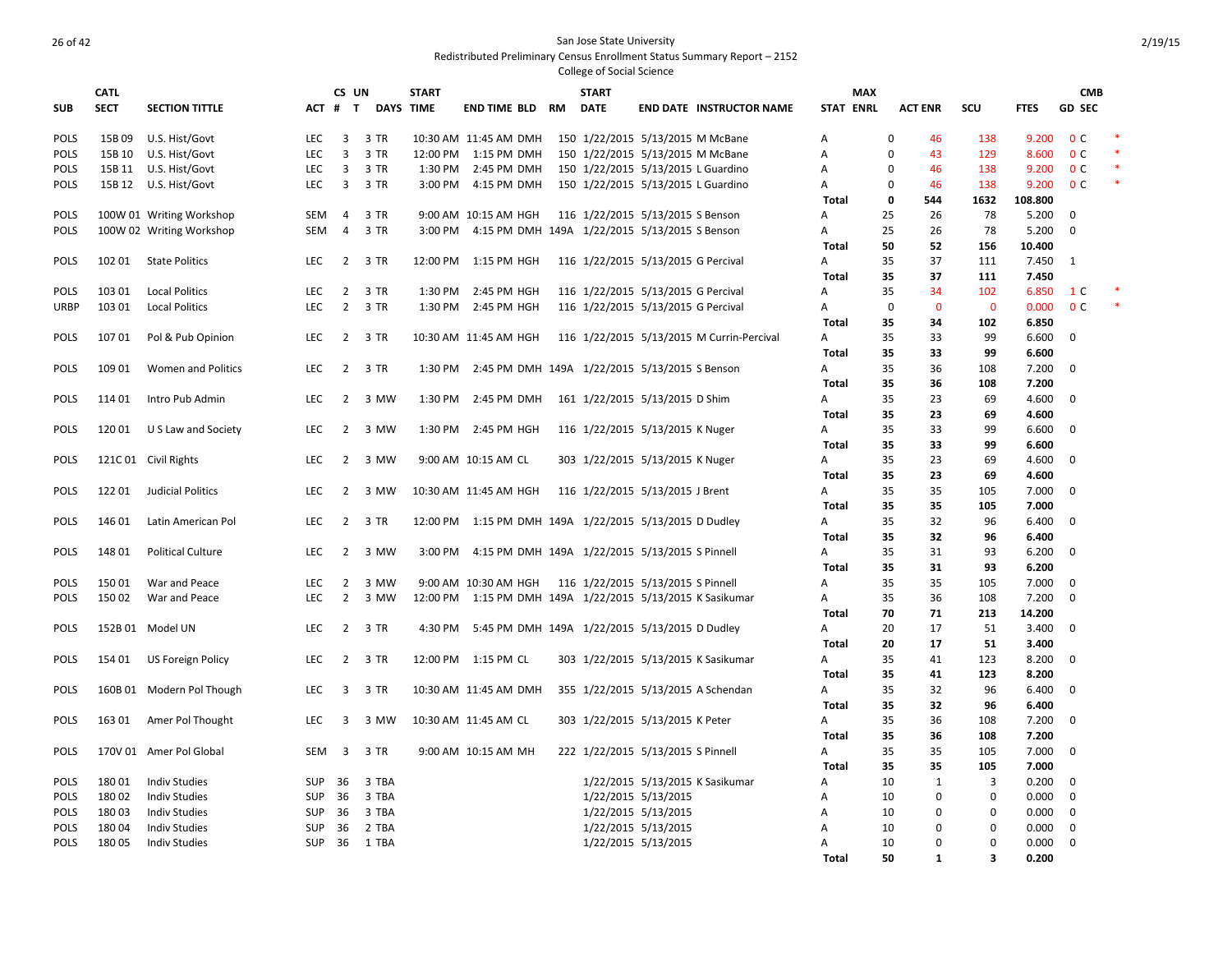**SUB CATL SECT SECTION TITTLE CS UN** ACT # T **DAYS TIME START TIME END TIME BLD RM START DATE END DATE INSTRUCTOR NAME STAT MAX ENRL ACT ENR SCU FTES GD CMB SEC** POLS 15B 09 U.S. Hist/Govt CHO LEC 3 3 TR 10:30 AM 11:45 AM DMH 150 1/22/2015 5/13/2015 M McBane A 0 46 138 9.200 0 C POLS 15B 10 U.S. Hist/Govt LEC 3 3 TR 12:00 PM 1:15 PM DMH 150 1/22/2015 5/13/2015 M McBane A 0 43 129 8.600 0 C \* POLS 15B 11 U.S. Hist/Govt **LEC 3 3 TR 1:30 PM 2:45 PM DMH 150 1/22/2015 5/13/2015 L Guardino** A 0 46 138 9.200 0 C POLS 15B 12 U.S. Hist/Govt LEC 3 3 TR 3:00 PM 4:15 PM DMH 150 1/22/2015 5/13/2015 L Guardino A 0 46 138 9.200 0 C **Total 0 544 1632 108.800** POLS 100W 01 Writing Workshop SEM 4 3 TR 9:00 AM 10:15 AM HGH 116 1/22/2015 5/13/2015 S Benson A 25 26 78 5.200 0 POLS 100W 02 Writing Workshop SEM 4 3 TR 3:00 PM 4:15 PM DMH 149A 1/22/2015 5/13/2015 S Benson A 25 26 78 5.200 0 **Total 50 52 156 10.400** POLS 102 01 State Politics LEC 2 3 TR 12:00 PM 1:15 PM HGH 116 1/22/2015 5/13/2015 G Percival A 35 37 111 7.450 1 **Total 35 37 111 7.450** POLS 103 01 Local Politics 
LEC 2 3 TR 1:30 PM 2:45 PM HGH 116 1/22/2015 5/13/2015 G Percival A 35 34 102 6.850 1 C URBP 103 01 Local Politics LEC 2 3 TR 1:30 PM 2:45 PM HGH 116 1/22/2015 5/13/2015 G Percival A 0 0 0 0.000 0 C \* **Total 35 34 102 6.850** POLS 107 01 Pol & Pub Opinion LEC 2 3 TR 10:30 AM 11:45 AM HGH 116 1/22/2015 5/13/2015 M Currin-Percival A 35 33 99 6.600 0 **Total 35 33 99 6.600** POLS 109 01 Women and Politics LEC 2 3 TR 1:30 PM 2:45 PM DMH 149A 1/22/2015 5/13/2015 S Benson A 35 36 108 7.200 0 **Total 35 36 108 7.200** POLS 114 01 Intro Pub Admin LEC 2 3 MW 1:30 PM 2:45 PM DMH 161 1/22/2015 5/13/2015 D Shim A 35 23 69 4.600 0 **Total 35 23 69 4.600** POLS 120 01 U S Law and Society LEC 2 3 MW 1:30 PM 2:45 PM HGH 116 1/22/2015 5/13/2015 K Nuger A 35 33 99 6.600 0 **Total 35 33 99 6.600** POLS 121C 01 Civil Rights **LEC 2 3 MW 9:00 AM 10:15 AM CL 303 1/22/2015 5/13/2015 K Nuger** A 35 23 69 4.600 0 **Total 35 23 69 4.600** POLS 122 01 Judicial Politics **LEC 2 3 MW 10:30 AM 11:45 AM HGH 116 1/22/2015 5/13/2015 J Brent** A 35 35 105 7.000 0 **Total 35 35 105 7.000** POLS 146 01 Latin American Pol LEC 2 3 TR 12:00 PM 1:15 PM DMH 149A 1/22/2015 5/13/2015 D Dudley A 35 32 96 6.400 0 **Total 35 32 96 6.400** POLS 148 01 Political Culture LEC 2 3 MW 3:00 PM 4:15 PM DMH 149A 1/22/2015 5/13/2015 S Pinnell A 35 31 93 6.200 0 **Total 35 31 93 6.200** POLS 150 01 War and Peace **LEC 2 3 MW 9:00 AM 10:30 AM HGH 116 1/22/2015 5/13/2015 S Pinnell** A 35 35 105 7.000 0 POLS 150 02 War and Peace **LEC 2 3 MW 12:00 PM 1:15 PM DMH 149A 1/22/2015** 5/13/2015 K Sasikumar A 35 36 108 7.200 0 **Total 70 71 213 14.200** POLS 152B 01 Model UN LEC 2 3 TR 4:30 PM 5:45 PM DMH 149A 1/22/2015 5/13/2015 D Dudley A 20 17 51 3.400 0 **Total 20 17 51 3.400** POLS 154 01 US Foreign Policy **LEC 2 3 TR 12:00 PM 1:15 PM CL 303 1/22/2015 5/13/2015 K Sasikumar A 35 41 123 8.200 0 Total 35 41 123 8.200** POLS 160B 01 Modern Pol Though LEC 3 3 TR 10:30 AM 11:45 AM DMH 355 1/22/2015 5/13/2015 A Schendan A 35 32 96 6.400 0 **Total 35 32 96 6.400** POLS 163 01 Amer Pol Thought LEC 3 3 MW 10:30 AM 11:45 AM CL 303 1/22/2015 5/13/2015 K Peter A 35 36 108 7.200 0 **Total 35 36 108 7.200** POLS 170V 01 Amer Pol Global SEM 3 3 TR 9:00 AM 10:15 AM MH 222 1/22/2015 5/13/2015 S Pinnell A 35 35 105 7.000 0 **Total 35 35 105 7.000** POLS 180 01 Indiv Studies SUP 36 3 TBA 1/22/2015 5/13/2015 K Sasikumar A 10 1 3 0.200 0 POLS 180 02 Indiv Studies SUP 36 3 TBA 1/22/2015 5/13/2015 A 10 0 0 0.000 0 POLS 180 03 Indiv Studies SUP 36 3 TBA 1/22/2015 5/13/2015 A 10 0 0 0.000 0 POLS 180 04 Indiv Studies SUP 36 2 TBA 1/22/2015 5/13/2015 A 10 0 0 0.000 0 POLS 180 05 Indiv Studies SUP 36 1 TBA 1/22/2015 5/13/2015 A 10 0 0 0.000 0

**Total 50 1 3 0.200**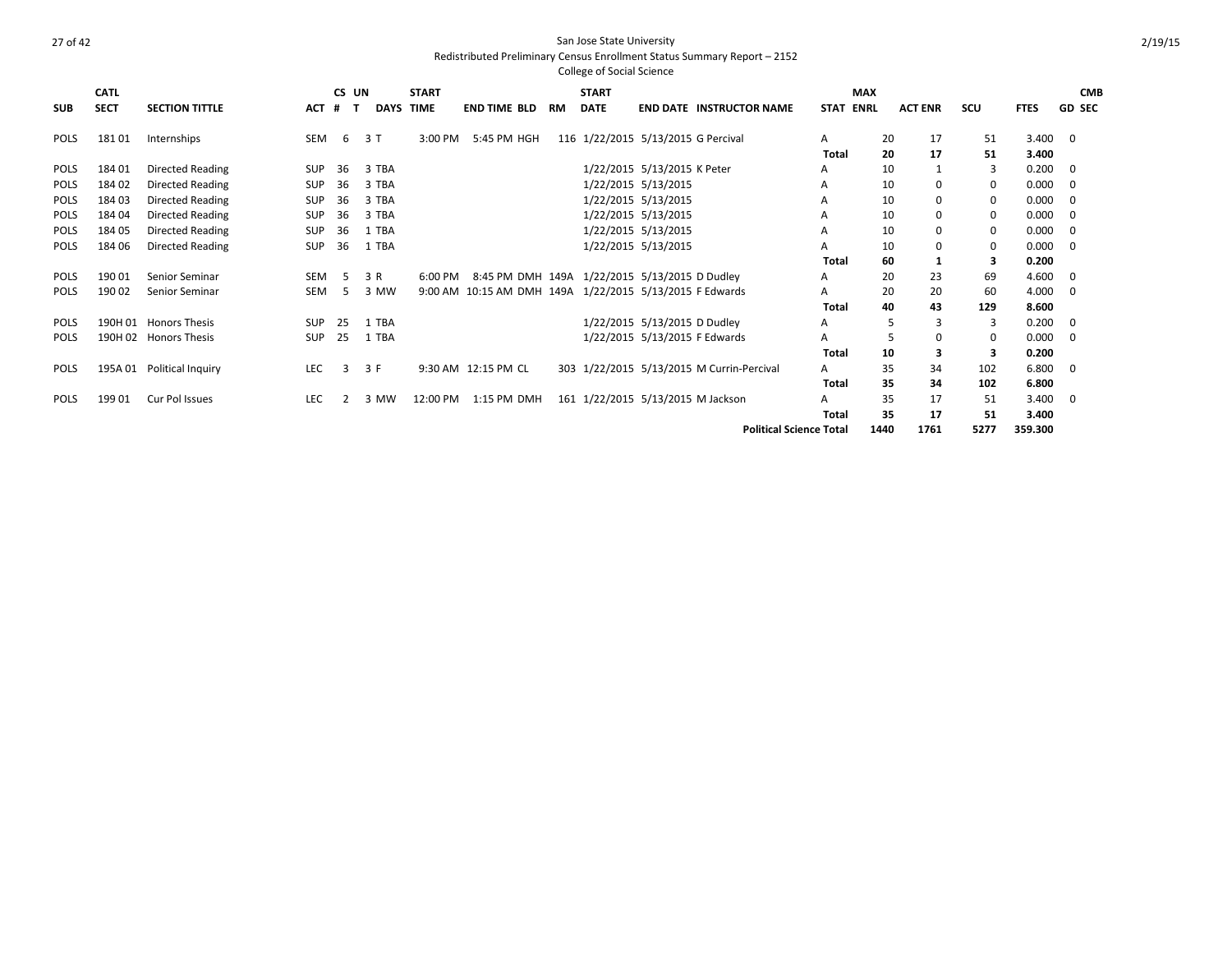|             |             |                         |            |       |             |                     |                     |           | <b>College of Social Science</b> |                                                         |              |             |                |             |             |               |
|-------------|-------------|-------------------------|------------|-------|-------------|---------------------|---------------------|-----------|----------------------------------|---------------------------------------------------------|--------------|-------------|----------------|-------------|-------------|---------------|
|             | <b>CATL</b> |                         |            | CS UN |             | <b>START</b>        |                     |           | <b>START</b>                     |                                                         | <b>MAX</b>   |             |                |             |             | <b>CMB</b>    |
| <b>SUB</b>  | <b>SECT</b> | <b>SECTION TITTLE</b>   | <b>ACT</b> | #     | <b>DAYS</b> | <b>TIME</b>         | <b>END TIME BLD</b> | <b>RM</b> | <b>DATE</b>                      | <b>END DATE INSTRUCTOR NAME</b>                         | <b>STAT</b>  | <b>ENRL</b> | <b>ACT ENR</b> | SCU         | <b>FTES</b> | <b>GD SEC</b> |
| <b>POLS</b> | 18101       | Internships             | SEM        | 6     | 3T          | 3:00 PM             | 5:45 PM HGH         |           |                                  | 116 1/22/2015 5/13/2015 G Percival                      | A            | 20          | 17             | 51          | 3.400       | $\mathbf 0$   |
|             |             |                         |            |       |             |                     |                     |           |                                  |                                                         | Total        | 20          | 17             | 51          | 3.400       |               |
| POLS        | 18401       | Directed Reading        | <b>SUP</b> | 36    | 3 TBA       |                     |                     |           |                                  | 1/22/2015 5/13/2015 K Peter                             | A            | 10          | 1              | 3           | 0.200       | 0             |
| <b>POLS</b> | 184 02      | <b>Directed Reading</b> | SUP        | 36    | 3 TBA       |                     |                     |           |                                  | 1/22/2015 5/13/2015                                     | A            | 10          | $\mathbf 0$    | 0           | 0.000       | 0             |
| <b>POLS</b> | 18403       | Directed Reading        | SUP        | 36    | 3 TBA       |                     |                     |           |                                  | 1/22/2015 5/13/2015                                     | A            | 10          | $\mathbf 0$    | 0           | 0.000       | 0             |
| <b>POLS</b> | 184 04      | <b>Directed Reading</b> | SUP        | 36    | 3 TBA       |                     |                     |           |                                  | 1/22/2015 5/13/2015                                     | A            | 10          | $\mathbf 0$    | $\mathbf 0$ | 0.000       | $\mathbf 0$   |
| <b>POLS</b> | 18405       | Directed Reading        | SUP        | 36    | 1 TBA       |                     |                     |           |                                  | 1/22/2015 5/13/2015                                     | A            | 10          | $\mathbf 0$    | 0           | 0.000       | 0             |
| <b>POLS</b> | 184 06      | <b>Directed Reading</b> | SUP        | 36    | 1 TBA       |                     |                     |           |                                  | 1/22/2015 5/13/2015                                     |              | 10          | 0              | $\mathbf 0$ | 0.000       | $\Omega$      |
|             |             |                         |            |       |             |                     |                     |           |                                  |                                                         | <b>Total</b> | 60          | 1              | 3           | 0.200       |               |
| POLS        | 19001       | Senior Seminar          | <b>SEM</b> | - 5   | 3 R         | $6:00 \, \text{PM}$ |                     |           |                                  | 8:45 PM DMH 149A 1/22/2015 5/13/2015 D Dudley           | A            | 20          | 23             | 69          | 4.600       | 0             |
| <b>POLS</b> | 19002       | <b>Senior Seminar</b>   | <b>SEM</b> | -5    | 3 MW        |                     |                     |           |                                  | 9:00 AM 10:15 AM DMH 149A 1/22/2015 5/13/2015 F Edwards | A            | 20          | 20             | 60          | 4.000       | $\mathbf 0$   |
|             |             |                         |            |       |             |                     |                     |           |                                  |                                                         | <b>Total</b> | 40          | 43             | 129         | 8.600       |               |
| <b>POLS</b> |             | 190H 01 Honors Thesis   | SUP        | 25    | 1 TBA       |                     |                     |           |                                  | 1/22/2015 5/13/2015 D Dudley                            | A            | 5           | $\overline{3}$ | 3           | 0.200       | 0             |
| <b>POLS</b> |             | 190H 02 Honors Thesis   | SUP        | 25    | 1 TBA       |                     |                     |           |                                  | 1/22/2015 5/13/2015 F Edwards                           | A            |             | 0              | 0           | 0.000       | $\mathbf 0$   |
|             |             |                         |            |       |             |                     |                     |           |                                  |                                                         | <b>Total</b> | 10          | 3              | 3           | 0.200       |               |
| <b>POLS</b> | 195A 01     | Political Inquiry       | <b>LEC</b> | 3     | 3 F         |                     | 9:30 AM 12:15 PM CL |           |                                  | 303 1/22/2015 5/13/2015 M Currin-Percival               | A            | 35          | 34             | 102         | 6.800       | $\mathbf 0$   |
|             |             |                         |            |       |             |                     |                     |           |                                  |                                                         | Total        | 35          | 34             | 102         | 6.800       |               |
| <b>POLS</b> | 19901       | Cur Pol Issues          | <b>LEC</b> |       | 3 MW        | 12:00 PM            | 1:15 PM DMH         |           |                                  | 161 1/22/2015 5/13/2015 M Jackson                       | А            | 35          | 17             | 51          | 3.400       | 0             |
|             |             |                         |            |       |             |                     |                     |           |                                  |                                                         | <b>Total</b> | 35          | 17             | 51          | 3.400       |               |
|             |             |                         |            |       |             |                     |                     |           |                                  | <b>Political Science Total</b>                          |              | 1440        | 1761           | 5277        | 359.300     |               |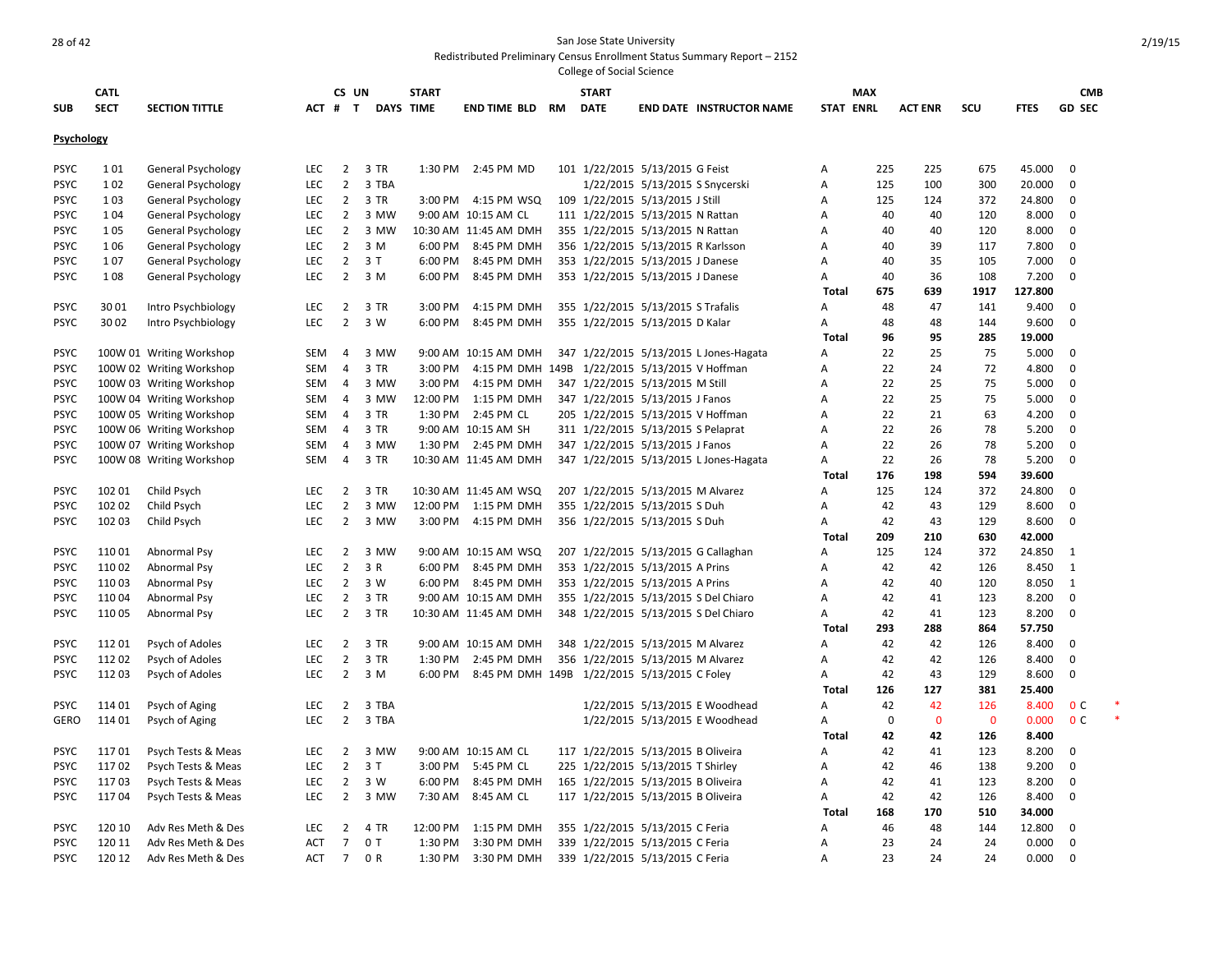|                            |             |                                                      |            |                     |              |                  |                                              |    | <b>College of Social Science</b>   |                                 |                                        |                     |             |                |             |                  |                            |  |
|----------------------------|-------------|------------------------------------------------------|------------|---------------------|--------------|------------------|----------------------------------------------|----|------------------------------------|---------------------------------|----------------------------------------|---------------------|-------------|----------------|-------------|------------------|----------------------------|--|
|                            | <b>CATL</b> |                                                      |            | CS UN               |              | <b>START</b>     |                                              |    | <b>START</b>                       |                                 |                                        |                     | <b>MAX</b>  |                |             |                  | <b>CMB</b>                 |  |
| <b>SUB</b>                 | <b>SECT</b> | <b>SECTION TITTLE</b>                                | ACT #      |                     | T            | <b>DAYS TIME</b> | <b>END TIME BLD</b>                          | RM | <b>DATE</b>                        |                                 | <b>END DATE INSTRUCTOR NAME</b>        | <b>STAT ENRL</b>    |             | <b>ACT ENR</b> | scu         | <b>FTES</b>      | <b>GD SEC</b>              |  |
| Psychology                 |             |                                                      |            |                     |              |                  |                                              |    |                                    |                                 |                                        |                     |             |                |             |                  |                            |  |
|                            |             |                                                      |            |                     |              |                  |                                              |    |                                    |                                 |                                        |                     |             |                |             |                  |                            |  |
| <b>PSYC</b>                | 101         | <b>General Psychology</b>                            | <b>LEC</b> | $\overline{2}$      | 3 TR         | 1:30 PM          | 2:45 PM MD                                   |    | 101 1/22/2015 5/13/2015 G Feist    |                                 |                                        | Α                   | 225         | 225            | 675         | 45.000           | $\mathbf 0$                |  |
| <b>PSYC</b>                | 1 0 2       | <b>General Psychology</b>                            | <b>LEC</b> | $\overline{2}$      | 3 TBA        |                  |                                              |    |                                    | 1/22/2015 5/13/2015 S Snycerski |                                        | A                   | 125         | 100            | 300         | 20.000           | $\mathbf 0$                |  |
| <b>PSYC</b>                | 1 0 3       | <b>General Psychology</b>                            | <b>LEC</b> | $\overline{2}$      | 3 TR         | 3:00 PM          | 4:15 PM WSQ                                  |    | 109 1/22/2015 5/13/2015 J Still    |                                 |                                        | A                   | 125         | 124            | 372         | 24.800           | 0                          |  |
| <b>PSYC</b>                | 1 0 4       | <b>General Psychology</b>                            | <b>LEC</b> | $\overline{2}$      | 3 MW         |                  | 9:00 AM 10:15 AM CL                          |    | 111 1/22/2015 5/13/2015 N Rattan   |                                 |                                        | $\overline{A}$      | 40          | 40             | 120         | 8.000            | $\mathbf 0$                |  |
| <b>PSYC</b>                | 105         | General Psychology                                   | <b>LEC</b> | $\overline{2}$      | 3 MW         |                  | 10:30 AM 11:45 AM DMH                        |    | 355 1/22/2015 5/13/2015 N Rattan   |                                 |                                        | $\overline{A}$      | 40          | 40             | 120         | 8.000            | $\mathbf 0$                |  |
| <b>PSYC</b>                | 1 0 6       | <b>General Psychology</b>                            | <b>LEC</b> | $\overline{2}$      | 3 M          | 6:00 PM          | 8:45 PM DMH                                  |    | 356 1/22/2015 5/13/2015 R Karlsson |                                 |                                        | A                   | 40          | 39             | 117         | 7.800            | 0                          |  |
| <b>PSYC</b>                | 107         | <b>General Psychology</b>                            | <b>LEC</b> | $2^{\circ}$         | 3T           | 6:00 PM          | 8:45 PM DMH                                  |    | 353 1/22/2015 5/13/2015 J Danese   |                                 |                                        | $\overline{A}$      | 40          | 35             | 105         | 7.000            | $\mathbf 0$                |  |
| <b>PSYC</b>                | 108         | <b>General Psychology</b>                            | <b>LEC</b> | $\overline{2}$      | 3 M          | 6:00 PM          | 8:45 PM DMH                                  |    | 353 1/22/2015 5/13/2015 J Danese   |                                 |                                        | Α                   | 40          | 36             | 108         | 7.200            | 0                          |  |
|                            |             |                                                      |            |                     |              |                  |                                              |    |                                    |                                 |                                        | <b>Total</b>        | 675         | 639            | 1917        | 127.800          |                            |  |
| <b>PSYC</b>                | 3001        | Intro Psychbiology                                   | <b>LEC</b> | $\overline{2}$      | 3 TR         | 3:00 PM          | 4:15 PM DMH                                  |    | 355 1/22/2015 5/13/2015 S Trafalis |                                 |                                        | A                   | 48          | 47             | 141         | 9.400            | $\mathbf 0$                |  |
| <b>PSYC</b>                | 3002        | Intro Psychbiology                                   | <b>LEC</b> | $\overline{2}$      | 3 W          | 6:00 PM          | 8:45 PM DMH                                  |    | 355 1/22/2015 5/13/2015 D Kalar    |                                 |                                        | Α                   | 48          | 48             | 144         | 9.600            | $\mathbf 0$                |  |
|                            |             |                                                      |            |                     |              |                  |                                              |    |                                    |                                 |                                        | Total               | 96          | 95             | 285         | 19.000           |                            |  |
| <b>PSYC</b>                |             | 100W 01 Writing Workshop                             | SEM        | $\overline{4}$      | 3 MW         |                  | 9:00 AM 10:15 AM DMH                         |    |                                    |                                 | 347 1/22/2015 5/13/2015 L Jones-Hagata | A                   | 22          | 25             | 75          | 5.000            | $\mathbf 0$                |  |
| <b>PSYC</b>                |             | 100W 02 Writing Workshop                             | SEM        | $\overline{4}$      | 3 TR         | 3:00 PM          | 4:15 PM DMH                                  |    | 149B 1/22/2015 5/13/2015 V Hoffman |                                 |                                        | A                   | 22          | 24             | 72          | 4.800            | 0                          |  |
| <b>PSYC</b>                |             | 100W 03 Writing Workshop                             | SEM        | 4                   | 3 MW         | 3:00 PM          | 4:15 PM DMH                                  |    | 347 1/22/2015 5/13/2015 M Still    |                                 |                                        | $\overline{A}$      | 22          | 25             | 75          | 5.000            | $\mathbf 0$                |  |
| <b>PSYC</b>                |             | 100W 04 Writing Workshop                             | SEM        | $\overline{4}$      | 3 MW         | 12:00 PM         | 1:15 PM DMH                                  |    | 347 1/22/2015 5/13/2015 J Fanos    |                                 |                                        | Α                   | 22          | 25             | 75          | 5.000            | 0                          |  |
| <b>PSYC</b><br><b>PSYC</b> |             | 100W 05 Writing Workshop                             | SEM<br>SEM | $\overline{4}$      | 3 TR<br>3 TR | 1:30 PM          | 2:45 PM CL<br>9:00 AM 10:15 AM SH            |    | 205 1/22/2015 5/13/2015 V Hoffman  |                                 |                                        | A<br>$\overline{A}$ | 22<br>22    | 21<br>26       | 63<br>78    | 4.200            | $\mathbf 0$<br>$\mathbf 0$ |  |
| <b>PSYC</b>                |             | 100W 06 Writing Workshop                             | SEM        | $\overline{4}$<br>4 | 3 MW         |                  | 1:30 PM 2:45 PM DMH                          |    | 311 1/22/2015 5/13/2015 S Pelaprat |                                 |                                        | A                   | 22          | 26             | 78          | 5.200<br>5.200   | 0                          |  |
| <b>PSYC</b>                |             | 100W 07 Writing Workshop<br>100W 08 Writing Workshop | SEM        | $\overline{4}$      | 3 TR         |                  | 10:30 AM 11:45 AM DMH                        |    | 347 1/22/2015 5/13/2015 J Fanos    |                                 | 347 1/22/2015 5/13/2015 L Jones-Hagata | Α                   | 22          | 26             | 78          | 5.200            | $\mathbf 0$                |  |
|                            |             |                                                      |            |                     |              |                  |                                              |    |                                    |                                 |                                        |                     | 176         | 198            | 594         |                  |                            |  |
| <b>PSYC</b>                | 102 01      | Child Psych                                          | <b>LEC</b> | $\overline{2}$      | 3 TR         |                  | 10:30 AM 11:45 AM WSQ                        |    | 207 1/22/2015 5/13/2015 M Alvarez  |                                 |                                        | Total<br>A          | 125         | 124            | 372         | 39.600<br>24.800 | 0                          |  |
| <b>PSYC</b>                | 102 02      | Child Psych                                          | <b>LEC</b> | $\overline{2}$      | 3 MW         |                  | 12:00 PM 1:15 PM DMH                         |    | 355 1/22/2015 5/13/2015 S Duh      |                                 |                                        | A                   | 42          | 43             | 129         | 8.600            | $\mathbf 0$                |  |
| <b>PSYC</b>                | 102 03      | Child Psych                                          | <b>LEC</b> | $\overline{2}$      | 3 MW         | 3:00 PM          | 4:15 PM DMH                                  |    | 356 1/22/2015 5/13/2015 S Duh      |                                 |                                        | A                   | 42          | 43             | 129         | 8.600            | $\mathbf 0$                |  |
|                            |             |                                                      |            |                     |              |                  |                                              |    |                                    |                                 |                                        | <b>Total</b>        | 209         | 210            | 630         | 42.000           |                            |  |
| <b>PSYC</b>                | 110 01      | Abnormal Psy                                         | <b>LEC</b> | $\overline{2}$      | 3 MW         |                  | 9:00 AM 10:15 AM WSQ                         |    |                                    |                                 | 207 1/22/2015 5/13/2015 G Callaghan    | A                   | 125         | 124            | 372         | 24.850           | <sup>1</sup>               |  |
| <b>PSYC</b>                | 11002       | Abnormal Psy                                         | <b>LEC</b> | $\overline{2}$      | 3 R          | 6:00 PM          | 8:45 PM DMH                                  |    | 353 1/22/2015 5/13/2015 A Prins    |                                 |                                        | A                   | 42          | 42             | 126         | 8.450            | $\mathbf{1}$               |  |
| <b>PSYC</b>                | 11003       | Abnormal Psy                                         | <b>LEC</b> | $2^{\circ}$         | 3 W          | 6:00 PM          | 8:45 PM DMH                                  |    | 353 1/22/2015 5/13/2015 A Prins    |                                 |                                        | A                   | 42          | 40             | 120         | 8.050            | 1                          |  |
| <b>PSYC</b>                | 11004       | Abnormal Psy                                         | <b>LEC</b> | $\overline{2}$      | 3 TR         |                  | 9:00 AM 10:15 AM DMH                         |    |                                    |                                 | 355 1/22/2015 5/13/2015 S Del Chiaro   | A                   | 42          | 41             | 123         | 8.200            | $\mathbf 0$                |  |
| <b>PSYC</b>                | 11005       | Abnormal Psy                                         | <b>LEC</b> | $\overline{2}$      | 3 TR         |                  | 10:30 AM 11:45 AM DMH                        |    |                                    |                                 | 348 1/22/2015 5/13/2015 S Del Chiaro   | Α                   | 42          | 41             | 123         | 8.200            | $\mathbf 0$                |  |
|                            |             |                                                      |            |                     |              |                  |                                              |    |                                    |                                 |                                        | <b>Total</b>        | 293         | 288            | 864         | 57.750           |                            |  |
| <b>PSYC</b>                | 11201       | Psych of Adoles                                      | <b>LEC</b> | $\overline{2}$      | 3 TR         |                  | 9:00 AM 10:15 AM DMH                         |    | 348 1/22/2015 5/13/2015 M Alvarez  |                                 |                                        | A                   | 42          | 42             | 126         | 8.400            | 0                          |  |
| <b>PSYC</b>                | 11202       | Psych of Adoles                                      | <b>LEC</b> | $\overline{2}$      | 3 TR         | 1:30 PM          | 2:45 PM DMH                                  |    | 356 1/22/2015 5/13/2015 M Alvarez  |                                 |                                        | A                   | 42          | 42             | 126         | 8.400            | $\mathbf 0$                |  |
| <b>PSYC</b>                | 11203       | Psych of Adoles                                      | <b>LEC</b> | $\overline{2}$      | 3 M          | 6:00 PM          | 8:45 PM DMH 149B 1/22/2015 5/13/2015 C Foley |    |                                    |                                 |                                        | Α                   | 42          | 43             | 129         | 8.600            | $\mathbf 0$                |  |
|                            |             |                                                      |            |                     |              |                  |                                              |    |                                    |                                 |                                        | Total               | 126         | 127            | 381         | 25.400           |                            |  |
| <b>PSYC</b>                | 114 01      | Psych of Aging                                       | <b>LEC</b> | $\overline{2}$      | 3 TBA        |                  |                                              |    |                                    |                                 | 1/22/2015 5/13/2015 E Woodhead         | Α                   | 42          | 42             | 126         | 8.400            | 0 <sup>c</sup>             |  |
| <b>GERO</b>                | 114 01      | Psych of Aging                                       | <b>LEC</b> | $\overline{2}$      | 3 TBA        |                  |                                              |    |                                    |                                 | 1/22/2015 5/13/2015 E Woodhead         | Α                   | $\mathbf 0$ | $\mathbf{0}$   | $\mathbf 0$ | 0.000            | 0 <sup>c</sup>             |  |
|                            |             |                                                      |            |                     |              |                  |                                              |    |                                    |                                 |                                        | Total               | 42          | 42             | 126         | 8.400            |                            |  |
| <b>PSYC</b>                | 11701       | Psych Tests & Meas                                   | <b>LEC</b> | $\overline{2}$      | 3 MW         |                  | 9:00 AM 10:15 AM CL                          |    | 117 1/22/2015 5/13/2015 B Oliveira |                                 |                                        | A                   | 42          | 41             | 123         | 8.200            | 0                          |  |
| <b>PSYC</b>                | 11702       | Psych Tests & Meas                                   | <b>LEC</b> | $\overline{2}$      | 3T           | 3:00 PM          | 5:45 PM CL                                   |    | 225 1/22/2015 5/13/2015 T Shirley  |                                 |                                        | A                   | 42          | 46             | 138         | 9.200            | $\mathbf 0$                |  |
| <b>PSYC</b>                | 11703       | Psych Tests & Meas                                   | <b>LEC</b> | $\overline{2}$      | 3 W          | 6:00 PM          | 8:45 PM DMH                                  |    | 165 1/22/2015 5/13/2015 B Oliveira |                                 |                                        | Α                   | 42          | 41             | 123         | 8.200            | 0                          |  |
| <b>PSYC</b>                | 11704       | Psych Tests & Meas                                   | <b>LEC</b> | $\overline{2}$      | 3 MW         | 7:30 AM          | 8:45 AM CL                                   |    | 117 1/22/2015 5/13/2015 B Oliveira |                                 |                                        | A                   | 42          | 42             | 126         | 8.400            | $\mathbf 0$                |  |
|                            |             |                                                      |            |                     |              |                  |                                              |    |                                    |                                 |                                        | Total               | 168         | 170            | 510         | 34.000           |                            |  |
| <b>PSYC</b>                | 120 10      | Adv Res Meth & Des                                   | <b>LEC</b> | $\overline{2}$      | 4 TR         | 12:00 PM         | 1:15 PM DMH                                  |    | 355 1/22/2015 5/13/2015 C Feria    |                                 |                                        | A                   | 46          | 48             | 144         | 12.800           | 0                          |  |
| <b>PSYC</b>                | 120 11      | Adv Res Meth & Des                                   | <b>ACT</b> | $\overline{7}$      | 0T           | 1:30 PM          | 3:30 PM DMH                                  |    | 339 1/22/2015 5/13/2015 C Feria    |                                 |                                        | $\overline{A}$      | 23          | 24             | 24          | 0.000            | $\mathbf 0$                |  |
| <b>PSYC</b>                | 120 12      | Adv Res Meth & Des                                   | <b>ACT</b> | $7^{\circ}$         | 0 R          | 1:30 PM          | 3:30 PM DMH                                  |    | 339 1/22/2015 5/13/2015 C Feria    |                                 |                                        | $\overline{A}$      | 23          | 24             | 24          | 0.000            | $\mathbf 0$                |  |
|                            |             |                                                      |            |                     |              |                  |                                              |    |                                    |                                 |                                        |                     |             |                |             |                  |                            |  |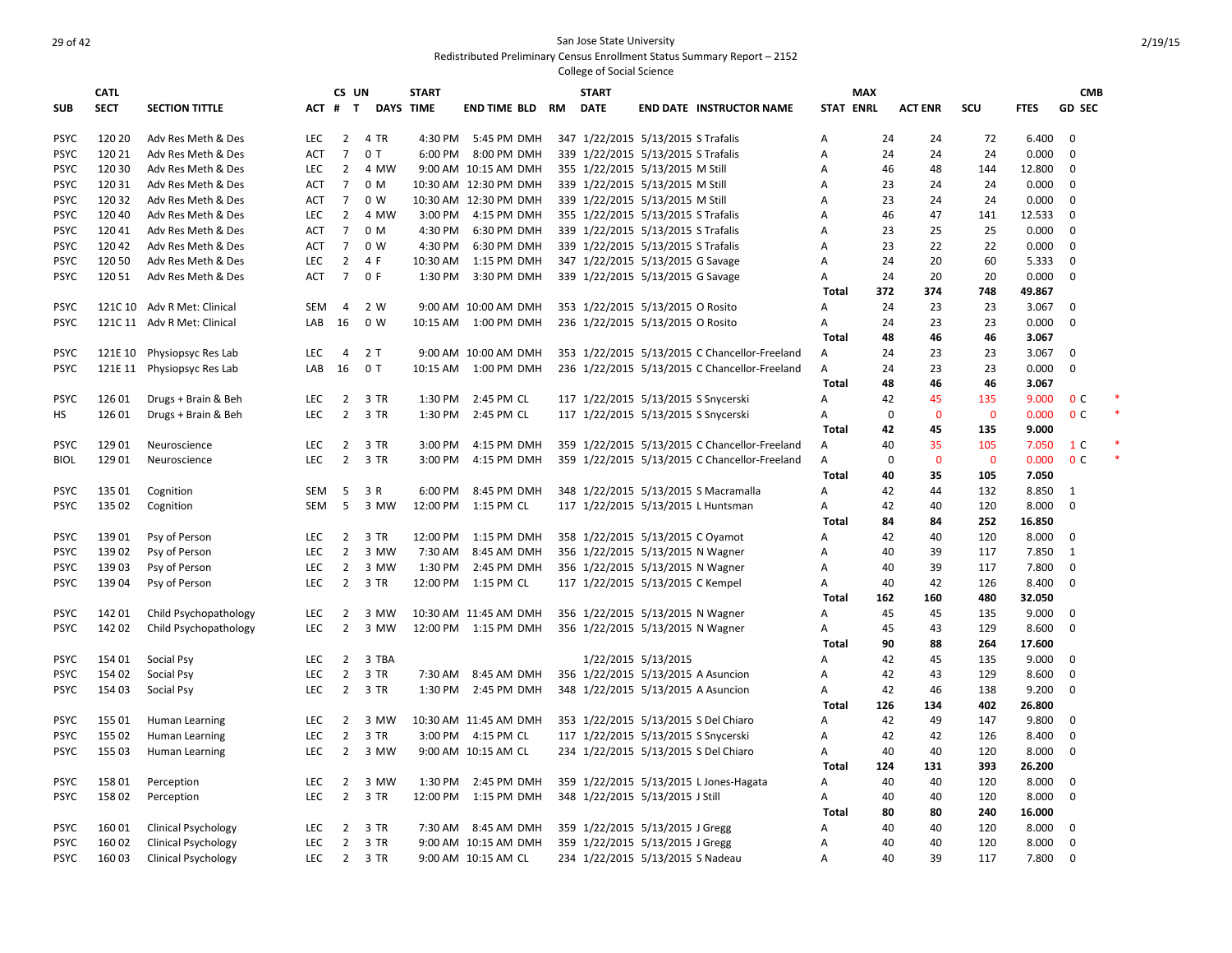|                            | <b>CATL</b>      |                             |                   | CS UN          |                  | <b>START</b>       |                            |           | <b>START</b> |                                                                      |                                               |                  | <b>MAX</b>  |                |                |             | <b>CMB</b>     |        |
|----------------------------|------------------|-----------------------------|-------------------|----------------|------------------|--------------------|----------------------------|-----------|--------------|----------------------------------------------------------------------|-----------------------------------------------|------------------|-------------|----------------|----------------|-------------|----------------|--------|
| <b>SUB</b>                 | <b>SECT</b>      | <b>SECTION TITTLE</b>       |                   | ACT # T        | <b>DAYS TIME</b> |                    | <b>END TIME BLD</b>        | <b>RM</b> | <b>DATE</b>  |                                                                      | <b>END DATE INSTRUCTOR NAME</b>               | <b>STAT ENRL</b> |             | <b>ACT ENR</b> | SCU            | <b>FTES</b> | <b>GD SEC</b>  |        |
| <b>PSYC</b>                | 120 20           | Adv Res Meth & Des          | <b>LEC</b>        | $\overline{2}$ | 4 TR             | 4:30 PM            | 5:45 PM DMH                |           |              | 347 1/22/2015 5/13/2015 S Trafalis                                   |                                               | A                | 24          | 24             | 72             | 6.400       | $\mathbf 0$    |        |
| <b>PSYC</b>                | 120 21           | Adv Res Meth & Des          | <b>ACT</b>        | $7^{\circ}$    | 0T               | 6:00 PM            | 8:00 PM DMH                |           |              | 339 1/22/2015 5/13/2015 S Trafalis                                   |                                               | A                | 24          | 24             | 24             | 0.000       | $\mathbf 0$    |        |
| <b>PSYC</b>                | 120 30           | Adv Res Meth & Des          | <b>LEC</b>        | $\overline{2}$ | 4 MW             |                    | 9:00 AM 10:15 AM DMH       |           |              | 355 1/22/2015 5/13/2015 M Still                                      |                                               | Α                | 46          | 48             | 144            | 12.800      | $\mathbf 0$    |        |
| <b>PSYC</b>                | 120 31           | Adv Res Meth & Des          | ACT               | $\overline{7}$ | 0 M              |                    | 10:30 AM 12:30 PM DMH      |           |              | 339 1/22/2015 5/13/2015 M Still                                      |                                               | Α                | 23          | 24             | 24             | 0.000       | $\mathbf 0$    |        |
| <b>PSYC</b>                | 120 32           | Adv Res Meth & Des          | <b>ACT</b>        | $\overline{7}$ | 0 W              |                    | 10:30 AM 12:30 PM DMH      |           |              | 339 1/22/2015 5/13/2015 M Still                                      |                                               | Α                | 23          | 24             | 24             | 0.000       | 0              |        |
| <b>PSYC</b>                | 120 40           | Adv Res Meth & Des          | <b>LEC</b>        | $\overline{2}$ | 4 MW             | 3:00 PM            | 4:15 PM DMH                |           |              | 355 1/22/2015 5/13/2015 S Trafalis                                   |                                               | A                | 46          | 47             | 141            | 12.533      | $\mathbf 0$    |        |
| <b>PSYC</b>                | 12041            | Adv Res Meth & Des          | <b>ACT</b>        | $\overline{7}$ | 0 M              | 4:30 PM            | 6:30 PM DMH                |           |              | 339 1/22/2015 5/13/2015 S Trafalis                                   |                                               | A                | 23          | 25             | 25             | 0.000       | $\mathbf 0$    |        |
| <b>PSYC</b>                | 120 42           | Adv Res Meth & Des          | <b>ACT</b>        | $\overline{7}$ | 0 W              | 4:30 PM            | 6:30 PM DMH                |           |              | 339 1/22/2015 5/13/2015 S Trafalis                                   |                                               | Α                | 23          | 22             | 22             | 0.000       | $\mathbf 0$    |        |
| <b>PSYC</b>                | 120 50           | Adv Res Meth & Des          | <b>LEC</b>        | $\overline{2}$ | 4 F              | 10:30 AM           | 1:15 PM DMH                |           |              | 347 1/22/2015 5/13/2015 G Savage                                     |                                               | Α                | 24          | 20             | 60             | 5.333       | $\mathbf 0$    |        |
| <b>PSYC</b>                | 120 51           | Adv Res Meth & Des          | ACT               | $\overline{7}$ | 0 F              | 1:30 PM            | 3:30 PM DMH                |           |              | 339 1/22/2015 5/13/2015 G Savage                                     |                                               | Α                | 24          | 20             | 20             | 0.000       | $\mathbf 0$    |        |
|                            |                  |                             |                   |                |                  |                    |                            |           |              |                                                                      |                                               | <b>Total</b>     | 372         | 374            | 748            | 49.867      |                |        |
| <b>PSYC</b>                |                  | 121C 10 Adv R Met: Clinical | <b>SEM</b>        | $\overline{4}$ | 2 W              |                    | 9:00 AM 10:00 AM DMH       |           |              | 353 1/22/2015 5/13/2015 O Rosito                                     |                                               | A                | 24          | 23             | 23             | 3.067       | $\mathbf 0$    |        |
| <b>PSYC</b>                |                  | 121C 11 Adv R Met: Clinical | LAB               | 16             | 0 W              |                    | 10:15 AM  1:00 PM DMH      |           |              | 236 1/22/2015 5/13/2015 O Rosito                                     |                                               | A                | 24          | 23             | 23             | 0.000       | $\mathbf 0$    |        |
|                            |                  |                             |                   |                |                  |                    |                            |           |              |                                                                      |                                               | <b>Total</b>     | 48          | 46             | 46             | 3.067       |                |        |
| <b>PSYC</b>                | 121E 10          | Physiopsyc Res Lab          | <b>LEC</b>        | $\overline{4}$ | 2T               |                    | 9:00 AM 10:00 AM DMH       |           |              |                                                                      | 353 1/22/2015 5/13/2015 C Chancellor-Freeland | Α                | 24          | 23             | 23             | 3.067       | $\mathbf 0$    |        |
| <b>PSYC</b>                |                  | 121E 11 Physiopsyc Res Lab  | LAB               | 16             | 0T               | 10:15 AM           | 1:00 PM DMH                |           |              |                                                                      | 236 1/22/2015 5/13/2015 C Chancellor-Freeland | A                | 24          | 23             | 23             | 0.000       | $\mathbf 0$    |        |
|                            |                  |                             |                   |                |                  |                    |                            |           |              |                                                                      |                                               | Total            | 48          | 46             | 46             | 3.067       |                |        |
| <b>PSYC</b>                | 126 01           | Drugs + Brain & Beh         | <b>LEC</b>        | $\overline{2}$ | 3 TR             | 1:30 PM            | 2:45 PM CL                 |           |              | 117 1/22/2015 5/13/2015 S Snycerski                                  |                                               | А                | 42          | 45             | 135            | 9.000       | 0 <sup>c</sup> | $\ast$ |
| HS                         | 126 01           | Drugs + Brain & Beh         | <b>LEC</b>        | $\overline{2}$ | 3 TR             | 1:30 PM            | 2:45 PM CL                 |           |              | 117 1/22/2015 5/13/2015 S Snycerski                                  |                                               | А                | $\mathbf 0$ | $\mathbf{0}$   | $\overline{0}$ | 0.000       | 0 <sup>c</sup> | $\ast$ |
|                            |                  |                             |                   |                |                  |                    |                            |           |              |                                                                      |                                               | Total            | 42          | 45             | 135            | 9.000       |                |        |
| <b>PSYC</b>                | 12901            | Neuroscience                | <b>LEC</b>        | $\overline{2}$ | 3 TR             | 3:00 PM            | 4:15 PM DMH                |           |              |                                                                      | 359 1/22/2015 5/13/2015 C Chancellor-Freeland | Α                | 40          | 35             | 105            | 7.050       | 1 C            |        |
| <b>BIOL</b>                | 129 01           | Neuroscience                | <b>LEC</b>        | $\overline{2}$ | 3 TR             | 3:00 PM            | 4:15 PM DMH                |           |              |                                                                      | 359 1/22/2015 5/13/2015 C Chancellor-Freeland | A                | $\mathbf 0$ | $\mathbf{0}$   | $\overline{0}$ | 0.000       | 0 <sup>C</sup> |        |
|                            |                  |                             |                   |                |                  |                    |                            |           |              |                                                                      |                                               | Total            | 40          | 35             | 105            | 7.050       |                |        |
| <b>PSYC</b>                | 135 01           | Cognition                   | SEM               | - 5            | 3 R              | 6:00 PM            | 8:45 PM DMH                |           |              |                                                                      | 348 1/22/2015 5/13/2015 S Macramalla          | А                | 42          | 44             | 132            | 8.850       | 1              |        |
| <b>PSYC</b>                | 135 02           | Cognition                   | <b>SEM</b>        | 5              | 3 MW             | 12:00 PM           | 1:15 PM CL                 |           |              |                                                                      | 117 1/22/2015 5/13/2015 L Huntsman            | Α                | 42          | 40             | 120            | 8.000       | $\mathbf 0$    |        |
|                            |                  |                             |                   |                |                  |                    |                            |           |              |                                                                      |                                               | <b>Total</b>     | 84          | 84             | 252            | 16.850      |                |        |
| <b>PSYC</b>                | 13901            | Psy of Person               | <b>LEC</b>        | $\overline{2}$ | 3 TR             | 12:00 PM           | 1:15 PM DMH                |           |              |                                                                      |                                               | А                | 42          | 40             | 120            | 8.000       | $\mathbf 0$    |        |
| <b>PSYC</b>                | 13902            | Psy of Person               | <b>LEC</b>        | $\overline{2}$ | 3 MW             | 7:30 AM            | 8:45 AM DMH                |           |              | 358 1/22/2015 5/13/2015 C Oyamot<br>356 1/22/2015 5/13/2015 N Wagner |                                               | А                | 40          | 39             | 117            | 7.850       | 1              |        |
| <b>PSYC</b>                | 13903            | Psy of Person               | LEC               | $\overline{2}$ | 3 MW             | 1:30 PM            | 2:45 PM DMH                |           |              | 356 1/22/2015 5/13/2015 N Wagner                                     |                                               | A                | 40          | 39             | 117            | 7.800       | $\mathbf 0$    |        |
| <b>PSYC</b>                | 13904            | Psy of Person               | LEC               | $\overline{2}$ | 3 TR             |                    | 12:00 PM 1:15 PM CL        |           |              | 117 1/22/2015 5/13/2015 C Kempel                                     |                                               | А                | 40          | 42             | 126            | 8.400       | $\mathbf 0$    |        |
|                            |                  |                             |                   |                |                  |                    |                            |           |              |                                                                      |                                               | <b>Total</b>     | 162         | 160            | 480            | 32.050      |                |        |
|                            | 14201            |                             | <b>LEC</b>        | $\overline{2}$ | 3 MW             |                    | 10:30 AM 11:45 AM DMH      |           |              | 356 1/22/2015 5/13/2015 N Wagner                                     |                                               | А                | 45          | 45             | 135            | 9.000       | $\mathbf 0$    |        |
| <b>PSYC</b><br><b>PSYC</b> | 142 02           | Child Psychopathology       | <b>LEC</b>        | $\overline{2}$ | 3 MW             |                    | 12:00 PM 1:15 PM DMH       |           |              |                                                                      |                                               | A                | 45          | 43             | 129            | 8.600       | $\mathbf 0$    |        |
|                            |                  | Child Psychopathology       |                   |                |                  |                    |                            |           |              | 356 1/22/2015 5/13/2015 N Wagner                                     |                                               | Total            | 90          | 88             | 264            | 17.600      |                |        |
|                            |                  |                             |                   | $\overline{2}$ | 3 TBA            |                    |                            |           |              |                                                                      |                                               |                  |             | 45             |                |             | $\mathbf 0$    |        |
| <b>PSYC</b>                | 154 01           | Social Psy                  | <b>LEC</b>        |                |                  |                    |                            |           |              | 1/22/2015 5/13/2015                                                  |                                               | А                | 42          | 43             | 135            | 9.000       |                |        |
| <b>PSYC</b>                | 154 02<br>154 03 | Social Psy                  | LEC<br><b>LEC</b> | $\overline{2}$ | 3 TR             | 7:30 AM<br>1:30 PM | 8:45 AM DMH<br>2:45 PM DMH |           |              |                                                                      | 356 1/22/2015 5/13/2015 A Asuncion            | Α                | 42<br>42    | 46             | 129<br>138     | 8.600       | 0<br>$\Omega$  |        |
| <b>PSYC</b>                |                  | Social Psy                  |                   | $\overline{2}$ | 3 TR             |                    |                            |           |              |                                                                      | 348 1/22/2015 5/13/2015 A Asuncion            | А                |             |                |                | 9.200       |                |        |
|                            |                  |                             |                   |                |                  |                    |                            |           |              |                                                                      |                                               | <b>Total</b>     | 126         | 134<br>49      | 402            | 26.800      |                |        |
| <b>PSYC</b>                | 155 01           | Human Learning              | LEC               | $\overline{2}$ | 3 MW             |                    | 10:30 AM 11:45 AM DMH      |           |              |                                                                      | 353 1/22/2015 5/13/2015 S Del Chiaro          | А                | 42          |                | 147            | 9.800       | 0              |        |
| <b>PSYC</b>                | 155 02           | Human Learning              | <b>LEC</b>        | $\overline{2}$ | 3 TR             |                    | 3:00 PM 4:15 PM CL         |           |              |                                                                      | 117 1/22/2015 5/13/2015 S Snycerski           | Α                | 42          | 42             | 126            | 8.400       | 0              |        |
| <b>PSYC</b>                | 155 03           | Human Learning              | <b>LEC</b>        | $\overline{2}$ | 3 MW             |                    | 9:00 AM 10:15 AM CL        |           |              |                                                                      | 234 1/22/2015 5/13/2015 S Del Chiaro          | А                | 40          | 40             | 120            | 8.000       | $\mathbf 0$    |        |
|                            |                  |                             |                   |                |                  |                    |                            |           |              |                                                                      |                                               | <b>Total</b>     | 124         | 131            | 393            | 26.200      |                |        |
| <b>PSYC</b>                | 15801            | Perception                  | <b>LEC</b>        | $\overline{2}$ | 3 MW             | 1:30 PM            | 2:45 PM DMH                |           |              |                                                                      | 359 1/22/2015 5/13/2015 L Jones-Hagata        | Α                | 40          | 40             | 120            | 8.000       | 0              |        |
| <b>PSYC</b>                | 15802            | Perception                  | <b>LEC</b>        | $\overline{2}$ | 3 TR             | 12:00 PM           | 1:15 PM DMH                |           |              | 348 1/22/2015 5/13/2015 J Still                                      |                                               | Α                | 40          | 40             | 120            | 8.000       | $\mathbf 0$    |        |
|                            |                  |                             |                   |                |                  |                    |                            |           |              |                                                                      |                                               | Total            | 80          | 80             | 240            | 16.000      |                |        |
| <b>PSYC</b>                | 16001            | <b>Clinical Psychology</b>  | <b>LEC</b>        | $\overline{2}$ | 3 TR             |                    | 7:30 AM 8:45 AM DMH        |           |              | 359 1/22/2015 5/13/2015 J Gregg                                      |                                               | Α                | 40          | 40             | 120            | 8.000       | 0              |        |
| <b>PSYC</b>                | 16002            | <b>Clinical Psychology</b>  | <b>LEC</b>        | $\overline{2}$ | 3 TR             |                    | 9:00 AM 10:15 AM DMH       |           |              | 359 1/22/2015 5/13/2015 J Gregg                                      |                                               | А                | 40          | 40             | 120            | 8.000       | 0              |        |
| <b>PSYC</b>                | 16003            | <b>Clinical Psychology</b>  | <b>LEC</b>        | $2^{\circ}$    | 3 TR             |                    | 9:00 AM 10:15 AM CL        |           |              | 234 1/22/2015 5/13/2015 S Nadeau                                     |                                               | A                | 40          | 39             | 117            | 7.800       | $\mathbf 0$    |        |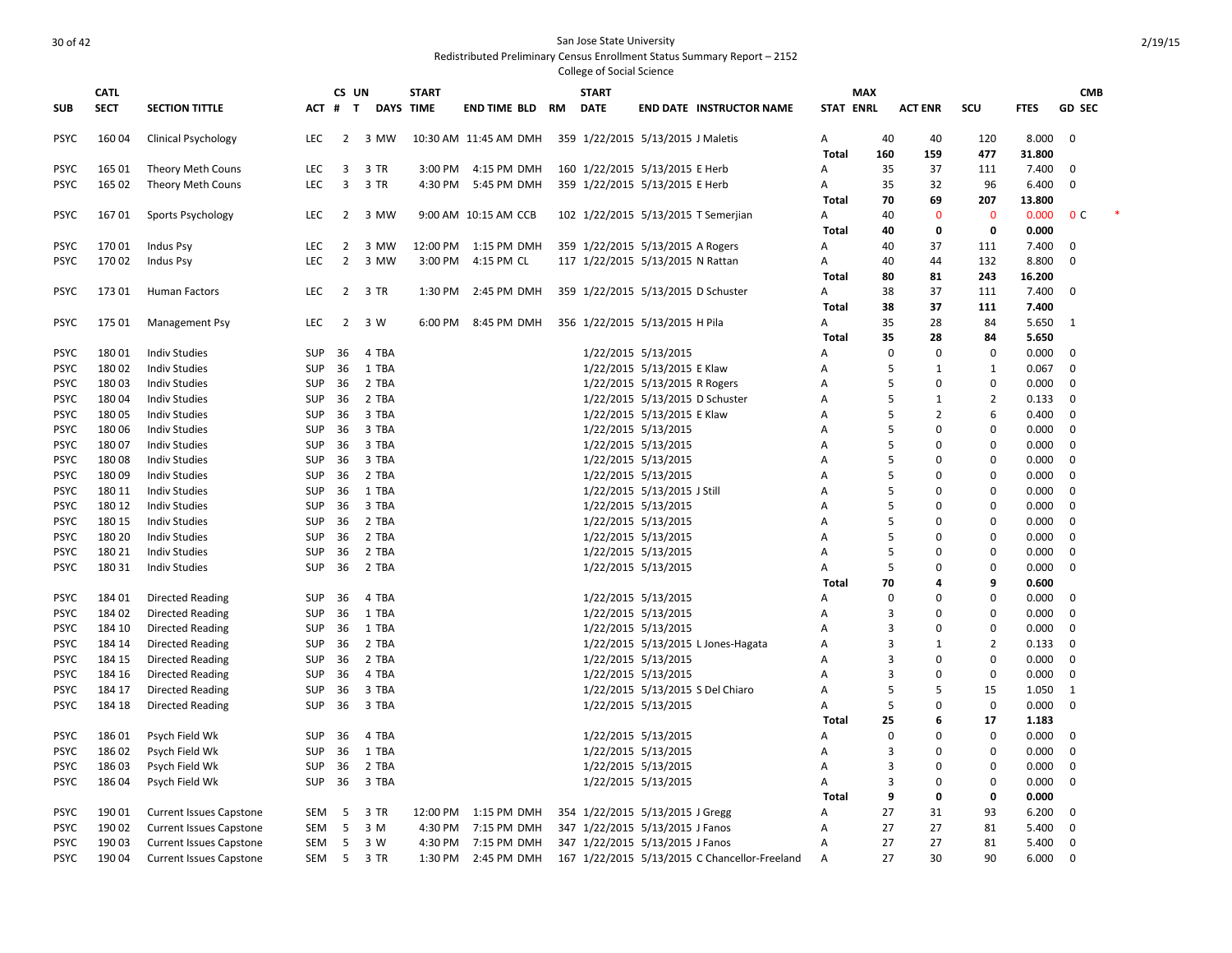|             | <b>CATL</b> |                                |            | CS UN          |           | <b>START</b> |                       |           | <b>START</b>        |                                               |                  | <b>MAX</b>  |                |                |             | <b>CMB</b>     |  |
|-------------|-------------|--------------------------------|------------|----------------|-----------|--------------|-----------------------|-----------|---------------------|-----------------------------------------------|------------------|-------------|----------------|----------------|-------------|----------------|--|
| <b>SUB</b>  | <b>SECT</b> | <b>SECTION TITTLE</b>          | ACT #      | $\mathbf{T}$   | DAYS TIME |              | <b>END TIME BLD</b>   | <b>RM</b> | <b>DATE</b>         | <b>END DATE INSTRUCTOR NAME</b>               | <b>STAT ENRL</b> |             | <b>ACT ENR</b> | scu            | <b>FTES</b> | <b>GD SEC</b>  |  |
| <b>PSYC</b> | 16004       | <b>Clinical Psychology</b>     | <b>LEC</b> | $\overline{2}$ | 3 MW      |              | 10:30 AM 11:45 AM DMH |           |                     | 359 1/22/2015 5/13/2015 J Maletis             | A                | 40          | 40             | 120            | 8.000       | $\mathbf 0$    |  |
|             |             |                                |            |                |           |              |                       |           |                     |                                               | Total            | 160         | 159            | 477            | 31.800      |                |  |
| <b>PSYC</b> | 165 01      | Theory Meth Couns              | <b>LEC</b> | 3              | 3 TR      | 3:00 PM      | 4:15 PM DMH           |           |                     | 160 1/22/2015 5/13/2015 E Herb                | А                | 35          | 37             | 111            | 7.400       | 0              |  |
| <b>PSYC</b> | 165 02      | Theory Meth Couns              | <b>LEC</b> | $\overline{3}$ | 3 TR      | 4:30 PM      | 5:45 PM DMH           |           |                     | 359 1/22/2015 5/13/2015 E Herb                | A                | 35          | 32             | 96             | 6.400       | $\mathbf 0$    |  |
|             |             |                                |            |                |           |              |                       |           |                     |                                               | <b>Total</b>     | 70          | 69             | 207            | 13.800      |                |  |
| <b>PSYC</b> | 16701       | Sports Psychology              | <b>LEC</b> | $\overline{2}$ | 3 MW      |              | 9:00 AM 10:15 AM CCB  |           |                     | 102 1/22/2015 5/13/2015 T Semerjian           | A                | 40          | $\Omega$       | $\mathbf 0$    | 0.000       | 0 <sup>c</sup> |  |
|             |             |                                |            |                |           |              |                       |           |                     |                                               | Total            | 40          | 0              | 0              | 0.000       |                |  |
| <b>PSYC</b> | 17001       | Indus Psy                      | LEC        | $\overline{2}$ | 3 MW      | 12:00 PM     | 1:15 PM DMH           |           |                     | 359 1/22/2015 5/13/2015 A Rogers              | A                | 40          | 37             | 111            | 7.400       | 0              |  |
| <b>PSYC</b> | 17002       | Indus Psy                      | <b>LEC</b> | $\overline{2}$ | 3 MW      |              | 3:00 PM 4:15 PM CL    |           |                     | 117 1/22/2015 5/13/2015 N Rattan              | Α                | 40          | 44             | 132            | 8.800       | 0              |  |
|             |             |                                |            |                |           |              |                       |           |                     |                                               | Total            | 80          | 81             | 243            | 16.200      |                |  |
| <b>PSYC</b> | 17301       | Human Factors                  | <b>LEC</b> | $\overline{2}$ | 3 TR      | 1:30 PM      | 2:45 PM DMH           |           |                     | 359 1/22/2015 5/13/2015 D Schuster            | Α                | 38          | 37             | 111            | 7.400       | $\Omega$       |  |
|             |             |                                |            |                |           |              |                       |           |                     |                                               | <b>Total</b>     | 38          | 37             | 111            | 7.400       |                |  |
| <b>PSYC</b> | 175 01      | <b>Management Psy</b>          | LEC        | $\overline{2}$ | 3 W       | 6:00 PM      | 8:45 PM DMH           |           |                     | 356 1/22/2015 5/13/2015 H Pila                | Α                | 35          | 28             | 84             | 5.650       | $\mathbf{1}$   |  |
|             |             |                                |            |                |           |              |                       |           |                     |                                               | Total            | 35          | 28             | 84             | 5.650       |                |  |
| <b>PSYC</b> | 18001       | <b>Indiv Studies</b>           | <b>SUP</b> | 36             | 4 TBA     |              |                       |           | 1/22/2015 5/13/2015 |                                               | А                | $\mathbf 0$ | $\Omega$       | 0              | 0.000       | 0              |  |
| <b>PSYC</b> | 18002       | <b>Indiv Studies</b>           | <b>SUP</b> | 36             | 1 TBA     |              |                       |           |                     | 1/22/2015 5/13/2015 E Klaw                    | A                | 5           | $\mathbf{1}$   | 1              | 0.067       | $\mathbf 0$    |  |
| <b>PSYC</b> | 18003       | <b>Indiv Studies</b>           | SUP        | 36             | 2 TBA     |              |                       |           |                     | 1/22/2015 5/13/2015 R Rogers                  | A                | 5           | $\Omega$       | $\mathbf 0$    | 0.000       | $\mathbf 0$    |  |
| <b>PSYC</b> | 18004       | <b>Indiv Studies</b>           | SUP        | 36             | 2 TBA     |              |                       |           |                     | 1/22/2015 5/13/2015 D Schuster                | A                | 5           | 1              | $\overline{2}$ | 0.133       | $\mathbf 0$    |  |
| <b>PSYC</b> | 18005       | <b>Indiv Studies</b>           | <b>SUP</b> | 36             | 3 TBA     |              |                       |           |                     | 1/22/2015 5/13/2015 E Klaw                    | A                | 5           | $\overline{2}$ | 6              | 0.400       | $\mathbf 0$    |  |
| <b>PSYC</b> | 18006       | <b>Indiv Studies</b>           | <b>SUP</b> | 36             | 3 TBA     |              |                       |           | 1/22/2015 5/13/2015 |                                               | A                | 5           | $\Omega$       | $\mathbf 0$    | 0.000       | $\mathbf 0$    |  |
| <b>PSYC</b> | 18007       | <b>Indiv Studies</b>           | <b>SUP</b> | 36             | 3 TBA     |              |                       |           | 1/22/2015 5/13/2015 |                                               | A                | 5           | 0              | $\mathbf 0$    | 0.000       | $\mathbf 0$    |  |
| <b>PSYC</b> | 18008       | <b>Indiv Studies</b>           | <b>SUP</b> | 36             | 3 TBA     |              |                       |           | 1/22/2015 5/13/2015 |                                               | Α                | 5           | $\Omega$       | 0              | 0.000       | 0              |  |
| <b>PSYC</b> | 18009       | <b>Indiv Studies</b>           | <b>SUP</b> | 36             | 2 TBA     |              |                       |           | 1/22/2015 5/13/2015 |                                               | A                | 5           | $\Omega$       | $\mathbf 0$    | 0.000       | $\mathbf 0$    |  |
| <b>PSYC</b> | 180 11      | <b>Indiv Studies</b>           | SUP        | 36             | 1 TBA     |              |                       |           |                     | 1/22/2015 5/13/2015 J Still                   | A                | 5           | O              | 0              | 0.000       | $\mathbf 0$    |  |
| <b>PSYC</b> | 180 12      | <b>Indiv Studies</b>           | SUP        | 36             | 3 TBA     |              |                       |           | 1/22/2015 5/13/2015 |                                               | A                | 5           | 0              | $\Omega$       | 0.000       | $\mathbf 0$    |  |
| <b>PSYC</b> | 180 15      | <b>Indiv Studies</b>           | <b>SUP</b> | 36             | 2 TBA     |              |                       |           | 1/22/2015 5/13/2015 |                                               | A                | 5           | $\Omega$       | 0              | 0.000       | $\mathbf 0$    |  |
| <b>PSYC</b> | 180 20      | <b>Indiv Studies</b>           | <b>SUP</b> | 36             | 2 TBA     |              |                       |           | 1/22/2015 5/13/2015 |                                               | А                | 5           | $\Omega$       | $\mathbf 0$    | 0.000       | $\mathbf 0$    |  |
| <b>PSYC</b> | 180 21      | <b>Indiv Studies</b>           | <b>SUP</b> | 36             | 2 TBA     |              |                       |           | 1/22/2015 5/13/2015 |                                               | Α                | 5           | $\Omega$       | 0              | 0.000       | $\mathbf 0$    |  |
| <b>PSYC</b> | 180 31      | <b>Indiv Studies</b>           | <b>SUP</b> | 36             | 2 TBA     |              |                       |           | 1/22/2015 5/13/2015 |                                               | Α                | 5           | $\Omega$       | 0              | 0.000       | 0              |  |
|             |             |                                |            |                |           |              |                       |           |                     |                                               | Total            | 70          | 4              | 9              | 0.600       |                |  |
| <b>PSYC</b> | 18401       | <b>Directed Reading</b>        | SUP        | 36             | 4 TBA     |              |                       |           | 1/22/2015 5/13/2015 |                                               | A                | $\Omega$    | O              | $\Omega$       | 0.000       | 0              |  |
| <b>PSYC</b> | 18402       | <b>Directed Reading</b>        | SUP        | 36             | 1 TBA     |              |                       |           | 1/22/2015 5/13/2015 |                                               | A                | 3           | $\Omega$       | $\Omega$       | 0.000       | 0              |  |
| <b>PSYC</b> | 184 10      | Directed Reading               | SUP        | 36             | 1 TBA     |              |                       |           | 1/22/2015 5/13/2015 |                                               | A                | 3           | $\Omega$       | $\mathbf 0$    | 0.000       | $\mathbf 0$    |  |
| <b>PSYC</b> | 184 14      | <b>Directed Reading</b>        | SUP        | 36             | 2 TBA     |              |                       |           |                     | 1/22/2015 5/13/2015 L Jones-Hagata            | Α                | 3           | $\mathbf{1}$   | $\overline{2}$ | 0.133       | $\mathbf 0$    |  |
| <b>PSYC</b> | 184 15      | <b>Directed Reading</b>        | <b>SUP</b> | 36             | 2 TBA     |              |                       |           | 1/22/2015 5/13/2015 |                                               | Α                | 3           | 0              | 0              | 0.000       | $\mathbf 0$    |  |
| <b>PSYC</b> | 184 16      | <b>Directed Reading</b>        | <b>SUP</b> | 36             | 4 TBA     |              |                       |           | 1/22/2015 5/13/2015 |                                               | A                | 3           | $\Omega$       | 0              | 0.000       | 0              |  |
| <b>PSYC</b> | 184 17      | <b>Directed Reading</b>        | <b>SUP</b> | 36             | 3 TBA     |              |                       |           |                     | 1/22/2015 5/13/2015 S Del Chiaro              | A                | 5           | 5              | 15             | 1.050       | $\mathbf{1}$   |  |
| <b>PSYC</b> | 184 18      | Directed Reading               | <b>SUP</b> | 36             | 3 TBA     |              |                       |           | 1/22/2015 5/13/2015 |                                               | A                | 5           | $\Omega$       | $\mathbf 0$    | 0.000       | $\mathbf 0$    |  |
|             |             |                                |            |                |           |              |                       |           |                     |                                               | Total            | 25          | 6              | 17             | 1.183       |                |  |
| <b>PSYC</b> | 18601       | Psych Field Wk                 | SUP        | 36             | 4 TBA     |              |                       |           | 1/22/2015 5/13/2015 |                                               | А                | $\Omega$    | $\Omega$       | $\mathbf 0$    | 0.000       | $\mathbf 0$    |  |
| <b>PSYC</b> | 18602       | Psych Field Wk                 | SUP        | 36             | 1 TBA     |              |                       |           | 1/22/2015 5/13/2015 |                                               | А                | 3           | $\Omega$       | $\mathbf 0$    | 0.000       | $\mathbf 0$    |  |
| <b>PSYC</b> | 18603       | Psych Field Wk                 | <b>SUP</b> | 36             | 2 TBA     |              |                       |           | 1/22/2015 5/13/2015 |                                               | A                | 3           | $\Omega$       | 0              | 0.000       | 0              |  |
| <b>PSYC</b> | 18604       | Psych Field Wk                 | <b>SUP</b> | 36             | 3 TBA     |              |                       |           | 1/22/2015 5/13/2015 |                                               | A                | 3           | $\Omega$       | $\mathbf 0$    | 0.000       | 0              |  |
|             |             |                                |            |                |           |              |                       |           |                     |                                               | Total            | 9           | $\Omega$       | 0              | 0.000       |                |  |
| <b>PSYC</b> | 19001       | <b>Current Issues Capstone</b> | SEM        | -5             | 3 TR      | 12:00 PM     | 1:15 PM DMH           |           |                     | 354 1/22/2015 5/13/2015 J Gregg               | A                | 27          | 31             | 93             | 6.200       | 0              |  |
| <b>PSYC</b> | 190 02      | <b>Current Issues Capstone</b> | SEM        | - 5            | 3 M       | 4:30 PM      | 7:15 PM DMH           |           |                     | 347 1/22/2015 5/13/2015 J Fanos               | A                | 27          | 27             | 81             | 5.400       | 0              |  |
| <b>PSYC</b> | 190 03      | <b>Current Issues Capstone</b> | SEM        | 5              | 3 W       | 4:30 PM      | 7:15 PM DMH           |           |                     | 347 1/22/2015 5/13/2015 J Fanos               | A                | 27          | 27             | 81             | 5.400       | 0              |  |
| <b>PSYC</b> | 190 04      | <b>Current Issues Capstone</b> | SEM        | 5              | 3 TR      | 1:30 PM      | 2:45 PM DMH           |           |                     | 167 1/22/2015 5/13/2015 C Chancellor-Freeland | A                | 27          | 30             | 90             | 6.000       | $\Omega$       |  |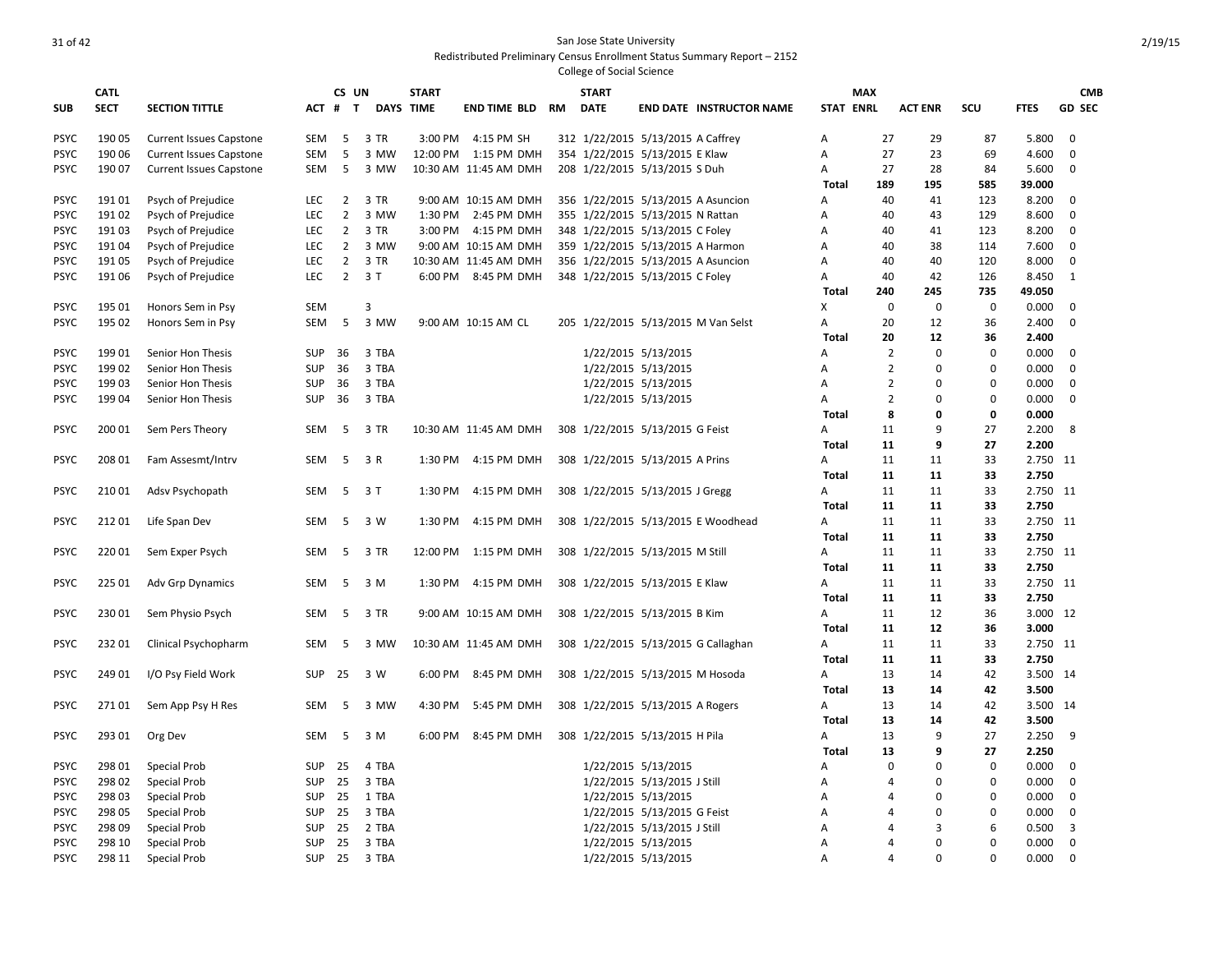|             |                            |                                |            | CS UN          |                  | <b>START</b> |                       |    | <b>START</b>                       |                             |                                     |                  | <b>MAX</b>     |                |             |             |                             |
|-------------|----------------------------|--------------------------------|------------|----------------|------------------|--------------|-----------------------|----|------------------------------------|-----------------------------|-------------------------------------|------------------|----------------|----------------|-------------|-------------|-----------------------------|
| <b>SUB</b>  | <b>CATL</b><br><b>SECT</b> | <b>SECTION TITTLE</b>          | ACT #      | $\mathbf{T}$   | <b>DAYS TIME</b> |              | <b>END TIME BLD</b>   | RM | <b>DATE</b>                        |                             | <b>END DATE INSTRUCTOR NAME</b>     | <b>STAT ENRL</b> |                | <b>ACT ENR</b> | scu         | <b>FTES</b> | <b>CMB</b><br><b>GD SEC</b> |
|             |                            |                                |            |                |                  |              |                       |    |                                    |                             |                                     |                  |                |                |             |             |                             |
| <b>PSYC</b> | 190 05                     | <b>Current Issues Capstone</b> | SEM        | -5             | 3 TR             | 3:00 PM      | 4:15 PM SH            |    | 312 1/22/2015 5/13/2015 A Caffrey  |                             |                                     | A                | 27             | 29             | 87          | 5.800       | 0                           |
| <b>PSYC</b> | 190 06                     | <b>Current Issues Capstone</b> | <b>SEM</b> | 5              | 3 MW             |              | 12:00 PM 1:15 PM DMH  |    | 354 1/22/2015 5/13/2015 E Klaw     |                             |                                     | Α                | 27             | 23             | 69          | 4.600       | 0                           |
| <b>PSYC</b> | 190 07                     | <b>Current Issues Capstone</b> | SEM        | 5              | 3 MW             |              | 10:30 AM 11:45 AM DMH |    | 208 1/22/2015 5/13/2015 S Duh      |                             |                                     | А                | 27             | 28             | 84          | 5.600       | 0                           |
|             |                            |                                |            |                |                  |              |                       |    |                                    |                             |                                     | Total            | 189            | 195            | 585         | 39.000      |                             |
| <b>PSYC</b> | 19101                      | Psych of Prejudice             | <b>LEC</b> | $\overline{2}$ | 3 TR             |              | 9:00 AM 10:15 AM DMH  |    | 356 1/22/2015 5/13/2015 A Asuncion |                             |                                     | A                | 40             | 41             | 123         | 8.200       | 0                           |
| <b>PSYC</b> | 19102                      | Psych of Prejudice             | LEC        | $\overline{2}$ | 3 MW             | 1:30 PM      | 2:45 PM DMH           |    | 355 1/22/2015 5/13/2015 N Rattan   |                             |                                     | A                | 40             | 43             | 129         | 8.600       | $\mathbf 0$                 |
| <b>PSYC</b> | 19103                      | Psych of Prejudice             | LEC        | $\overline{2}$ | 3 TR             | 3:00 PM      | 4:15 PM DMH           |    | 348 1/22/2015 5/13/2015 C Foley    |                             |                                     | Α                | 40             | 41             | 123         | 8.200       | $\mathbf 0$                 |
| <b>PSYC</b> | 19104                      | Psych of Prejudice             | LEC        | $\overline{2}$ | 3 MW             |              | 9:00 AM 10:15 AM DMH  |    | 359 1/22/2015 5/13/2015 A Harmon   |                             |                                     | Α                | 40             | 38             | 114         | 7.600       | $\mathbf 0$                 |
| <b>PSYC</b> | 19105                      | Psych of Prejudice             | <b>LEC</b> | $\overline{2}$ | 3 TR             |              | 10:30 AM 11:45 AM DMH |    | 356 1/22/2015 5/13/2015 A Asuncion |                             |                                     | Α                | 40             | 40             | 120         | 8.000       | 0                           |
| <b>PSYC</b> | 191 06                     | Psych of Prejudice             | <b>LEC</b> | $\overline{2}$ | 3T               |              | 6:00 PM 8:45 PM DMH   |    | 348 1/22/2015 5/13/2015 C Foley    |                             |                                     | Α                | 40             | 42             | 126         | 8.450       | 1                           |
|             |                            |                                |            |                |                  |              |                       |    |                                    |                             |                                     | <b>Total</b>     | 240            | 245            | 735         | 49.050      |                             |
| <b>PSYC</b> | 195 01                     | Honors Sem in Psy              | <b>SEM</b> |                | 3                |              |                       |    |                                    |                             |                                     | x                | 0              | $\mathbf 0$    | $\mathbf 0$ | 0.000       | 0                           |
| <b>PSYC</b> | 195 02                     | Honors Sem in Psy              | <b>SEM</b> | 5              | 3 MW             |              | 9:00 AM 10:15 AM CL   |    |                                    |                             | 205 1/22/2015 5/13/2015 M Van Selst | Α                | 20             | 12             | 36          | 2.400       | 0                           |
|             |                            |                                |            |                |                  |              |                       |    |                                    |                             |                                     | <b>Total</b>     | 20             | 12             | 36          | 2.400       |                             |
| <b>PSYC</b> | 19901                      | Senior Hon Thesis              | <b>SUP</b> | 36             | 3 TBA            |              |                       |    |                                    | 1/22/2015 5/13/2015         |                                     | А                | $\overline{2}$ | $\mathbf 0$    | 0           | 0.000       | 0                           |
| <b>PSYC</b> | 19902                      | Senior Hon Thesis              | <b>SUP</b> | 36             | 3 TBA            |              |                       |    |                                    | 1/22/2015 5/13/2015         |                                     | A                | $\overline{2}$ | $\mathbf 0$    | 0           | 0.000       | 0                           |
| <b>PSYC</b> | 19903                      | Senior Hon Thesis              | <b>SUP</b> | 36             | 3 TBA            |              |                       |    |                                    | 1/22/2015 5/13/2015         |                                     | Α                | $\overline{2}$ | $\Omega$       | 0           | 0.000       | 0                           |
| <b>PSYC</b> | 19904                      | Senior Hon Thesis              | <b>SUP</b> | 36             | 3 TBA            |              |                       |    |                                    | 1/22/2015 5/13/2015         |                                     | A                | $\overline{2}$ | $\mathbf 0$    | 0           | 0.000       | $\mathbf 0$                 |
|             |                            |                                |            |                |                  |              |                       |    |                                    |                             |                                     | Total            | 8              | 0              | 0           | 0.000       |                             |
| <b>PSYC</b> | 200 01                     | Sem Pers Theory                | <b>SEM</b> | -5             | 3 TR             |              | 10:30 AM 11:45 AM DMH |    | 308 1/22/2015 5/13/2015 G Feist    |                             |                                     | A                | 11             | 9              | 27          | 2.200       | 8                           |
|             |                            |                                |            |                |                  |              |                       |    |                                    |                             |                                     | Total            | 11             | 9              | 27          | 2.200       |                             |
| <b>PSYC</b> | 208 01                     | Fam Assesmt/Intrv              | <b>SEM</b> | 5              | 3 R              |              | 1:30 PM 4:15 PM DMH   |    | 308 1/22/2015 5/13/2015 A Prins    |                             |                                     | Α                | 11             | 11             | 33          | 2.750 11    |                             |
|             |                            |                                |            |                |                  |              |                       |    |                                    |                             |                                     | Total            | 11             | 11             | 33          | 2.750       |                             |
| <b>PSYC</b> | 210 01                     | Adsv Psychopath                | SEM        | - 5            | 3T               | 1:30 PM      | 4:15 PM DMH           |    | 308 1/22/2015 5/13/2015 J Gregg    |                             |                                     | A                | 11             | 11             | 33          | 2.750 11    |                             |
|             |                            |                                |            |                |                  |              |                       |    |                                    |                             |                                     | <b>Total</b>     | 11             | 11             | 33          | 2.750       |                             |
| <b>PSYC</b> | 21201                      | Life Span Dev                  | <b>SEM</b> | 5              | 3 W              | 1:30 PM      | 4:15 PM DMH           |    |                                    |                             | 308 1/22/2015 5/13/2015 E Woodhead  | A                | 11             | 11             | 33          | 2.750 11    |                             |
|             |                            |                                |            |                |                  |              |                       |    |                                    |                             |                                     | <b>Total</b>     | 11             | 11             | 33          | 2.750       |                             |
| <b>PSYC</b> | 22001                      | Sem Exper Psych                | <b>SEM</b> | 5              | 3 TR             | 12:00 PM     | 1:15 PM DMH           |    | 308 1/22/2015 5/13/2015 M Still    |                             |                                     | A                | 11             | 11             | 33          | 2.750 11    |                             |
|             |                            |                                |            |                |                  |              |                       |    |                                    |                             |                                     | Total            | 11             | 11             | 33          | 2.750       |                             |
| <b>PSYC</b> | 225 01                     | <b>Adv Grp Dynamics</b>        | <b>SEM</b> | 5              | 3 M              | 1:30 PM      | 4:15 PM DMH           |    | 308 1/22/2015 5/13/2015 E Klaw     |                             |                                     | Α                | 11             | 11             | 33          | 2.750 11    |                             |
|             |                            |                                |            |                |                  |              |                       |    |                                    |                             |                                     | Total            | 11             | 11             | 33          | 2.750       |                             |
| <b>PSYC</b> | 23001                      | Sem Physio Psych               | <b>SEM</b> | -5             | 3 TR             |              | 9:00 AM 10:15 AM DMH  |    | 308 1/22/2015 5/13/2015 B Kim      |                             |                                     | Α                | 11             | 12             | 36          | 3.000 12    |                             |
|             |                            |                                |            |                |                  |              |                       |    |                                    |                             |                                     | <b>Total</b>     | 11             | 12             | 36          | 3.000       |                             |
| <b>PSYC</b> | 23201                      | Clinical Psychopharm           | SEM        | 5              | 3 MW             |              | 10:30 AM 11:45 AM DMH |    |                                    |                             | 308 1/22/2015 5/13/2015 G Callaghan | Α                | 11             | 11             | 33          | 2.750       | - 11                        |
|             |                            |                                |            |                |                  |              |                       |    |                                    |                             |                                     | <b>Total</b>     | 11             | 11             | 33          | 2.750       |                             |
| <b>PSYC</b> | 249 01                     | I/O Psy Field Work             | <b>SUP</b> | 25             | 3 W              | 6:00 PM      | 8:45 PM DMH           |    | 308 1/22/2015 5/13/2015 M Hosoda   |                             |                                     | Α                | 13             | 14             | 42          | 3.500       | -14                         |
|             |                            |                                |            |                |                  |              |                       |    |                                    |                             |                                     | <b>Total</b>     | 13             | 14             | 42          | 3.500       |                             |
| <b>PSYC</b> | 27101                      | Sem App Psy H Res              | <b>SEM</b> | -5             | 3 MW             | 4:30 PM      | 5:45 PM DMH           |    | 308 1/22/2015 5/13/2015 A Rogers   |                             |                                     | Α                | 13             | 14             | 42          | 3.500       | 14                          |
|             |                            |                                |            |                |                  |              |                       |    |                                    |                             |                                     | Total            | 13             | 14             | 42          | 3.500       |                             |
| <b>PSYC</b> | 293 01                     | Org Dev                        | SEM        | -5             | 3 M              | 6:00 PM      | 8:45 PM DMH           |    | 308 1/22/2015 5/13/2015 H Pila     |                             |                                     | A                | 13             | 9              | 27          | 2.250       | 9                           |
|             |                            |                                |            |                |                  |              |                       |    |                                    |                             |                                     | Total            | 13             | 9              | 27          | 2.250       |                             |
| <b>PSYC</b> | 298 01                     | Special Prob                   | <b>SUP</b> | 25             | 4 TBA            |              |                       |    |                                    | 1/22/2015 5/13/2015         |                                     | Α                | 0              | $\mathbf 0$    | $\mathbf 0$ | 0.000       | 0                           |
| <b>PSYC</b> | 298 02                     | Special Prob                   | <b>SUP</b> | 25             | 3 TBA            |              |                       |    |                                    | 1/22/2015 5/13/2015 J Still |                                     | Α                | 4              | $\Omega$       | 0           | 0.000       | 0                           |
| <b>PSYC</b> | 298 03                     | Special Prob                   | <b>SUP</b> | 25             | 1 TBA            |              |                       |    |                                    | 1/22/2015 5/13/2015         |                                     | A                | 4              | $\Omega$       | $\Omega$    | 0.000       | 0                           |
| <b>PSYC</b> | 298 05                     | Special Prob                   | <b>SUP</b> | 25             | 3 TBA            |              |                       |    |                                    | 1/22/2015 5/13/2015 G Feist |                                     | A                | 4              | $\Omega$       | $\Omega$    | 0.000       | $\mathbf 0$                 |
| <b>PSYC</b> | 298 09                     | Special Prob                   | <b>SUP</b> | 25             | 2 TBA            |              |                       |    |                                    | 1/22/2015 5/13/2015 J Still |                                     | Α                | 4              | 3              | 6           | 0.500       | 3                           |
| <b>PSYC</b> | 298 10                     | <b>Special Prob</b>            | <b>SUP</b> | 25             | 3 TBA            |              |                       |    |                                    | 1/22/2015 5/13/2015         |                                     | Α                | 4              | $\Omega$       | 0           | 0.000       | $\mathbf 0$                 |
| <b>PSYC</b> | 298 11                     | <b>Special Prob</b>            | <b>SUP</b> | 25             | 3 TBA            |              |                       |    |                                    | 1/22/2015 5/13/2015         |                                     | A                | $\Delta$       | $\Omega$       | $\Omega$    | 0.000       | $\Omega$                    |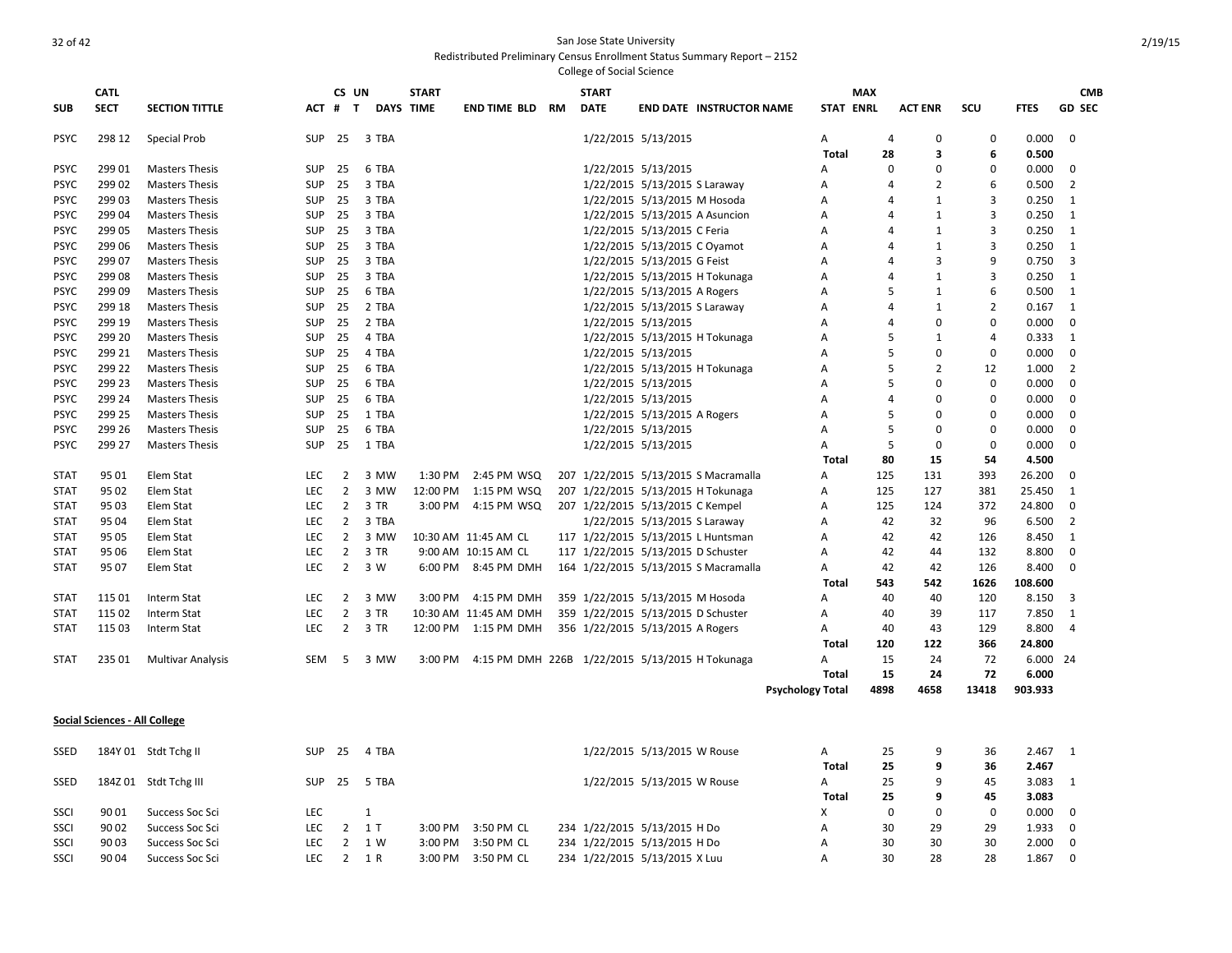|             | <b>CATL</b> |                          |            | CS UN          |                  | <b>START</b> |                                                 |    | <b>START</b> |                                    |                                      |                         | <b>MAX</b>       |                         |                |             | <b>CMB</b>     |
|-------------|-------------|--------------------------|------------|----------------|------------------|--------------|-------------------------------------------------|----|--------------|------------------------------------|--------------------------------------|-------------------------|------------------|-------------------------|----------------|-------------|----------------|
| <b>SUB</b>  | <b>SECT</b> | <b>SECTION TITTLE</b>    | $ACT$ #    | T              | <b>DAYS TIME</b> |              | <b>END TIME BLD</b>                             | RM | <b>DATE</b>  |                                    | <b>END DATE INSTRUCTOR NAME</b>      |                         | <b>STAT ENRL</b> | <b>ACT ENR</b>          | <b>SCU</b>     | <b>FTES</b> | <b>GD SEC</b>  |
| <b>PSYC</b> | 298 12      | <b>Special Prob</b>      | SUP        | 25             | 3 TBA            |              |                                                 |    |              | 1/22/2015 5/13/2015                |                                      | A                       | 4                | 0                       | $\mathbf 0$    | 0.000       | $\mathbf 0$    |
|             |             |                          |            |                |                  |              |                                                 |    |              |                                    |                                      | Total                   | 28               | $\overline{\mathbf{3}}$ | 6              | 0.500       |                |
| <b>PSYC</b> | 299 01      | <b>Masters Thesis</b>    | <b>SUP</b> | 25             | 6 TBA            |              |                                                 |    |              | 1/22/2015 5/13/2015                |                                      | A                       | 0                | 0                       | $\Omega$       | 0.000       | 0              |
| <b>PSYC</b> | 29902       | <b>Masters Thesis</b>    | <b>SUP</b> | 25             | 3 TBA            |              |                                                 |    |              | 1/22/2015 5/13/2015 S Laraway      |                                      | A                       | 4                | 2                       | 6              | 0.500       | $\overline{2}$ |
| <b>PSYC</b> | 29903       | <b>Masters Thesis</b>    | SUP        | 25             | 3 TBA            |              |                                                 |    |              | 1/22/2015 5/13/2015 M Hosoda       |                                      | A                       | 4                | $\mathbf{1}$            | 3              | 0.250       | 1              |
| <b>PSYC</b> | 299 04      | <b>Masters Thesis</b>    | <b>SUP</b> | 25             | 3 TBA            |              |                                                 |    |              | 1/22/2015 5/13/2015 A Asuncion     |                                      | A                       | 4                | 1                       | 3              | 0.250       | 1              |
| <b>PSYC</b> | 299 05      | <b>Masters Thesis</b>    | <b>SUP</b> | 25             | 3 TBA            |              |                                                 |    |              | 1/22/2015 5/13/2015 C Feria        |                                      | A                       | 4                | $\mathbf{1}$            | 3              | 0.250       | 1              |
| <b>PSYC</b> | 299 06      | <b>Masters Thesis</b>    | <b>SUP</b> | 25             | 3 TBA            |              |                                                 |    |              | 1/22/2015 5/13/2015 C Oyamot       |                                      | A                       | 4                | $\mathbf{1}$            | 3              | 0.250       | 1              |
| <b>PSYC</b> | 299 07      | <b>Masters Thesis</b>    | <b>SUP</b> | 25             | 3 TBA            |              |                                                 |    |              | 1/22/2015 5/13/2015 G Feist        |                                      | А                       | 4                | 3                       | 9              | 0.750       | 3              |
| <b>PSYC</b> | 299 08      | <b>Masters Thesis</b>    | <b>SUP</b> | 25             | 3 TBA            |              |                                                 |    |              |                                    | 1/22/2015 5/13/2015 H Tokunaga       | Α                       | 4                | $\mathbf{1}$            | 3              | 0.250       | 1              |
| <b>PSYC</b> | 299 09      | <b>Masters Thesis</b>    | SUP        | 25             | 6 TBA            |              |                                                 |    |              | 1/22/2015 5/13/2015 A Rogers       |                                      | A                       | 5                | $\mathbf{1}$            | 6              | 0.500       | $\mathbf{1}$   |
| <b>PSYC</b> | 299 18      | <b>Masters Thesis</b>    | <b>SUP</b> | 25             | 2 TBA            |              |                                                 |    |              | 1/22/2015 5/13/2015 S Laraway      |                                      | Α                       | 4                | $\mathbf{1}$            | 2              | 0.167       | $\mathbf{1}$   |
| <b>PSYC</b> | 299 19      | <b>Masters Thesis</b>    | <b>SUP</b> | 25             | 2 TBA            |              |                                                 |    |              | 1/22/2015 5/13/2015                |                                      | A                       | 4                | $\Omega$                | 0              | 0.000       | $\mathbf 0$    |
| <b>PSYC</b> | 299 20      | <b>Masters Thesis</b>    | <b>SUP</b> | 25             | 4 TBA            |              |                                                 |    |              |                                    | 1/22/2015 5/13/2015 H Tokunaga       | A                       | 5                | $\mathbf{1}$            | $\overline{4}$ | 0.333       | 1              |
| <b>PSYC</b> | 299 21      | <b>Masters Thesis</b>    | <b>SUP</b> | 25             | 4 TBA            |              |                                                 |    |              | 1/22/2015 5/13/2015                |                                      | A                       | 5                | 0                       | $\mathbf 0$    | 0.000       | 0              |
| <b>PSYC</b> | 299 22      | <b>Masters Thesis</b>    | <b>SUP</b> | 25             | 6 TBA            |              |                                                 |    |              |                                    | 1/22/2015 5/13/2015 H Tokunaga       | A                       | 5                | $\overline{2}$          | 12             | 1.000       | 2              |
| <b>PSYC</b> | 299 23      | <b>Masters Thesis</b>    | SUP        | 25             | 6 TBA            |              |                                                 |    |              | 1/22/2015 5/13/2015                |                                      | A                       | 5                | 0                       | $\mathbf 0$    | 0.000       | 0              |
| <b>PSYC</b> | 299 24      | <b>Masters Thesis</b>    | <b>SUP</b> | 25             | 6 TBA            |              |                                                 |    |              | 1/22/2015 5/13/2015                |                                      | A                       | $\overline{a}$   | 0                       | $\mathbf 0$    | 0.000       | 0              |
| <b>PSYC</b> | 299 25      | <b>Masters Thesis</b>    | <b>SUP</b> | 25             | 1 TBA            |              |                                                 |    |              | 1/22/2015 5/13/2015 A Rogers       |                                      | A                       | 5                | 0                       | $\Omega$       | 0.000       | $\mathbf 0$    |
| <b>PSYC</b> | 299 26      | <b>Masters Thesis</b>    | <b>SUP</b> | 25             | 6 TBA            |              |                                                 |    |              | 1/22/2015 5/13/2015                |                                      | A                       | 5                | $\Omega$                | 0              | 0.000       | $\mathbf 0$    |
| <b>PSYC</b> | 299 27      | <b>Masters Thesis</b>    | <b>SUP</b> | 25             | 1 TBA            |              |                                                 |    |              | 1/22/2015 5/13/2015                |                                      | A                       | 5                | $\Omega$                | 0              | 0.000       | $\mathbf 0$    |
|             |             |                          |            |                |                  |              |                                                 |    |              |                                    |                                      | Total                   | 80               | 15                      | 54             | 4.500       |                |
| <b>STAT</b> | 95 01       | Elem Stat                | <b>LEC</b> | $\overline{2}$ | 3 MW             | 1:30 PM      | 2:45 PM WSQ                                     |    |              |                                    | 207 1/22/2015 5/13/2015 S Macramalla | A                       | 125              | 131                     | 393            | 26.200      | $\Omega$       |
| <b>STAT</b> | 95 02       | Elem Stat                | <b>LEC</b> | $\overline{2}$ | 3 MW             | 12:00 PM     | 1:15 PM WSQ                                     |    |              |                                    | 207 1/22/2015 5/13/2015 H Tokunaga   | A                       | 125              | 127                     | 381            | 25.450      | 1              |
| <b>STAT</b> | 95 03       | Elem Stat                | LEC        | $\overline{2}$ | 3 TR             | 3:00 PM      | 4:15 PM WSQ                                     |    |              | 207 1/22/2015 5/13/2015 C Kempel   |                                      | A                       | 125              | 124                     | 372            | 24.800      | 0              |
| <b>STAT</b> | 95 04       | Elem Stat                | LEC        | $\overline{2}$ | 3 TBA            |              |                                                 |    |              | 1/22/2015 5/13/2015 S Laraway      |                                      | A                       | 42               | 32                      | 96             | 6.500       | $\overline{2}$ |
| <b>STAT</b> | 95 05       | Elem Stat                | LEC        | $\overline{2}$ | 3 MW             |              | 10:30 AM 11:45 AM CL                            |    |              |                                    | 117 1/22/2015 5/13/2015 L Huntsman   | Α                       | 42               | 42                      | 126            | 8.450       | 1              |
| <b>STAT</b> | 95 06       | Elem Stat                | LEC        | $\overline{2}$ | 3 TR             |              | 9:00 AM 10:15 AM CL                             |    |              | 117 1/22/2015 5/13/2015 D Schuster |                                      | A                       | 42               | 44                      | 132            | 8.800       | $\mathbf 0$    |
| <b>STAT</b> | 95 07       | Elem Stat                | <b>LEC</b> | $\overline{2}$ | 3 W              | 6:00 PM      | 8:45 PM DMH                                     |    |              |                                    | 164 1/22/2015 5/13/2015 S Macramalla | Α                       | 42               | 42                      | 126            | 8.400       | $\mathbf 0$    |
|             |             |                          |            |                |                  |              |                                                 |    |              |                                    |                                      | <b>Total</b>            | 543              | 542                     | 1626           | 108.600     |                |
| <b>STAT</b> | 115 01      | Interm Stat              | LEC        | $\overline{2}$ | 3 MW             | 3:00 PM      | 4:15 PM DMH                                     |    |              | 359 1/22/2015 5/13/2015 M Hosoda   |                                      | A                       | 40               | 40                      | 120            | 8.150       | 3              |
| <b>STAT</b> | 115 02      | Interm Stat              | LEC        | $\overline{2}$ | 3 TR             |              | 10:30 AM 11:45 AM DMH                           |    |              | 359 1/22/2015 5/13/2015 D Schuster |                                      | Α                       | 40               | 39                      | 117            | 7.850       | 1              |
| <b>STAT</b> | 115 03      | Interm Stat              | <b>LEC</b> | $\overline{2}$ | 3 TR             |              | 12:00 PM 1:15 PM DMH                            |    |              | 356 1/22/2015 5/13/2015 A Rogers   |                                      | A                       | 40               | 43                      | 129            | 8.800       | $\overline{4}$ |
|             |             |                          |            |                |                  |              |                                                 |    |              |                                    |                                      | Total                   | 120              | 122                     | 366            | 24.800      |                |
| <b>STAT</b> | 235 01      | <b>Multivar Analysis</b> | SEM        | -5             | 3 MW             | 3:00 PM      | 4:15 PM DMH 226B 1/22/2015 5/13/2015 H Tokunaga |    |              |                                    |                                      | A                       | 15               | 24                      | 72             | 6.000 24    |                |
|             |             |                          |            |                |                  |              |                                                 |    |              |                                    |                                      | Total                   | 15               | 24                      | 72             | 6.000       |                |
|             |             |                          |            |                |                  |              |                                                 |    |              |                                    |                                      | <b>Psychology Total</b> | 4898             | 4658                    | 13418          | 903.933     |                |

## **Social Sciences - All College**

| <b>SSED</b> |       | 184Y 01 Stdt Tchg II  | <b>SUP</b> | 25   | 4 TBA |                     |            | 1/22/2015 5/13/2015 W Rouse   | А     |    | Q  | 36 | 2.467            |                |
|-------------|-------|-----------------------|------------|------|-------|---------------------|------------|-------------------------------|-------|----|----|----|------------------|----------------|
|             |       |                       |            |      |       |                     |            |                               | Total | 25 | 9  | 36 | 2.467            |                |
| <b>SSED</b> |       | 184Z 01 Stdt Tchg III | SUP        | - 25 | 5 TBA |                     |            | 1/22/2015 5/13/2015 W Rouse   | А     |    | Q  | 45 | 3.083            |                |
|             |       |                       |            |      |       |                     |            |                               | Total | 25 | 9  | 45 | 3.083            |                |
| SSCI        | 90 01 | Success Soc Sci       | LEC        |      |       |                     |            |                               | X     |    |    |    | $0.000 \qquad 0$ |                |
| SSCI        | 90 02 | Success Soc Sci       | LEC        |      |       | $3:00 \text{ PM}$   | 3:50 PM CL | 234 1/22/2015 5/13/2015 H Do  | А     | 30 | 29 | 29 | 1.933 0          |                |
| SSCI        | 90 03 | Success Soc Sci       | LEC        |      | 1 W   | $3:00 \text{ PM}$   | 3:50 PM CL | 234 1/22/2015 5/13/2015 H Do  | А     | 30 | 30 | 30 | $2.000 \ 0$      |                |
| SSCI        | 90 04 | Success Soc Sci       | LEC        |      | 1 R   | $3:00 \, \text{PM}$ | 3:50 PM CL | 234 1/22/2015 5/13/2015 X Luu | А     | 30 | 28 | 28 | .867             | $\overline{0}$ |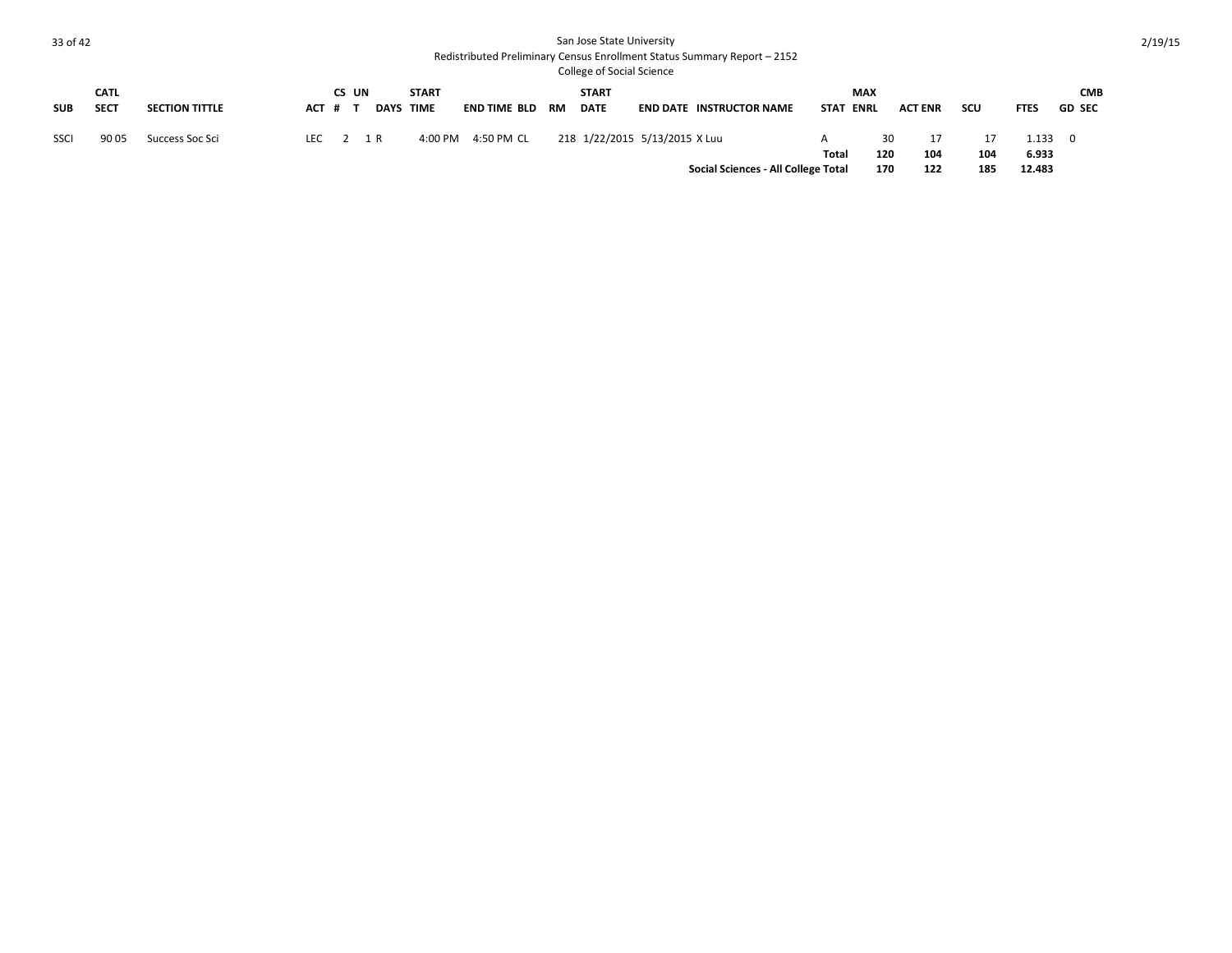|            | <b>CATL</b> |                       |         | CS UN |                  | <b>START</b> |              |    | <b>START</b>                  |                                     |             | <b>MAX</b>  |                |     |             | <b>CMB</b>    |
|------------|-------------|-----------------------|---------|-------|------------------|--------------|--------------|----|-------------------------------|-------------------------------------|-------------|-------------|----------------|-----|-------------|---------------|
| <b>SUB</b> | <b>SECT</b> | <b>SECTION TITTLE</b> | ACT # T |       | <b>DAYS TIME</b> |              | END TIME BLD | RM | <b>DATE</b>                   | <b>END DATE INSTRUCTOR NAME</b>     | <b>STAT</b> | <b>ENRL</b> | <b>ACT ENR</b> | scu | <b>FTES</b> | <b>GD SEC</b> |
| SSCI       | 90 05       | Success Soc Sci       |         |       | LEC $2 \t1R$     | 4:00 PM      | 4:50 PM CL   |    | 218 1/22/2015 5/13/2015 X Luu |                                     | A           | 30          |                |     | 1.133       | - 0           |
|            |             |                       |         |       |                  |              |              |    |                               |                                     | Total       | 120         | 104            | 104 | 6.933       |               |
|            |             |                       |         |       |                  |              |              |    |                               | Social Sciences - All College Total |             | 170         | 122            | 185 | 12.483      |               |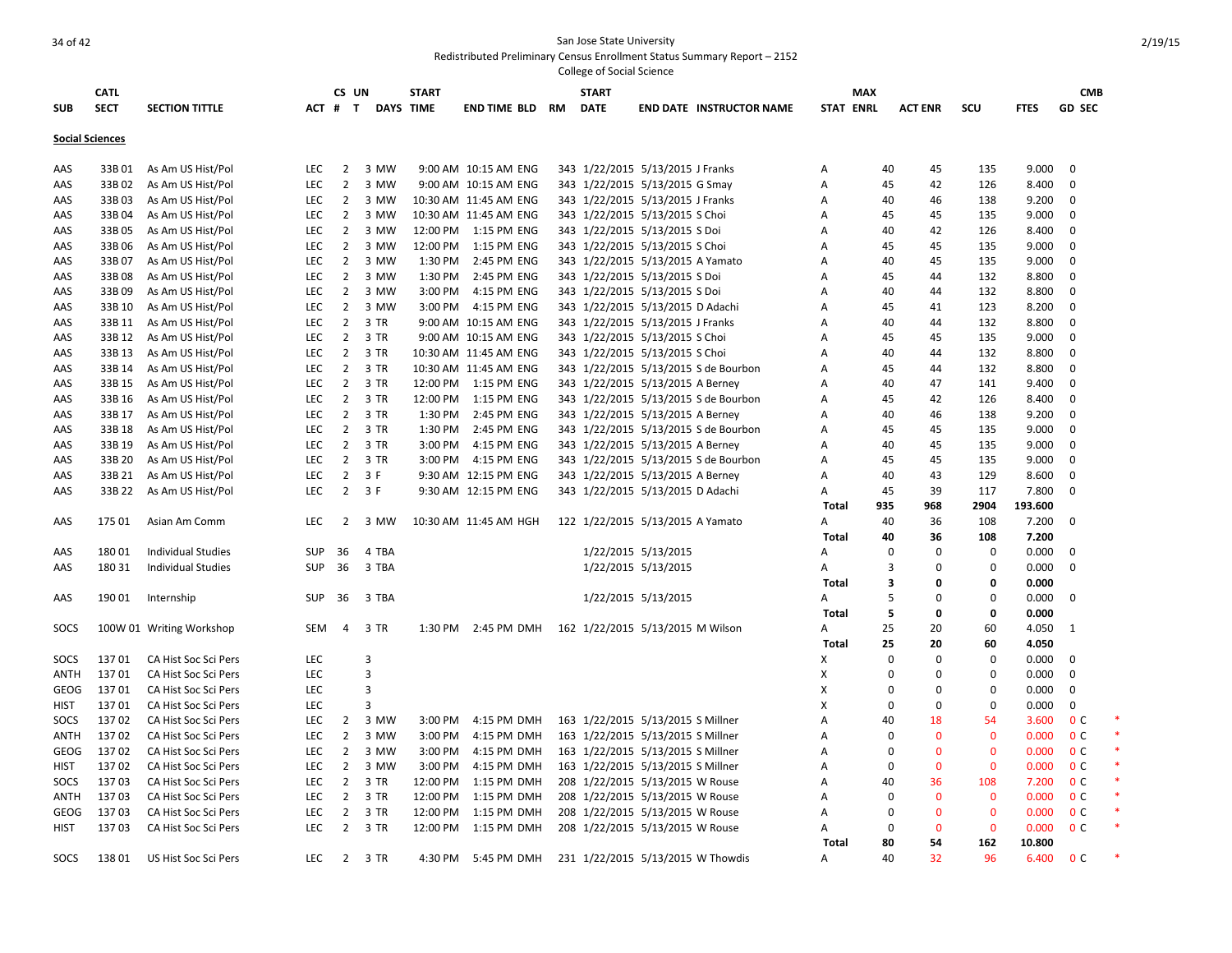|                        | <b>CATL</b> |                           |            | CS UN          |                  | <b>START</b> |                          |    | <b>START</b>                      |                     |                                      |                  | <b>MAX</b>     |                |              |             | <b>CMB</b>     |  |
|------------------------|-------------|---------------------------|------------|----------------|------------------|--------------|--------------------------|----|-----------------------------------|---------------------|--------------------------------------|------------------|----------------|----------------|--------------|-------------|----------------|--|
| <b>SUB</b>             | <b>SECT</b> | <b>SECTION TITTLE</b>     |            | ACT # T        | <b>DAYS TIME</b> |              | <b>END TIME BLD</b>      | RM | <b>DATE</b>                       |                     | <b>END DATE INSTRUCTOR NAME</b>      | <b>STAT ENRL</b> |                | <b>ACT ENR</b> | scu          | <b>FTES</b> | <b>GD SEC</b>  |  |
|                        |             |                           |            |                |                  |              |                          |    |                                   |                     |                                      |                  |                |                |              |             |                |  |
| <b>Social Sciences</b> |             |                           |            |                |                  |              |                          |    |                                   |                     |                                      |                  |                |                |              |             |                |  |
| AAS                    | 33B 01      | As Am US Hist/Pol         | LEC        | $\overline{2}$ | 3 MW             |              | 9:00 AM 10:15 AM ENG     |    | 343 1/22/2015 5/13/2015 J Franks  |                     |                                      | Α                | 40             | 45             | 135          | 9.000       | $\mathbf 0$    |  |
| AAS                    | 33B 02      | As Am US Hist/Pol         | LEC        | $\overline{2}$ | 3 MW             |              | 9:00 AM 10:15 AM ENG     |    | 343 1/22/2015 5/13/2015 G Smay    |                     |                                      | A                | 45             | 42             | 126          | 8.400       | $\mathbf 0$    |  |
| AAS                    | 33B03       | As Am US Hist/Pol         | LEC        | $\overline{2}$ | 3 MW             |              | 10:30 AM 11:45 AM ENG    |    | 343 1/22/2015 5/13/2015 J Franks  |                     |                                      | Α                | 40             | 46             | 138          | 9.200       | 0              |  |
| AAS                    | 33B04       | As Am US Hist/Pol         | LEC        | $\overline{2}$ | 3 MW             |              | 10:30 AM 11:45 AM ENG    |    | 343 1/22/2015 5/13/2015 S Choi    |                     |                                      | A                | 45             | 45             | 135          | 9.000       | $\mathbf 0$    |  |
| AAS                    | 33B 05      | As Am US Hist/Pol         | LEC        | $\overline{2}$ | 3 MW             |              | 12:00 PM  1:15 PM ENG    |    | 343 1/22/2015 5/13/2015 S Doi     |                     |                                      | A                | 40             | 42             | 126          | 8.400       | 0              |  |
| AAS                    | 33B 06      | As Am US Hist/Pol         | LEC        | $\overline{2}$ | 3 MW             | 12:00 PM     | 1:15 PM ENG              |    | 343 1/22/2015 5/13/2015 S Choi    |                     |                                      | Α                | 45             | 45             | 135          | 9.000       | 0              |  |
| AAS                    | 33B 07      | As Am US Hist/Pol         | LEC        | $\overline{2}$ | 3 MW             | 1:30 PM      | 2:45 PM ENG              |    | 343 1/22/2015 5/13/2015 A Yamato  |                     |                                      | A                | 40             | 45             | 135          | 9.000       | $\mathbf 0$    |  |
| AAS                    | 33B08       | As Am US Hist/Pol         | LEC        | $\overline{2}$ | 3 MW             | 1:30 PM      | 2:45 PM ENG              |    | 343 1/22/2015 5/13/2015 S Doi     |                     |                                      | A                | 45             | 44             | 132          | 8.800       | $\mathbf 0$    |  |
| AAS                    | 33B09       | As Am US Hist/Pol         | LEC        | $\overline{2}$ | 3 MW             | 3:00 PM      | 4:15 PM ENG              |    | 343 1/22/2015 5/13/2015 S Doi     |                     |                                      | A                | 40             | 44             | 132          | 8.800       | 0              |  |
| AAS                    | 33B 10      | As Am US Hist/Pol         | LEC        | $\overline{2}$ | 3 MW             | 3:00 PM      | 4:15 PM ENG              |    | 343 1/22/2015 5/13/2015 D Adachi  |                     |                                      | Α                | 45             | 41             | 123          | 8.200       | 0              |  |
| AAS                    | 33B 11      | As Am US Hist/Pol         | LEC        | $\overline{2}$ | 3 TR             |              | 9:00 AM 10:15 AM ENG     |    | 343 1/22/2015 5/13/2015 J Franks  |                     |                                      | Α                | 40             | 44             | 132          | 8.800       | $\mathbf 0$    |  |
| AAS                    | 33B 12      | As Am US Hist/Pol         | <b>LEC</b> | $\overline{2}$ | 3 TR             |              | 9:00 AM 10:15 AM ENG     |    | 343 1/22/2015 5/13/2015 S Choi    |                     |                                      | A                | 45             | 45             | 135          | 9.000       | 0              |  |
| AAS                    | 33B 13      | As Am US Hist/Pol         | <b>LEC</b> | $\overline{2}$ | 3 TR             |              | 10:30 AM 11:45 AM ENG    |    | 343 1/22/2015 5/13/2015 S Choi    |                     |                                      | A                | 40             | 44             | 132          | 8.800       | $\mathbf 0$    |  |
| AAS                    | 33B 14      | As Am US Hist/Pol         | LEC        | $\overline{2}$ | 3 TR             |              | 10:30 AM 11:45 AM ENG    |    |                                   |                     | 343 1/22/2015 5/13/2015 S de Bourbon | Α                | 45             | 44             | 132          | 8.800       | 0              |  |
| AAS                    | 33B 15      | As Am US Hist/Pol         | <b>LEC</b> | $\overline{2}$ | 3 TR             |              | 12:00 PM   1:15 PM   ENG |    | 343 1/22/2015 5/13/2015 A Berney  |                     |                                      | A                | 40             | 47             | 141          | 9.400       | $\mathbf 0$    |  |
| AAS                    | 33B 16      | As Am US Hist/Pol         | <b>LEC</b> | $\overline{2}$ | 3 TR             | 12:00 PM     | 1:15 PM ENG              |    |                                   |                     | 343 1/22/2015 5/13/2015 S de Bourbon | A                | 45             | 42             | 126          | 8.400       | $\mathbf 0$    |  |
| AAS                    | 33B 17      | As Am US Hist/Pol         | <b>LEC</b> | $\overline{2}$ | 3 TR             | 1:30 PM      | 2:45 PM ENG              |    | 343 1/22/2015 5/13/2015 A Berney  |                     |                                      | A                | 40             | 46             | 138          | 9.200       | $\mathbf 0$    |  |
| AAS                    | 33B 18      | As Am US Hist/Pol         | <b>LEC</b> | $\overline{2}$ | 3 TR             | 1:30 PM      | 2:45 PM ENG              |    |                                   |                     | 343 1/22/2015 5/13/2015 S de Bourbon | A                | 45             | 45             | 135          | 9.000       | $\mathbf 0$    |  |
| AAS                    | 33B 19      | As Am US Hist/Pol         | <b>LEC</b> | $\overline{2}$ | 3 TR             | 3:00 PM      | 4:15 PM ENG              |    | 343 1/22/2015 5/13/2015 A Berney  |                     |                                      | A                | 40             | 45             | 135          | 9.000       | $\mathbf{0}$   |  |
| AAS                    | 33B 20      | As Am US Hist/Pol         | <b>LEC</b> | $\overline{2}$ | 3 TR             |              | 3:00 PM 4:15 PM ENG      |    |                                   |                     | 343 1/22/2015 5/13/2015 S de Bourbon | A                | 45             | 45             | 135          | 9.000       | $\mathbf 0$    |  |
| AAS                    | 33B 21      | As Am US Hist/Pol         | <b>LEC</b> | $\overline{2}$ | 3 F              |              | 9:30 AM 12:15 PM ENG     |    | 343 1/22/2015 5/13/2015 A Berney  |                     |                                      | A                | 40             | 43             | 129          | 8.600       | $\mathbf 0$    |  |
| AAS                    | 33B 22      | As Am US Hist/Pol         | <b>LEC</b> | $2^{\circ}$    | 3 F              |              | 9:30 AM 12:15 PM ENG     |    | 343 1/22/2015 5/13/2015 D Adachi  |                     |                                      | A                | 45             | 39             | 117          | 7.800       | 0              |  |
|                        |             |                           |            |                |                  |              |                          |    |                                   |                     |                                      | Total            | 935            | 968            | 2904         | 193.600     |                |  |
| AAS                    | 175 01      | Asian Am Comm             | LEC        | $\overline{2}$ | 3 MW             |              | 10:30 AM 11:45 AM HGH    |    | 122 1/22/2015 5/13/2015 A Yamato  |                     |                                      | Α                | 40             | 36             | 108          | 7.200       | $\mathbf 0$    |  |
|                        |             |                           |            |                |                  |              |                          |    |                                   |                     |                                      | <b>Total</b>     | 40             | 36             | 108          | 7.200       |                |  |
| AAS                    | 18001       | <b>Individual Studies</b> | <b>SUP</b> | 36             | 4 TBA            |              |                          |    |                                   | 1/22/2015 5/13/2015 |                                      | A                | 0              | 0              | 0            | 0.000       | $\mathbf 0$    |  |
| AAS                    | 18031       | Individual Studies        | <b>SUP</b> | 36             | 3 TBA            |              |                          |    |                                   | 1/22/2015 5/13/2015 |                                      | A                | $\overline{3}$ | 0              | 0            | 0.000       | 0              |  |
|                        |             |                           |            |                |                  |              |                          |    |                                   |                     |                                      | Total            | 3              | 0              | 0            | 0.000       |                |  |
| AAS                    | 190 01      | Internship                | <b>SUP</b> | 36             | 3 TBA            |              |                          |    |                                   | 1/22/2015 5/13/2015 |                                      | A                | 5              | 0              | 0            | 0.000       | $\mathbf{0}$   |  |
|                        |             |                           |            |                |                  |              |                          |    |                                   |                     |                                      | <b>Total</b>     | 5              | 0              | 0            | 0.000       |                |  |
| SOCS                   |             | 100W 01 Writing Workshop  | SEM        | $\overline{4}$ | 3 TR             | 1:30 PM      | 2:45 PM DMH              |    | 162 1/22/2015 5/13/2015 M Wilson  |                     |                                      | A                | 25             | 20             | 60           | 4.050       | - 1            |  |
|                        |             |                           |            |                |                  |              |                          |    |                                   |                     |                                      | Total            | 25             | 20             | 60           | 4.050       |                |  |
| SOCS                   | 13701       | CA Hist Soc Sci Pers      | LEC        |                | 3                |              |                          |    |                                   |                     |                                      | X                | 0              | $\Omega$       | 0            | 0.000       | 0              |  |
| ANTH                   | 13701       | CA Hist Soc Sci Pers      | <b>LEC</b> |                | $\overline{3}$   |              |                          |    |                                   |                     |                                      | X                | 0              | 0              | $\Omega$     | 0.000       | 0              |  |
| GEOG                   | 13701       | CA Hist Soc Sci Pers      | LEC        |                | 3                |              |                          |    |                                   |                     |                                      | X                | 0              | $\mathbf 0$    | $\mathbf 0$  | 0.000       | $\mathbf 0$    |  |
| <b>HIST</b>            | 13701       | CA Hist Soc Sci Pers      | LEC        |                | 3                |              |                          |    |                                   |                     |                                      | X                | $\mathbf 0$    | $\mathbf 0$    | $\mathbf 0$  | 0.000       | $\mathbf 0$    |  |
| SOCS                   | 13702       | CA Hist Soc Sci Pers      | <b>LEC</b> | $\overline{2}$ | 3 MW             | 3:00 PM      | 4:15 PM DMH              |    | 163 1/22/2015 5/13/2015 S Millner |                     |                                      | $\overline{A}$   | 40             | 18             | 54           | 3.600       | 0 <sup>c</sup> |  |
| ANTH                   | 13702       | CA Hist Soc Sci Pers      | <b>LEC</b> | $\overline{2}$ | 3 MW             | 3:00 PM      | 4:15 PM DMH              |    | 163 1/22/2015 5/13/2015 S Millner |                     |                                      | Α                | $\mathbf 0$    | $\overline{0}$ | $\mathbf 0$  | 0.000       | 0 <sup>c</sup> |  |
| GEOG                   | 13702       | CA Hist Soc Sci Pers      | LEC        | $\overline{2}$ | 3 MW             | 3:00 PM      | 4:15 PM DMH              |    | 163 1/22/2015 5/13/2015 S Millner |                     |                                      | Α                | $\mathbf 0$    | $\mathbf{0}$   | $\mathbf{0}$ | 0.000       | 0 <sup>c</sup> |  |
| <b>HIST</b>            | 13702       | CA Hist Soc Sci Pers      | LEC        | $\overline{2}$ | 3 MW             | 3:00 PM      | 4:15 PM DMH              |    | 163 1/22/2015 5/13/2015 S Millner |                     |                                      | Α                | $\mathbf 0$    | $\mathbf{0}$   | $\mathbf{0}$ | 0.000       | 0 <sup>c</sup> |  |
| SOCS                   | 13703       | CA Hist Soc Sci Pers      | LEC        | $\overline{2}$ | 3 TR             | 12:00 PM     | 1:15 PM DMH              |    | 208 1/22/2015 5/13/2015 W Rouse   |                     |                                      | Α                | 40             | 36             | 108          | 7.200       | 0 <sup>c</sup> |  |
| ANTH                   | 13703       | CA Hist Soc Sci Pers      | <b>LEC</b> | $\overline{2}$ | 3 TR             | 12:00 PM     | 1:15 PM DMH              |    | 208 1/22/2015 5/13/2015 W Rouse   |                     |                                      | A                | $\mathbf 0$    | $\mathbf{0}$   | $\mathbf{0}$ | 0.000       | 0 <sup>c</sup> |  |
| <b>GEOG</b>            | 13703       | CA Hist Soc Sci Pers      | <b>LEC</b> | $\overline{2}$ | 3 TR             | 12:00 PM     | 1:15 PM DMH              |    | 208 1/22/2015 5/13/2015 W Rouse   |                     |                                      | A                | 0              | $\mathbf{0}$   | $\mathbf{0}$ | 0.000       | 0 <sup>c</sup> |  |
| <b>HIST</b>            | 13703       | CA Hist Soc Sci Pers      | <b>LEC</b> | $2^{\circ}$    | 3 TR             | 12:00 PM     | 1:15 PM DMH              |    | 208 1/22/2015 5/13/2015 W Rouse   |                     |                                      | A                | 0              | $\mathbf{0}$   | $\mathbf{0}$ | 0.000       | 0 <sup>c</sup> |  |
|                        |             |                           |            |                |                  |              |                          |    |                                   |                     |                                      | Total            | 80             | 54             | 162          | 10.800      |                |  |
| SOCS                   | 13801       | US Hist Soc Sci Pers      | <b>LEC</b> | $2^{\circ}$    | 3 TR             | 4:30 PM      | 5:45 PM DMH              |    | 231 1/22/2015 5/13/2015 W Thowdis |                     |                                      | Α                | 40             | 32             | 96           | 6.400       | 0 <sup>c</sup> |  |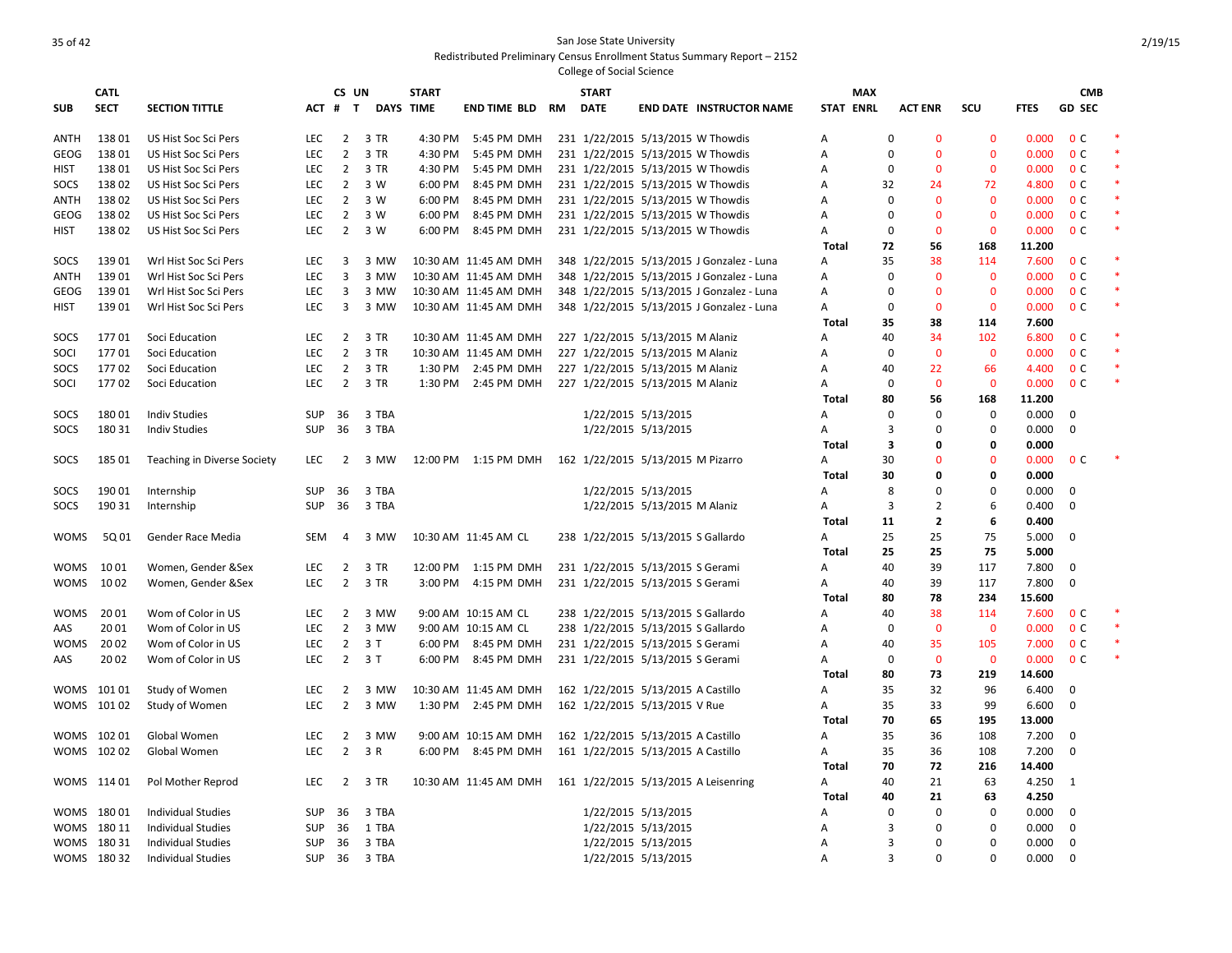|             | <b>CATL</b> |                                    |            | CS UN          |                  | <b>START</b> |                       |    | <b>START</b>                                                         |                              |                                           |                  | <b>MAX</b> |             |                |              |             | <b>CMB</b>     |        |
|-------------|-------------|------------------------------------|------------|----------------|------------------|--------------|-----------------------|----|----------------------------------------------------------------------|------------------------------|-------------------------------------------|------------------|------------|-------------|----------------|--------------|-------------|----------------|--------|
| <b>SUB</b>  | <b>SECT</b> | <b>SECTION TITTLE</b>              |            | ACT # T        | <b>DAYS TIME</b> |              | END TIME BLD          | RM | <b>DATE</b>                                                          |                              | <b>END DATE INSTRUCTOR NAME</b>           | <b>STAT ENRL</b> |            |             | <b>ACT ENR</b> | scu          | <b>FTES</b> | <b>GD SEC</b>  |        |
| <b>ANTH</b> | 13801       | US Hist Soc Sci Pers               | LEC.       | $\overline{2}$ | 3 TR             | 4:30 PM      | 5:45 PM DMH           |    | 231 1/22/2015 5/13/2015 W Thowdis                                    |                              |                                           | Α                |            | 0           | $\mathbf{0}$   | $\mathbf{0}$ | 0.000       | 0 <sup>C</sup> |        |
| GEOG        | 13801       | US Hist Soc Sci Pers               | <b>LEC</b> | $\overline{2}$ | 3 TR             | 4:30 PM      | 5:45 PM DMH           |    | 231 1/22/2015 5/13/2015 W Thowdis                                    |                              |                                           | Α                |            | $\Omega$    | $\Omega$       | $\mathbf{0}$ | 0.000       | 0 <sup>c</sup> | $\ast$ |
| HIST        | 13801       | US Hist Soc Sci Pers               | <b>LEC</b> | $\overline{2}$ | 3 TR             | 4:30 PM      | 5:45 PM DMH           |    | 231 1/22/2015 5/13/2015 W Thowdis                                    |                              |                                           | A                |            | $\Omega$    | $\mathbf{0}$   | $\mathbf{0}$ | 0.000       | 0 <sup>C</sup> | $\ast$ |
| SOCS        | 13802       | US Hist Soc Sci Pers               | <b>LEC</b> | $\overline{2}$ | 3 W              | 6:00 PM      | 8:45 PM DMH           |    | 231 1/22/2015 5/13/2015 W Thowdis                                    |                              |                                           | Α                |            | 32          | 24             | 72           | 4.800       | 0 <sup>c</sup> | $\ast$ |
| ANTH        | 13802       | US Hist Soc Sci Pers               | <b>LEC</b> |                | 2 3 W            | 6:00 PM      | 8:45 PM DMH           |    | 231 1/22/2015 5/13/2015 W Thowdis                                    |                              |                                           | Α                |            | $\mathbf 0$ | $\mathbf 0$    | $\mathbf{0}$ | 0.000       | 0 <sup>c</sup> | $\ast$ |
| GEOG        | 13802       | US Hist Soc Sci Pers               | LEC        | $\overline{2}$ | 3 W              | 6:00 PM      | 8:45 PM DMH           |    | 231 1/22/2015 5/13/2015 W Thowdis                                    |                              |                                           | Α                |            | 0           | $\mathbf{0}$   | $\mathbf{0}$ | 0.000       | 0 <sup>c</sup> | $\ast$ |
| HIST        | 13802       | US Hist Soc Sci Pers               | LEC.       |                | 2 3 W            | 6:00 PM      | 8:45 PM DMH           |    | 231 1/22/2015 5/13/2015 W Thowdis                                    |                              |                                           | A                |            | $\Omega$    | $\mathbf{0}$   | $\mathbf 0$  | 0.000       | 0 <sup>C</sup> | $\ast$ |
|             |             |                                    |            |                |                  |              |                       |    |                                                                      |                              |                                           | Total            |            | 72          | 56             | 168          | 11.200      |                |        |
| SOCS        | 13901       | Wrl Hist Soc Sci Pers              | <b>LEC</b> | $\overline{3}$ | 3 MW             |              | 10:30 AM 11:45 AM DMH |    |                                                                      |                              | 348 1/22/2015 5/13/2015 J Gonzalez - Luna | A                |            | 35          | 38             | 114          | 7.600       | 0 <sup>c</sup> |        |
| ANTH        | 13901       | Wrl Hist Soc Sci Pers              | <b>LEC</b> | $\overline{3}$ | 3 MW             |              | 10:30 AM 11:45 AM DMH |    |                                                                      |                              | 348 1/22/2015 5/13/2015 J Gonzalez - Luna | Α                |            | $\Omega$    | $\mathbf 0$    | $\mathbf{0}$ | 0.000       | 0 <sup>C</sup> | $\ast$ |
| GEOG        | 13901       | Wrl Hist Soc Sci Pers              | LEC        | $\overline{3}$ | 3 MW             |              | 10:30 AM 11:45 AM DMH |    |                                                                      |                              | 348 1/22/2015 5/13/2015 J Gonzalez - Luna | Α                |            | 0           | $\mathbf 0$    | $\mathbf{0}$ | 0.000       | 0 <sup>c</sup> | $\ast$ |
| HIST        | 13901       | Wrl Hist Soc Sci Pers              | <b>LEC</b> | $\overline{3}$ | 3 MW             |              | 10:30 AM 11:45 AM DMH |    |                                                                      |                              | 348 1/22/2015 5/13/2015 J Gonzalez - Luna | A                |            | $\Omega$    | $\mathbf 0$    | $\mathbf 0$  | 0.000       | 0 <sup>C</sup> | $\ast$ |
|             |             |                                    |            |                |                  |              |                       |    |                                                                      |                              |                                           | <b>Total</b>     |            | 35          | 38             | 114          | 7.600       |                |        |
| SOCS        | 17701       | Soci Education                     | <b>LEC</b> |                | 2 3 TR           |              | 10:30 AM 11:45 AM DMH |    | 227 1/22/2015 5/13/2015 M Alaniz                                     |                              |                                           | Α                |            | 40          | 34             | 102          | 6.800       | 0 <sup>C</sup> |        |
| SOCI        | 17701       | Soci Education                     | LEC        | $\overline{2}$ | 3 TR             |              | 10:30 AM 11:45 AM DMH |    | 227 1/22/2015 5/13/2015 M Alaniz                                     |                              |                                           | A                |            | $\Omega$    | $\mathbf{0}$   | $\mathbf{0}$ | 0.000       | 0 <sup>c</sup> | $\ast$ |
| SOCS        | 17702       | Soci Education                     | <b>LEC</b> |                | 2 3 TR           |              | 1:30 PM 2:45 PM DMH   |    | 227 1/22/2015 5/13/2015 M Alaniz                                     |                              |                                           | Α                |            | 40          | 22             | 66           | 4.400       | 0 <sup>c</sup> | $\ast$ |
| SOCI        | 17702       | Soci Education                     | <b>LEC</b> | $\overline{2}$ | 3 TR             |              | 1:30 PM 2:45 PM DMH   |    | 227 1/22/2015 5/13/2015 M Alaniz                                     |                              |                                           | Α                |            | $\mathbf 0$ | $\mathbf 0$    | $\mathbf{0}$ | 0.000       | 0 <sup>C</sup> | $\ast$ |
|             |             |                                    |            |                |                  |              |                       |    |                                                                      |                              |                                           | <b>Total</b>     |            | 80          | 56             | 168          | 11.200      |                |        |
| SOCS        | 18001       | <b>Indiv Studies</b>               | <b>SUP</b> | 36             | 3 TBA            |              |                       |    |                                                                      | 1/22/2015 5/13/2015          |                                           | A                |            | $\Omega$    | $\Omega$       | $\mathbf 0$  | 0.000       | 0              |        |
| SOCS        | 180 31      | <b>Indiv Studies</b>               | SUP        | 36             | 3 TBA            |              |                       |    |                                                                      | 1/22/2015 5/13/2015          |                                           | Α                |            | 3           | $\mathbf 0$    | $\mathbf 0$  | 0.000       | $\mathbf 0$    |        |
|             |             |                                    |            |                |                  |              |                       |    |                                                                      |                              |                                           | Total            |            | 3           | $\mathbf 0$    | 0            | 0.000       |                |        |
| SOCS        | 185 01      | <b>Teaching in Diverse Society</b> | <b>LEC</b> | $\overline{2}$ | 3 MW             |              | 12:00 PM 1:15 PM DMH  |    | 162 1/22/2015 5/13/2015 M Pizarro                                    |                              |                                           | Α                |            | 30          | $\Omega$       | $\Omega$     | 0.000       | 0 <sup>C</sup> |        |
|             |             |                                    |            |                |                  |              |                       |    |                                                                      |                              |                                           | <b>Total</b>     |            | 30          | $\mathbf 0$    | 0            | 0.000       |                |        |
| SOCS        | 190 01      | Internship                         | <b>SUP</b> | 36             | 3 TBA            |              |                       |    |                                                                      | 1/22/2015 5/13/2015          |                                           | A                |            | 8           | $\Omega$       | $\Omega$     | 0.000       | $\mathbf 0$    |        |
| SOCS        | 190 31      | Internship                         | <b>SUP</b> | 36             | 3 TBA            |              |                       |    |                                                                      | 1/22/2015 5/13/2015 M Alaniz |                                           | Α                |            | 3           | $\overline{2}$ | 6            | 0.400       | 0              |        |
|             |             |                                    |            |                |                  |              |                       |    |                                                                      |                              |                                           | <b>Total</b>     |            | 11          | $\overline{2}$ | 6            | 0.400       |                |        |
| <b>WOMS</b> | 5Q 01       | Gender Race Media                  | SEM        | $\overline{4}$ | 3 MW             |              | 10:30 AM 11:45 AM CL  |    | 238 1/22/2015 5/13/2015 S Gallardo                                   |                              |                                           | Α                |            | 25          | 25             | 75           | 5.000       | $\mathbf 0$    |        |
|             |             |                                    |            |                |                  |              |                       |    |                                                                      |                              |                                           | <b>Total</b>     |            | 25          | 25             | 75           | 5.000       |                |        |
| <b>WOMS</b> | 1001        |                                    | <b>LEC</b> | $\overline{2}$ | 3 TR             |              | 12:00 PM 1:15 PM DMH  |    |                                                                      |                              |                                           | A                |            | 40          | 39             | 117          | 7.800       | $\Omega$       |        |
| <b>WOMS</b> | 1002        | Women, Gender &Sex                 | LEC        | $\overline{2}$ | 3 TR             | 3:00 PM      | 4:15 PM DMH           |    | 231 1/22/2015 5/13/2015 S Gerami<br>231 1/22/2015 5/13/2015 S Gerami |                              |                                           |                  |            | 40          | 39             | 117          | 7.800       | 0              |        |
|             |             | Women, Gender &Sex                 |            |                |                  |              |                       |    |                                                                      |                              |                                           | Α                |            |             |                |              |             |                |        |
|             |             |                                    |            |                |                  |              |                       |    |                                                                      |                              |                                           | <b>Total</b>     |            | 80          | 78             | 234          | 15.600      |                |        |
| <b>WOMS</b> | 2001        | Wom of Color in US                 | <b>LEC</b> | $\overline{2}$ | 3 MW             |              | 9:00 AM 10:15 AM CL   |    | 238 1/22/2015 5/13/2015 S Gallardo                                   |                              |                                           | Α                |            | 40          | 38             | 114          | 7.600       | 0 <sup>C</sup> | $\ast$ |
| AAS         | 2001        | Wom of Color in US                 | LEC        | $\overline{2}$ | 3 MW             |              | 9:00 AM 10:15 AM CL   |    | 238 1/22/2015 5/13/2015 S Gallardo                                   |                              |                                           | A                |            | 0           | $\mathbf 0$    | $\mathbf 0$  | 0.000       | 0 <sup>c</sup> | $\ast$ |
| <b>WOMS</b> | 2002        | Wom of Color in US                 | LEC        | $\overline{2}$ | 3T               | 6:00 PM      | 8:45 PM DMH           |    | 231 1/22/2015 5/13/2015 S Gerami                                     |                              |                                           | Α                |            | 40          | 35             | 105          | 7.000       | 0 <sup>c</sup> |        |
| AAS         | 2002        | Wom of Color in US                 | <b>LEC</b> | $\overline{2}$ | 3T               |              | 6:00 PM 8:45 PM DMH   |    | 231 1/22/2015 5/13/2015 S Gerami                                     |                              |                                           | Α                |            | 0           | $\mathbf 0$    | $\mathbf 0$  | 0.000       | 0 <sup>C</sup> |        |
|             |             |                                    |            |                |                  |              |                       |    |                                                                      |                              |                                           | Total            |            | 80          | 73             | 219          | 14.600      |                |        |
| WOMS 10101  |             | Study of Women                     | <b>LEC</b> | $\overline{2}$ | 3 MW             |              | 10:30 AM 11:45 AM DMH |    | 162 1/22/2015 5/13/2015 A Castillo                                   |                              |                                           | Α                |            | 35          | 32             | 96           | 6.400       | $\mathbf 0$    |        |
| WOMS 10102  |             | Study of Women                     | <b>LEC</b> | $\overline{2}$ | 3 MW             |              | 1:30 PM 2:45 PM DMH   |    | 162 1/22/2015 5/13/2015 V Rue                                        |                              |                                           | Α                |            | 35          | 33             | 99           | 6.600       | $\Omega$       |        |
|             |             |                                    |            |                |                  |              |                       |    |                                                                      |                              |                                           | Total            |            | 70          | 65             | 195          | 13.000      |                |        |
| WOMS 10201  |             | Global Women                       | LEC        | $\overline{2}$ | 3 MW             |              | 9:00 AM 10:15 AM DMH  |    | 162 1/22/2015 5/13/2015 A Castillo                                   |                              |                                           | A                |            | 35          | 36             | 108          | 7.200       | $\Omega$       |        |
| <b>WOMS</b> | 102 02      | Global Women                       | LEC        | $\overline{2}$ | 3 R              | 6:00 PM      | 8:45 PM DMH           |    | 161 1/22/2015 5/13/2015 A Castillo                                   |                              |                                           | A                |            | 35          | 36             | 108          | 7.200       | 0              |        |
|             |             |                                    |            |                |                  |              |                       |    |                                                                      |                              |                                           | Total            |            | 70          | 72             | 216          | 14.400      |                |        |
| WOMS 11401  |             | Pol Mother Reprod                  | <b>LEC</b> | $\overline{2}$ | 3 TR             |              | 10:30 AM 11:45 AM DMH |    |                                                                      |                              | 161 1/22/2015 5/13/2015 A Leisenring      | Α                |            | 40          | 21             | 63           | 4.250       | 1              |        |
|             |             |                                    |            |                |                  |              |                       |    |                                                                      |                              |                                           | <b>Total</b>     |            | 40          | 21             | 63           | 4.250       |                |        |
| WOMS 18001  |             | <b>Individual Studies</b>          | SUP        | 36             | 3 TBA            |              |                       |    |                                                                      | 1/22/2015 5/13/2015          |                                           | Α                |            | $\Omega$    | $\Omega$       | $\Omega$     | 0.000       | 0              |        |
| WOMS 180 11 |             | Individual Studies                 | <b>SUP</b> | 36             | 1 TBA            |              |                       |    |                                                                      | 1/22/2015 5/13/2015          |                                           | Α                |            | 3           | 0              | 0            | 0.000       | 0              |        |
| WOMS 180 31 |             | Individual Studies                 | <b>SUP</b> | 36             | 3 TBA            |              |                       |    |                                                                      | 1/22/2015 5/13/2015          |                                           | Α                |            | 3           | 0              | $\Omega$     | 0.000       | 0              |        |
| WOMS 18032  |             | <b>Individual Studies</b>          | <b>SUP</b> | 36             | 3 TBA            |              |                       |    |                                                                      | 1/22/2015 5/13/2015          |                                           | Α                |            | 3           | $\Omega$       | $\Omega$     | 0.000       | $\Omega$       |        |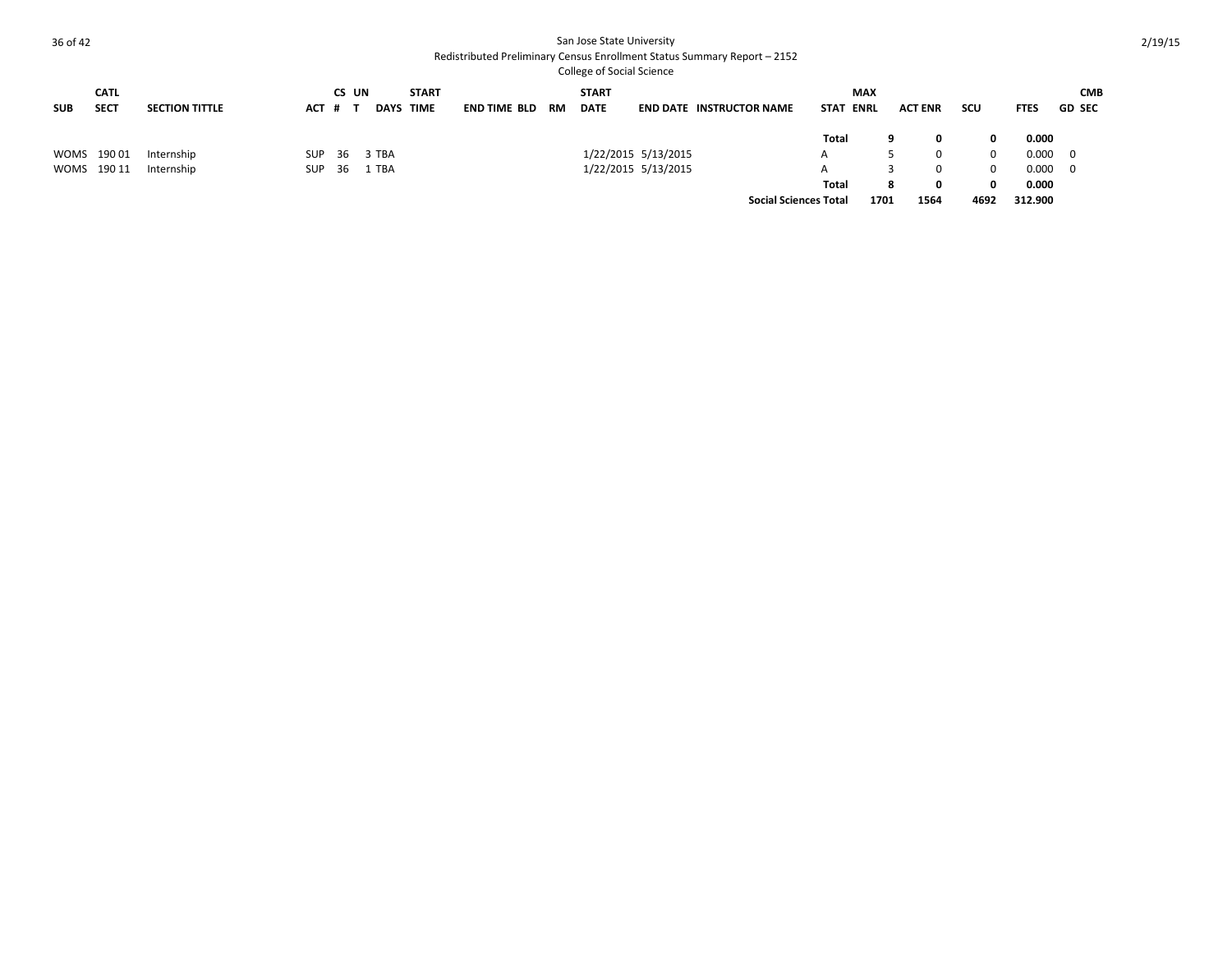College of Social Science **SUB CATL SECT <b>SECTION TITTLE CS UN # T DAYS START TIME END TIME BLD RM START END DATE INSTRUCTOR NAME MAX EXAMPLE ACT ENR SCU CMB**  FTES GD SEC **Total 9 0 0 0.000** WOMS 19001 Internship SUP 36 3 TBA 1/22/2015 5/13/2015 113/2015 A 5 0 0.000 0 WOMS 190 11 Internship SUP 36 1 TBA 1/22/2015 5/13/2015 5/13/2015 A 3 0 0 0.000 0 **Total 8 0 0 0.000 Social Sciences Total 1701 1564 4692 312.900**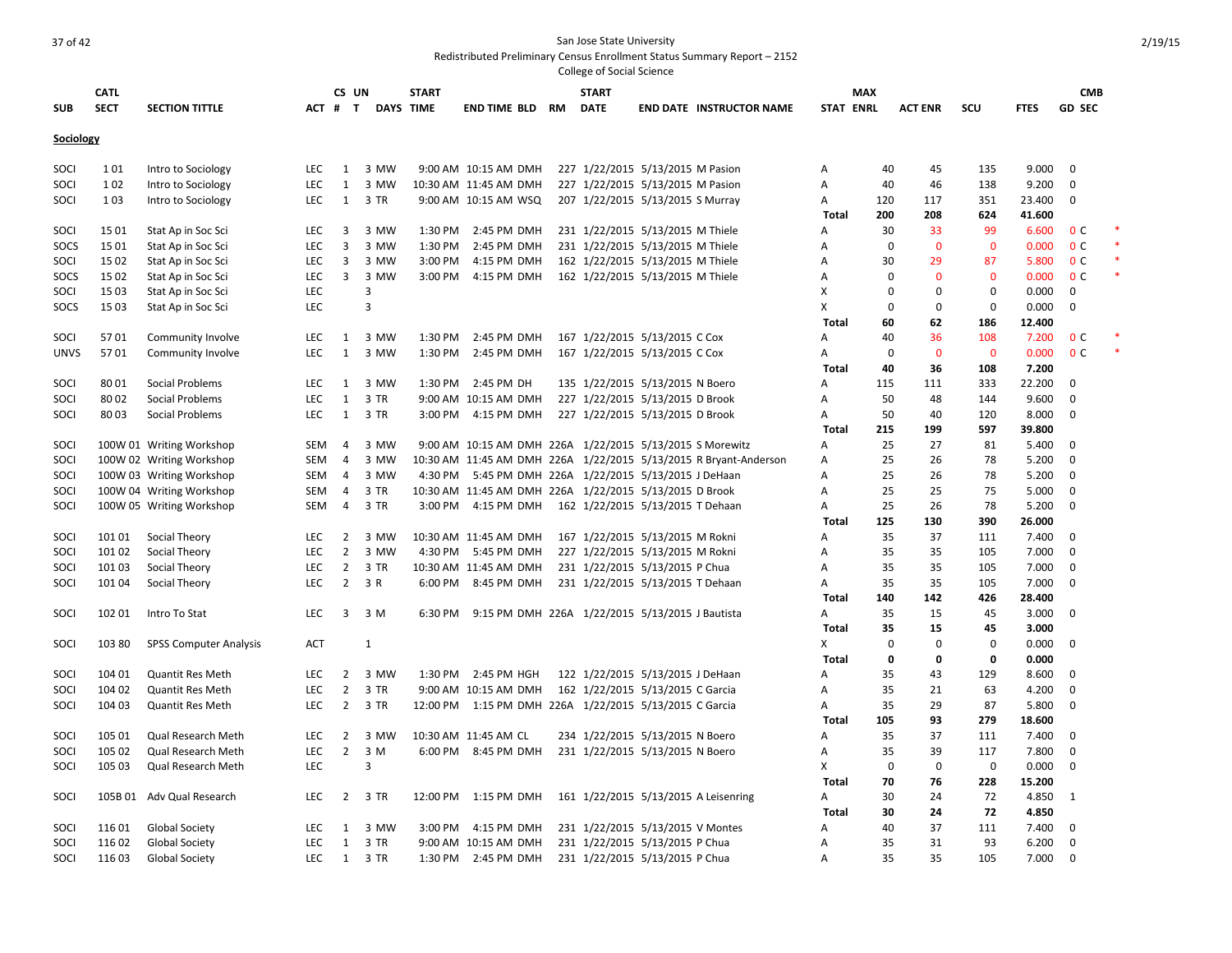**SUB CATL SECT SECTION TITTLE CS UN # T DAYS START TIME END TIME BLD RM START DATE END DATE INSTRUCTOR NAME STAT MAX ENRL ACT ENR SCU FTES GD CMB SEC Sociology** SOCI 101 Intro to Sociology LEC 1 3 MW 9:00 AM 10:15 AM DMH 227 1/22/2015 5/13/2015 M Pasion A 40 45 135 9.000 0 SOCI 102 Intro to Sociology LEC 1 3 MW 10:30 AM 11:45 AM DMH 227 1/22/2015 5/13/2015 M Pasion A 40 46 138 9.200 0 SOCI 103 Intro to Sociology LEC 1 3 TR 9:00 AM 10:15 AM WSQ 207 1/22/2015 5/13/2015 S Murray A 120 117 351 23.400 0 **Total 200 208 624 41.600** SOCI 15 01 Stat Ap in Soc Sci CHC 3 3 MW 1:30 PM 2:45 PM DMH 231 1/22/2015 5/13/2015 M Thiele A 30 33 99 6.600 0 C SOCS 15 01 Stat Ap in Soc Sci LEC 3 3 MW 1:30 PM 2:45 PM DMH 231 1/22/2015 5/13/2015 M Thiele A 0 0 0 0 0.000 0 C SOCI 15 02 Stat Ap in Soc Sci LEC 3 3 MW 3:00 PM 4:15 PM DMH 162 1/22/2015 5/13/2015 M Thiele A 30 29 87 5.800 0 C SOCS 1502 Stat Ap in Soc Sci CHC 3 3 MW 3:00 PM 4:15 PM DMH 162 1/22/2015 5/13/2015 M Thiele A 0 0 0 0 0.000 0 C SOCI 15 03 Stat Ap in Soc Sci LEC 3 X 0 0 0 0.000 0 SOCS 15 03 Stat Ap in Soc Sci LEC 3 X 0 0 0 0.000 0 **Total 60 62 186 12.400** SOCI 5701 Community Involve LEC 1 3 MW 1:30 PM 2:45 PM DMH 167 1/22/2015 5/13/2015 C Cox A 40 36 108 7.200 0 C UNVS 5701 Community Involve LEC 1 3 MW 1:30 PM 2:45 PM DMH 167 1/22/2015 5/13/2015 C Cox A 0 0 0 0 0 000 0 C **Total 40 36 108 7.200** SOCI 80 01 Social Problems LEC 1 3 MW 1:30 PM 2:45 PM DH 135 1/22/2015 5/13/2015 N Boero A 115 111 333 22.200 0 SOCI 80 02 Social Problems LEC 1 3 TR 9:00 AM 10:15 AM DMH 227 1/22/2015 5/13/2015 D Brook A 50 48 144 9.600 0 SOCI 80 03 Social Problems LEC 1 3 TR 3:00 PM 4:15 PM DMH 227 1/22/2015 5/13/2015 D Brook A 50 40 120 8.000 0 **Total 215 199 597 39.800** SOCI 100W 01 Writing Workshop SEM 4 3 MW 9:00 AM 10:15 AM DMH 226A 1/22/2015 5/13/2015 S Morewitz A 25 27 81 5.400 0 SOCI 100W 02 Writing Workshop SEM 4 3 MW 10:30 AM 11:45 AM DMH 226A 1/22/2015 5/13/2015 R Bryant-Anderson A 25 26 78 5.200 0 SOCI 100W 03 Writing Workshop SEM 4 3 MW 4:30 PM 5:45 PM DMH 226A 1/22/2015 5/13/2015 J DeHaan A 25 26 78 5.200 0 SOCI 100W 04 Writing Workshop SEM 4 3 TR 10:30 AM 11:45 AM DMH 226A 1/22/2015 5/13/2015 D Brook A 25 25 75 5.000 0 SOCI 100W 05 Writing Workshop SEM 4 3 TR 3:00 PM 4:15 PM DMH 162 1/22/2015 5/13/2015 T Dehaan A 25 26 78 5.200 0 **Total 125 130 390 26.000** SOCI 101 01 Social Theory LEC 2 3 MW 10:30 AM 11:45 AM DMH 167 1/22/2015 5/13/2015 M Rokni A 35 37 111 7.400 0 SOCI 101 02 Social Theory LEC 2 3 MW 4:30 PM 5:45 PM DMH 227 1/22/2015 5/13/2015 M Rokni A 35 35 105 7.000 0 SOCI 101 03 Social Theory **LEC 2 3 TR 10:30 AM 11:45 AM DMH 231 1/22/2015 5/13/2015 P Chua** A 35 35 105 7.000 0 SOCI 101 04 Social Theory **LEC 2 3 R 6:00 PM 8:45 PM DMH 231 1/22/2015 5/13/2015 T Dehaan** A 35 35 105 7.000 0 **Total 140 142 426 28.400** SOCI 102 01 Intro To Stat LEC 3 3 M 6:30 PM 9:15 PM DMH 226A 1/22/2015 5/13/2015 J Bautista A 35 15 45 3.000 0 **Total 35 15 45 3.000** SOCI 103 80 SPSS Computer Analysis ACT 1 and the set of the set of the set of the set of the set of the set of the set of the set of the set of the set of the set of the set of the set of the set of the set of the set of t **Total 0 0 0 0.000** SOCI 104 01 Quantit Res Meth LEC 2 3 MW 1:30 PM 2:45 PM HGH 122 1/22/2015 5/13/2015 J DeHaan A 35 43 129 8.600 0 SOCI 104 02 Quantit Res Meth LEC 2 3 TR 9:00 AM 10:15 AM DMH 162 1/22/2015 5/13/2015 C Garcia A 35 21 63 4.200 0 SOCI 104 03 Quantit Res Meth LEC 2 3 TR 12:00 PM 1:15 PM DMH 226A 1/22/2015 5/13/2015 C Garcia A 35 29 87 5.800 0 **Total 105 93 279 18.600** SOCI 105 01 Qual Research Meth LEC 2 3 MW 10:30 AM 11:45 AM CL 234 1/22/2015 5/13/2015 N Boero A 35 37 111 7.400 0 SOCI 105 02 Qual Research Meth LEC 2 3 M 6:00 PM 8:45 PM DMH 231 1/22/2015 5/13/2015 N Boero A 35 39 117 7.800 0 SOCI 105 03 Qual Research Meth LEC 3 X 0 0 0 0.000 0 **Total 70 76 228 15.200** SOCI 105B 01 Adv Qual Research LEC 2 3 TR 12:00 PM 1:15 PM DMH 161 1/22/2015 5/13/2015 A Leisenring A 30 24 72 4.850 1 **Total 30 24 72 4.850** SOCI 116 01 Global Society LEC 1 3 MW 3:00 PM 4:15 PM DMH 231 1/22/2015 5/13/2015 V Montes A 40 37 111 7.400 0 SOCI 116 02 Global Society **LEC 1 3 TR 9:00 AM 10:15 AM DMH 231 1/22/2015 5/13/2015 P** Chua A 35 31 93 6.200 0 SOCI 116 03 Global Society **LEC 1 3 TR 1:30 PM 2:45 PM DMH 231 1/22/2015 5/13/2015 P Chua** A 35 35 105 7.000 0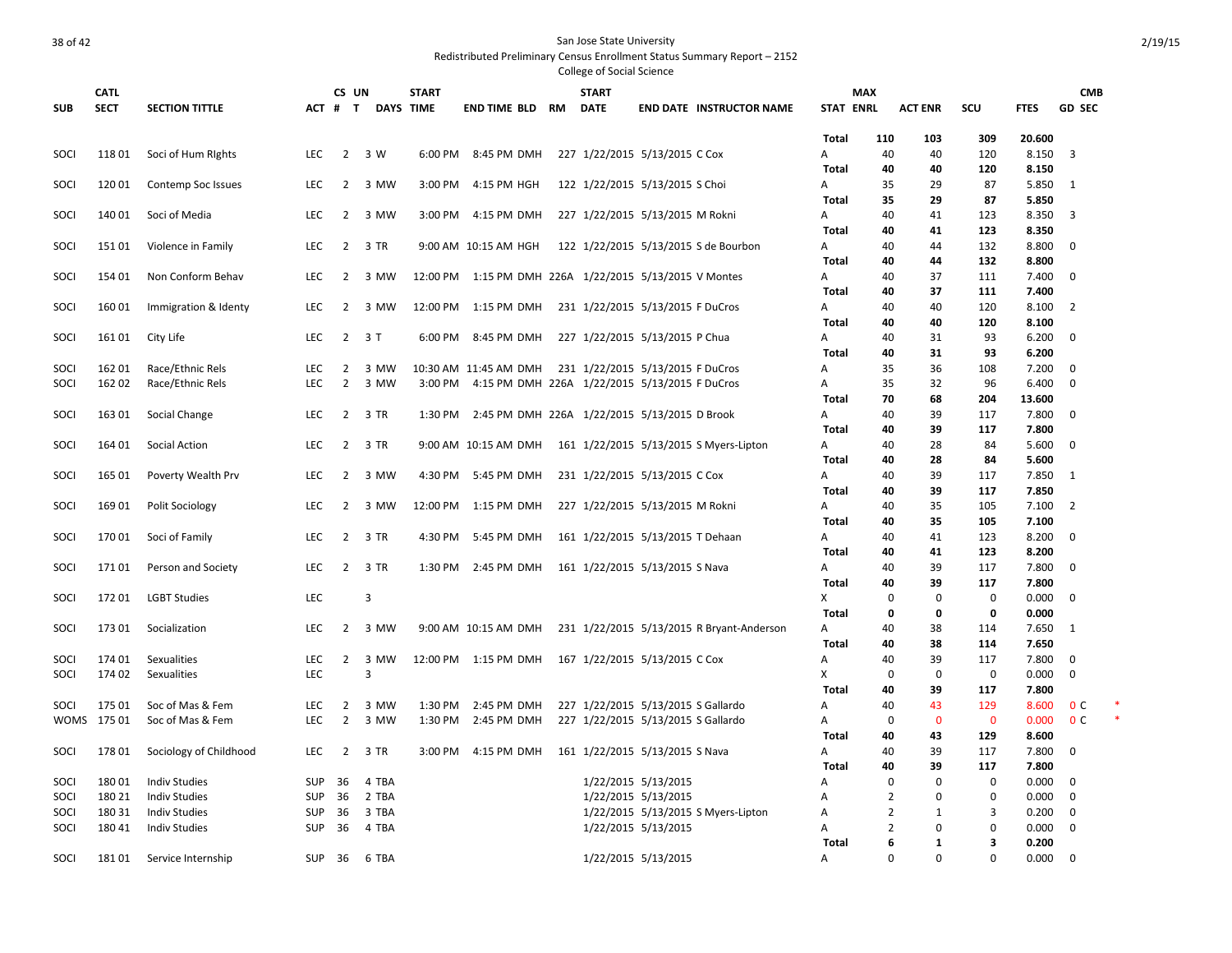|              | <b>CATL</b>      |                                              |                          | CS UN          |                | <b>START</b> |                                                             | <b>START</b>                       |                     |                                           |              | <b>MAX</b>                       |                          |             |                | <b>CMB</b>     |  |
|--------------|------------------|----------------------------------------------|--------------------------|----------------|----------------|--------------|-------------------------------------------------------------|------------------------------------|---------------------|-------------------------------------------|--------------|----------------------------------|--------------------------|-------------|----------------|----------------|--|
| <b>SUB</b>   | <b>SECT</b>      | <b>SECTION TITTLE</b>                        | $ACT$ #                  | $\mathbf{T}$   | DAYS TIME      |              | <b>END TIME BLD RM</b>                                      | <b>DATE</b>                        |                     | <b>END DATE INSTRUCTOR NAME</b>           |              | <b>STAT ENRL</b>                 | <b>ACT ENR</b>           | scu         | <b>FTES</b>    | <b>GD SEC</b>  |  |
|              |                  |                                              |                          |                |                |              |                                                             |                                    |                     |                                           | Total        | 110                              | 103                      | 309         | 20.600         |                |  |
| SOCI         | 11801            | Soci of Hum Rights                           | <b>LEC</b>               |                | 2 3 W          |              | 6:00 PM 8:45 PM DMH                                         | 227 1/22/2015 5/13/2015 C Cox      |                     |                                           | Α            | 40                               | 40                       | 120         | 8.150          | $\overline{3}$ |  |
|              |                  |                                              |                          |                |                |              |                                                             |                                    |                     |                                           | <b>Total</b> | 40                               | 40                       | 120         | 8.150          |                |  |
| SOCI         | 12001            | Contemp Soc Issues                           | <b>LEC</b>               | $\overline{2}$ | 3 MW           | 3:00 PM      | 4:15 PM HGH                                                 | 122 1/22/2015 5/13/2015 S Choi     |                     |                                           | Α            | 35                               | 29                       | 87          | 5.850          | 1              |  |
|              |                  |                                              |                          |                |                |              |                                                             |                                    |                     |                                           | Total        | 35                               | 29                       | 87          | 5.850          |                |  |
| SOCI         | 14001            | Soci of Media                                | <b>LEC</b>               | $\overline{2}$ | 3 MW           | $3:00$ PM    | 4:15 PM DMH                                                 | 227 1/22/2015 5/13/2015 M Rokni    |                     |                                           | A            | 40                               | 41                       | 123         | 8.350          | $\overline{3}$ |  |
| SOCI         | 15101            |                                              | <b>LEC</b>               | $\overline{2}$ | 3 TR           |              | 9:00 AM 10:15 AM HGH                                        |                                    |                     | 122 1/22/2015 5/13/2015 S de Bourbon      | Total        | 40<br>40                         | 41<br>44                 | 123<br>132  | 8.350<br>8.800 | $\overline{0}$ |  |
|              |                  | Violence in Family                           |                          |                |                |              |                                                             |                                    |                     |                                           | Α<br>Total   | 40                               | 44                       | 132         | 8.800          |                |  |
| SOCI         | 154 01           | Non Conform Behav                            | LEC                      | 2              | 3 MW           |              | 12:00 PM 1:15 PM DMH 226A 1/22/2015 5/13/2015 V Montes      |                                    |                     |                                           | Α            | 40                               | 37                       | 111         | 7.400          | $\mathbf 0$    |  |
|              |                  |                                              |                          |                |                |              |                                                             |                                    |                     |                                           | Total        | 40                               | 37                       | 111         | 7.400          |                |  |
| SOCI         | 16001            | Immigration & Identy                         | LEC                      | $\overline{2}$ | 3 MW           | 12:00 PM     | 1:15 PM DMH                                                 | 231 1/22/2015 5/13/2015 F DuCros   |                     |                                           | А            | 40                               | 40                       | 120         | 8.100          | $\overline{2}$ |  |
|              |                  |                                              |                          |                |                |              |                                                             |                                    |                     |                                           | <b>Total</b> | 40                               | 40                       | 120         | 8.100          |                |  |
| SOCI         | 16101            | City Life                                    | <b>LEC</b>               | $\overline{2}$ | 3T             | 6:00 PM      | 8:45 PM DMH                                                 | 227 1/22/2015 5/13/2015 P Chua     |                     |                                           | А            | 40                               | 31                       | 93          | 6.200          | $\mathbf 0$    |  |
|              |                  |                                              |                          |                |                |              |                                                             |                                    |                     |                                           | <b>Total</b> | 40                               | 31                       | 93          | 6.200          |                |  |
| SOCI         | 162 01           | Race/Ethnic Rels                             | LEC                      | $\overline{2}$ | 3 MW           |              | 10:30 AM 11:45 AM DMH                                       | 231 1/22/2015 5/13/2015 F DuCros   |                     |                                           | А            | 35                               | 36                       | 108         | 7.200          | $\mathbf{0}$   |  |
| SOCI         | 162 02           | Race/Ethnic Rels                             | LEC                      | $\overline{2}$ | 3 MW           | 3:00 PM      | 4:15 PM DMH 226A 1/22/2015 5/13/2015 F DuCros               |                                    |                     |                                           | А            | 35                               | 32                       | 96          | 6.400          | $\mathbf 0$    |  |
|              |                  |                                              |                          |                |                |              |                                                             |                                    |                     |                                           | Total        | 70                               | 68                       | 204         | 13.600         |                |  |
| SOCI         | 16301            | Social Change                                | <b>LEC</b>               | $\overline{2}$ | 3 TR           | 1:30 PM      | 2:45 PM DMH 226A 1/22/2015 5/13/2015 D Brook                |                                    |                     |                                           | А            | 40                               | 39                       | 117         | 7.800          | $\mathbf{0}$   |  |
|              |                  |                                              |                          |                |                |              |                                                             |                                    |                     |                                           | <b>Total</b> | 40                               | 39                       | 117         | 7.800          |                |  |
| SOCI         | 164 01           | Social Action                                | <b>LEC</b>               | $\overline{2}$ | 3 TR           |              | 9:00 AM 10:15 AM DMH 161 1/22/2015 5/13/2015 S Myers-Lipton |                                    |                     |                                           | Α            | 40                               | 28                       | 84          | 5.600          | $\mathbf{0}$   |  |
|              |                  |                                              |                          |                |                |              |                                                             |                                    |                     |                                           | Total        | 40                               | 28                       | 84          | 5.600          |                |  |
| SOCI         | 165 01           | Poverty Wealth Prv                           | <b>LEC</b>               | $\overline{2}$ | 3 MW           | 4:30 PM      | 5:45 PM DMH                                                 | 231 1/22/2015 5/13/2015 C Cox      |                     |                                           | А            | 40                               | 39                       | 117         | 7.850          | 1              |  |
|              |                  |                                              |                          |                |                |              |                                                             |                                    |                     |                                           | Total        | 40                               | 39                       | 117         | 7.850          |                |  |
| SOCI         | 16901            | Polit Sociology                              | <b>LEC</b>               | $\overline{2}$ | 3 MW           |              | 12:00 PM 1:15 PM DMH                                        | 227 1/22/2015 5/13/2015 M Rokni    |                     |                                           | Α            | 40                               | 35                       | 105         | 7.100          | $\overline{2}$ |  |
|              |                  |                                              |                          |                |                |              |                                                             |                                    |                     |                                           | Total        | 40                               | 35                       | 105         | 7.100          |                |  |
| SOCI         | 17001            | Soci of Family                               | <b>LEC</b>               | $\overline{2}$ | 3 TR           | 4:30 PM      | 5:45 PM DMH                                                 | 161 1/22/2015 5/13/2015 T Dehaan   |                     |                                           | А<br>Total   | 40<br>40                         | 41<br>41                 | 123<br>123  | 8.200<br>8.200 | $\mathbf 0$    |  |
| SOCI         | 17101            | Person and Society                           | <b>LEC</b>               |                | 2 3 TR         | 1:30 PM      | 2:45 PM DMH                                                 | 161 1/22/2015 5/13/2015 S Nava     |                     |                                           | А            | 40                               | 39                       | 117         | 7.800          | $\mathbf 0$    |  |
|              |                  |                                              |                          |                |                |              |                                                             |                                    |                     |                                           | Total        | 40                               | 39                       | 117         | 7.800          |                |  |
| SOCI         | 17201            | <b>LGBT Studies</b>                          | <b>LEC</b>               |                | 3              |              |                                                             |                                    |                     |                                           | X            | 0                                | 0                        | 0           | 0.000          | $\mathbf 0$    |  |
|              |                  |                                              |                          |                |                |              |                                                             |                                    |                     |                                           | <b>Total</b> | 0                                | 0                        | 0           | 0.000          |                |  |
| SOCI         | 17301            | Socialization                                | <b>LEC</b>               | $\overline{2}$ | 3 MW           |              | 9:00 AM 10:15 AM DMH                                        |                                    |                     | 231 1/22/2015 5/13/2015 R Bryant-Anderson | А            | 40                               | 38                       | 114         | 7.650          | - 1            |  |
|              |                  |                                              |                          |                |                |              |                                                             |                                    |                     |                                           | Total        | 40                               | 38                       | 114         | 7.650          |                |  |
| SOCI         | 174 01           | Sexualities                                  | <b>LEC</b>               | $\overline{2}$ | 3 MW           |              | 12:00 PM 1:15 PM DMH 167 1/22/2015 5/13/2015 C Cox          |                                    |                     |                                           | А            | 40                               | 39                       | 117         | 7.800          | $\mathbf{0}$   |  |
| SOCI         | 174 02           | Sexualities                                  | <b>LEC</b>               |                | 3              |              |                                                             |                                    |                     |                                           | x            | $\mathbf 0$                      | $\mathbf 0$              | $\mathbf 0$ | 0.000          | $\mathbf 0$    |  |
|              |                  |                                              |                          |                |                |              |                                                             |                                    |                     |                                           | Total        | 40                               | 39                       | 117         | 7.800          |                |  |
| SOCI         | 17501            | Soc of Mas & Fem                             | <b>LEC</b>               | 2              | 3 MW           | 1:30 PM      | 2:45 PM DMH                                                 | 227 1/22/2015 5/13/2015 S Gallardo |                     |                                           | А            | 40                               | 43                       | 129         | 8.600          | 0 <sup>c</sup> |  |
|              | WOMS 17501       | Soc of Mas & Fem                             | LEC                      | $\overline{2}$ | 3 MW           | 1:30 PM      | 2:45 PM DMH                                                 | 227 1/22/2015 5/13/2015 S Gallardo |                     |                                           | А            | $\mathbf 0$                      | $\mathbf{0}$             | $\mathbf 0$ | 0.000          | 0 <sup>c</sup> |  |
|              |                  |                                              |                          |                |                |              |                                                             |                                    |                     |                                           | Total        | 40                               | 43                       | 129         | 8.600          |                |  |
| SOCI         | 17801            | Sociology of Childhood                       | <b>LEC</b>               | $\overline{2}$ | 3 TR           | 3:00 PM      | 4:15 PM DMH                                                 | 161 1/22/2015 5/13/2015 S Nava     |                     |                                           | А            | 40                               | 39                       | 117         | 7.800          | $\mathbf 0$    |  |
|              |                  |                                              |                          |                |                |              |                                                             |                                    |                     |                                           | <b>Total</b> | 40                               | 39                       | 117         | 7.800          |                |  |
| SOCI         | 18001            | <b>Indiv Studies</b>                         | <b>SUP</b>               | 36             | 4 TBA          |              |                                                             |                                    | 1/22/2015 5/13/2015 |                                           | А            | 0                                | $\Omega$                 | 0           | 0.000          | $\mathbf{0}$   |  |
| SOCI         | 180 21           | <b>Indiv Studies</b>                         | <b>SUP</b>               | 36             | 2 TBA          |              |                                                             |                                    | 1/22/2015 5/13/2015 |                                           | A            | $\overline{2}$                   | $\Omega$<br>$\mathbf{1}$ | $\mathbf 0$ | 0.000          | $\mathbf 0$    |  |
| SOCI<br>SOCI | 180 31<br>180 41 | <b>Indiv Studies</b><br><b>Indiv Studies</b> | <b>SUP</b><br><b>SUP</b> | 36<br>36       | 3 TBA<br>4 TBA |              |                                                             |                                    | 1/22/2015 5/13/2015 | 1/22/2015 5/13/2015 S Myers-Lipton        | А<br>А       | $\overline{2}$<br>$\overline{2}$ | $\mathbf 0$              | 3<br>0      | 0.200<br>0.000 | 0<br>0         |  |
|              |                  |                                              |                          |                |                |              |                                                             |                                    |                     |                                           | Total        | 6                                | 1                        | 3           | 0.200          |                |  |
| SOCI         | 18101            | Service Internship                           | <b>SUP</b>               | 36             | 6 TBA          |              |                                                             |                                    | 1/22/2015 5/13/2015 |                                           | Α            | $\Omega$                         | $\Omega$                 | $\Omega$    | 0.000          | $\Omega$       |  |
|              |                  |                                              |                          |                |                |              |                                                             |                                    |                     |                                           |              |                                  |                          |             |                |                |  |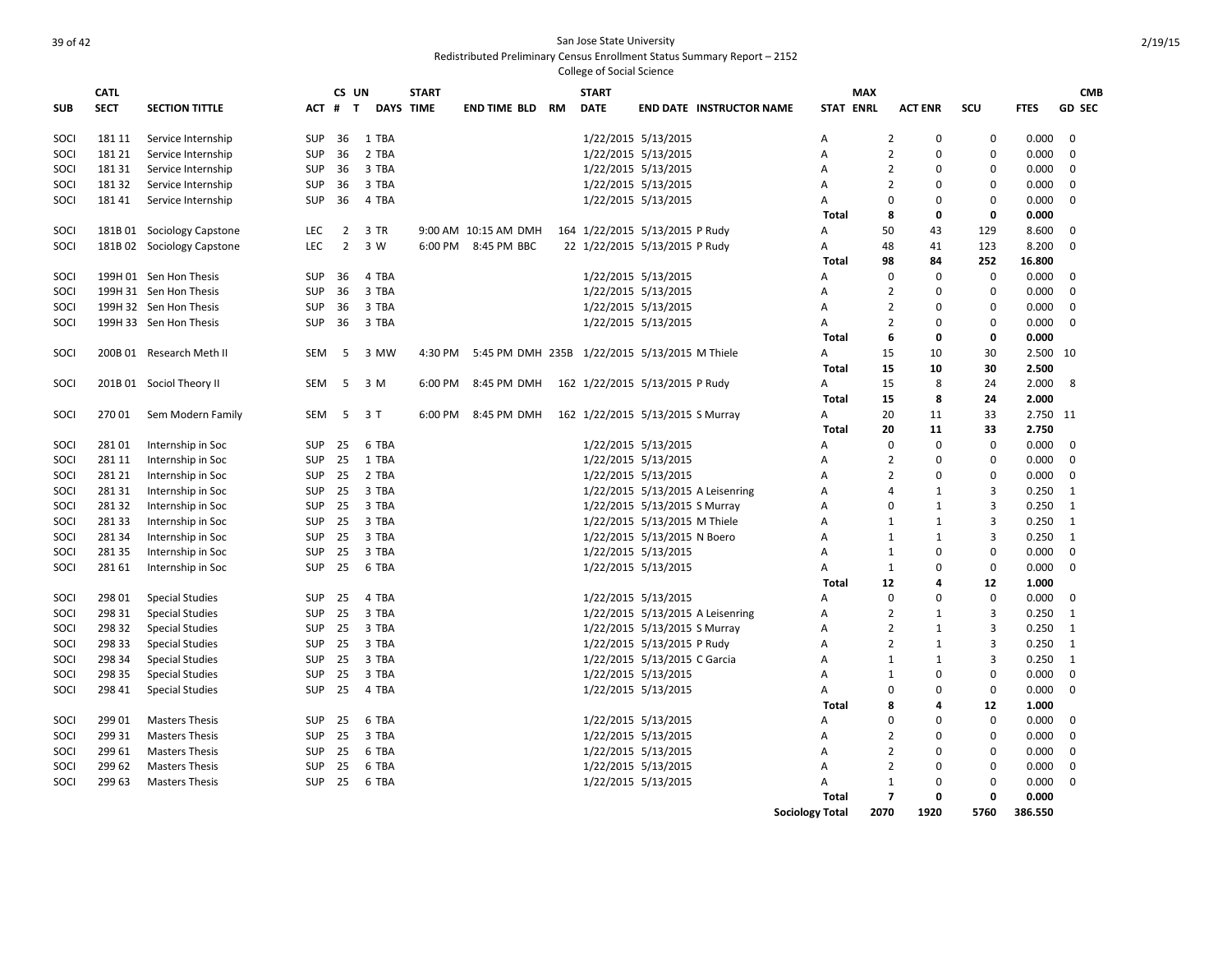|            | <b>CATL</b> |                            |            | CS UN          |       | <b>START</b>     |                                               |    | <b>START</b> |                                  |                                 | <b>MAX</b>             |                |                |             |             | <b>CMB</b>    |
|------------|-------------|----------------------------|------------|----------------|-------|------------------|-----------------------------------------------|----|--------------|----------------------------------|---------------------------------|------------------------|----------------|----------------|-------------|-------------|---------------|
| <b>SUB</b> | <b>SECT</b> | <b>SECTION TITTLE</b>      |            | ACT # T        |       | <b>DAYS TIME</b> | <b>END TIME BLD</b>                           | RM | <b>DATE</b>  |                                  | <b>END DATE INSTRUCTOR NAME</b> | <b>STAT ENRL</b>       |                | <b>ACT ENR</b> | <b>SCU</b>  | <b>FTES</b> | <b>GD SEC</b> |
| SOCI       | 181 11      | Service Internship         | <b>SUP</b> | 36             | 1 TBA |                  |                                               |    |              | 1/22/2015 5/13/2015              |                                 | A                      | $\overline{2}$ | 0              | $\Omega$    | 0.000       | $\mathbf 0$   |
| SOCI       | 181 21      | Service Internship         | <b>SUP</b> | 36             | 2 TBA |                  |                                               |    |              | 1/22/2015 5/13/2015              |                                 | A                      | $\overline{2}$ | 0              | $\Omega$    | 0.000       | $\Omega$      |
| SOCI       | 181 31      | Service Internship         | <b>SUP</b> | 36             | 3 TBA |                  |                                               |    |              | 1/22/2015 5/13/2015              |                                 | A                      | $\overline{2}$ | 0              | 0           | 0.000       | $\mathbf 0$   |
| SOCI       | 181 32      | Service Internship         | <b>SUP</b> | 36             | 3 TBA |                  |                                               |    |              | 1/22/2015 5/13/2015              |                                 | A                      | $\overline{2}$ | $\Omega$       | $\Omega$    | 0.000       | $\mathbf 0$   |
| SOCI       | 18141       | Service Internship         | <b>SUP</b> | 36             | 4 TBA |                  |                                               |    |              | 1/22/2015 5/13/2015              |                                 | A                      | $\Omega$       | 0              | 0           | 0.000       | $\mathbf 0$   |
|            |             |                            |            |                |       |                  |                                               |    |              |                                  |                                 | <b>Total</b>           | 8              | 0              | 0           | 0.000       |               |
| SOCI       |             | 181B 01 Sociology Capstone | <b>LEC</b> | $\overline{2}$ | 3 TR  |                  | 9:00 AM 10:15 AM DMH                          |    |              | 164 1/22/2015 5/13/2015 P Rudy   |                                 | A                      | 50             | 43             | 129         | 8.600       | $\mathbf 0$   |
| SOCI       |             | 181B 02 Sociology Capstone | <b>LEC</b> | $\overline{2}$ | 3 W   |                  | 6:00 PM 8:45 PM BBC                           |    |              | 22 1/22/2015 5/13/2015 P Rudy    |                                 | Α                      | 48             | 41             | 123         | 8.200       | 0             |
|            |             |                            |            |                |       |                  |                                               |    |              |                                  |                                 | <b>Total</b>           | 98             | 84             | 252         | 16.800      |               |
| SOCI       |             | 199H 01 Sen Hon Thesis     | <b>SUP</b> | 36             | 4 TBA |                  |                                               |    |              | 1/22/2015 5/13/2015              |                                 | A                      | $\Omega$       | $\mathbf 0$    | $\mathbf 0$ | 0.000       | 0             |
| SOCI       |             | 199H 31 Sen Hon Thesis     | <b>SUP</b> | 36             | 3 TBA |                  |                                               |    |              | 1/22/2015 5/13/2015              |                                 | A                      | $\overline{2}$ | $\Omega$       | $\mathbf 0$ | 0.000       | $\mathbf 0$   |
| SOCI       |             | 199H 32 Sen Hon Thesis     | <b>SUP</b> | 36             | 3 TBA |                  |                                               |    |              | 1/22/2015 5/13/2015              |                                 | A                      | $\overline{2}$ | 0              | 0           | 0.000       | $\mathbf 0$   |
| SOCI       |             | 199H 33 Sen Hon Thesis     | <b>SUP</b> | 36             | 3 TBA |                  |                                               |    |              | 1/22/2015 5/13/2015              |                                 | A                      | $\overline{2}$ | 0              | 0           | 0.000       | 0             |
|            |             |                            |            |                |       |                  |                                               |    |              |                                  |                                 | Total                  | 6              | 0              | 0           | 0.000       |               |
| SOCI       |             | 200B 01 Research Meth II   | <b>SEM</b> | 5              | 3 MW  | 4:30 PM          | 5:45 PM DMH 235B 1/22/2015 5/13/2015 M Thiele |    |              |                                  |                                 | A                      | 15             | 10             | 30          | 2.500       | 10            |
|            |             |                            |            |                |       |                  |                                               |    |              |                                  |                                 | Total                  | 15             | 10             | 30          | 2.500       |               |
| SOCI       |             | 201B 01 Sociol Theory II   | SEM        | 5              | 3 M   | 6:00 PM          | 8:45 PM DMH                                   |    |              | 162 1/22/2015 5/13/2015 P Rudy   |                                 | Α                      | 15             | 8              | 24          | 2.000       | 8             |
|            |             |                            |            |                |       |                  |                                               |    |              |                                  |                                 | <b>Total</b>           | 15             | 8              | 24          | 2.000       |               |
| SOCI       | 27001       | Sem Modern Family          | <b>SEM</b> | 5              | 3 T   | 6:00 PM          | 8:45 PM DMH                                   |    |              | 162 1/22/2015 5/13/2015 S Murray |                                 | A                      | 20             | 11             | 33          | 2.750       | 11            |
|            |             |                            |            |                |       |                  |                                               |    |              |                                  |                                 | <b>Total</b>           | 20             | 11             | 33          | 2.750       |               |
| SOCI       | 28101       | Internship in Soc          | <b>SUP</b> | 25             | 6 TBA |                  |                                               |    |              | 1/22/2015 5/13/2015              |                                 | A                      | $\mathbf 0$    | 0              | $\mathbf 0$ | 0.000       | $\mathbf 0$   |
| SOCI       | 281 11      | Internship in Soc          | <b>SUP</b> | 25             | 1 TBA |                  |                                               |    |              | 1/22/2015 5/13/2015              |                                 | A                      | 2              | $\Omega$       | $\Omega$    | 0.000       | $\mathbf 0$   |
| SOCI       | 281 21      | Internship in Soc          | <b>SUP</b> | 25             | 2 TBA |                  |                                               |    |              | 1/22/2015 5/13/2015              |                                 | A                      | $\overline{2}$ | 0              | $\Omega$    | 0.000       | $\mathbf 0$   |
| SOCI       | 28131       | Internship in Soc          | <b>SUP</b> | 25             | 3 TBA |                  |                                               |    |              | 1/22/2015 5/13/2015 A Leisenring |                                 | A                      | $\overline{a}$ | $\mathbf{1}$   | 3           | 0.250       | 1             |
| SOCI       | 28132       | Internship in Soc          | <b>SUP</b> | 25             | 3 TBA |                  |                                               |    |              | 1/22/2015 5/13/2015 S Murray     |                                 | A                      | $\Omega$       | 1              | 3           | 0.250       | 1             |
| SOCI       | 28133       | Internship in Soc          | <b>SUP</b> | 25             | 3 TBA |                  |                                               |    |              | 1/22/2015 5/13/2015 M Thiele     |                                 | A                      | $\mathbf{1}$   | $\mathbf{1}$   | 3           | 0.250       | 1             |
| SOCI       | 28134       | Internship in Soc          | <b>SUP</b> | 25             | 3 TBA |                  |                                               |    |              | 1/22/2015 5/13/2015 N Boero      |                                 | A                      | $\mathbf{1}$   | $\mathbf{1}$   | 3           | 0.250       | 1             |
| SOCI       | 28135       | Internship in Soc          | <b>SUP</b> | 25             | 3 TBA |                  |                                               |    |              | 1/22/2015 5/13/2015              |                                 | A                      | $\mathbf{1}$   | $\Omega$       | $\mathbf 0$ | 0.000       | $\mathbf 0$   |
| SOCI       | 28161       | Internship in Soc          | <b>SUP</b> | 25             | 6 TBA |                  |                                               |    |              | 1/22/2015 5/13/2015              |                                 | A                      | $\mathbf{1}$   | $\Omega$       | 0           | 0.000       | $\mathbf 0$   |
|            |             |                            |            |                |       |                  |                                               |    |              |                                  |                                 | <b>Total</b>           | 12             | 4              | 12          | 1.000       |               |
| SOCI       | 298 01      | <b>Special Studies</b>     | <b>SUP</b> | 25             | 4 TBA |                  |                                               |    |              | 1/22/2015 5/13/2015              |                                 | Α                      | $\Omega$       | 0              | $\mathbf 0$ | 0.000       | 0             |
| SOCI       | 298 31      | <b>Special Studies</b>     | <b>SUP</b> | 25             | 3 TBA |                  |                                               |    |              | 1/22/2015 5/13/2015 A Leisenring |                                 | A                      | $\overline{2}$ | $\mathbf{1}$   | 3           | 0.250       | 1             |
| SOCI       | 298 32      | <b>Special Studies</b>     | <b>SUP</b> | 25             | 3 TBA |                  |                                               |    |              | 1/22/2015 5/13/2015 S Murray     |                                 | A                      | $\overline{2}$ | $\mathbf{1}$   | 3           | 0.250       | 1             |
| SOCI       | 298 33      | <b>Special Studies</b>     | <b>SUP</b> | 25             | 3 TBA |                  |                                               |    |              | 1/22/2015 5/13/2015 P Rudy       |                                 | A                      | $\overline{2}$ | $\mathbf{1}$   | 3           | 0.250       | 1             |
| SOCI       | 298 34      | <b>Special Studies</b>     | <b>SUP</b> | 25             | 3 TBA |                  |                                               |    |              | 1/22/2015 5/13/2015 C Garcia     |                                 | A                      | $\mathbf{1}$   | $\mathbf{1}$   | 3           | 0.250       | 1             |
| SOCI       | 298 35      | <b>Special Studies</b>     | <b>SUP</b> | 25             | 3 TBA |                  |                                               |    |              | 1/22/2015 5/13/2015              |                                 | A                      | $\mathbf{1}$   | 0              | 0           | 0.000       | $\mathbf 0$   |
| SOCI       | 298 41      | <b>Special Studies</b>     | <b>SUP</b> | 25             | 4 TBA |                  |                                               |    |              | 1/22/2015 5/13/2015              |                                 | A                      | $\Omega$       | $\Omega$       | 0           | 0.000       | $\mathbf 0$   |
|            |             |                            |            |                |       |                  |                                               |    |              |                                  |                                 | <b>Total</b>           | 8              | 4              | 12          | 1.000       |               |
| SOCI       | 299 01      | <b>Masters Thesis</b>      | <b>SUP</b> | 25             | 6 TBA |                  |                                               |    |              | 1/22/2015 5/13/2015              |                                 | A                      | $\Omega$       | $\Omega$       | $\mathbf 0$ | 0.000       | 0             |
| SOCI       | 299 31      | <b>Masters Thesis</b>      | <b>SUP</b> | 25             | 3 TBA |                  |                                               |    |              | 1/22/2015 5/13/2015              |                                 | Α                      | $\overline{2}$ | 0              | $\mathbf 0$ | 0.000       | 0             |
| SOCI       | 299 61      | <b>Masters Thesis</b>      | <b>SUP</b> | 25             | 6 TBA |                  |                                               |    |              | 1/22/2015 5/13/2015              |                                 | A                      | $\overline{2}$ | 0              | 0           | 0.000       | $\mathbf 0$   |
| SOCI       | 299 62      | <b>Masters Thesis</b>      | <b>SUP</b> | 25             | 6 TBA |                  |                                               |    |              | 1/22/2015 5/13/2015              |                                 | A                      | $\overline{2}$ | 0              | $\mathbf 0$ | 0.000       | $\mathbf 0$   |
| SOCI       | 299 63      | <b>Masters Thesis</b>      | <b>SUP</b> | 25             | 6 TBA |                  |                                               |    |              | 1/22/2015 5/13/2015              |                                 | A                      | $\mathbf{1}$   | 0              | 0           | 0.000       | $\mathbf 0$   |
|            |             |                            |            |                |       |                  |                                               |    |              |                                  |                                 | <b>Total</b>           | $\overline{7}$ | 0              | 0           | 0.000       |               |
|            |             |                            |            |                |       |                  |                                               |    |              |                                  |                                 | <b>Sociology Total</b> | 2070           | 1920           | 5760        | 386.550     |               |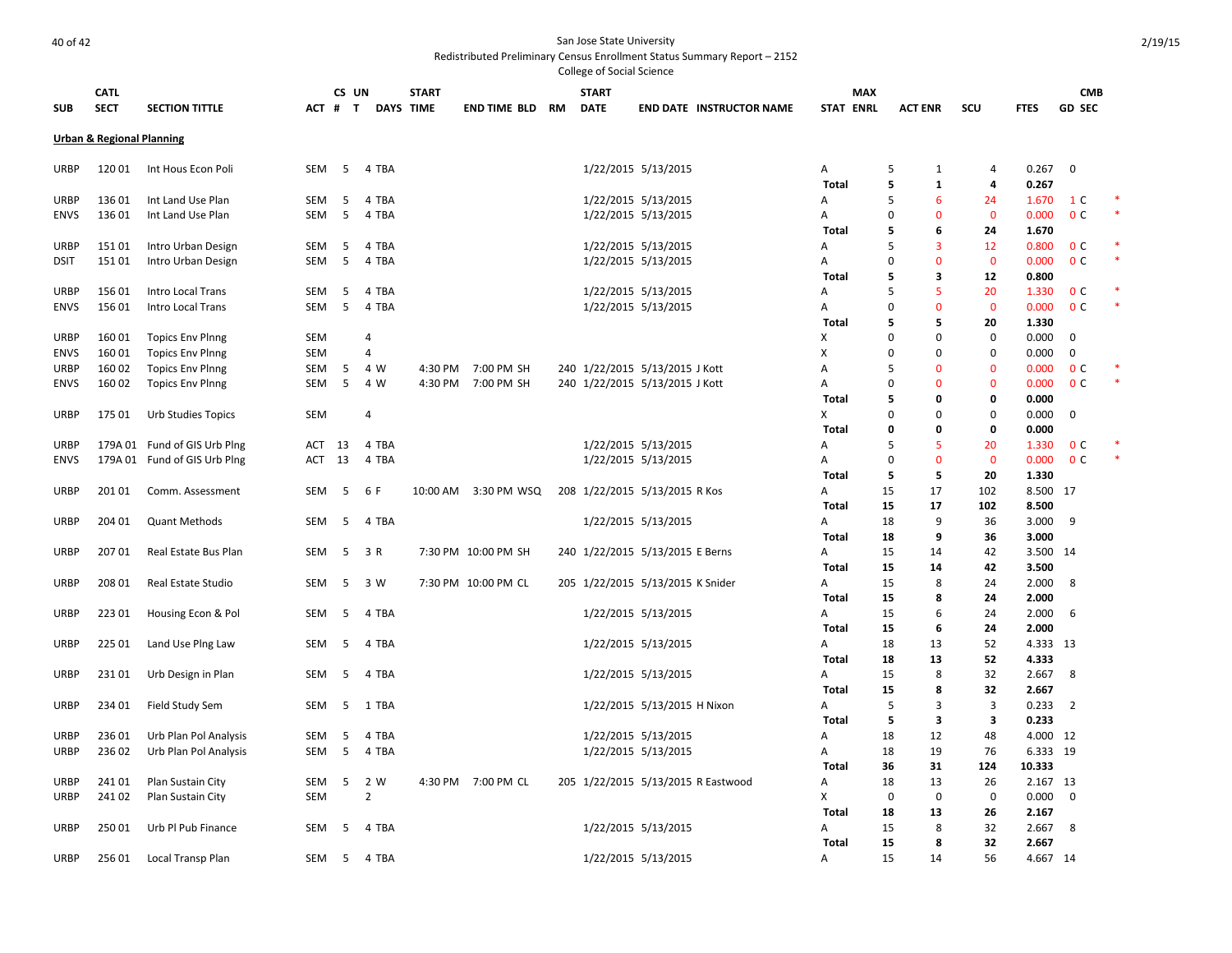College of Social Science **SUB CATL SECT SECTION TITTLE CS UN # T DAYS START TIME END TIME BLD RM START DATE END DATE INSTRUCTOR NAME STAT MAX ENRL ACT ENR SCU FTES GD CMB SEC Urban & Regional Planning** URBP 120 01 Int Hous Econ Poli SEM 5 4 TBA 1/22/2015 5/13/2015 A 5 1 4 0.267 0 **Total 5 1 4 0.267** URBP 13601 Int Land Use Plan SEM 5 4 TBA 10 1/22/2015 5/13/2015 5/13/2015 A 5 6 24 1.670 1 C \* ENVS 13601 Int Land Use Plan SEM 5 4 TBA 1990 C 2001 1/22/2015 5/13/2015 5/13/2015 A 0 0 0 0.000 O C \* **Total 5 6 24 1.670** URBP 151 01 Intro Urban Design SEM 5 4 TBA 1/22/2015 5/13/2015 A 5 3 12 0.800 0 C \* DSIT 151 01 Intro Urban Design SEM 5 4 TBA 1/22/2015 5/13/2015 A 0 0 0 0.000 0 C \* **Total 5 3 12 0.800** URBP 156 01 Intro Local Trans SEM 5 4 TBA 1/22/2015 5/13/2015 A 5 5 20 1.330 0 C \* ENVS 156 01 Intro Local Trans SEM 5 4 TBA 1/22/2015 5/13/2015 A 0 0 0 0.000 0 C \* **Total 5 5 20 1.330** URBP 160 01 Topics Env Plnng SEM 4 X 0 0 0 0.000 0 ENVS 160 01 Topics Env Plnng SEM 4 X 0 0 0 0.000 0 URBP 160 02 Topics Env Plnng SEM 5 4 W 4:30 PM 7:00 PM SH 240 1/22/2015 5/13/2015 J Kott A 5 0 0 0.000 0 C ENVS 160 02 Topics Env Plnng SEM 5 4 W 4:30 PM 7:00 PM SH 240 1/22/2015 5/13/2015 J Kott A 0 0 0 0 0.000 0 C **Total 5 0 0 0.000** URBP 175 01 Urb Studies Topics SEM 4 X 0 0 0 0.000 0 **Total 0 0 0 0.000** URBP 179A 01 Fund of GIS Urb Plng ACT 13 4 TBA 1/22/2015 5/13/2015 A 5 5 20 1.330 0 C \* ENVS 179A 01 Fund of GIS Urb Plng ACT 13 4 TBA 1/22/2015 5/13/2015 A 0 0 0 0.000 0 C \* **Total 5 5 20 1.330** URBP 20101 Comm. Assessment SEM 5 6 F 10:00 AM 3:30 PM WSQ 208 1/22/2015 5/13/2015 R Kos A 15 17 102 8.500 17 **Total 15 17 102 8.500** URBP 204 01 Quant Methods SEM 5 4 TBA 1/22/2015 5/13/2015 A 18 9 36 3.000 9 **Total 18 9 36 3.000** URBP 207 01 Real Estate Bus Plan SEM 5 3 R 7:30 PM 10:00 PM SH 240 1/22/2015 5/13/2015 E Berns A 15 14 42 3.500 14 **Total 15 14 42 3.500** URBP 208 01 Real Estate Studio SEM 5 3 W 7:30 PM 10:00 PM CL 205 1/22/2015 5/13/2015 K Snider A 15 8 24 2.000 8 **Total 15 8 24 2.000** URBP 223 01 Housing Econ & Pol SEM 5 4 TBA 1/22/2015 5/13/2015 A 15 6 24 2.000 6 **Total 15 6 24 2.000** URBP 225 01 Land Use Plng Law SEM 5 4 TBA 1/22/2015 5/13/2015 A 18 13 52 4.333 13 **Total 18 13 52 4.333** URBP 231 01 Urb Design in Plan SEM 5 4 TBA 1/22/2015 5/13/2015 A 15 8 32 2.667 8 **Total 15 8 32 2.667** URBP 234 01 Field Study Sem SEM 5 1 TBA 1/22/2015 5/13/2015 H Nixon A 5 3 3 0.233 2 **Total 5 3 3 0.233** URBP 236 01 Urb Plan Pol Analysis SEM 5 4 TBA 1/22/2015 5/13/2015 A 18 12 48 4.000 12 URBP 236 02 Urb Plan Pol Analysis SEM 5 4 TBA 1/22/2015 5/13/2015 A 18 19 76 6.333 19 **Total 36 31 124 10.333** URBP 241 01 Plan Sustain City SEM 5 2 W 4:30 PM 7:00 PM CL 205 1/22/2015 5/13/2015 R Eastwood A 18 13 26 2.167 13 URBP 241 02 Plan Sustain City SEM 2 X 0 0 0 0.000 0 **Total 18 13 26 2.167** URBP 250 01 Urb Pl Pub Finance SEM 5 4 TBA 1/22/2015 5/13/2015 A 15 8 32 2.667 8 **Total 15 8 32 2.667** URBP 256 01 Local Transp Plan SEM 5 4 TBA 1/22/2015 5/13/2015 A 15 14 56 4.667 14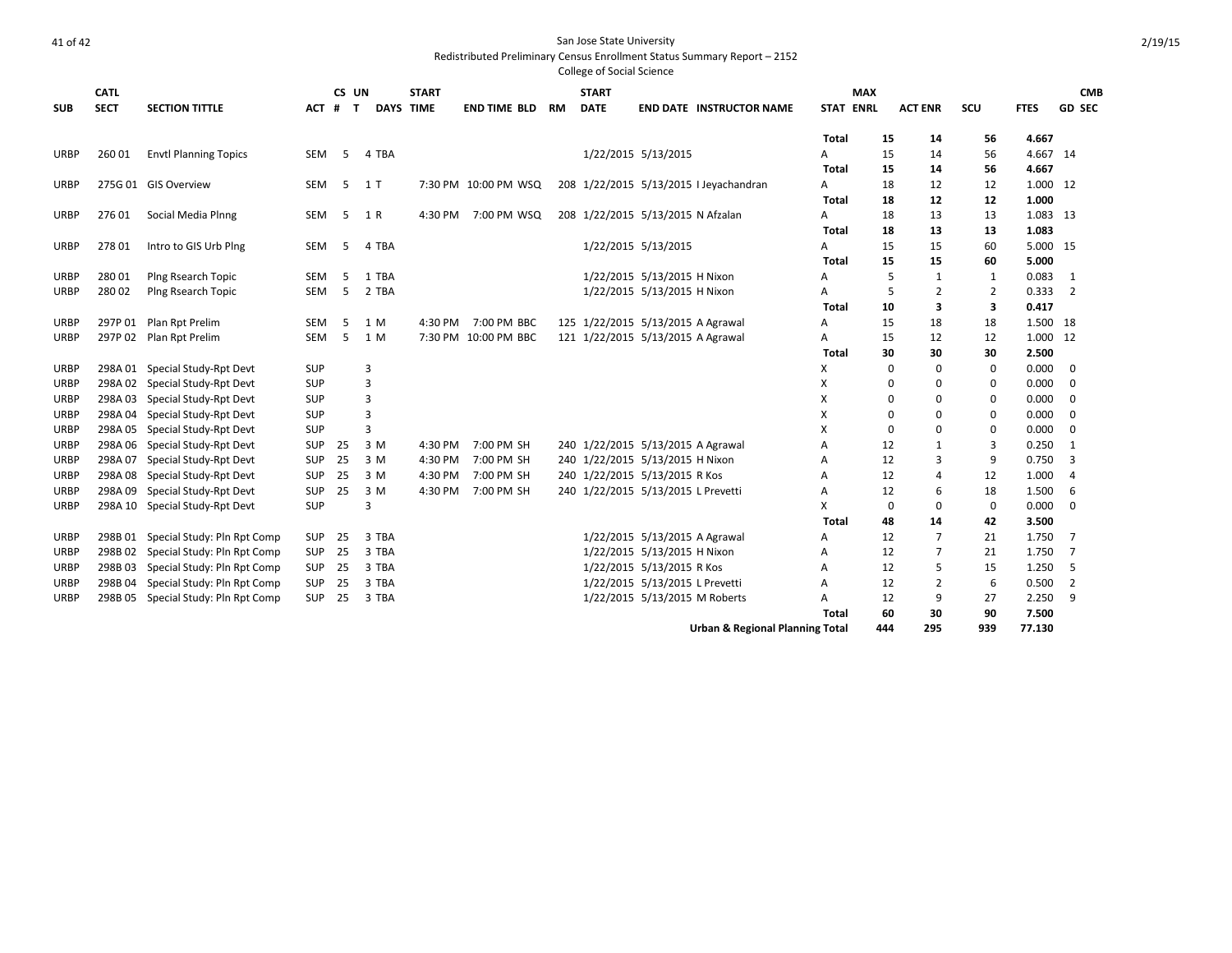| <b>SUB</b>  | <b>CATL</b><br><b>SECT</b> | <b>SECTION TITTLE</b>               | ACT #         | CS UN<br>$\mathbf{T}$ | <b>DAYS TIME</b> | <b>START</b> | <b>END TIME BLD</b>  | RM | <b>START</b><br><b>DATE</b> |                                            | <b>END DATE INSTRUCTOR NAME</b>        |              | <b>MAX</b><br><b>STAT ENRL</b> | <b>ACT ENR</b> | scu         | <b>FTES</b> | <b>CMB</b><br><b>GD SEC</b> |
|-------------|----------------------------|-------------------------------------|---------------|-----------------------|------------------|--------------|----------------------|----|-----------------------------|--------------------------------------------|----------------------------------------|--------------|--------------------------------|----------------|-------------|-------------|-----------------------------|
|             |                            |                                     |               |                       |                  |              |                      |    |                             |                                            |                                        |              |                                |                |             |             |                             |
|             |                            |                                     |               |                       |                  |              |                      |    |                             |                                            |                                        | <b>Total</b> | 15                             | 14             | 56          | 4.667       |                             |
| URBP        | 260 01                     | <b>Envtl Planning Topics</b>        | SEM           | -5                    | 4 TBA            |              |                      |    |                             | 1/22/2015 5/13/2015                        |                                        | Α            | 15                             | 14             | 56          | 4.667 14    |                             |
|             |                            |                                     |               |                       |                  |              |                      |    |                             |                                            |                                        | <b>Total</b> | 15                             | 14             | 56          | 4.667       |                             |
| URBP        |                            | 275G 01 GIS Overview                | <b>SEM</b>    | 5                     | 1 <sub>T</sub>   |              | 7:30 PM 10:00 PM WSQ |    |                             |                                            | 208 1/22/2015 5/13/2015 I Jeyachandran | Α            | 18                             | 12             | 12          | 1.000 12    |                             |
|             |                            |                                     |               |                       |                  |              |                      |    |                             |                                            |                                        | <b>Total</b> | 18                             | 12             | 12          | 1.000       |                             |
| <b>URBP</b> | 27601                      | Social Media Plnng                  | <b>SEM</b>    | 5                     | 1 R              | 4:30 PM      | 7:00 PM WSQ          |    |                             | 208 1/22/2015 5/13/2015 N Afzalan          |                                        | Α            | 18                             | 13             | 13          | 1.083 13    |                             |
|             |                            |                                     |               |                       |                  |              |                      |    |                             |                                            |                                        | Total        | 18                             | 13             | 13          | 1.083       |                             |
| <b>URBP</b> | 27801                      | Intro to GIS Urb Plng               | SEM           | 5                     | 4 TBA            |              |                      |    |                             | 1/22/2015 5/13/2015                        |                                        | A            | 15                             | 15             | 60          | 5.000 15    |                             |
|             |                            |                                     |               |                       |                  |              |                      |    |                             |                                            |                                        | <b>Total</b> | 15                             | 15             | 60          | 5.000       |                             |
| <b>URBP</b> | 280 01                     | Plng Rsearch Topic                  | SEM           | 5                     | 1 TBA            |              |                      |    |                             | 1/22/2015 5/13/2015 H Nixon                |                                        | Α            | 5                              | 1              | 1           | 0.083       | 1                           |
| <b>URBP</b> | 28002                      | Plng Rsearch Topic                  | <b>SEM</b>    | 5                     | 2 TBA            |              |                      |    |                             | 1/22/2015 5/13/2015 H Nixon                |                                        | A            | 5                              | $\overline{2}$ | 2           | 0.333       | $\overline{2}$              |
|             |                            |                                     |               |                       |                  |              |                      |    |                             |                                            |                                        | Total        | 10                             | 3              | 3           | 0.417       |                             |
| <b>URBP</b> | 297P 01                    | Plan Rpt Prelim                     | <b>SEM</b>    | 5                     | 1 M              | 4:30 PM      | 7:00 PM BBC          |    |                             | 125 1/22/2015 5/13/2015 A Agrawal          |                                        | A            | 15                             | 18             | 18          | 1.500 18    |                             |
| <b>URBP</b> | 297P 02                    | Plan Rpt Prelim                     | <b>SEM</b>    | .5                    | 1 M              |              | 7:30 PM 10:00 PM BBC |    |                             | 121 1/22/2015 5/13/2015 A Agrawal          |                                        | Α            | 15                             | 12             | 12          | 1.000 12    |                             |
|             |                            |                                     |               |                       |                  |              |                      |    |                             |                                            |                                        | Total        | 30                             | 30             | 30          | 2.500       |                             |
| URBP        | 298A01                     | Special Study-Rpt Devt              | SUP           |                       | 3                |              |                      |    |                             |                                            |                                        | X            | 0                              | $\Omega$       | $\mathbf 0$ | 0.000       | $\mathbf 0$                 |
| <b>URBP</b> | 298A02                     | Special Study-Rpt Devt              | SUP           |                       | 3                |              |                      |    |                             |                                            |                                        | x            | 0                              | $\Omega$       | 0           | 0.000       | 0                           |
| <b>URBP</b> | 298A03                     | Special Study-Rpt Devt              | SUP           |                       | 3                |              |                      |    |                             |                                            |                                        | x            | 0                              | $\Omega$       | 0           | 0.000       | 0                           |
| <b>URBP</b> | 298A04                     | Special Study-Rpt Devt              | SUP           |                       | 3                |              |                      |    |                             |                                            |                                        | X            | 0                              | $\Omega$       | 0           | 0.000       | 0                           |
| <b>URBP</b> | 298A05                     | Special Study-Rpt Devt              | SUP           |                       | 3                |              |                      |    |                             |                                            |                                        | X            | $\Omega$                       | $\Omega$       | 0           | 0.000       | $\mathbf 0$                 |
| URBP        | 298A06                     | Special Study-Rpt Devt              | SUP           | 25                    | 3 M              | 4:30 PM      | 7:00 PM SH           |    |                             | 240 1/22/2015 5/13/2015 A Agrawal          |                                        | А            | 12                             | 1              | 3           | 0.250       | 1                           |
| <b>URBP</b> | 298A07                     | Special Study-Rpt Devt              | <b>SUP 25</b> |                       | 3 M              | 4:30 PM      | 7:00 PM SH           |    |                             | 240 1/22/2015 5/13/2015 H Nixon            |                                        | A            | 12                             | 3              | 9           | 0.750       | 3                           |
| <b>URBP</b> | 298A08                     | Special Study-Rpt Devt              | SUP           | 25                    | 3 M              | 4:30 PM      | 7:00 PM SH           |    |                             | 240 1/22/2015 5/13/2015 R Kos              |                                        | А            | 12                             | 4              | 12          | 1.000       | $\overline{4}$              |
| <b>URBP</b> | 298A09                     | Special Study-Rpt Devt              | SUP           | 25                    | 3 M              | 4:30 PM      | 7:00 PM SH           |    |                             | 240 1/22/2015 5/13/2015 L Prevetti         |                                        | A            | 12                             | 6              | 18          | 1.500       | -6                          |
| <b>URBP</b> |                            | 298A 10 Special Study-Rpt Devt      | SUP           |                       | 3                |              |                      |    |                             |                                            |                                        | X            | $\Omega$                       | $\Omega$       | $\mathbf 0$ | 0.000       | $\Omega$                    |
|             |                            |                                     |               |                       |                  |              |                      |    |                             |                                            |                                        | Total        | 48                             | 14             | 42          | 3.500       |                             |
| <b>URBP</b> |                            | 298B 01 Special Study: Pln Rpt Comp | <b>SUP</b>    | 25                    | 3 TBA            |              |                      |    |                             | 1/22/2015 5/13/2015 A Agrawal              |                                        | А            | 12                             | $\overline{7}$ | 21          | 1.750       | $\overline{7}$              |
| <b>URBP</b> | 298B02                     | Special Study: Pln Rpt Comp         | SUP           | 25                    | 3 TBA            |              |                      |    |                             | 1/22/2015 5/13/2015 H Nixon                |                                        | А            | 12                             | $\overline{7}$ | 21          | 1.750       | $\overline{7}$              |
| <b>URBP</b> | 298B03                     | Special Study: Pln Rpt Comp         | SUP           | - 25                  | 3 TBA            |              |                      |    |                             | 1/22/2015 5/13/2015 R Kos                  |                                        | А            | 12                             | 5              | 15          | 1.250       | -5                          |
| URBP        | 298B04                     | Special Study: Pln Rpt Comp         | SUP           | 25                    | 3 TBA            |              |                      |    |                             | 1/22/2015 5/13/2015 L Prevetti             |                                        | А            | 12                             | 2              | 6           | 0.500       | $\overline{2}$              |
| <b>URBP</b> | 298B05                     | Special Study: Pln Rpt Comp         | <b>SUP</b>    | 25                    | 3 TBA            |              |                      |    |                             | 1/22/2015 5/13/2015 M Roberts              |                                        | A            | 12                             | 9              | 27          | 2.250       | 9                           |
|             |                            |                                     |               |                       |                  |              |                      |    |                             |                                            |                                        | <b>Total</b> | 60                             | 30             | 90          | 7.500       |                             |
|             |                            |                                     |               |                       |                  |              |                      |    |                             | <b>Urban &amp; Regional Planning Total</b> |                                        |              | 444                            | 295            | 939         | 77.130      |                             |